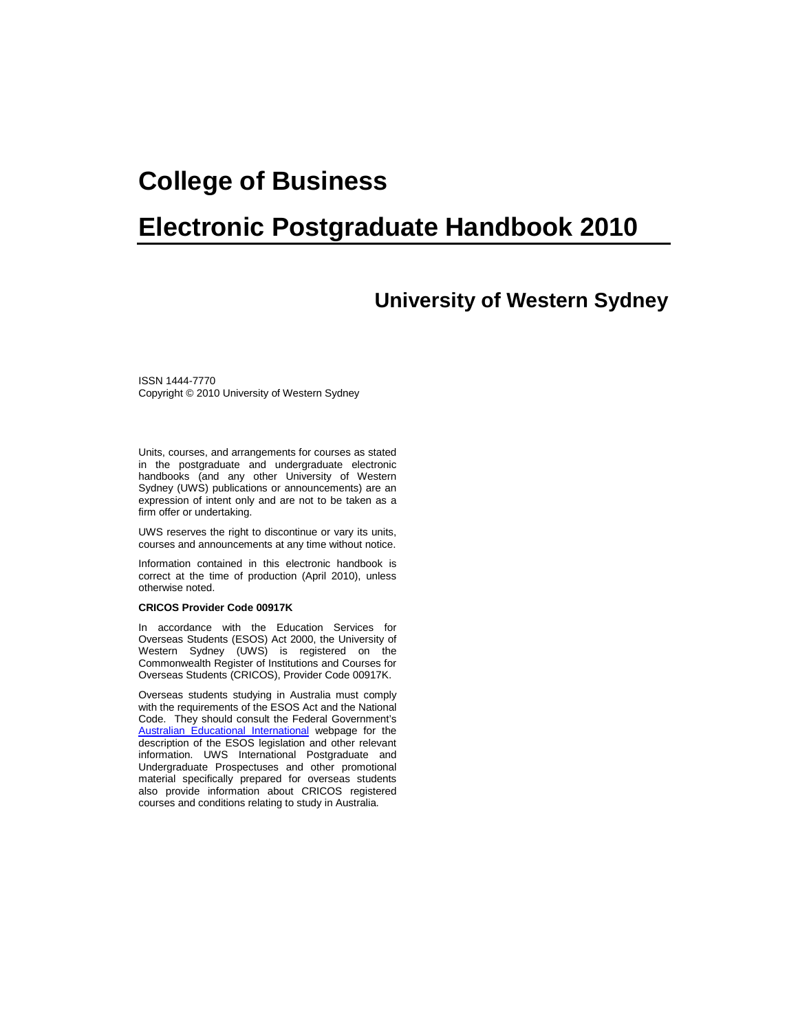# **College of Business**

# **Electronic Postgraduate Handbook 2010**

## **University of Western Sydney**

ISSN 1444-7770 Copyright © 2010 University of Western Sydney

Units, courses, and arrangements for courses as stated in the postgraduate and undergraduate electronic handbooks (and any other University of Western Sydney (UWS) publications or announcements) are an expression of intent only and are not to be taken as a firm offer or undertaking.

UWS reserves the right to discontinue or vary its units, courses and announcements at any time without notice.

Information contained in this electronic handbook is correct at the time of production (April 2010), unless otherwise noted.

#### **CRICOS Provider Code 00917K**

In accordance with the Education Services for Overseas Students (ESOS) Act 2000, the University of Western Sydney (UWS) is registered on the Commonwealth Register of Institutions and Courses for Overseas Students (CRICOS), Provider Code 00917K.

Overseas students studying in Australia must comply with the requirements of the ESOS Act and the National Code. They should consult the Federal Government's [Australian Educational International](http://aei.dest.gov.au/AEI/ESOS/default.htm) webpage for the description of the ESOS legislation and other relevant information. UWS International Postgraduate and Undergraduate Prospectuses and other promotional material specifically prepared for overseas students also provide information about CRICOS registered courses and conditions relating to study in Australia.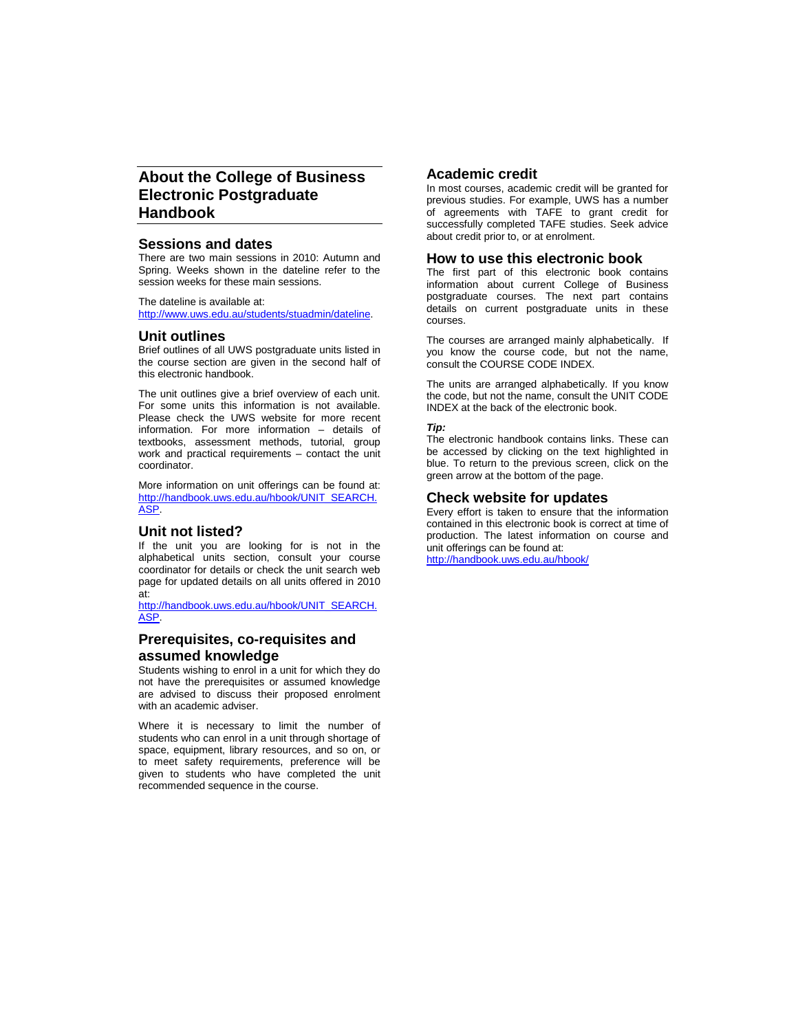## **About the College of Business Electronic Postgraduate Handbook**

#### **Sessions and dates**

There are two main sessions in 2010: Autumn and Spring. Weeks shown in the dateline refer to the session weeks for these main sessions.

#### The dateline is available at: [http://www.uws.edu.au/students/stuadmin/dateline.](http://www.uws.edu.au/students/stuadmin/dateline)

#### **Unit outlines**

Brief outlines of all UWS postgraduate units listed in the course section are given in the second half of this electronic handbook.

The unit outlines give a brief overview of each unit. For some units this information is not available. Please check the UWS website for more recent information. For more information – details of textbooks, assessment methods, tutorial, group work and practical requirements – contact the unit coordinator.

More information on unit offerings can be found at: [http://handbook.uws.edu.au/hbook/UNIT\\_SEARCH.](http://handbook.uws.edu.au/hbook/UNIT_SEARCH.ASP) [ASP.](http://handbook.uws.edu.au/hbook/UNIT_SEARCH.ASP)

### **Unit not listed?**

If the unit you are looking for is not in the alphabetical units section, consult your course coordinator for details or check the unit search web page for updated details on all units offered in 2010 at:

[http://handbook.uws.edu.au/hbook/UNIT\\_SEARCH.](http://handbook.uws.edu.au/hbook/UNIT_SEARCH.ASP) [ASP.](http://handbook.uws.edu.au/hbook/UNIT_SEARCH.ASP)

#### **Prerequisites, co-requisites and assumed knowledge**

Students wishing to enrol in a unit for which they do not have the prerequisites or assumed knowledge are advised to discuss their proposed enrolment with an academic adviser.

Where it is necessary to limit the number of students who can enrol in a unit through shortage of space, equipment, library resources, and so on, or to meet safety requirements, preference will be given to students who have completed the unit recommended sequence in the course.

### **Academic credit**

In most courses, academic credit will be granted for previous studies. For example, UWS has a number of agreements with TAFE to grant credit for successfully completed TAFE studies. Seek advice about credit prior to, or at enrolment.

#### **How to use this electronic book**

The first part of this electronic book contains information about current College of Business postgraduate courses. The next part contains details on current postgraduate units in these courses.

The courses are arranged mainly alphabetically. If you know the course code, but not the name, consult the COURSE CODE INDEX.

The units are arranged alphabetically. If you know the code, but not the name, consult the UNIT CODE INDEX at the back of the electronic book.

#### *Tip:*

The electronic handbook contains links. These can be accessed by clicking on the text highlighted in blue. To return to the previous screen, click on the green arrow at the bottom of the page.

#### **Check website for updates**

Every effort is taken to ensure that the information contained in this electronic book is correct at time of production. The latest information on course and unit offerings can be found at:

<http://handbook.uws.edu.au/hbook/>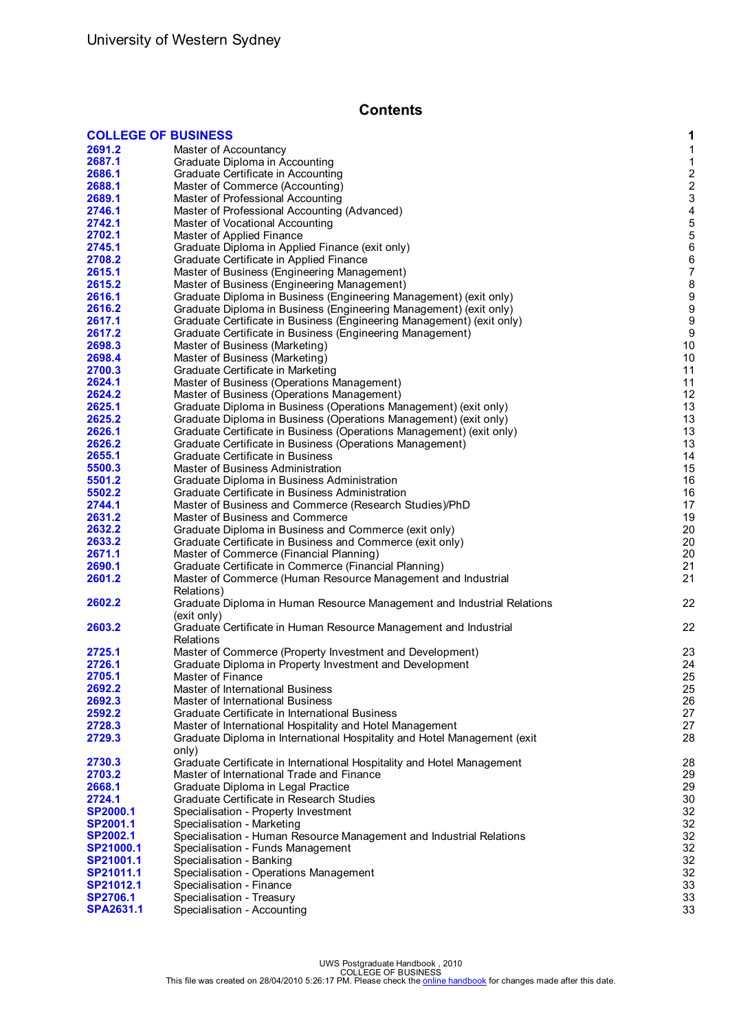## **Contents**

| <b>COLLEGE OF BUSINESS</b> |                                                                                                           | 1                                     |
|----------------------------|-----------------------------------------------------------------------------------------------------------|---------------------------------------|
| 2691.2                     | Master of Accountancy                                                                                     | $\mathbf 1$                           |
| 2687.1                     | Graduate Diploma in Accounting                                                                            | $\mathbf 1$                           |
| 2686.1                     | Graduate Certificate in Accounting                                                                        | $\frac{2}{2}$                         |
| 2688.1<br>2689.1           | Master of Commerce (Accounting)                                                                           |                                       |
| 2746.1                     | Master of Professional Accounting                                                                         | 3<br>4                                |
| 2742.1                     | Master of Professional Accounting (Advanced)<br>Master of Vocational Accounting                           | 5                                     |
| 2702.1                     | Master of Applied Finance                                                                                 | 5                                     |
| 2745.1                     | Graduate Diploma in Applied Finance (exit only)                                                           | $\,6$                                 |
| 2708.2                     | Graduate Certificate in Applied Finance                                                                   | 6                                     |
| 2615.1                     | Master of Business (Engineering Management)                                                               | $\overline{7}$                        |
| 2615.2                     | Master of Business (Engineering Management)                                                               |                                       |
| 2616.1                     | Graduate Diploma in Business (Engineering Management) (exit only)                                         | $\begin{array}{c} 8 \\ 9 \end{array}$ |
| 2616.2                     | Graduate Diploma in Business (Engineering Management) (exit only)                                         | 9                                     |
| 2617.1                     | Graduate Certificate in Business (Engineering Management) (exit only)                                     | 9                                     |
| 2617.2                     | Graduate Certificate in Business (Engineering Management)                                                 | 9                                     |
| 2698.3                     | Master of Business (Marketing)                                                                            | 10                                    |
| 2698.4                     | Master of Business (Marketing)                                                                            | 10                                    |
| 2700.3                     | Graduate Certificate in Marketing                                                                         | 11                                    |
| 2624.1                     | Master of Business (Operations Management)                                                                | 11                                    |
| 2624.2                     | Master of Business (Operations Management)                                                                | 12                                    |
| 2625.1                     | Graduate Diploma in Business (Operations Management) (exit only)                                          | 13                                    |
| 2625.2                     | Graduate Diploma in Business (Operations Management) (exit only)                                          | 13                                    |
| 2626.1                     | Graduate Certificate in Business (Operations Management) (exit only)                                      | 13                                    |
| 2626.2                     | Graduate Certificate in Business (Operations Management)                                                  | 13                                    |
| 2655.1                     | Graduate Certificate in Business                                                                          | 14                                    |
| 5500.3                     | Master of Business Administration                                                                         | 15<br>16                              |
| 5501.2<br>5502.2           | Graduate Diploma in Business Administration                                                               | 16                                    |
| 2744.1                     | Graduate Certificate in Business Administration<br>Master of Business and Commerce (Research Studies)/PhD | 17                                    |
| 2631.2                     | Master of Business and Commerce                                                                           | 19                                    |
| 2632.2                     | Graduate Diploma in Business and Commerce (exit only)                                                     | 20                                    |
| 2633.2                     | Graduate Certificate in Business and Commerce (exit only)                                                 | 20                                    |
| 2671.1                     | Master of Commerce (Financial Planning)                                                                   | 20                                    |
| 2690.1                     | Graduate Certificate in Commerce (Financial Planning)                                                     | 21                                    |
| 2601.2                     | Master of Commerce (Human Resource Management and Industrial                                              | 21                                    |
|                            | Relations)                                                                                                |                                       |
| 2602.2                     | Graduate Diploma in Human Resource Management and Industrial Relations                                    | 22                                    |
|                            | (exit only)                                                                                               |                                       |
| 2603.2                     | Graduate Certificate in Human Resource Management and Industrial                                          | 22                                    |
|                            | Relations                                                                                                 |                                       |
| 2725.1                     | Master of Commerce (Property Investment and Development)                                                  | 23                                    |
| 2726.1                     | Graduate Diploma in Property Investment and Development                                                   | 24                                    |
| 2705.1                     | Master of Finance                                                                                         | 25                                    |
| 2692.2                     | Master of International Business                                                                          | 25                                    |
| 2692.3                     | Master of International Business                                                                          | 26                                    |
| 2592.2                     | Graduate Certificate in International Business                                                            | 27                                    |
| 2728.3<br>2729.3           | Master of International Hospitality and Hotel Management                                                  | 27                                    |
|                            | Graduate Diploma in International Hospitality and Hotel Management (exit                                  | 28                                    |
| 2730.3                     | only)<br>Graduate Certificate in International Hospitality and Hotel Management                           | 28                                    |
| 2703.2                     | Master of International Trade and Finance                                                                 | 29                                    |
| 2668.1                     | Graduate Diploma in Legal Practice                                                                        | 29                                    |
| 2724.1                     | Graduate Certificate in Research Studies                                                                  | 30                                    |
| <b>SP2000.1</b>            | Specialisation - Property Investment                                                                      | 32                                    |
| SP2001.1                   | Specialisation - Marketing                                                                                | 32                                    |
| SP2002.1                   | Specialisation - Human Resource Management and Industrial Relations                                       | 32                                    |
| SP21000.1                  | Specialisation - Funds Management                                                                         | 32                                    |
| SP21001.1                  | Specialisation - Banking                                                                                  | 32                                    |
| SP21011.1                  | Specialisation - Operations Management                                                                    | 32                                    |
| SP21012.1                  | Specialisation - Finance                                                                                  | 33                                    |
| <b>SP2706.1</b>            | Specialisation - Treasury                                                                                 | 33                                    |
| <b>SPA2631.1</b>           | Specialisation - Accounting                                                                               | 33                                    |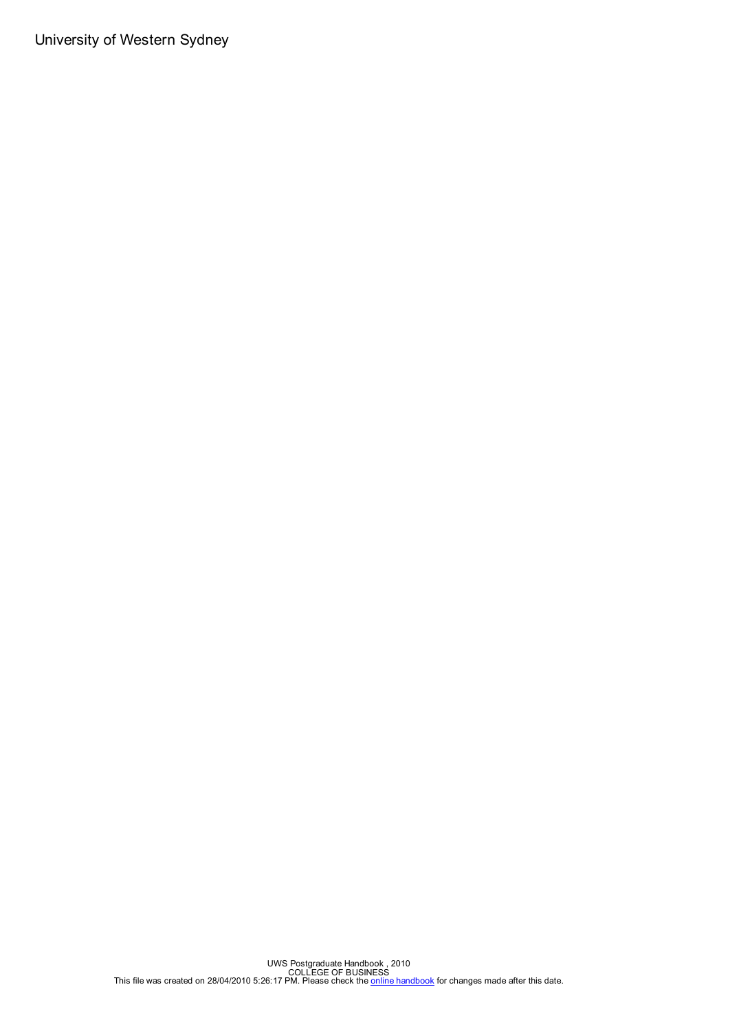University of Western Sydney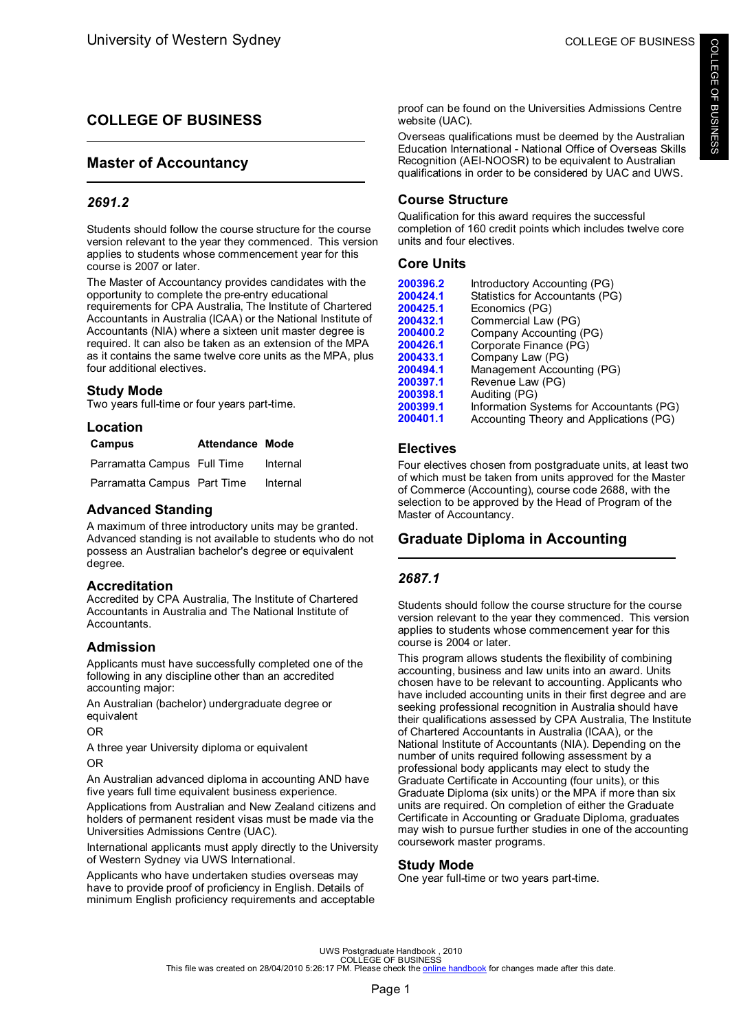# <span id="page-4-0"></span>**COLLEGE OF BUSINESS**

## **Master of Accountancy**

## *2691.2*

Students should follow the course structure for the course version relevant to the year they commenced. This version applies to students whose commencement year for this course is 2007 or later.

The Master of Accountancy provides candidates with the opportunity to complete the pre-entry educational requirements for CPA Australia, The Institute of Chartered Accountants in Australia (ICAA) or the National Institute of Accountants (NIA) where a sixteen unit master degree is required. It can also be taken as an extension of the MPA as it contains the same twelve core units as the MPA, plus four additional electives.

## **Study Mode**

Two years full-time or four years part-time.

| Location                    |                        |          |
|-----------------------------|------------------------|----------|
| Campus                      | <b>Attendance Mode</b> |          |
| Parramatta Campus Full Time |                        | Internal |
| Parramatta Campus Part Time |                        | Internal |

## **Advanced Standing**

A maximum of three introductory units may be granted. Advanced standing is not available to students who do not possess an Australian bachelor's degree or equivalent degree.

## **Accreditation**

Accredited by CPA Australia, The Institute of Chartered Accountants in Australia and The National Institute of Accountants.

## **Admission**

Applicants must have successfully completed one of the following in any discipline other than an accredited accounting major:

An Australian (bachelor) undergraduate degree or equivalent

OR

A three year University diploma or equivalent OR

An Australian advanced diploma in accounting AND have five years full time equivalent business experience.

Applications from Australian and New Zealand citizens and holders of permanent resident visas must be made via the Universities Admissions Centre (UAC).

International applicants must apply directly to the University of Western Sydney via UWS International.

Applicants who have undertaken studies overseas may have to provide proof of proficiency in English. Details of minimum English proficiency requirements and acceptable proof can be found on the Universities Admissions Centre website (UAC).

Overseas qualifications must be deemed by the Australian Education International - National Office of Overseas Skills Recognition (AEI-NOOSR) to be equivalent to Australian qualifications in order to be considered by UAC and UWS.

## **Course Structure**

Qualification for this award requires the successful completion of 160 credit points which includes twelve core units and four electives.

## **Core Units**

| 200396.2 | Introductory Accounting (PG)             |
|----------|------------------------------------------|
| 200424.1 | Statistics for Accountants (PG)          |
| 200425.1 | Economics (PG)                           |
| 200432.1 | Commercial Law (PG)                      |
| 200400.2 | Company Accounting (PG)                  |
| 200426.1 | Corporate Finance (PG)                   |
| 200433.1 | Company Law (PG)                         |
| 200494.1 | Management Accounting (PG)               |
| 200397.1 | Revenue Law (PG)                         |
| 200398.1 | Auditing (PG)                            |
| 200399.1 | Information Systems for Accountants (PG) |
| 200401.1 | Accounting Theory and Applications (PG)  |
|          |                                          |

## **Electives**

Four electives chosen from postgraduate units, at least two of which must be taken from units approved for the Master of Commerce (Accounting), course code 2688, with the selection to be approved by the Head of Program of the Master of Accountancy.

## **Graduate Diploma in Accounting**

## *2687.1*

Students should follow the course structure for the course version relevant to the year they commenced. This version applies to students whose commencement year for this course is 2004 or later.

This program allows students the flexibility of combining accounting, business and law units into an award. Units chosen have to be relevant to accounting. Applicants who have included accounting units in their first degree and are seeking professional recognition in Australia should have their qualifications assessed by CPA Australia, The Institute of Chartered Accountants in Australia (ICAA), or the National Institute of Accountants (NIA). Depending on the number of units required following assessment by a professional body applicants may elect to study the Graduate Certificate in Accounting (four units), or this Graduate Diploma (six units) or the MPA if more than six units are required. On completion of either the Graduate Certificate in Accounting or Graduate Diploma, graduates may wish to pursue further studies in one of the accounting coursework master programs.

## **Study Mode**

One year full-time or two years part-time.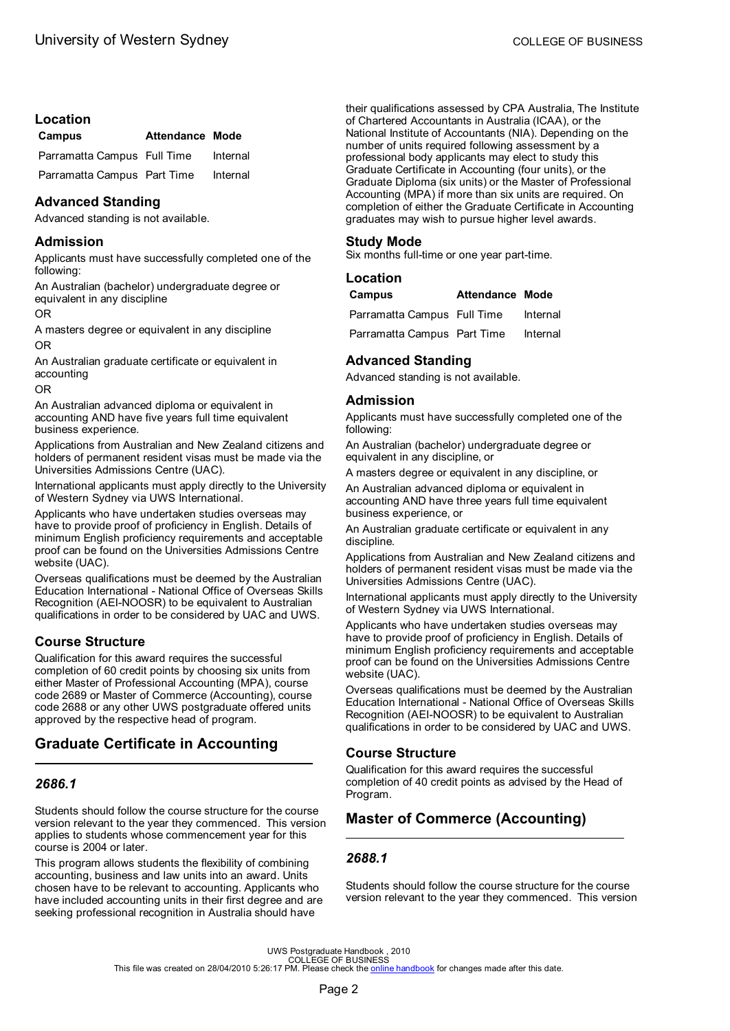## <span id="page-5-0"></span>**Location**

| Campus                      | Attendance Mode |          |
|-----------------------------|-----------------|----------|
| Parramatta Campus Full Time |                 | Internal |
| Parramatta Campus Part Time |                 | Internal |

## **Advanced Standing**

Advanced standing is not available.

### **Admission**

Applicants must have successfully completed one of the following:

An Australian (bachelor) undergraduate degree or equivalent in any discipline

OR

A masters degree or equivalent in any discipline OR

An Australian graduate certificate or equivalent in accounting

OR

An Australian advanced diploma or equivalent in accounting AND have five years full time equivalent business experience.

Applications from Australian and New Zealand citizens and holders of permanent resident visas must be made via the Universities Admissions Centre (UAC).

International applicants must apply directly to the University of Western Sydney via UWS International.

Applicants who have undertaken studies overseas may have to provide proof of proficiency in English. Details of minimum English proficiency requirements and acceptable proof can be found on the Universities Admissions Centre website (UAC).

Overseas qualifications must be deemed by the Australian Education International - National Office of Overseas Skills Recognition (AEI-NOOSR) to be equivalent to Australian qualifications in order to be considered by UAC and UWS.

## **Course Structure**

Qualification for this award requires the successful completion of 60 credit points by choosing six units from either Master of Professional Accounting (MPA), course code 2689 or Master of Commerce (Accounting), course code 2688 or any other UWS postgraduate offered units approved by the respective head of program.

## **Graduate Certificate in Accounting**

## *2686.1*

Students should follow the course structure for the course version relevant to the year they commenced. This version applies to students whose commencement year for this course is 2004 or later.

This program allows students the flexibility of combining accounting, business and law units into an award. Units chosen have to be relevant to accounting. Applicants who have included accounting units in their first degree and are seeking professional recognition in Australia should have

their qualifications assessed by CPA Australia, The Institute of Chartered Accountants in Australia (ICAA), or the National Institute of Accountants (NIA). Depending on the number of units required following assessment by a professional body applicants may elect to study this Graduate Certificate in Accounting (four units), or the Graduate Diploma (six units) or the Master of Professional Accounting (MPA) if more than six units are required. On completion of either the Graduate Certificate in Accounting graduates may wish to pursue higher level awards.

### **Study Mode**

Six months full-time or one year part-time.

### **Location**

| Campus                      | <b>Attendance Mode</b> |          |
|-----------------------------|------------------------|----------|
| Parramatta Campus Full Time |                        | Internal |
| Parramatta Campus Part Time |                        | Internal |

## **Advanced Standing**

Advanced standing is not available.

## **Admission**

Applicants must have successfully completed one of the following:

An Australian (bachelor) undergraduate degree or equivalent in any discipline, or

A masters degree or equivalent in any discipline, or An Australian advanced diploma or equivalent in

accounting AND have three years full time equivalent business experience, or

An Australian graduate certificate or equivalent in any discipline.

Applications from Australian and New Zealand citizens and holders of permanent resident visas must be made via the Universities Admissions Centre (UAC).

International applicants must apply directly to the University of Western Sydney via UWS International.

Applicants who have undertaken studies overseas may have to provide proof of proficiency in English. Details of minimum English proficiency requirements and acceptable proof can be found on the Universities Admissions Centre website (UAC).

Overseas qualifications must be deemed by the Australian Education International - National Office of Overseas Skills Recognition (AEI-NOOSR) to be equivalent to Australian qualifications in order to be considered by UAC and UWS.

## **Course Structure**

Qualification for this award requires the successful completion of 40 credit points as advised by the Head of Program.

## **Master of Commerce (Accounting)**

## *2688.1*

Students should follow the course structure for the course version relevant to the year they commenced. This version

UWS Postgraduate Handbook , 2010 COLLEGE OF BUSINESS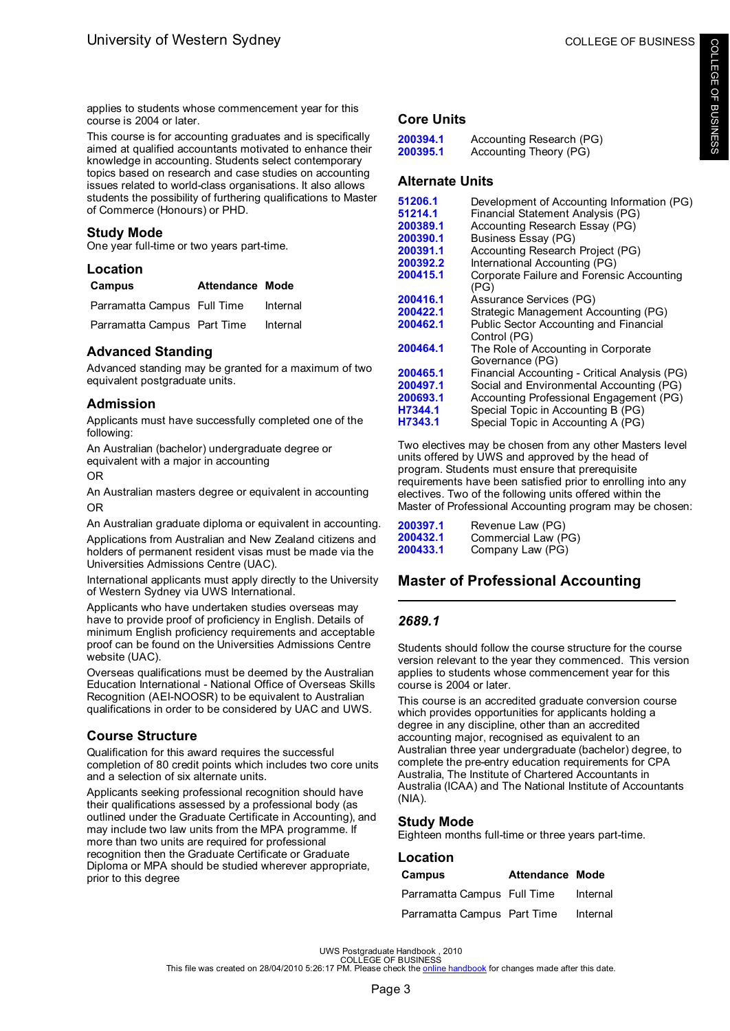<span id="page-6-0"></span>applies to students whose commencement year for this course is 2004 or later.

This course is for accounting graduates and is specifically aimed at qualified accountants motivated to enhance their knowledge in accounting. Students select contemporary topics based on research and case studies on accounting issues related to world-class organisations. It also allows students the possibility of furthering qualifications to Master of Commerce (Honours) or PHD.

## **Study Mode**

One year full-time or two years part-time.

## **Location**

| Campus                      | <b>Attendance Mode</b> |          |
|-----------------------------|------------------------|----------|
| Parramatta Campus Full Time |                        | Internal |
| Parramatta Campus Part Time |                        | Internal |

## **Advanced Standing**

Advanced standing may be granted for a maximum of two equivalent postgraduate units.

## **Admission**

Applicants must have successfully completed one of the following:

An Australian (bachelor) undergraduate degree or equivalent with a major in accounting

#### OR

An Australian masters degree or equivalent in accounting OR

An Australian graduate diploma or equivalent in accounting. Applications from Australian and New Zealand citizens and holders of permanent resident visas must be made via the Universities Admissions Centre (UAC).

International applicants must apply directly to the University of Western Sydney via UWS International.

Applicants who have undertaken studies overseas may have to provide proof of proficiency in English. Details of minimum English proficiency requirements and acceptable proof can be found on the Universities Admissions Centre website (UAC).

Overseas qualifications must be deemed by the Australian Education International - National Office of Overseas Skills Recognition (AEI-NOOSR) to be equivalent to Australian qualifications in order to be considered by UAC and UWS.

## **Course Structure**

Qualification for this award requires the successful completion of 80 credit points which includes two core units and a selection of six alternate units.

Applicants seeking professional recognition should have their qualifications assessed by a professional body (as outlined under the Graduate Certificate in Accounting), and may include two law units from the MPA programme. If more than two units are required for professional recognition then the Graduate Certificate or Graduate Diploma or MPA should be studied wherever appropriate, prior to this degree

## **Core Units**

| 200394.1 | Accounting Research (PG) |
|----------|--------------------------|
| 200395.1 | Accounting Theory (PG)   |

## **Alternate Units**

| 51206.1  | Development of Accounting Information (PG)                    |
|----------|---------------------------------------------------------------|
| 51214.1  | Financial Statement Analysis (PG)                             |
| 200389.1 | Accounting Research Essay (PG)                                |
| 200390.1 | Business Essay (PG)                                           |
| 200391.1 | Accounting Research Project (PG)                              |
| 200392.2 | International Accounting (PG)                                 |
| 200415.1 | Corporate Failure and Forensic Accounting<br>(PG)             |
| 200416.1 | Assurance Services (PG)                                       |
| 200422.1 | Strategic Management Accounting (PG)                          |
| 200462.1 | <b>Public Sector Accounting and Financial</b><br>Control (PG) |
| 200464.1 | The Role of Accounting in Corporate<br>Governance (PG)        |
| 200465.1 | Financial Accounting - Critical Analysis (PG)                 |
| 200497.1 | Social and Environmental Accounting (PG)                      |
| 200693.1 | Accounting Professional Engagement (PG)                       |
| H7344.1  | Special Topic in Accounting B (PG)                            |
| H7343.1  | Special Topic in Accounting A (PG)                            |

Two electives may be chosen from any other Masters level units offered by UWS and approved by the head of program. Students must ensure that prerequisite requirements have been satisfied prior to enrolling into any electives. Two of the following units offered within the Master of Professional Accounting program may be chosen:

| 200397.1 | Revenue Law (PG)    |
|----------|---------------------|
| 200432.1 | Commercial Law (PG) |
| 200433.1 | Company Law (PG)    |

## **Master of Professional Accounting**

## *2689.1*

Students should follow the course structure for the course version relevant to the year they commenced. This version applies to students whose commencement year for this course is 2004 or later.

This course is an accredited graduate conversion course which provides opportunities for applicants holding a degree in any discipline, other than an accredited accounting major, recognised as equivalent to an Australian three year undergraduate (bachelor) degree, to complete the pre-entry education requirements for CPA Australia, The Institute of Chartered Accountants in Australia (ICAA) and The National Institute of Accountants (NIA).

## **Study Mode**

Eighteen months full-time or three years part-time.

| Location                    |                        |          |
|-----------------------------|------------------------|----------|
| Campus                      | <b>Attendance Mode</b> |          |
| Parramatta Campus Full Time |                        | Internal |
| Parramatta Campus Part Time |                        | Internal |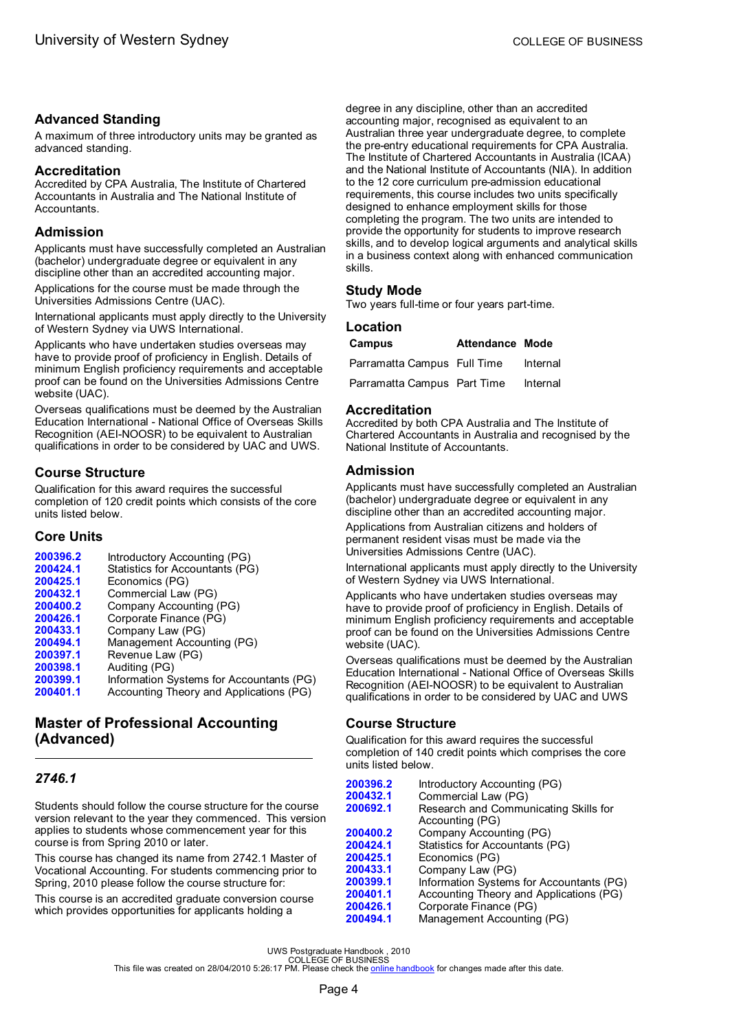## <span id="page-7-0"></span>**Advanced Standing**

A maximum of three introductory units may be granted as advanced standing.

### **Accreditation**

Accredited by CPA Australia, The Institute of Chartered Accountants in Australia and The National Institute of Accountants.

## **Admission**

Applicants must have successfully completed an Australian (bachelor) undergraduate degree or equivalent in any discipline other than an accredited accounting major.

Applications for the course must be made through the Universities Admissions Centre (UAC).

International applicants must apply directly to the University of Western Sydney via UWS International.

Applicants who have undertaken studies overseas may have to provide proof of proficiency in English. Details of minimum English proficiency requirements and acceptable proof can be found on the Universities Admissions Centre website (UAC).

Overseas qualifications must be deemed by the Australian Education International - National Office of Overseas Skills Recognition (AEI-NOOSR) to be equivalent to Australian qualifications in order to be considered by UAC and UWS.

## **Course Structure**

Qualification for this award requires the successful completion of 120 credit points which consists of the core units listed below.

## **Core Units**

| 200396.2 | Introductory Accounting (PG)             |
|----------|------------------------------------------|
| 200424.1 | Statistics for Accountants (PG)          |
| 200425.1 | Economics (PG)                           |
| 200432.1 | Commercial Law (PG)                      |
| 200400.2 | Company Accounting (PG)                  |
| 200426.1 | Corporate Finance (PG)                   |
| 200433.1 | Company Law (PG)                         |
| 200494.1 | Management Accounting (PG)               |
| 200397.1 | Revenue Law (PG)                         |
| 200398.1 | Auditing (PG)                            |
| 200399.1 | Information Systems for Accountants (PG) |
| 200401.1 | Accounting Theory and Applications (PG)  |

## **Master of Professional Accounting (Advanced)**

## *2746.1*

Students should follow the course structure for the course version relevant to the year they commenced. This version applies to students whose commencement year for this course is from Spring 2010 or later.

This course has changed its name from 2742.1 Master of Vocational Accounting. For students commencing prior to Spring, 2010 please follow the course structure for:

This course is an accredited graduate conversion course which provides opportunities for applicants holding a

degree in any discipline, other than an accredited accounting major, recognised as equivalent to an Australian three year undergraduate degree, to complete the pre-entry educational requirements for CPA Australia. The Institute of Chartered Accountants in Australia (ICAA) and the National Institute of Accountants (NIA). In addition to the 12 core curriculum pre-admission educational requirements, this course includes two units specifically designed to enhance employment skills for those completing the program. The two units are intended to provide the opportunity for students to improve research skills, and to develop logical arguments and analytical skills in a business context along with enhanced communication skills.

## **Study Mode**

Two years full-time or four years part-time.

### **Location**

| Campus                      | <b>Attendance Mode</b> |          |
|-----------------------------|------------------------|----------|
| Parramatta Campus Full Time |                        | Internal |
| Parramatta Campus Part Time |                        | Internal |

### **Accreditation**

Accredited by both CPA Australia and The Institute of Chartered Accountants in Australia and recognised by the National Institute of Accountants.

### **Admission**

Applicants must have successfully completed an Australian (bachelor) undergraduate degree or equivalent in any discipline other than an accredited accounting major.

Applications from Australian citizens and holders of permanent resident visas must be made via the Universities Admissions Centre (UAC).

International applicants must apply directly to the University of Western Sydney via UWS International.

Applicants who have undertaken studies overseas may have to provide proof of proficiency in English. Details of minimum English proficiency requirements and acceptable proof can be found on the Universities Admissions Centre website (UAC).

Overseas qualifications must be deemed by the Australian Education International - National Office of Overseas Skills Recognition (AEI-NOOSR) to be equivalent to Australian qualifications in order to be considered by UAC and UWS

## **Course Structure**

Qualification for this award requires the successful completion of 140 credit points which comprises the core units listed below.

| 200396.2<br>200432.1 | Introductory Accounting (PG)<br>Commercial Law (PG)      |
|----------------------|----------------------------------------------------------|
| 200692.1             | Research and Communicating Skills for<br>Accounting (PG) |
| 200400.2             | Company Accounting (PG)                                  |
| 200424.1             | Statistics for Accountants (PG)                          |
| 200425.1             | Economics (PG)                                           |
| 200433.1             | Company Law (PG)                                         |
| 200399.1             | Information Systems for Accountants (PG)                 |
| 200401.1             | Accounting Theory and Applications (PG)                  |
| 200426.1             | Corporate Finance (PG)                                   |
| 200494.1             | Management Accounting (PG)                               |

UWS Postgraduate Handbook , 2010 COLLEGE OF BUSINESS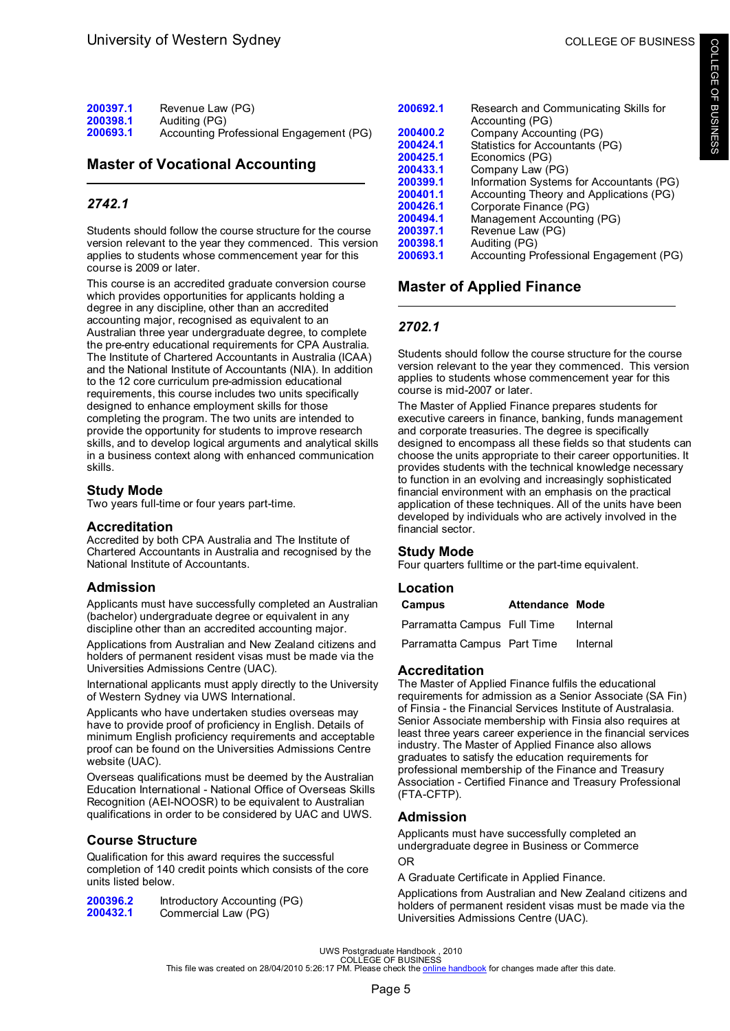<span id="page-8-0"></span>

| 200397.1 | Revenue Law (PG)                        |
|----------|-----------------------------------------|
| 200398.1 | Auditing (PG)                           |
| 200693.1 | Accounting Professional Engagement (PG) |

## **Master of Vocational Accounting**

## *2742.1*

Students should follow the course structure for the course version relevant to the year they commenced. This version applies to students whose commencement year for this course is 2009 or later.

This course is an accredited graduate conversion course which provides opportunities for applicants holding a degree in any discipline, other than an accredited accounting major, recognised as equivalent to an Australian three year undergraduate degree, to complete the pre-entry educational requirements for CPA Australia. The Institute of Chartered Accountants in Australia (ICAA) and the National Institute of Accountants (NIA). In addition to the 12 core curriculum pre-admission educational requirements, this course includes two units specifically designed to enhance employment skills for those completing the program. The two units are intended to provide the opportunity for students to improve research skills, and to develop logical arguments and analytical skills in a business context along with enhanced communication skills.

## **Study Mode**

Two years full-time or four years part-time.

### **Accreditation**

Accredited by both CPA Australia and The Institute of Chartered Accountants in Australia and recognised by the National Institute of Accountants.

## **Admission**

Applicants must have successfully completed an Australian (bachelor) undergraduate degree or equivalent in any discipline other than an accredited accounting major.

Applications from Australian and New Zealand citizens and holders of permanent resident visas must be made via the Universities Admissions Centre (UAC).

International applicants must apply directly to the University of Western Sydney via UWS International.

Applicants who have undertaken studies overseas may have to provide proof of proficiency in English. Details of minimum English proficiency requirements and acceptable proof can be found on the Universities Admissions Centre website (UAC).

Overseas qualifications must be deemed by the Australian Education International - National Office of Overseas Skills Recognition (AEI-NOOSR) to be equivalent to Australian qualifications in order to be considered by UAC and UWS.

## **Course Structure**

Qualification for this award requires the successful completion of 140 credit points which consists of the core units listed below.

| 200396.2 | Introductory Accounting (PG) |
|----------|------------------------------|
| 200432.1 | Commercial Law (PG)          |

| 200692.1 | Research and Communicating Skills for<br>Accounting (PG) |
|----------|----------------------------------------------------------|
| 200400.2 | Company Accounting (PG)                                  |
| 200424.1 | Statistics for Accountants (PG)                          |
| 200425.1 | Economics (PG)                                           |
| 200433.1 | Company Law (PG)                                         |
| 200399.1 | Information Systems for Accountants (PG)                 |
| 200401.1 | Accounting Theory and Applications (PG)                  |
| 200426.1 | Corporate Finance (PG)                                   |
| 200494.1 | Management Accounting (PG)                               |
| 200397.1 | Revenue Law (PG)                                         |
| nannan d | $A_{11}$ diting $(D \cap Y)$                             |

**[200398.1](#page-39-0)** Auditing (PG) Accounting Professional Engagement (PG)

## **Master of Applied Finance**

## *2702.1*

Students should follow the course structure for the course version relevant to the year they commenced. This version applies to students whose commencement year for this course is mid-2007 or later.

The Master of Applied Finance prepares students for executive careers in finance, banking, funds management and corporate treasuries. The degree is specifically designed to encompass all these fields so that students can choose the units appropriate to their career opportunities. It provides students with the technical knowledge necessary to function in an evolving and increasingly sophisticated financial environment with an emphasis on the practical application of these techniques. All of the units have been developed by individuals who are actively involved in the financial sector.

## **Study Mode**

Four quarters fulltime or the part-time equivalent.

### **Location**

| Campus                      | <b>Attendance Mode</b> |          |
|-----------------------------|------------------------|----------|
| Parramatta Campus Full Time |                        | Internal |
| Parramatta Campus Part Time |                        | Internal |

### **Accreditation**

The Master of Applied Finance fulfils the educational requirements for admission as a Senior Associate (SA Fin) of Finsia - the Financial Services Institute of Australasia. Senior Associate membership with Finsia also requires at least three years career experience in the financial services industry. The Master of Applied Finance also allows graduates to satisfy the education requirements for professional membership of the Finance and Treasury Association - Certified Finance and Treasury Professional (FTA-CFTP).

### **Admission**

Applicants must have successfully completed an undergraduate degree in Business or Commerce OR

A Graduate Certificate in Applied Finance.

Applications from Australian and New Zealand citizens and holders of permanent resident visas must be made via the Universities Admissions Centre (UAC).

UWS Postgraduate Handbook , 2010 COLLEGE OF BUSINESS This file was created on 28/04/2010 5:26:17 PM. Please check the online [handbook](http://handbook.uws.edu.au/hbook/) for changes made after this date.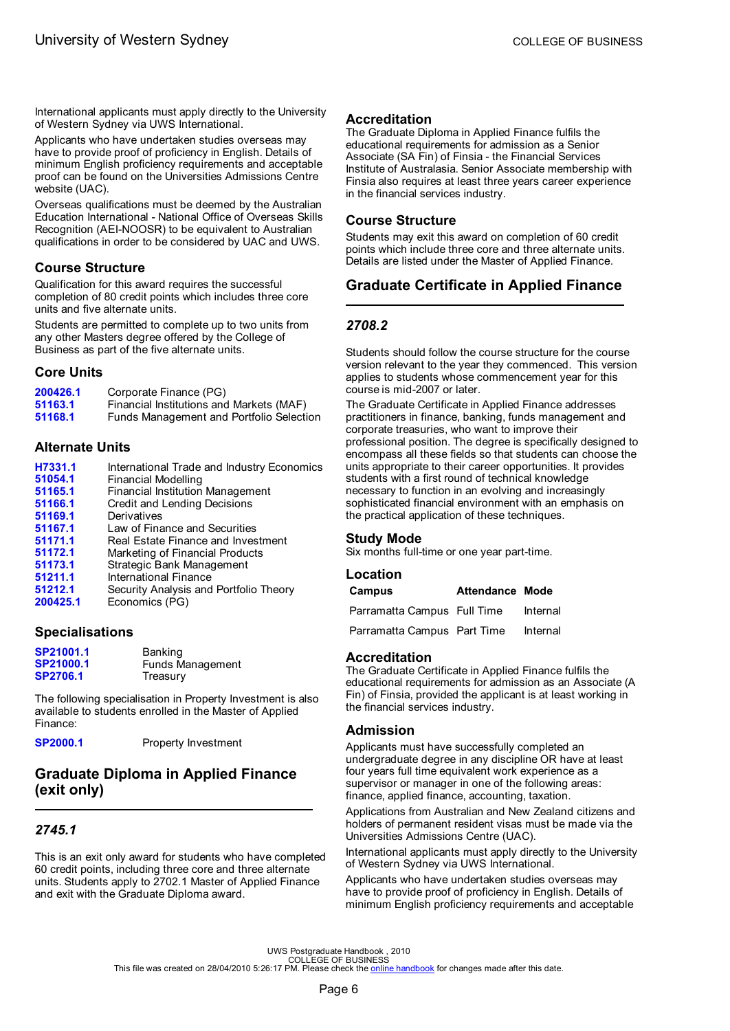<span id="page-9-0"></span>International applicants must apply directly to the University of Western Sydney via UWS International.

Applicants who have undertaken studies overseas may have to provide proof of proficiency in English. Details of minimum English proficiency requirements and acceptable proof can be found on the Universities Admissions Centre website (UAC).

Overseas qualifications must be deemed by the Australian Education International - National Office of Overseas Skills Recognition (AEI-NOOSR) to be equivalent to Australian qualifications in order to be considered by UAC and UWS.

## **Course Structure**

Qualification for this award requires the successful completion of 80 credit points which includes three core units and five alternate units.

Students are permitted to complete up to two units from any other Masters degree offered by the College of Business as part of the five alternate units.

## **Core Units**

| 200426.1 | Corporate Finance (PG)                   |
|----------|------------------------------------------|
| 51163.1  | Financial Institutions and Markets (MAF) |
| 51168.1  | Funds Management and Portfolio Selection |

## **Alternate Units**

| H7331.1  | International Trade and Industry Economics |
|----------|--------------------------------------------|
| 51054.1  | Financial Modelling                        |
| 51165.1  | Financial Institution Management           |
| 51166.1  | Credit and Lending Decisions               |
| 51169.1  | Derivatives                                |
| 51167.1  | Law of Finance and Securities              |
| 51171.1  | Real Estate Finance and Investment         |
| 51172.1  | Marketing of Financial Products            |
| 51173.1  | Strategic Bank Management                  |
| 51211.1  | International Finance                      |
| 51212.1  | Security Analysis and Portfolio Theory     |
| 200425.1 | Economics (PG)                             |
|          |                                            |

## **Specialisations**

| SP21001.1 | Banking          |
|-----------|------------------|
| SP21000.1 | Funds Management |
| SP2706.1  | Treasury         |

The following specialisation in Property Investment is also available to students enrolled in the Master of Applied Finance:

**[SP2000.1](#page-35-0)** Property Investment

## **Graduate Diploma in Applied Finance (exit only)**

## *2745.1*

This is an exit only award for students who have completed 60 credit points, including three core and three alternate units. Students apply to 2702.1 Master of Applied Finance and exit with the Graduate Diploma award.

### **Accreditation**

The Graduate Diploma in Applied Finance fulfils the educational requirements for admission as a Senior Associate (SA Fin) of Finsia - the Financial Services Institute of Australasia. Senior Associate membership with Finsia also requires at least three years career experience in the financial services industry.

### **Course Structure**

Students may exit this award on completion of 60 credit points which include three core and three alternate units. Details are listed under the Master of Applied Finance.

## **Graduate Certificate in Applied Finance**

## *2708.2*

Students should follow the course structure for the course version relevant to the year they commenced. This version applies to students whose commencement year for this course is mid-2007 or later.

The Graduate Certificate in Applied Finance addresses practitioners in finance, banking, funds management and corporate treasuries, who want to improve their professional position. The degree is specifically designed to encompass all these fields so that students can choose the units appropriate to their career opportunities. It provides students with a first round of technical knowledge necessary to function in an evolving and increasingly sophisticated financial environment with an emphasis on the practical application of these techniques.

### **Study Mode**

Six months full-time or one year part-time.

#### **Location**

| Campus                      | <b>Attendance Mode</b> |          |
|-----------------------------|------------------------|----------|
| Parramatta Campus Full Time |                        | Internal |
| Parramatta Campus Part Time |                        | Internal |

### **Accreditation**

The Graduate Certificate in Applied Finance fulfils the educational requirements for admission as an Associate (A Fin) of Finsia, provided the applicant is at least working in the financial services industry.

### **Admission**

Applicants must have successfully completed an undergraduate degree in any discipline OR have at least four years full time equivalent work experience as a supervisor or manager in one of the following areas: finance, applied finance, accounting, taxation.

Applications from Australian and New Zealand citizens and holders of permanent resident visas must be made via the Universities Admissions Centre (UAC).

International applicants must apply directly to the University of Western Sydney via UWS International.

Applicants who have undertaken studies overseas may have to provide proof of proficiency in English. Details of minimum English proficiency requirements and acceptable

UWS Postgraduate Handbook , 2010 COLLEGE OF BUSINESS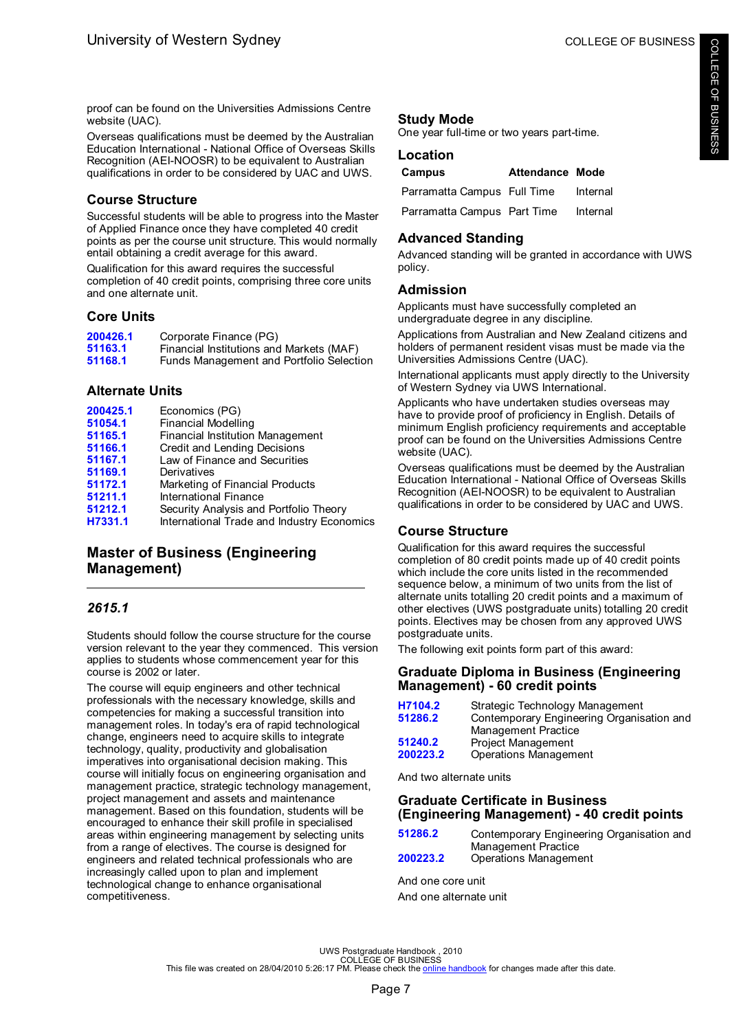<span id="page-10-0"></span>proof can be found on the Universities Admissions Centre website (UAC).

Overseas qualifications must be deemed by the Australian Education International - National Office of Overseas Skills Recognition (AEI-NOOSR) to be equivalent to Australian qualifications in order to be considered by UAC and UWS.

## **Course Structure**

Successful students will be able to progress into the Master of Applied Finance once they have completed 40 credit points as per the course unit structure. This would normally entail obtaining a credit average for this award.

Qualification for this award requires the successful completion of 40 credit points, comprising three core units and one alternate unit.

## **Core Units**

| 200426.1 | Corporate Finance (PG)                   |
|----------|------------------------------------------|
| 51163.1  | Financial Institutions and Markets (MAF) |
| 51168.1  | Funds Management and Portfolio Selection |

## **Alternate Units**

| 200425.1<br>51054.1 | Economics (PG)<br><b>Financial Modelling</b> |
|---------------------|----------------------------------------------|
| 51165.1             | <b>Financial Institution Management</b>      |
| 51166.1             | Credit and Lending Decisions                 |
| 51167.1             | Law of Finance and Securities                |
| 51169.1             | Derivatives                                  |
| 51172.1             | Marketing of Financial Products              |
| 51211.1             | International Finance                        |
| 51212.1             | Security Analysis and Portfolio Theory       |
| H7331.1             | International Trade and Industry Economics   |

## **Master of Business (Engineering Management)**

## *2615.1*

Students should follow the course structure for the course version relevant to the year they commenced. This version applies to students whose commencement year for this course is 2002 or later.

The course will equip engineers and other technical professionals with the necessary knowledge, skills and competencies for making a successful transition into management roles. In today's era of rapid technological change, engineers need to acquire skills to integrate technology, quality, productivity and globalisation imperatives into organisational decision making. This course will initially focus on engineering organisation and management practice, strategic technology management, project management and assets and maintenance management. Based on this foundation, students will be encouraged to enhance their skill profile in specialised areas within engineering management by selecting units from a range of electives. The course is designed for engineers and related technical professionals who are increasingly called upon to plan and implement technological change to enhance organisational competitiveness.

## **Study Mode**

One year full-time or two years part-time.

## **Location**

| Campus                      | <b>Attendance Mode</b> |          |
|-----------------------------|------------------------|----------|
| Parramatta Campus Full Time |                        | Internal |
| Parramatta Campus Part Time |                        | Internal |

## **Advanced Standing**

Advanced standing will be granted in accordance with UWS policy.

## **Admission**

Applicants must have successfully completed an undergraduate degree in any discipline.

Applications from Australian and New Zealand citizens and holders of permanent resident visas must be made via the Universities Admissions Centre (UAC).

International applicants must apply directly to the University of Western Sydney via UWS International.

Applicants who have undertaken studies overseas may have to provide proof of proficiency in English. Details of minimum English proficiency requirements and acceptable proof can be found on the Universities Admissions Centre website (UAC).

Overseas qualifications must be deemed by the Australian Education International - National Office of Overseas Skills Recognition (AEI-NOOSR) to be equivalent to Australian qualifications in order to be considered by UAC and UWS.

## **Course Structure**

Qualification for this award requires the successful completion of 80 credit points made up of 40 credit points which include the core units listed in the recommended sequence below, a minimum of two units from the list of alternate units totalling 20 credit points and a maximum of other electives (UWS postgraduate units) totalling 20 credit points. Electives may be chosen from any approved UWS postgraduate units.

The following exit points form part of this award:

### **Graduate Diploma in Business (Engineering Management) - 60 credit points**

| H7104.2  | Strategic Technology Management           |
|----------|-------------------------------------------|
| 51286.2  | Contemporary Engineering Organisation and |
|          | <b>Management Practice</b>                |
| 51240.2  | <b>Project Management</b>                 |
| 200223.2 | <b>Operations Management</b>              |
|          |                                           |

And two alternate units

## **Graduate Certificate in Business (Engineering Management) - 40 credit points**

| 51286.2  | Contemporary Engineering Organisation and |
|----------|-------------------------------------------|
|          | Management Practice                       |
| 200223.2 | <b>Operations Management</b>              |

And one core unit And one alternate unit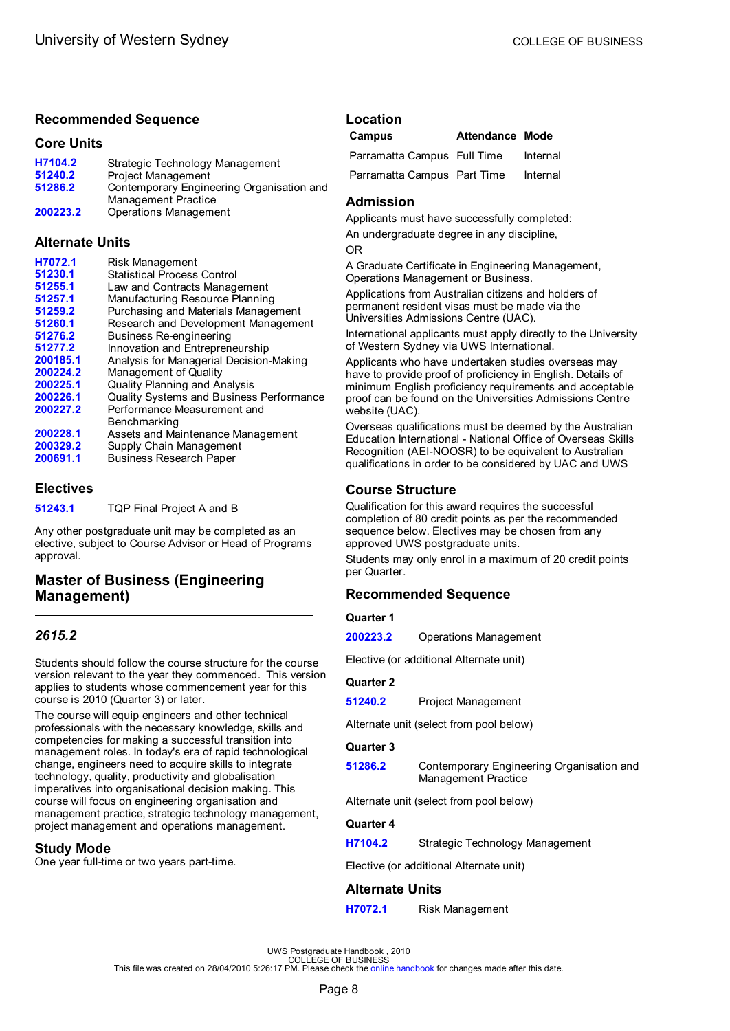## <span id="page-11-0"></span>**Recommended Sequence**

### **Core Units**

| H7104.2  | Strategic Technology Management           |
|----------|-------------------------------------------|
| 51240.2  | Project Management                        |
| 51286.2  | Contemporary Engineering Organisation and |
|          | Management Practice                       |
| 200223.2 | <b>Operations Management</b>              |

## **Alternate Units**

| <b>Risk Management</b>                   |
|------------------------------------------|
| <b>Statistical Process Control</b>       |
| Law and Contracts Management             |
| Manufacturing Resource Planning          |
| Purchasing and Materials Management      |
| Research and Development Management      |
| Business Re-engineering                  |
| Innovation and Entrepreneurship          |
| Analysis for Managerial Decision-Making  |
| Management of Quality                    |
| <b>Quality Planning and Analysis</b>     |
| Quality Systems and Business Performance |
| Performance Measurement and              |
| Benchmarking                             |
| Assets and Maintenance Management        |
| Supply Chain Management                  |
| <b>Business Research Paper</b>           |
|                                          |

## **Electives**

**[51243.1](#page-63-0)** TQP Final Project A and B

Any other postgraduate unit may be completed as an elective, subject to Course Advisor or Head of Programs approval.

## **Master of Business (Engineering Management)**

## *2615.2*

Students should follow the course structure for the course version relevant to the year they commenced. This version applies to students whose commencement year for this course is 2010 (Quarter 3) or later.

The course will equip engineers and other technical professionals with the necessary knowledge, skills and competencies for making a successful transition into management roles. In today's era of rapid technological change, engineers need to acquire skills to integrate technology, quality, productivity and globalisation imperatives into organisational decision making. This course will focus on engineering organisation and management practice, strategic technology management, project management and operations management.

## **Study Mode**

One year full-time or two years part-time.

## **Location**

| Campus                      | <b>Attendance Mode</b> |          |
|-----------------------------|------------------------|----------|
| Parramatta Campus Full Time |                        | Internal |
| Parramatta Campus Part Time |                        | Internal |

## **Admission**

Applicants must have successfully completed: An undergraduate degree in any discipline,

OR

A Graduate Certificate in Engineering Management, Operations Management or Business.

Applications from Australian citizens and holders of permanent resident visas must be made via the Universities Admissions Centre (UAC).

International applicants must apply directly to the University of Western Sydney via UWS International.

Applicants who have undertaken studies overseas may have to provide proof of proficiency in English. Details of minimum English proficiency requirements and acceptable proof can be found on the Universities Admissions Centre website (UAC).

Overseas qualifications must be deemed by the Australian Education International - National Office of Overseas Skills Recognition (AEI-NOOSR) to be equivalent to Australian qualifications in order to be considered by UAC and UWS

## **Course Structure**

Qualification for this award requires the successful completion of 80 credit points as per the recommended sequence below. Electives may be chosen from any approved UWS postgraduate units.

Students may only enrol in a maximum of 20 credit points per Quarter.

## **Recommended Sequence**

**Quarter 1**

**[200223.2](#page-54-0)** Operations Management

Elective (or additional Alternate unit)

#### **Quarter 2**

**[51240.2](#page-56-0)** Project Management

Alternate unit (select from pool below)

#### **Quarter 3**

**[51286.2](#page-41-0)** Contemporary Engineering Organisation and Management Practice

Alternate unit (select from pool below)

### **Quarter 4**

**[H7104.2](#page-62-0)** Strategic Technology Management

Elective (or additional Alternate unit)

## **Alternate Units**

**[H7072.1](#page-59-0)** Risk Management

UWS Postgraduate Handbook , 2010 COLLEGE OF BUSINESS This file was created on 28/04/2010 5:26:17 PM. Please check the online [handbook](http://handbook.uws.edu.au/hbook/) for changes made after this date.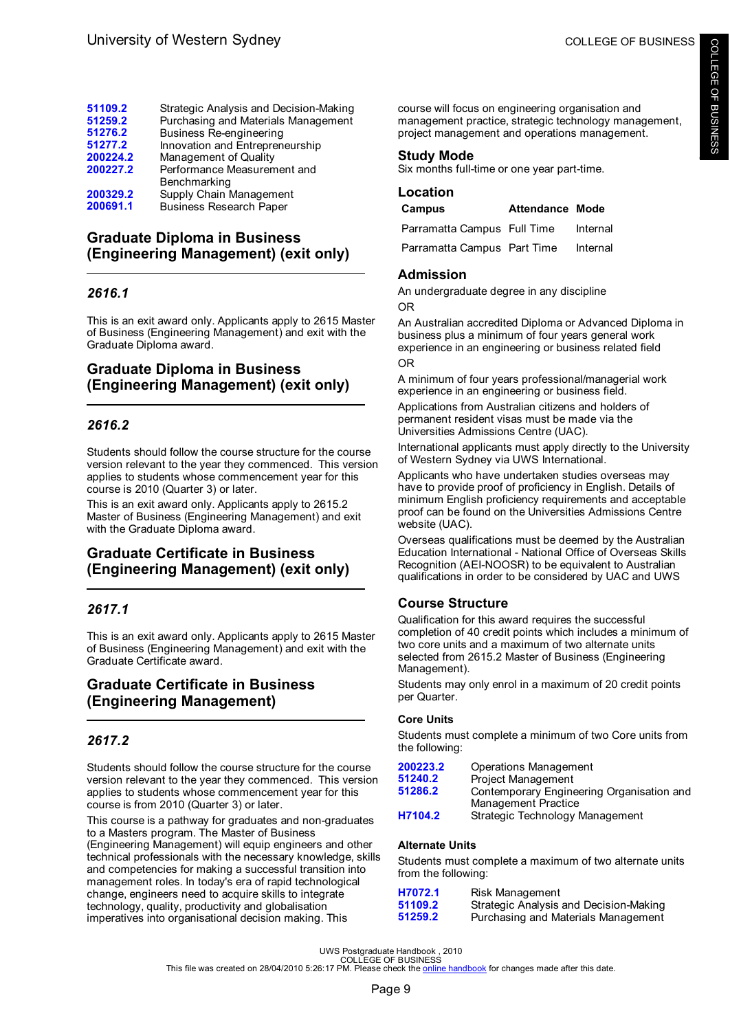<span id="page-12-0"></span>

| 51109.2  | Strategic Analysis and Decision-Making |
|----------|----------------------------------------|
| 51259.2  | Purchasing and Materials Management    |
| 51276.2  | <b>Business Re-engineering</b>         |
| 51277.2  | Innovation and Entrepreneurship        |
| 200224.2 | Management of Quality                  |
| 200227.2 | Performance Measurement and            |
|          | Benchmarking                           |
| 200329.2 | Supply Chain Management                |
| 200691.1 | <b>Business Research Paper</b>         |
|          |                                        |

## **Graduate Diploma in Business (Engineering Management) (exit only)**

## *2616.1*

This is an exit award only. Applicants apply to 2615 Master of Business (Engineering Management) and exit with the Graduate Diploma award.

## **Graduate Diploma in Business (Engineering Management) (exit only)**

## *2616.2*

Students should follow the course structure for the course version relevant to the year they commenced. This version applies to students whose commencement year for this course is 2010 (Quarter 3) or later.

This is an exit award only. Applicants apply to 2615.2 Master of Business (Engineering Management) and exit with the Graduate Diploma award.

## **Graduate Certificate in Business (Engineering Management) (exit only)**

## *2617.1*

This is an exit award only. Applicants apply to 2615 Master of Business (Engineering Management) and exit with the Graduate Certificate award.

## **Graduate Certificate in Business (Engineering Management)**

## *2617.2*

Students should follow the course structure for the course version relevant to the year they commenced. This version applies to students whose commencement year for this course is from 2010 (Quarter 3) or later.

This course is a pathway for graduates and non-graduates to a Masters program. The Master of Business

(Engineering Management) will equip engineers and other technical professionals with the necessary knowledge, skills and competencies for making a successful transition into management roles. In today's era of rapid technological change, engineers need to acquire skills to integrate technology, quality, productivity and globalisation imperatives into organisational decision making. This

course will focus on engineering organisation and management practice, strategic technology management, project management and operations management.

## **Study Mode**

Six months full-time or one year part-time.

## **Location**

| Campus                      | <b>Attendance Mode</b> |          |
|-----------------------------|------------------------|----------|
| Parramatta Campus Full Time |                        | Internal |
| Parramatta Campus Part Time |                        | Internal |

## **Admission**

An undergraduate degree in any discipline OR

An Australian accredited Diploma or Advanced Diploma in business plus a minimum of four years general work experience in an engineering or business related field OR

A minimum of four years professional/managerial work experience in an engineering or business field.

Applications from Australian citizens and holders of permanent resident visas must be made via the Universities Admissions Centre (UAC).

International applicants must apply directly to the University of Western Sydney via UWS International.

Applicants who have undertaken studies overseas may have to provide proof of proficiency in English. Details of minimum English proficiency requirements and acceptable proof can be found on the Universities Admissions Centre website (UAC).

Overseas qualifications must be deemed by the Australian Education International - National Office of Overseas Skills Recognition (AEI-NOOSR) to be equivalent to Australian qualifications in order to be considered by UAC and UWS

## **Course Structure**

Qualification for this award requires the successful completion of 40 credit points which includes a minimum of two core units and a maximum of two alternate units selected from 2615.2 Master of Business (Engineering Management).

Students may only enrol in a maximum of 20 credit points per Quarter.

### **Core Units**

Students must complete a minimum of two Core units from the following:

| 200223.2 | Operations Management                     |
|----------|-------------------------------------------|
| 51240.2  | <b>Project Management</b>                 |
| 51286.2  | Contemporary Engineering Organisation and |
|          | Management Practice                       |
| H7104.2  | Strategic Technology Management           |

## **Alternate Units**

Students must complete a maximum of two alternate units from the following:

| H7072.1 | Risk Management                        |
|---------|----------------------------------------|
| 51109.2 | Strategic Analysis and Decision-Making |
| 51259.2 | Purchasing and Materials Management    |

UWS Postgraduate Handbook , 2010 COLLEGE OF BUSINESS This file was created on 28/04/2010 5:26:17 PM. Please check the online [handbook](http://handbook.uws.edu.au/hbook/) for changes made after this date.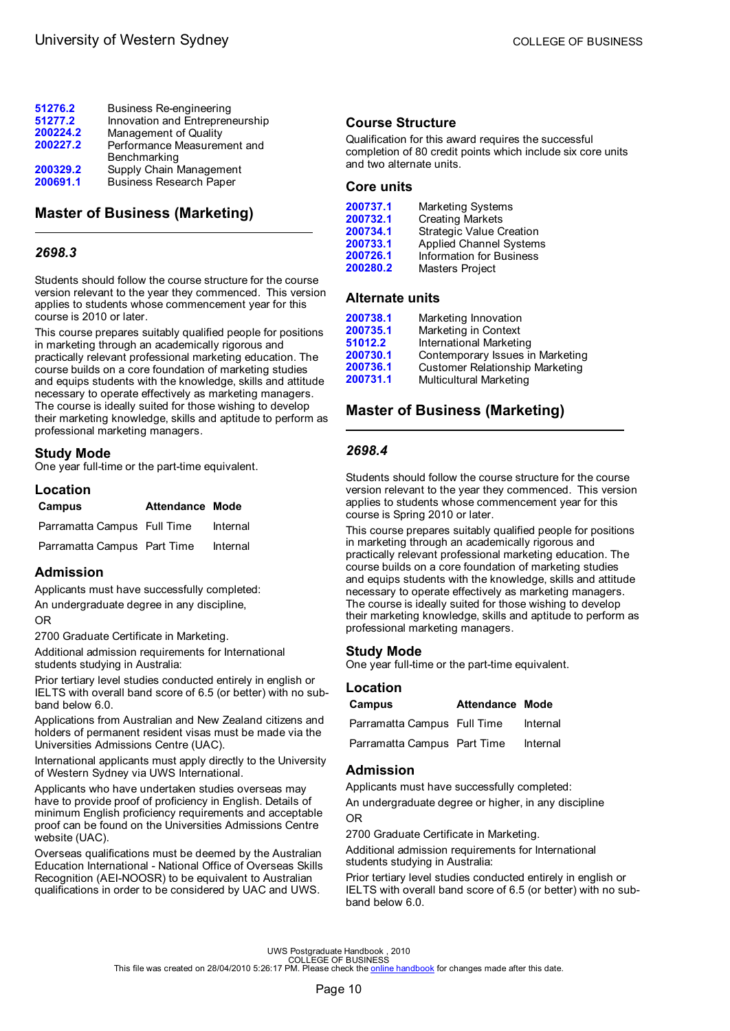<span id="page-13-0"></span>

| Innovation and Entrepreneurship |
|---------------------------------|
|                                 |
| Performance Measurement and     |
|                                 |
|                                 |
|                                 |
|                                 |

## **Master of Business (Marketing)**

## *2698.3*

Students should follow the course structure for the course version relevant to the year they commenced. This version applies to students whose commencement year for this course is 2010 or later.

This course prepares suitably qualified people for positions in marketing through an academically rigorous and practically relevant professional marketing education. The course builds on a core foundation of marketing studies and equips students with the knowledge, skills and attitude necessary to operate effectively as marketing managers. The course is ideally suited for those wishing to develop their marketing knowledge, skills and aptitude to perform as professional marketing managers.

### **Study Mode**

One year full-time or the part-time equivalent.

### **Location**

| Campus                      | <b>Attendance Mode</b> |          |
|-----------------------------|------------------------|----------|
| Parramatta Campus Full Time |                        | Internal |
| Parramatta Campus Part Time |                        | Internal |

## **Admission**

Applicants must have successfully completed: An undergraduate degree in any discipline, OR

2700 Graduate Certificate in Marketing.

Additional admission requirements for International students studying in Australia:

Prior tertiary level studies conducted entirely in english or IELTS with overall band score of 6.5 (or better) with no subband below 6.0.

Applications from Australian and New Zealand citizens and holders of permanent resident visas must be made via the Universities Admissions Centre (UAC).

International applicants must apply directly to the University of Western Sydney via UWS International.

Applicants who have undertaken studies overseas may have to provide proof of proficiency in English. Details of minimum English proficiency requirements and acceptable proof can be found on the Universities Admissions Centre website (UAC).

Overseas qualifications must be deemed by the Australian Education International - National Office of Overseas Skills Recognition (AEI-NOOSR) to be equivalent to Australian qualifications in order to be considered by UAC and UWS.

### **Course Structure**

Qualification for this award requires the successful completion of 80 credit points which include six core units and two alternate units.

### **Core units**

| 200737.1 | <b>Marketing Systems</b>        |
|----------|---------------------------------|
| 200732.1 | <b>Creating Markets</b>         |
| 200734.1 | <b>Strategic Value Creation</b> |
| 200733.1 | <b>Applied Channel Systems</b>  |
| 200726.1 | <b>Information for Business</b> |
| 200280.2 | <b>Masters Project</b>          |
|          |                                 |

### **Alternate units**

| Marketing Innovation                   |
|----------------------------------------|
| Marketing in Context                   |
| International Marketing                |
| Contemporary Issues in Marketing       |
| <b>Customer Relationship Marketing</b> |
| Multicultural Marketing                |
|                                        |

## **Master of Business (Marketing)**

### *2698.4*

Students should follow the course structure for the course version relevant to the year they commenced. This version applies to students whose commencement year for this course is Spring 2010 or later.

This course prepares suitably qualified people for positions in marketing through an academically rigorous and practically relevant professional marketing education. The course builds on a core foundation of marketing studies and equips students with the knowledge, skills and attitude necessary to operate effectively as marketing managers. The course is ideally suited for those wishing to develop their marketing knowledge, skills and aptitude to perform as professional marketing managers.

## **Study Mode**

One year full-time or the part-time equivalent.

### **Location**

| Campus                      | <b>Attendance Mode</b> |          |
|-----------------------------|------------------------|----------|
| Parramatta Campus Full Time |                        | Internal |
| Parramatta Campus Part Time |                        | Internal |

## **Admission**

Applicants must have successfully completed:

An undergraduate degree or higher, in any discipline OR

2700 Graduate Certificate in Marketing.

Additional admission requirements for International students studying in Australia:

Prior tertiary level studies conducted entirely in english or IELTS with overall band score of 6.5 (or better) with no subband below 6.0.

UWS Postgraduate Handbook , 2010 COLLEGE OF BUSINESS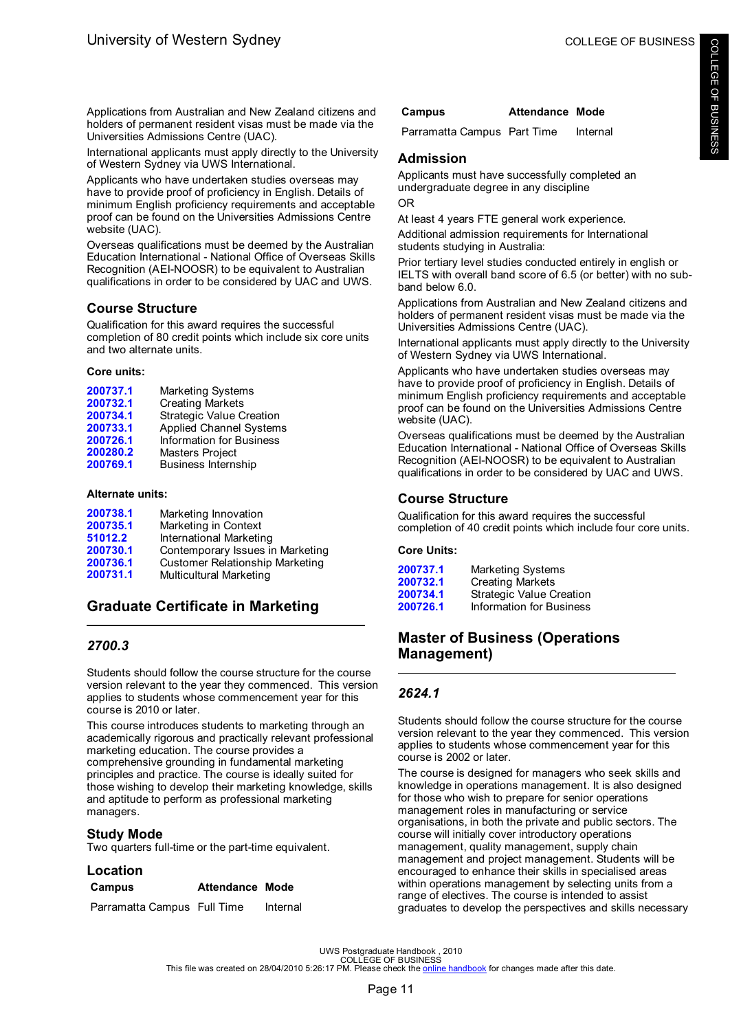COLLEGE COLLEGE OF BUSINESS BUSINESS

<span id="page-14-0"></span>Applications from Australian and New Zealand citizens and holders of permanent resident visas must be made via the Universities Admissions Centre (UAC).

International applicants must apply directly to the University of Western Sydney via UWS International.

Applicants who have undertaken studies overseas may have to provide proof of proficiency in English. Details of minimum English proficiency requirements and acceptable proof can be found on the Universities Admissions Centre website (UAC).

Overseas qualifications must be deemed by the Australian Education International - National Office of Overseas Skills Recognition (AEI-NOOSR) to be equivalent to Australian qualifications in order to be considered by UAC and UWS.

## **Course Structure**

Qualification for this award requires the successful completion of 80 credit points which include six core units and two alternate units.

### **Core units:**

| 200737.1 | <b>Marketing Systems</b>        |
|----------|---------------------------------|
| 200732.1 | <b>Creating Markets</b>         |
| 200734.1 | <b>Strategic Value Creation</b> |
| 200733.1 | <b>Applied Channel Systems</b>  |
| 200726.1 | <b>Information for Business</b> |
| 200280.2 | Masters Project                 |
| 200769.1 | <b>Business Internship</b>      |

### **Alternate units:**

| 200738.1 | Marketing Innovation                   |
|----------|----------------------------------------|
| 200735.1 | Marketing in Context                   |
| 51012.2  | International Marketing                |
| 200730.1 | Contemporary Issues in Marketing       |
| 200736.1 | <b>Customer Relationship Marketing</b> |
| 200731.1 | Multicultural Marketing                |

## **Graduate Certificate in Marketing**

## *2700.3*

Students should follow the course structure for the course version relevant to the year they commenced. This version applies to students whose commencement year for this course is 2010 or later.

This course introduces students to marketing through an academically rigorous and practically relevant professional marketing education. The course provides a comprehensive grounding in fundamental marketing principles and practice. The course is ideally suited for those wishing to develop their marketing knowledge, skills and aptitude to perform as professional marketing managers.

## **Study Mode**

Two quarters full-time or the part-time equivalent.

## **Location**

| Campus | <b>Attendance Mode</b> |  |
|--------|------------------------|--|
|        |                        |  |

| Parramatta Campus Full Time |  | Internal |
|-----------------------------|--|----------|
|-----------------------------|--|----------|

### **Campus Attendance Mode**

Parramatta Campus Part Time Internal

## **Admission**

Applicants must have successfully completed an undergraduate degree in any discipline

OR

At least 4 years FTE general work experience.

Additional admission requirements for International students studying in Australia:

Prior tertiary level studies conducted entirely in english or IELTS with overall band score of 6.5 (or better) with no subband below 6.0.

Applications from Australian and New Zealand citizens and holders of permanent resident visas must be made via the Universities Admissions Centre (UAC).

International applicants must apply directly to the University of Western Sydney via UWS International.

Applicants who have undertaken studies overseas may have to provide proof of proficiency in English. Details of minimum English proficiency requirements and acceptable proof can be found on the Universities Admissions Centre website (UAC).

Overseas qualifications must be deemed by the Australian Education International - National Office of Overseas Skills Recognition (AEI-NOOSR) to be equivalent to Australian qualifications in order to be considered by UAC and UWS.

## **Course Structure**

Qualification for this award requires the successful completion of 40 credit points which include four core units.

### **Core Units:**

| <b>Marketing Systems</b>        |
|---------------------------------|
| <b>Creating Markets</b>         |
| <b>Strategic Value Creation</b> |
| Information for Business        |
|                                 |

## **Master of Business (Operations Management)**

## *2624.1*

Students should follow the course structure for the course version relevant to the year they commenced. This version applies to students whose commencement year for this course is 2002 or later.

The course is designed for managers who seek skills and knowledge in operations management. It is also designed for those who wish to prepare for senior operations management roles in manufacturing or service organisations, in both the private and public sectors. The course will initially cover introductory operations management, quality management, supply chain management and project management. Students will be encouraged to enhance their skills in specialised areas within operations management by selecting units from a range of electives. The course is intended to assist graduates to develop the perspectives and skills necessary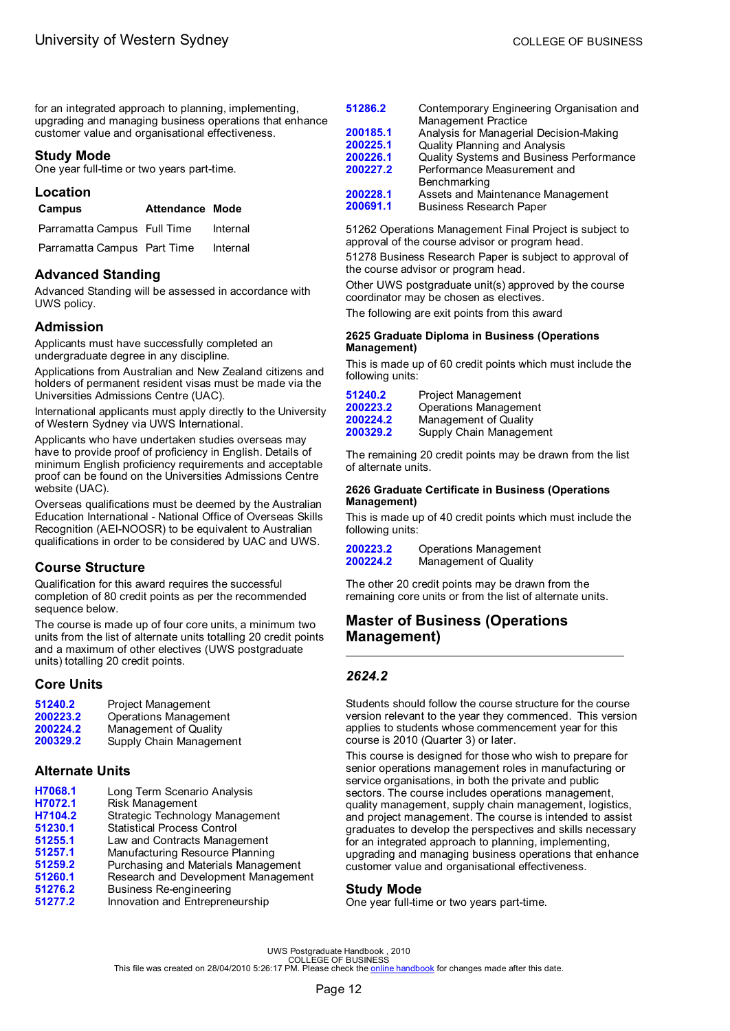<span id="page-15-0"></span>for an integrated approach to planning, implementing, upgrading and managing business operations that enhance customer value and organisational effectiveness.

### **Study Mode**

One year full-time or two years part-time.

## **Location**

| Campus | <b>Attendance Mode</b> |   |
|--------|------------------------|---|
|        |                        | . |

| Parramatta Campus Full Time | Internal |
|-----------------------------|----------|
| Parramatta Campus Part Time | Internal |

## **Advanced Standing**

Advanced Standing will be assessed in accordance with UWS policy.

## **Admission**

Applicants must have successfully completed an undergraduate degree in any discipline.

Applications from Australian and New Zealand citizens and holders of permanent resident visas must be made via the Universities Admissions Centre (UAC).

International applicants must apply directly to the University of Western Sydney via UWS International.

Applicants who have undertaken studies overseas may have to provide proof of proficiency in English. Details of minimum English proficiency requirements and acceptable proof can be found on the Universities Admissions Centre website (UAC).

Overseas qualifications must be deemed by the Australian Education International - National Office of Overseas Skills Recognition (AEI-NOOSR) to be equivalent to Australian qualifications in order to be considered by UAC and UWS.

## **Course Structure**

Qualification for this award requires the successful completion of 80 credit points as per the recommended sequence below.

The course is made up of four core units, a minimum two units from the list of alternate units totalling 20 credit points and a maximum of other electives (UWS postgraduate units) totalling 20 credit points.

## **Core Units**

| 51240.2  | Project Management           |
|----------|------------------------------|
| 200223.2 | <b>Operations Management</b> |
| 200224.2 | Management of Quality        |
| 200329.2 | Supply Chain Management      |

## **Alternate Units**

| H7068.1 | Long Term Scenario Analysis         |
|---------|-------------------------------------|
| H7072.1 | <b>Risk Management</b>              |
| H7104.2 | Strategic Technology Management     |
| 51230.1 | <b>Statistical Process Control</b>  |
| 51255.1 | Law and Contracts Management        |
| 51257.1 | Manufacturing Resource Planning     |
| 51259.2 | Purchasing and Materials Management |
| 51260.1 | Research and Development Management |
| 51276.2 | <b>Business Re-engineering</b>      |
| 51277.2 | Innovation and Entrepreneurship     |
|         |                                     |

**[200228.1](#page-39-0)** Assets and Maintenance Management **[200691.1](#page-40-0)** Business Research Paper

51262 Operations Management Final Project is subject to approval of the course advisor or program head.

51278 Business Research Paper is subject to approval of the course advisor or program head.

Other UWS postgraduate unit(s) approved by the course coordinator may be chosen as electives.

The following are exit points from this award

#### **2625 Graduate Diploma in Business (Operations Management)**

This is made up of 60 credit points which must include the following units:

| 51240.2  | Project Management           |
|----------|------------------------------|
| 200223.2 | <b>Operations Management</b> |
| 200224.2 | Management of Quality        |
| 200329.2 | Supply Chain Management      |

The remaining 20 credit points may be drawn from the list of alternate units.

#### **2626 Graduate Certificate in Business (Operations Management)**

This is made up of 40 credit points which must include the following units:

**[200223.2](#page-54-0)** Operations Management **[200224.2](#page-51-0)** Management of Quality

The other 20 credit points may be drawn from the remaining core units or from the list of alternate units.

## **Master of Business (Operations Management)**

## *2624.2*

Students should follow the course structure for the course version relevant to the year they commenced. This version applies to students whose commencement year for this course is 2010 (Quarter 3) or later.

This course is designed for those who wish to prepare for senior operations management roles in manufacturing or service organisations, in both the private and public sectors. The course includes operations management, quality management, supply chain management, logistics, and project management. The course is intended to assist graduates to develop the perspectives and skills necessary for an integrated approach to planning, implementing, upgrading and managing business operations that enhance customer value and organisational effectiveness.

### **Study Mode**

One year full-time or two years part-time.

UWS Postgraduate Handbook , 2010 COLLEGE OF BUSINESS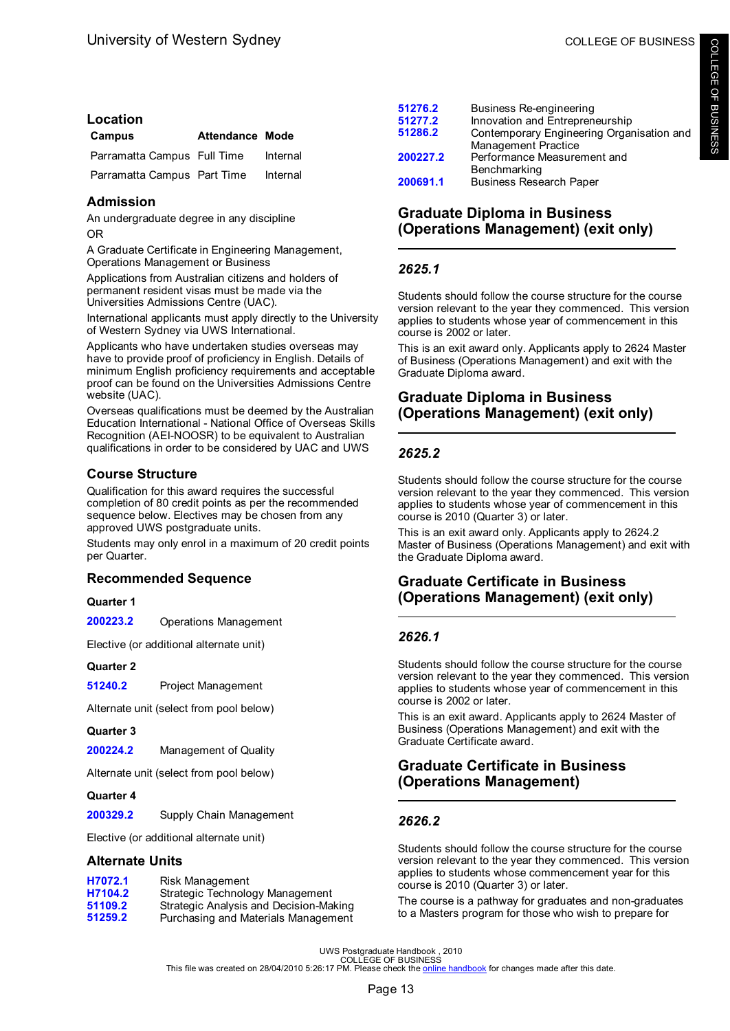## <span id="page-16-0"></span>**Location**

| Campus                      | Attendance Mode |          |
|-----------------------------|-----------------|----------|
| Parramatta Campus Full Time |                 | Internal |
| Parramatta Campus Part Time |                 | Internal |

## **Admission**

An undergraduate degree in any discipline OR

A Graduate Certificate in Engineering Management, Operations Management or Business

Applications from Australian citizens and holders of permanent resident visas must be made via the Universities Admissions Centre (UAC).

International applicants must apply directly to the University of Western Sydney via UWS International.

Applicants who have undertaken studies overseas may have to provide proof of proficiency in English. Details of minimum English proficiency requirements and acceptable proof can be found on the Universities Admissions Centre website (UAC).

Overseas qualifications must be deemed by the Australian Education International - National Office of Overseas Skills Recognition (AEI-NOOSR) to be equivalent to Australian qualifications in order to be considered by UAC and UWS

## **Course Structure**

Qualification for this award requires the successful completion of 80 credit points as per the recommended sequence below. Electives may be chosen from any approved UWS postgraduate units.

Students may only enrol in a maximum of 20 credit points per Quarter.

## **Recommended Sequence**

### **Quarter 1**

**[200223.2](#page-54-0)** Operations Management

Elective (or additional alternate unit)

### **Quarter 2**

**[51240.2](#page-56-0)** Project Management

Alternate unit (select from pool below)

#### **Quarter 3**

| 200224.2 | Management of Quality |
|----------|-----------------------|
|----------|-----------------------|

Alternate unit (select from pool below)

#### **Quarter 4**

**[200329.2](#page-62-0)** Supply Chain Management

Elective (or additional alternate unit)

### **Alternate Units**

| H7072.1 | Risk Management                        |
|---------|----------------------------------------|
| H7104.2 | Strategic Technology Management        |
| 51109.2 | Strategic Analysis and Decision-Making |
| 51259.2 | Purchasing and Materials Management    |

| 51276.2  | <b>Business Re-engineering</b>            |
|----------|-------------------------------------------|
| 51277.2  | Innovation and Entrepreneurship           |
| 51286.2  | Contemporary Engineering Organisation and |
|          | <b>Management Practice</b>                |
| 200227.2 | Performance Measurement and               |
|          | Benchmarking                              |
| 200691.1 | <b>Business Research Paper</b>            |

## **Graduate Diploma in Business (Operations Management) (exit only)**

## *2625.1*

Students should follow the course structure for the course version relevant to the year they commenced. This version applies to students whose year of commencement in this course is 2002 or later.

This is an exit award only. Applicants apply to 2624 Master of Business (Operations Management) and exit with the Graduate Diploma award.

## **Graduate Diploma in Business (Operations Management) (exit only)**

## *2625.2*

Students should follow the course structure for the course version relevant to the year they commenced. This version applies to students whose year of commencement in this course is 2010 (Quarter 3) or later.

This is an exit award only. Applicants apply to 2624.2 Master of Business (Operations Management) and exit with the Graduate Diploma award.

## **Graduate Certificate in Business (Operations Management) (exit only)**

## *2626.1*

Students should follow the course structure for the course version relevant to the year they commenced. This version applies to students whose year of commencement in this course is 2002 or later.

This is an exit award. Applicants apply to 2624 Master of Business (Operations Management) and exit with the Graduate Certificate award.

## **Graduate Certificate in Business (Operations Management)**

## *2626.2*

Students should follow the course structure for the course version relevant to the year they commenced. This version applies to students whose commencement year for this course is 2010 (Quarter 3) or later.

The course is a pathway for graduates and non-graduates to a Masters program for those who wish to prepare for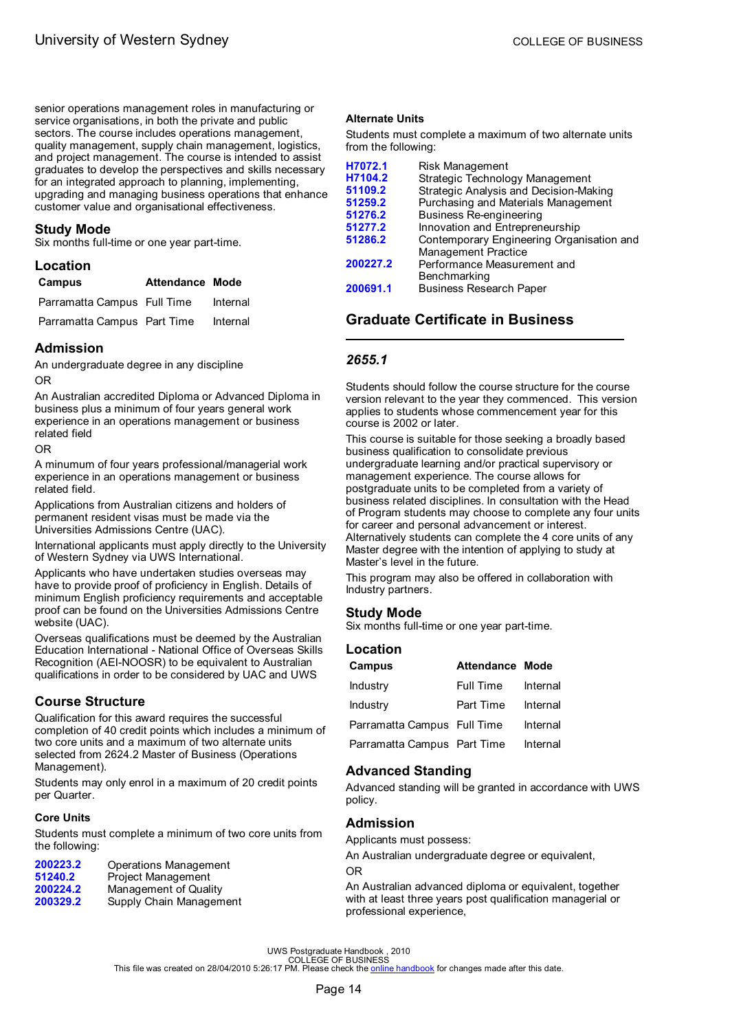<span id="page-17-0"></span>senior operations management roles in manufacturing or service organisations, in both the private and public sectors. The course includes operations management, quality management, supply chain management, logistics, and project management. The course is intended to assist graduates to develop the perspectives and skills necessary for an integrated approach to planning, implementing, upgrading and managing business operations that enhance customer value and organisational effectiveness.

## **Study Mode**

Six months full-time or one year part-time.

### **Location**

| Campus                      | Attendance Mode |          |
|-----------------------------|-----------------|----------|
| Parramatta Campus Full Time |                 | Internal |
| Parramatta Campus Part Time |                 | Internal |

## **Admission**

An undergraduate degree in any discipline OR

An Australian accredited Diploma or Advanced Diploma in business plus a minimum of four years general work experience in an operations management or business related field

#### OR

A minumum of four years professional/managerial work experience in an operations management or business related field.

Applications from Australian citizens and holders of permanent resident visas must be made via the Universities Admissions Centre (UAC).

International applicants must apply directly to the University of Western Sydney via UWS International.

Applicants who have undertaken studies overseas may have to provide proof of proficiency in English. Details of minimum English proficiency requirements and acceptable proof can be found on the Universities Admissions Centre website (UAC).

Overseas qualifications must be deemed by the Australian Education International - National Office of Overseas Skills Recognition (AEI-NOOSR) to be equivalent to Australian qualifications in order to be considered by UAC and UWS

## **Course Structure**

Qualification for this award requires the successful completion of 40 credit points which includes a minimum of two core units and a maximum of two alternate units selected from 2624.2 Master of Business (Operations Management).

Students may only enrol in a maximum of 20 credit points per Quarter.

### **Core Units**

Students must complete a minimum of two core units from the following:

| 200223.2 | Operations Management   |
|----------|-------------------------|
| 51240.2  | Project Management      |
| 200224.2 | Management of Quality   |
| 200329.2 | Supply Chain Management |

### **Alternate Units**

Students must complete a maximum of two alternate units from the following:

| H7072.1  | Risk Management                           |
|----------|-------------------------------------------|
| H7104.2  | Strategic Technology Management           |
| 51109.2  | Strategic Analysis and Decision-Making    |
| 51259.2  | Purchasing and Materials Management       |
| 51276.2  | <b>Business Re-engineering</b>            |
| 51277.2  | Innovation and Entrepreneurship           |
| 51286.2  | Contemporary Engineering Organisation and |
|          | <b>Management Practice</b>                |
| 200227.2 | Performance Measurement and               |
|          | Benchmarking                              |
| 200691.1 | <b>Business Research Paper</b>            |
|          |                                           |

## **Graduate Certificate in Business**

## *2655.1*

Students should follow the course structure for the course version relevant to the year they commenced. This version applies to students whose commencement year for this course is 2002 or later.

This course is suitable for those seeking a broadly based business qualification to consolidate previous undergraduate learning and/or practical supervisory or management experience. The course allows for postgraduate units to be completed from a variety of business related disciplines. In consultation with the Head of Program students may choose to complete any four units for career and personal advancement or interest. Alternatively students can complete the 4 core units of any Master degree with the intention of applying to study at Master's level in the future.

This program may also be offered in collaboration with Industry partners.

## **Study Mode**

Six months full-time or one year part-time.

## **Location**

| <b>Campus</b>               | <b>Attendance Mode</b> |          |
|-----------------------------|------------------------|----------|
| Industry                    | <b>Full Time</b>       | Internal |
| Industry                    | Part Time              | Internal |
| Parramatta Campus Full Time |                        | Internal |
| Parramatta Campus Part Time |                        | Internal |

## **Advanced Standing**

Advanced standing will be granted in accordance with UWS policy.

## **Admission**

Applicants must possess:

An Australian undergraduate degree or equivalent,

### OR

An Australian advanced diploma or equivalent, together with at least three years post qualification managerial or professional experience,

UWS Postgraduate Handbook , 2010 COLLEGE OF BUSINESS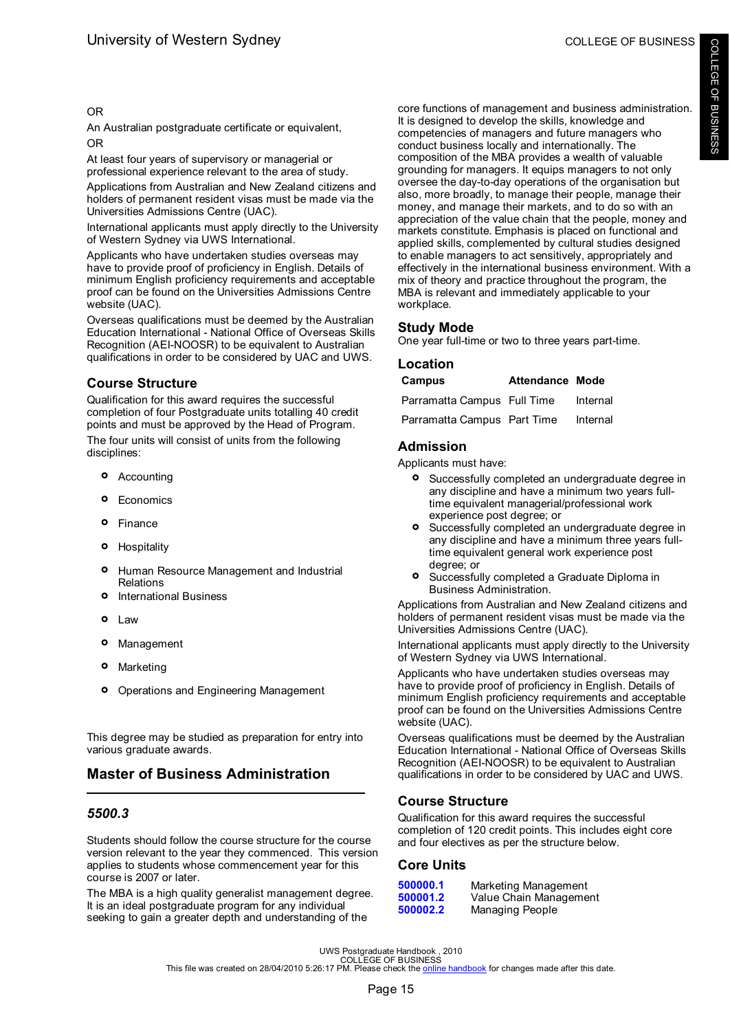<span id="page-18-0"></span>OR

An Australian postgraduate certificate or equivalent, OR

At least four years of supervisory or managerial or professional experience relevant to the area of study.

Applications from Australian and New Zealand citizens and holders of permanent resident visas must be made via the Universities Admissions Centre (UAC).

International applicants must apply directly to the University of Western Sydney via UWS International.

Applicants who have undertaken studies overseas may have to provide proof of proficiency in English. Details of minimum English proficiency requirements and acceptable proof can be found on the Universities Admissions Centre website (UAC).

Overseas qualifications must be deemed by the Australian Education International - National Office of Overseas Skills Recognition (AEI-NOOSR) to be equivalent to Australian qualifications in order to be considered by UAC and UWS.

## **Course Structure**

Qualification for this award requires the successful completion of four Postgraduate units totalling 40 credit points and must be approved by the Head of Program. The four units will consist of units from the following disciplines:

- **°** Accounting
- **° Economics**
- **°** Finance
- **° Hospitality**
- **°** Human Resource Management and Industrial Relations
- **°** International Business
- **°** Law
- **°** Management
- **°** Marketing
- **°** Operations and Engineering Management

This degree may be studied as preparation for entry into various graduate awards.

## **Master of Business Administration**

## *5500.3*

Students should follow the course structure for the course version relevant to the year they commenced. This version applies to students whose commencement year for this course is 2007 or later.

The MBA is a high quality generalist management degree. It is an ideal postgraduate program for any individual seeking to gain a greater depth and understanding of the

core functions of management and business administration. It is designed to develop the skills, knowledge and competencies of managers and future managers who conduct business locally and internationally. The composition of the MBA provides a wealth of valuable grounding for managers. It equips managers to not only oversee the day-to-day operations of the organisation but also, more broadly, to manage their people, manage their money, and manage their markets, and to do so with an appreciation of the value chain that the people, money and markets constitute. Emphasis is placed on functional and applied skills, complemented by cultural studies designed to enable managers to act sensitively, appropriately and effectively in the international business environment. With a mix of theory and practice throughout the program, the MBA is relevant and immediately applicable to your workplace.

## **Study Mode**

One year full-time or two to three years part-time.

## **Location**

| Campus                      | <b>Attendance Mode</b> |          |
|-----------------------------|------------------------|----------|
| Parramatta Campus Full Time |                        | Internal |
| Parramatta Campus Part Time |                        | Internal |

## **Admission**

Applicants must have:

- **•** Successfully completed an undergraduate degree in any discipline and have a minimum two vears fullany discipline and have a minimum two years fulltime equivalent managerial/professional work experience post degree; or
- **•** Successfully completed an undergraduate degree in any discipline and have a minimum three years fullany discipline and have a minimum three years fulltime equivalent general work experience post degree; or
- **°** Successfully completed a Graduate Diploma in Business Administration.

Applications from Australian and New Zealand citizens and holders of permanent resident visas must be made via the Universities Admissions Centre (UAC).

International applicants must apply directly to the University of Western Sydney via UWS International.

Applicants who have undertaken studies overseas may have to provide proof of proficiency in English. Details of minimum English proficiency requirements and acceptable proof can be found on the Universities Admissions Centre website (UAC).

Overseas qualifications must be deemed by the Australian Education International - National Office of Overseas Skills Recognition (AEI-NOOSR) to be equivalent to Australian qualifications in order to be considered by UAC and UWS.

## **Course Structure**

Qualification for this award requires the successful completion of 120 credit points. This includes eight core and four electives as per the structure below.

## **Core Units**

| 500000.1 | Marketing Management   |
|----------|------------------------|
| 500001.2 | Value Chain Management |
| 500002.2 | Managing People        |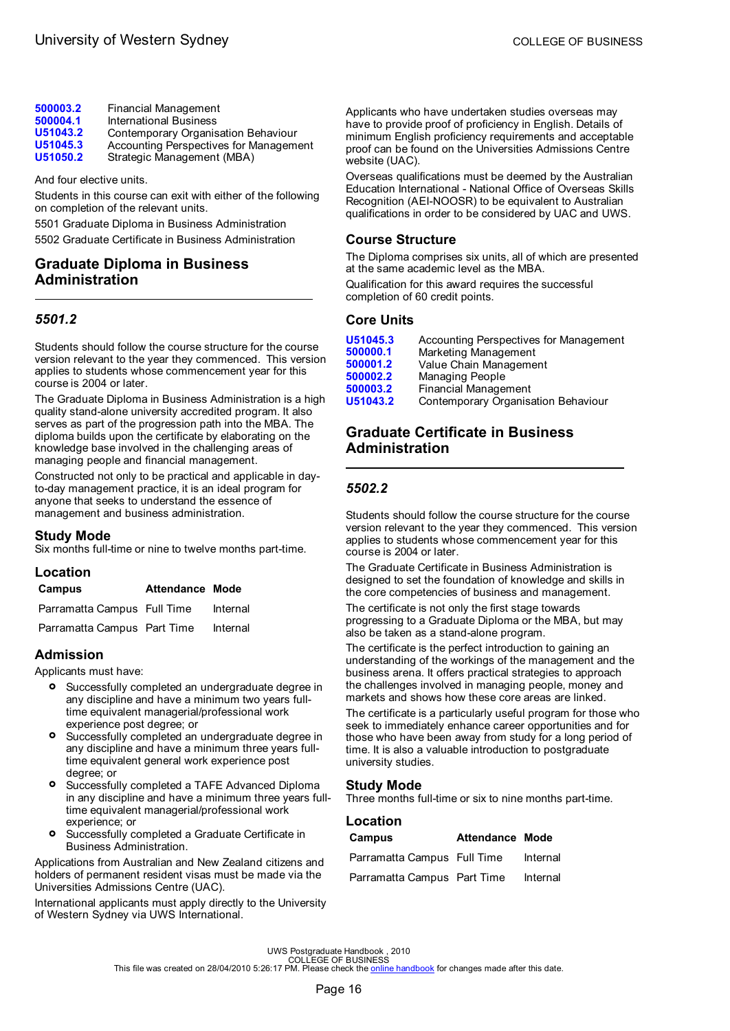<span id="page-19-0"></span>

| 500003.2 | Financial Management                   |
|----------|----------------------------------------|
| 500004.1 | <b>International Business</b>          |
| U51043.2 | Contemporary Organisation Behaviour    |
| U51045.3 | Accounting Perspectives for Management |
| U51050.2 | Strategic Management (MBA)             |

And four elective units.

Students in this course can exit with either of the following on completion of the relevant units.

5501 Graduate Diploma in Business Administration 5502 Graduate Certificate in Business Administration

## **Graduate Diploma in Business Administration**

## *5501.2*

Students should follow the course structure for the course version relevant to the year they commenced. This version applies to students whose commencement year for this course is 2004 or later.

The Graduate Diploma in Business Administration is a high quality stand-alone university accredited program. It also serves as part of the progression path into the MBA. The diploma builds upon the certificate by elaborating on the knowledge base involved in the challenging areas of managing people and financial management.

Constructed not only to be practical and applicable in dayto-day management practice, it is an ideal program for anyone that seeks to understand the essence of management and business administration.

### **Study Mode**

Six months full-time or nine to twelve months part-time.

## **Location**

| Campus                      | Attendance Mode |          |
|-----------------------------|-----------------|----------|
| Parramatta Campus Full Time |                 | Internal |
| Parramatta Campus Part Time |                 | Internal |

## **Admission**

Applicants must have:

- **•** Successfully completed an undergraduate degree in any discipline and have a minimum two vears fullany discipline and have a minimum two years fulltime equivalent managerial/professional work experience post degree; or
- **•** Successfully completed an undergraduate degree in any discipline and have a minimum three vears fullany discipline and have a minimum three years fulltime equivalent general work experience post degree; or
- **•** Successfully completed a TAFE Advanced Diploma<br>
in any discipline and have a minimum three years fu in any discipline and have a minimum three years fulltime equivalent managerial/professional work experience; or
- **•** Successfully completed a Graduate Certificate in<br>
Business Administration Business Administration.

Applications from Australian and New Zealand citizens and holders of permanent resident visas must be made via the Universities Admissions Centre (UAC).

International applicants must apply directly to the University of Western Sydney via UWS International.

Applicants who have undertaken studies overseas may have to provide proof of proficiency in English. Details of minimum English proficiency requirements and acceptable proof can be found on the Universities Admissions Centre website (UAC).

Overseas qualifications must be deemed by the Australian Education International - National Office of Overseas Skills Recognition (AEI-NOOSR) to be equivalent to Australian qualifications in order to be considered by UAC and UWS.

### **Course Structure**

The Diploma comprises six units, all of which are presented at the same academic level as the MBA.

Qualification for this award requires the successful completion of 60 credit points.

## **Core Units**

| U51045.3 | Accounting Perspectives for Management |
|----------|----------------------------------------|
| 500000.1 | Marketing Management                   |
| 500001.2 | Value Chain Management                 |
| 500002.2 | Managing People                        |
| 500003.2 | <b>Financial Management</b>            |
| U51043.2 | Contemporary Organisation Behaviour    |
|          |                                        |

## **Graduate Certificate in Business Administration**

## *5502.2*

Students should follow the course structure for the course version relevant to the year they commenced. This version applies to students whose commencement year for this course is 2004 or later.

The Graduate Certificate in Business Administration is designed to set the foundation of knowledge and skills in the core competencies of business and management.

The certificate is not only the first stage towards progressing to a Graduate Diploma or the MBA, but may also be taken as a stand-alone program.

The certificate is the perfect introduction to gaining an understanding of the workings of the management and the business arena. It offers practical strategies to approach the challenges involved in managing people, money and markets and shows how these core areas are linked.

The certificate is a particularly useful program for those who seek to immediately enhance career opportunities and for those who have been away from study for a long period of time. It is also a valuable introduction to postgraduate university studies.

## **Study Mode**

Three months full-time or six to nine months part-time.

| Location                    |                        |          |
|-----------------------------|------------------------|----------|
| Campus                      | <b>Attendance Mode</b> |          |
| Parramatta Campus Full Time |                        | Internal |
| Parramatta Campus Part Time |                        | Internal |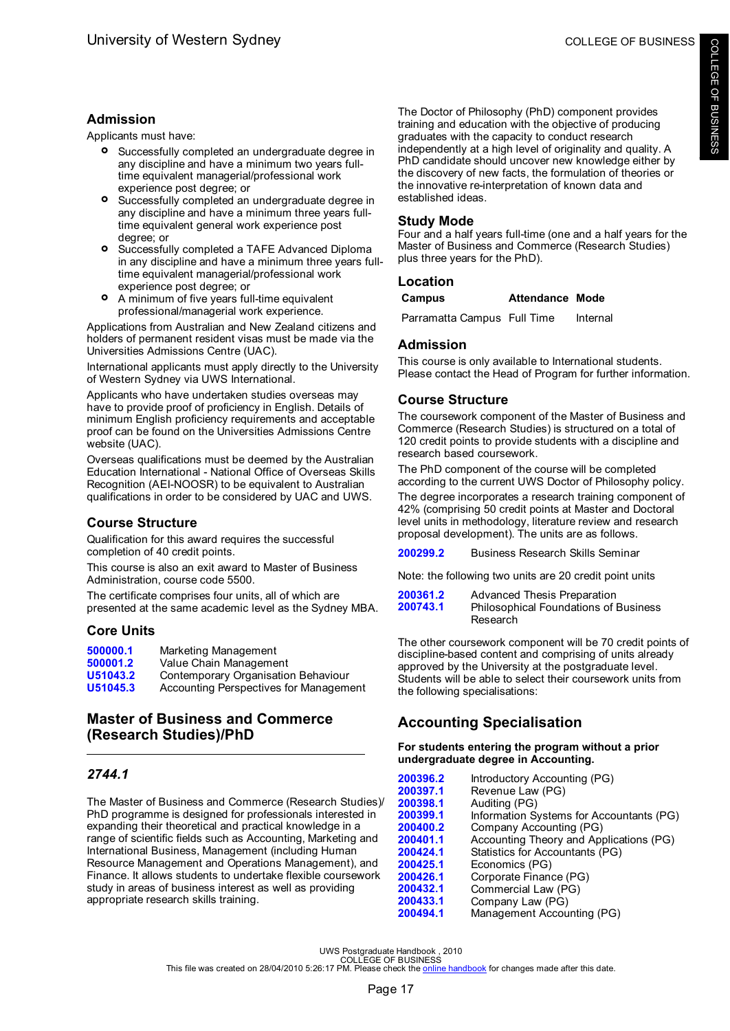## <span id="page-20-0"></span>**Admission**

Applicants must have:

- **•** Successfully completed an undergraduate degree in any discipline and have a minimum two vears fullany discipline and have a minimum two years fulltime equivalent managerial/professional work experience post degree; or
- **•** Successfully completed an undergraduate degree in any discipline and have a minimum three vears fullany discipline and have a minimum three years fulltime equivalent general work experience post degree; or
- **•** Successfully completed a TAFE Advanced Diploma<br>
in any discipline and have a minimum three years fu in any discipline and have a minimum three years fulltime equivalent managerial/professional work experience post degree; or
- **°** A minimum of five years full-time equivalent professional/managerial work experience.

Applications from Australian and New Zealand citizens and holders of permanent resident visas must be made via the Universities Admissions Centre (UAC).

International applicants must apply directly to the University of Western Sydney via UWS International.

Applicants who have undertaken studies overseas may have to provide proof of proficiency in English. Details of minimum English proficiency requirements and acceptable proof can be found on the Universities Admissions Centre website (UAC).

Overseas qualifications must be deemed by the Australian Education International - National Office of Overseas Skills Recognition (AEI-NOOSR) to be equivalent to Australian qualifications in order to be considered by UAC and UWS.

## **Course Structure**

Qualification for this award requires the successful completion of 40 credit points.

This course is also an exit award to Master of Business Administration, course code 5500.

The certificate comprises four units, all of which are presented at the same academic level as the Sydney MBA.

## **Core Units**

| 500000.1 | Marketing Management                   |
|----------|----------------------------------------|
| 500001.2 | Value Chain Management                 |
| U51043.2 | Contemporary Organisation Behaviour    |
| U51045.3 | Accounting Perspectives for Management |
|          |                                        |

## **Master of Business and Commerce (Research Studies)/PhD**

## *2744.1*

The Master of Business and Commerce (Research Studies)/ PhD programme is designed for professionals interested in expanding their theoretical and practical knowledge in a range of scientific fields such as Accounting, Marketing and International Business, Management (including Human Resource Management and Operations Management), and Finance. It allows students to undertake flexible coursework study in areas of business interest as well as providing appropriate research skills training.

The Doctor of Philosophy (PhD) component provides training and education with the objective of producing graduates with the capacity to conduct research independently at a high level of originality and quality. A PhD candidate should uncover new knowledge either by the discovery of new facts, the formulation of theories or the innovative re-interpretation of known data and established ideas.

## **Study Mode**

Four and a half years full-time (one and a half years for the Master of Business and Commerce (Research Studies) plus three years for the PhD).

## **Location**

| Campus | <b>Attendance Mode</b> |  |
|--------|------------------------|--|
|        |                        |  |

Parramatta Campus Full Time Internal

## **Admission**

This course is only available to International students. Please contact the Head of Program for further information.

## **Course Structure**

The coursework component of the Master of Business and Commerce (Research Studies) is structured on a total of 120 credit points to provide students with a discipline and research based coursework.

The PhD component of the course will be completed according to the current UWS Doctor of Philosophy policy.

The degree incorporates a research training component of 42% (comprising 50 credit points at Master and Doctoral level units in methodology, literature review and research proposal development). The units are as follows.

**[200299.2](#page-40-0)** Business Research Skills Seminar

Note: the following two units are 20 credit point units

**[200361.2](#page-38-0)** Advanced Thesis Preparation **[200743.1](#page-55-0)** Philosophical Foundations of Business Research

The other coursework component will be 70 credit points of discipline-based content and comprising of units already approved by the University at the postgraduate level. Students will be able to select their coursework units from the following specialisations:

## **Accounting Specialisation**

#### **For students entering the program without a prior undergraduate degree in Accounting.**

- **[200396.2](#page-50-0)** Introductory Accounting (PG)<br>**200397.1** Revenue Law (PG) **[200397.1](#page-59-0)** Revenue Law (PG)<br>**200398.1** Auditing (PG) **[200398.1](#page-39-0)** Auditing (PG) **[200399.1](#page-48-0)** Information Systems for Accountants (PG) **[200400.2](#page-40-0)** Company Accounting (PG) **[200401.1](#page-38-0)** Accounting Theory and Applications (PG) **[200424.1](#page-60-0)** Statistics for Accountants (PG) **[200425.1](#page-43-0)** Economics (PG) **[200426.1](#page-42-0)** Corporate Finance (PG) **[200432.1](#page-40-0)** Commercial Law (PG)<br>**200433.1** Company Law (PG) **[200433.1](#page-41-0)** Company Law (PG)
- **[200494.1](#page-51-0)** Management Accounting (PG)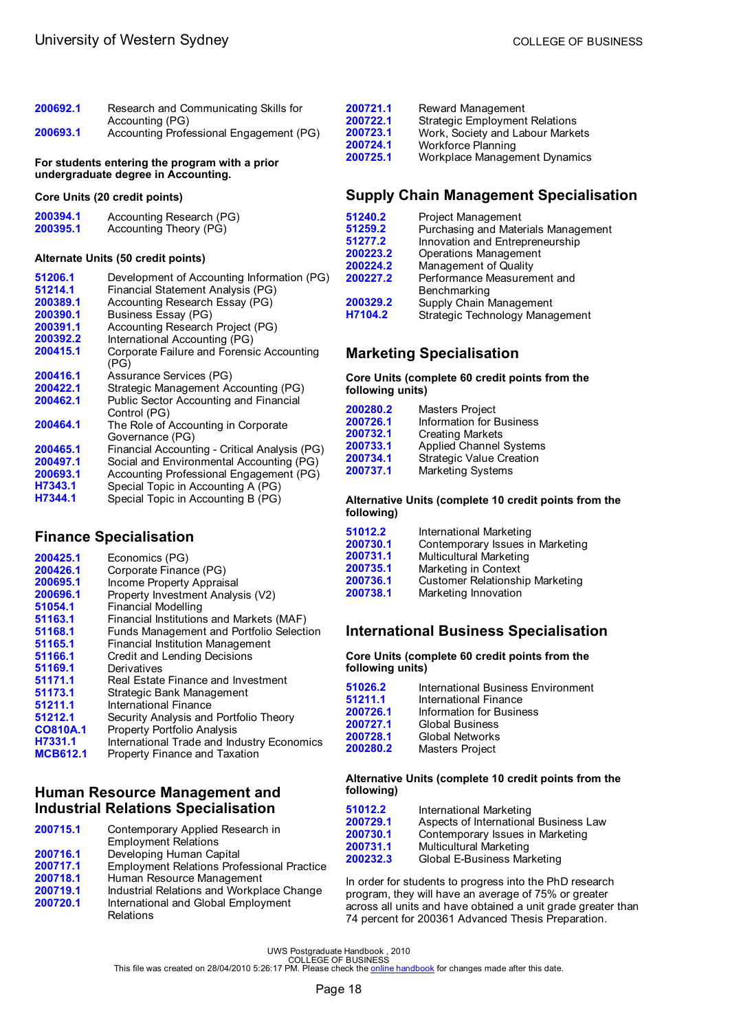| 200692.1 | Research and Communicating Skills for   |
|----------|-----------------------------------------|
|          | Accounting (PG)                         |
| 200693.1 | Accounting Professional Engagement (PG) |

#### **For students entering the program with a prior undergraduate degree in Accounting.**

#### **Core Units (20 credit points)**

| 200394.1 | Accounting Research (PG) |
|----------|--------------------------|
| 200395.1 | Accounting Theory (PG)   |

### **Alternate Units (50 credit points)**

| Development of Accounting Information (PG)             |
|--------------------------------------------------------|
| Financial Statement Analysis (PG)                      |
| Accounting Research Essay (PG)                         |
| <b>Business Essay (PG)</b>                             |
| Accounting Research Project (PG)                       |
| International Accounting (PG)                          |
| Corporate Failure and Forensic Accounting<br>(PG)      |
| Assurance Services (PG)                                |
| Strategic Management Accounting (PG)                   |
| Public Sector Accounting and Financial<br>Control (PG) |
| The Role of Accounting in Corporate                    |
| Governance (PG)                                        |
| Financial Accounting - Critical Analysis (PG)          |
| Social and Environmental Accounting (PG)               |
| Accounting Professional Engagement (PG)                |
| Special Topic in Accounting A (PG)                     |
| Special Topic in Accounting B (PG)                     |
|                                                        |

## **Finance Specialisation**

| 200425.1        | Economics (PG)                             |
|-----------------|--------------------------------------------|
| 200426.1        | Corporate Finance (PG)                     |
| 200695.1        | Income Property Appraisal                  |
| 200696.1        | Property Investment Analysis (V2)          |
| 51054.1         | <b>Financial Modelling</b>                 |
| 51163.1         | Financial Institutions and Markets (MAF)   |
| 51168.1         | Funds Management and Portfolio Selection   |
| 51165.1         | Financial Institution Management           |
| 51166.1         | Credit and Lending Decisions               |
| 51169.1         | Derivatives                                |
| 51171.1         | Real Estate Finance and Investment         |
| 51173.1         | Strategic Bank Management                  |
| 51211.1         | International Finance                      |
| 51212.1         | Security Analysis and Portfolio Theory     |
| <b>CO810A.1</b> | <b>Property Portfolio Analysis</b>         |
| H7331.1         | International Trade and Industry Economics |
| <b>MCB612.1</b> | Property Finance and Taxation              |

## **Human Resource Management and Industrial Relations Specialisation**

| 200715.1 | Contemporary Applied Research in                  |
|----------|---------------------------------------------------|
|          | <b>Employment Relations</b>                       |
| 200716.1 | Developing Human Capital                          |
| 200717.1 | <b>Employment Relations Professional Practice</b> |
| 200718.1 | Human Resource Management                         |
| 200719.1 | Industrial Relations and Workplace Change         |
| 200720.1 | International and Global Employment               |
|          | <b>Relations</b>                                  |

- **[200721.1](#page-59-0)** Reward Management [200722.1](#page-61-0) Strategic Employment Relations<br>200723.1 Work, Society and Labour Marke
- **[200723.1](#page-64-0)** Work, Society and Labour Markets
- **[200724.1](#page-64-0)** Workforce Planning
	- **[200725.1](#page-64-0)** Workplace Management Dynamics

## **Supply Chain Management Specialisation**

| 51240.2  | <b>Project Management</b>           |
|----------|-------------------------------------|
| 51259.2  | Purchasing and Materials Management |
| 51277.2  | Innovation and Entrepreneurship     |
| 200223.2 | <b>Operations Management</b>        |
| 200224.2 | Management of Quality               |
| 200227.2 | Performance Measurement and         |
|          | Benchmarking                        |
| 200329.2 | Supply Chain Management             |
| H7104.2  | Strategic Technology Management     |

## **Marketing Specialisation**

#### **Core Units (complete 60 credit points from the following units)**

| 200280.2 | Masters Project                 |
|----------|---------------------------------|
| 200726.1 | <b>Information for Business</b> |
| 200732.1 | <b>Creating Markets</b>         |
| 200733.1 | <b>Applied Channel Systems</b>  |
| 200734.1 | <b>Strategic Value Creation</b> |
| 200737.1 | Marketing Systems               |

#### **Alternative Units (complete 10 credit points from the following)**

| 51012.2  | International Marketing                |
|----------|----------------------------------------|
| 200730.1 | Contemporary Issues in Marketing       |
| 200731.1 | Multicultural Marketing                |
| 200735.1 | Marketing in Context                   |
| 200736.1 | <b>Customer Relationship Marketing</b> |
| 200738.1 | Marketing Innovation                   |

## **International Business Specialisation**

#### **Core Units (complete 60 credit points from the following units)**

| 51026.2  | International Business Environment |
|----------|------------------------------------|
| 51211.1  | International Finance              |
| 200726.1 | Information for Business           |
| 200727.1 | <b>Global Business</b>             |
| 200728.1 | Global Networks                    |
| 200280.2 | Masters Project                    |

#### **Alternative Units (complete 10 credit points from the following)**

| 51012.2  | International Marketing               |
|----------|---------------------------------------|
| 200729.1 | Aspects of International Business Law |
| 200730.1 | Contemporary Issues in Marketing      |
| 200731.1 | Multicultural Marketing               |
| 200232.3 | Global E-Business Marketing           |
|          |                                       |

In order for students to progress into the PhD research program, they will have an average of 75% or greater across all units and have obtained a unit grade greater than 74 percent for 200361 Advanced Thesis Preparation.

UWS Postgraduate Handbook , 2010 COLLEGE OF BUSINESS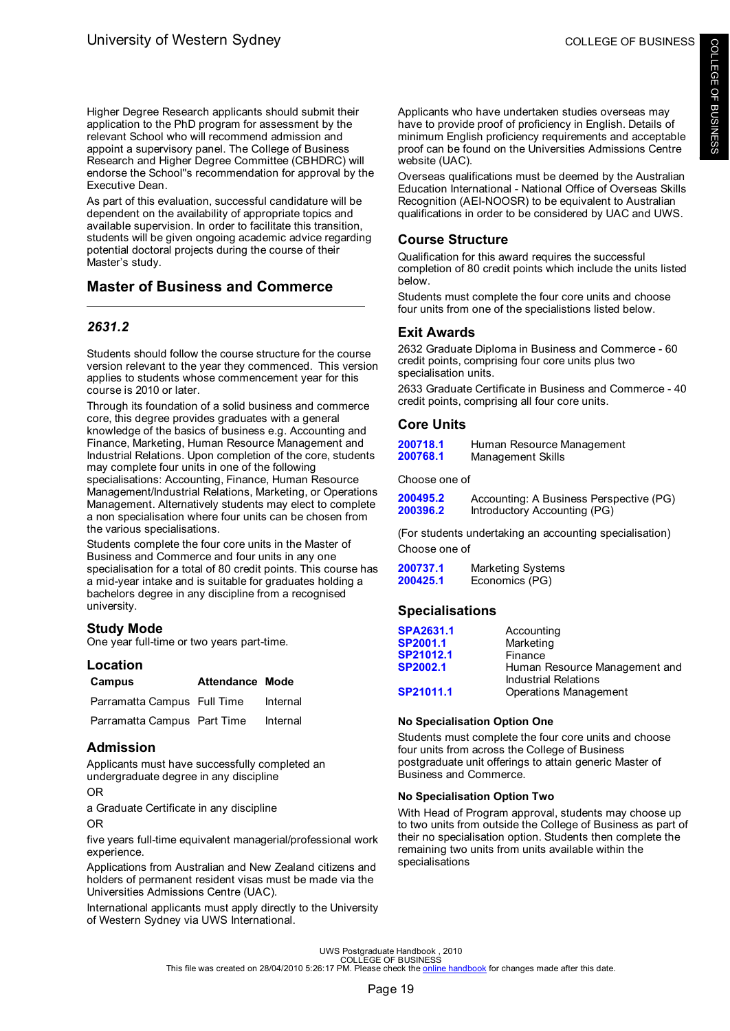<span id="page-22-0"></span>Higher Degree Research applicants should submit their application to the PhD program for assessment by the relevant School who will recommend admission and appoint a supervisory panel. The College of Business Research and Higher Degree Committee (CBHDRC) will endorse the School"s recommendation for approval by the Executive Dean.

As part of this evaluation, successful candidature will be dependent on the availability of appropriate topics and available supervision. In order to facilitate this transition, students will be given ongoing academic advice regarding potential doctoral projects during the course of their Master's study.

## **Master of Business and Commerce**

## *2631.2*

Students should follow the course structure for the course version relevant to the year they commenced. This version applies to students whose commencement year for this course is 2010 or later.

Through its foundation of a solid business and commerce core, this degree provides graduates with a general knowledge of the basics of business e.g. Accounting and Finance, Marketing, Human Resource Management and Industrial Relations. Upon completion of the core, students may complete four units in one of the following specialisations: Accounting, Finance, Human Resource Management/Industrial Relations, Marketing, or Operations Management. Alternatively students may elect to complete a non specialisation where four units can be chosen from the various specialisations.

Students complete the four core units in the Master of Business and Commerce and four units in any one specialisation for a total of 80 credit points. This course has a mid-year intake and is suitable for graduates holding a bachelors degree in any discipline from a recognised university.

## **Study Mode**

One year full-time or two years part-time.

## **Location Campus Attendance Mode** Parramatta Campus Full Time Internal Parramatta Campus Part Time Internal

## **Admission**

Applicants must have successfully completed an undergraduate degree in any discipline

OR

a Graduate Certificate in any discipline

OR

five years full-time equivalent managerial/professional work experience.

Applications from Australian and New Zealand citizens and holders of permanent resident visas must be made via the Universities Admissions Centre (UAC).

International applicants must apply directly to the University of Western Sydney via UWS International.

Applicants who have undertaken studies overseas may have to provide proof of proficiency in English. Details of minimum English proficiency requirements and acceptable proof can be found on the Universities Admissions Centre website (UAC).

Overseas qualifications must be deemed by the Australian Education International - National Office of Overseas Skills Recognition (AEI-NOOSR) to be equivalent to Australian qualifications in order to be considered by UAC and UWS.

## **Course Structure**

Qualification for this award requires the successful completion of 80 credit points which include the units listed below.

Students must complete the four core units and choose four units from one of the specialistions listed below.

## **Exit Awards**

2632 Graduate Diploma in Business and Commerce - 60 credit points, comprising four core units plus two specialisation units.

2633 Graduate Certificate in Business and Commerce - 40 credit points, comprising all four core units.

## **Core Units**

| 200718.1 | Human Resource Management |
|----------|---------------------------|
| 200768.1 | Management Skills         |

Choose one of

| 200495.2 | Accounting: A Business Perspective (PG) |
|----------|-----------------------------------------|
| 200396.2 | Introductory Accounting (PG)            |

(For students undertaking an accounting specialisation) Choose one of

| 200737.1 | <b>Marketing Systems</b> |
|----------|--------------------------|
| 200425.1 | Economics (PG)           |

## **Specialisations**

| <b>SPA2631.1</b> | Accounting                                            |
|------------------|-------------------------------------------------------|
| SP2001.1         | Marketing                                             |
| SP21012.1        | Finance                                               |
| SP2002.1         | Human Resource Management and<br>Industrial Relations |
|                  |                                                       |
| SP21011.1        | <b>Operations Management</b>                          |

### **No Specialisation Option One**

Students must complete the four core units and choose four units from across the College of Business postgraduate unit offerings to attain generic Master of Business and Commerce.

### **No Specialisation Option Two**

With Head of Program approval, students may choose up to two units from outside the College of Business as part of their no specialisation option. Students then complete the remaining two units from units available within the specialisations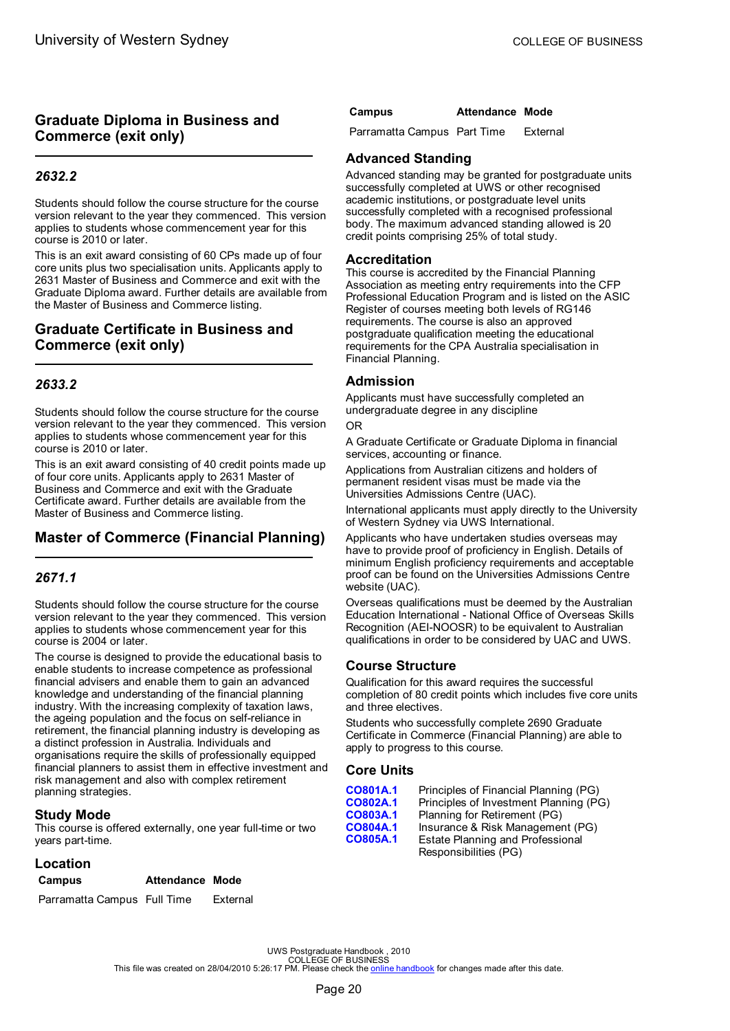## <span id="page-23-0"></span>**Graduate Diploma in Business and Commerce (exit only)**

## *2632.2*

Students should follow the course structure for the course version relevant to the year they commenced. This version applies to students whose commencement year for this course is 2010 or later.

This is an exit award consisting of 60 CPs made up of four core units plus two specialisation units. Applicants apply to 2631 Master of Business and Commerce and exit with the Graduate Diploma award. Further details are available from the Master of Business and Commerce listing.

## **Graduate Certificate in Business and Commerce (exit only)**

## *2633.2*

Students should follow the course structure for the course version relevant to the year they commenced. This version applies to students whose commencement year for this course is 2010 or later.

This is an exit award consisting of 40 credit points made up of four core units. Applicants apply to 2631 Master of Business and Commerce and exit with the Graduate Certificate award. Further details are available from the Master of Business and Commerce listing.

## **Master of Commerce (Financial Planning)**

## *2671.1*

Students should follow the course structure for the course version relevant to the year they commenced. This version applies to students whose commencement year for this course is 2004 or later.

The course is designed to provide the educational basis to enable students to increase competence as professional financial advisers and enable them to gain an advanced knowledge and understanding of the financial planning industry. With the increasing complexity of taxation laws, the ageing population and the focus on self-reliance in retirement, the financial planning industry is developing as a distinct profession in Australia. Individuals and organisations require the skills of professionally equipped financial planners to assist them in effective investment and risk management and also with complex retirement planning strategies.

## **Study Mode**

This course is offered externally, one year full-time or two years part-time.

## **Location**

| <b>Attendance Mode</b> |
|------------------------|
|                        |

Parramatta Campus Full Time External

| Campus | <b>Attendance Mode</b> |  |
|--------|------------------------|--|
|        |                        |  |

Parramatta Campus Part Time External

## **Advanced Standing**

Advanced standing may be granted for postgraduate units successfully completed at UWS or other recognised academic institutions, or postgraduate level units successfully completed with a recognised professional body. The maximum advanced standing allowed is 20 credit points comprising 25% of total study.

### **Accreditation**

This course is accredited by the Financial Planning Association as meeting entry requirements into the CFP Professional Education Program and is listed on the ASIC Register of courses meeting both levels of RG146 requirements. The course is also an approved postgraduate qualification meeting the educational requirements for the CPA Australia specialisation in Financial Planning.

## **Admission**

Applicants must have successfully completed an undergraduate degree in any discipline OR

A Graduate Certificate or Graduate Diploma in financial services, accounting or finance.

Applications from Australian citizens and holders of permanent resident visas must be made via the Universities Admissions Centre (UAC).

International applicants must apply directly to the University of Western Sydney via UWS International.

Applicants who have undertaken studies overseas may have to provide proof of proficiency in English. Details of minimum English proficiency requirements and acceptable proof can be found on the Universities Admissions Centre website (UAC).

Overseas qualifications must be deemed by the Australian Education International - National Office of Overseas Skills Recognition (AEI-NOOSR) to be equivalent to Australian qualifications in order to be considered by UAC and UWS.

## **Course Structure**

Qualification for this award requires the successful completion of 80 credit points which includes five core units and three electives.

Students who successfully complete 2690 Graduate Certificate in Commerce (Financial Planning) are able to apply to progress to this course.

## **Core Units**

| CO801A.1 | Principles of Financial Planning (PG)   |
|----------|-----------------------------------------|
| CO802A.1 | Principles of Investment Planning (PG)  |
| CO803A.1 | Planning for Retirement (PG)            |
| CO804A.1 | Insurance & Risk Management (PG)        |
| CO805A.1 | <b>Estate Planning and Professional</b> |
|          | Responsibilities (PG)                   |

UWS Postgraduate Handbook , 2010 COLLEGE OF BUSINESS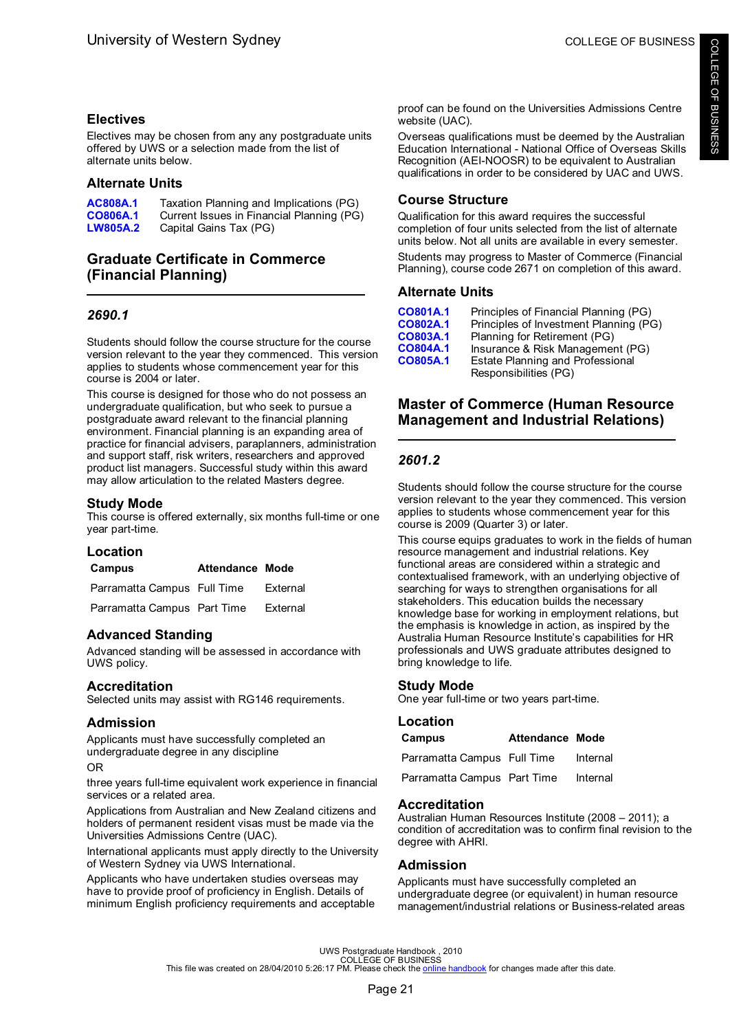## <span id="page-24-0"></span>**Electives**

Electives may be chosen from any any postgraduate units offered by UWS or a selection made from the list of alternate units below.

## **Alternate Units**

| AC808A.1        | Taxation Planning and Implications (PG)   |
|-----------------|-------------------------------------------|
| CO806A.1        | Current Issues in Financial Planning (PG) |
| <b>LW805A.2</b> | Capital Gains Tax (PG)                    |

## **Graduate Certificate in Commerce (Financial Planning)**

## *2690.1*

Students should follow the course structure for the course version relevant to the year they commenced. This version applies to students whose commencement year for this course is 2004 or later.

This course is designed for those who do not possess an undergraduate qualification, but who seek to pursue a postgraduate award relevant to the financial planning environment. Financial planning is an expanding area of practice for financial advisers, paraplanners, administration and support staff, risk writers, researchers and approved product list managers. Successful study within this award may allow articulation to the related Masters degree.

## **Study Mode**

This course is offered externally, six months full-time or one year part-time.

## **Location**

| <b>Campus</b>               | <b>Attendance Mode</b> |          |
|-----------------------------|------------------------|----------|
| Parramatta Campus Full Time |                        | External |
| Parramatta Campus Part Time |                        | External |

## **Advanced Standing**

Advanced standing will be assessed in accordance with UWS policy.

## **Accreditation**

Selected units may assist with RG146 requirements.

## **Admission**

Applicants must have successfully completed an undergraduate degree in any discipline OR

three years full-time equivalent work experience in financial services or a related area.

Applications from Australian and New Zealand citizens and holders of permanent resident visas must be made via the Universities Admissions Centre (UAC).

International applicants must apply directly to the University of Western Sydney via UWS International.

Applicants who have undertaken studies overseas may have to provide proof of proficiency in English. Details of minimum English proficiency requirements and acceptable proof can be found on the Universities Admissions Centre website (UAC).

Overseas qualifications must be deemed by the Australian Education International - National Office of Overseas Skills Recognition (AEI-NOOSR) to be equivalent to Australian qualifications in order to be considered by UAC and UWS.

## **Course Structure**

Qualification for this award requires the successful completion of four units selected from the list of alternate units below. Not all units are available in every semester.

Students may progress to Master of Commerce (Financial Planning), course code 2671 on completion of this award.

## **Alternate Units**

| CO801A.1 | Principles of Financial Planning (PG)   |
|----------|-----------------------------------------|
| CO802A.1 | Principles of Investment Planning (PG)  |
| CO803A.1 | Planning for Retirement (PG)            |
| CO804A.1 | Insurance & Risk Management (PG)        |
| CO805A.1 | <b>Estate Planning and Professional</b> |
|          | Responsibilities (PG)                   |

## **Master of Commerce (Human Resource Management and Industrial Relations)**

## *2601.2*

Students should follow the course structure for the course version relevant to the year they commenced. This version applies to students whose commencement year for this course is 2009 (Quarter 3) or later.

This course equips graduates to work in the fields of human resource management and industrial relations. Key functional areas are considered within a strategic and contextualised framework, with an underlying objective of searching for ways to strengthen organisations for all stakeholders. This education builds the necessary knowledge base for working in employment relations, but the emphasis is knowledge in action, as inspired by the Australia Human Resource Institute's capabilities for HR professionals and UWS graduate attributes designed to bring knowledge to life.

## **Study Mode**

One year full-time or two years part-time.

## **Location**

| Campus                      | Attendance Mode |          |
|-----------------------------|-----------------|----------|
| Parramatta Campus Full Time |                 | Internal |
| Parramatta Campus Part Time |                 | Internal |

## **Accreditation**

Australian Human Resources Institute (2008 – 2011); a condition of accreditation was to confirm final revision to the degree with AHRI.

## **Admission**

Applicants must have successfully completed an undergraduate degree (or equivalent) in human resource management/industrial relations or Business-related areas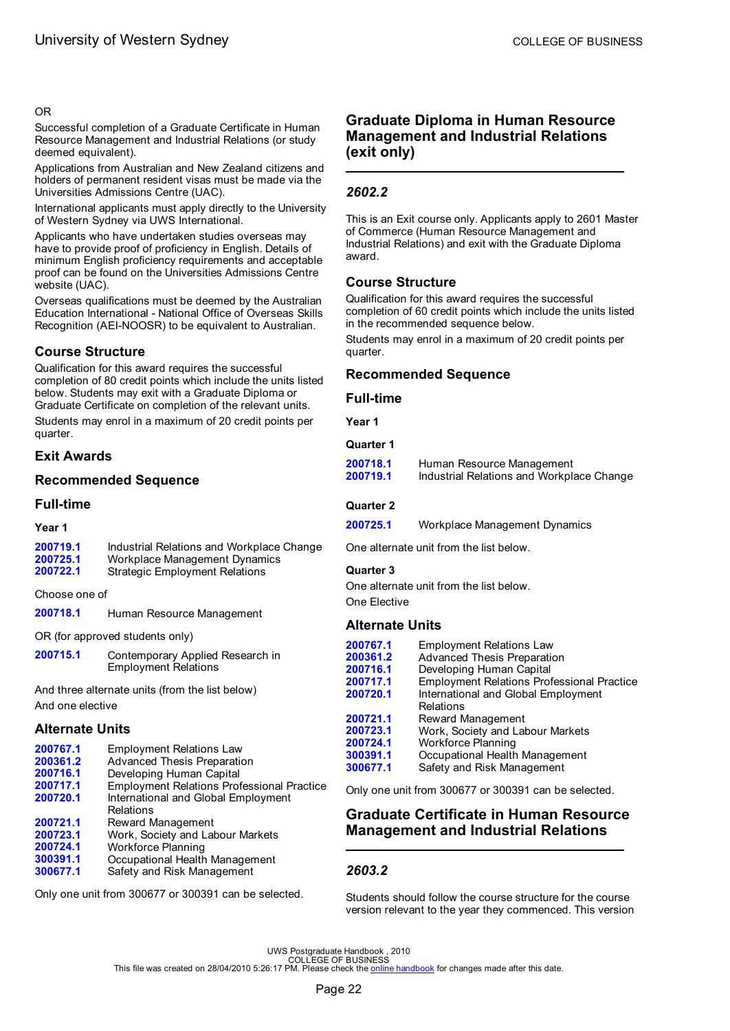### <span id="page-25-0"></span>OR

Successful completion of a Graduate Certificate in Human Resource Management and Industrial Relations (or study deemed equivalent).

Applications from Australian and New Zealand citizens and holders of permanent resident visas must be made via the Universities Admissions Centre (UAC).

International applicants must apply directly to the University of Western Sydney via UWS International.

Applicants who have undertaken studies overseas may have to provide proof of proficiency in English. Details of minimum English proficiency requirements and acceptable proof can be found on the Universities Admissions Centre website (UAC).

Overseas qualifications must be deemed by the Australian Education International - National Office of Overseas Skills Recognition (AEI-NOOSR) to be equivalent to Australian.

## **Course Structure**

Qualification for this award requires the successful completion of 80 credit points which include the units listed below. Students may exit with a Graduate Diploma or Graduate Certificate on completion of the relevant units.

Students may enrol in a maximum of 20 credit points per quarter.

## **Exit Awards**

## **Recommended Sequence**

### **Full-time**

### **Year 1**

| 200719.1 | Industrial Relations and Workplace Change |
|----------|-------------------------------------------|
| 200725.1 | Workplace Management Dynamics             |
| 200722.1 | <b>Strategic Employment Relations</b>     |

Choose one of

**[200718.1](#page-47-0)** Human Resource Management

OR (for approved students only)

| 200715.1 | Contemporary Applied Research in |
|----------|----------------------------------|
|          | <b>Employment Relations</b>      |

And three alternate units (from the list below) And one elective

## **Alternate Units**

| 200767.1 | <b>Employment Relations Law</b>                   |
|----------|---------------------------------------------------|
| 200361.2 | <b>Advanced Thesis Preparation</b>                |
| 200716.1 | Developing Human Capital                          |
| 200717.1 | <b>Employment Relations Professional Practice</b> |
| 200720.1 | International and Global Employment               |
|          | Relations                                         |
| 200721.1 | Reward Management                                 |
| 200723.1 | Work, Society and Labour Markets                  |
| 200724.1 | Workforce Planning                                |
| 300391.1 | Occupational Health Management                    |
| 300677.1 | Safety and Risk Management                        |
|          |                                                   |

Only one unit from 300677 or 300391 can be selected.

## **Graduate Diploma in Human Resource Management and Industrial Relations (exit only)**

## *2602.2*

This is an Exit course only. Applicants apply to 2601 Master of Commerce (Human Resource Management and Industrial Relations) and exit with the Graduate Diploma award.

## **Course Structure**

Qualification for this award requires the successful completion of 60 credit points which include the units listed in the recommended sequence below.

Students may enrol in a maximum of 20 credit points per quarter.

## **Recommended Sequence**

### **Full-time**

**Year 1**

| Quarter 1 |  |
|-----------|--|
|           |  |

| 200718.1 | Human Resource Management                 |
|----------|-------------------------------------------|
| 200719.1 | Industrial Relations and Workplace Change |

### **Quarter 2**

| 200725.1 |  | Workplace Management Dynamics |  |
|----------|--|-------------------------------|--|
|----------|--|-------------------------------|--|

One alternate unit from the list below.

### **Quarter 3**

One alternate unit from the list below. One Elective

## **Alternate Units**

| 200767.1 | <b>Employment Relations Law</b>                   |
|----------|---------------------------------------------------|
| 200361.2 | <b>Advanced Thesis Preparation</b>                |
| 200716.1 | Developing Human Capital                          |
| 200717.1 | <b>Employment Relations Professional Practice</b> |
| 200720.1 | International and Global Employment               |
|          | Relations                                         |
| 200721.1 | Reward Management                                 |
| 200723.1 | Work, Society and Labour Markets                  |
| 200724.1 | <b>Workforce Planning</b>                         |
| 300391.1 | Occupational Health Management                    |
| 300677.1 | Safety and Risk Management                        |
|          |                                                   |

Only one unit from 300677 or 300391 can be selected.

## **Graduate Certificate in Human Resource Management and Industrial Relations**

## *2603.2*

Students should follow the course structure for the course version relevant to the year they commenced. This version

UWS Postgraduate Handbook , 2010 COLLEGE OF BUSINESS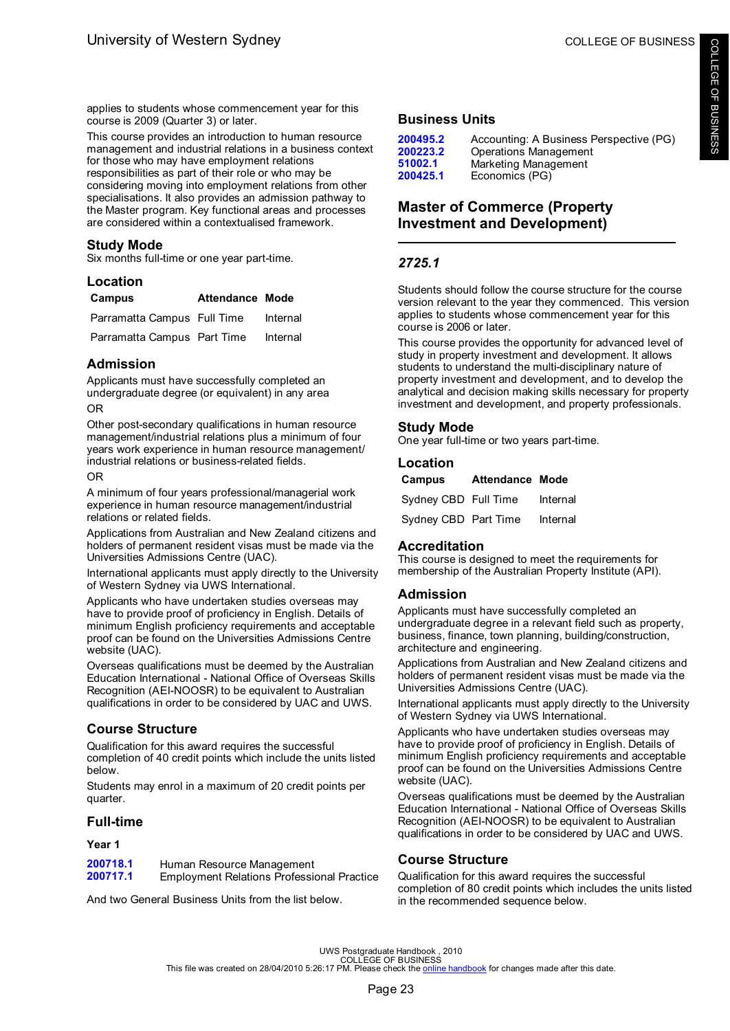<span id="page-26-0"></span>applies to students whose commencement year for this course is 2009 (Quarter 3) or later.

This course provides an introduction to human resource management and industrial relations in a business context for those who may have employment relations responsibilities as part of their role or who may be considering moving into employment relations from other specialisations. It also provides an admission pathway to the Master program. Key functional areas and processes are considered within a contextualised framework.

## **Study Mode**

Six months full-time or one year part-time.

### **Location**

| Campus                      | Attendance Mode |          |
|-----------------------------|-----------------|----------|
| Parramatta Campus Full Time |                 | Internal |
| Parramatta Campus Part Time |                 | Internal |

## **Admission**

Applicants must have successfully completed an undergraduate degree (or equivalent) in any area OR

Other post-secondary qualifications in human resource management/industrial relations plus a minimum of four years work experience in human resource management/ industrial relations or business-related fields.

#### OR

A minimum of four years professional/managerial work experience in human resource management/industrial relations or related fields.

Applications from Australian and New Zealand citizens and holders of permanent resident visas must be made via the Universities Admissions Centre (UAC).

International applicants must apply directly to the University of Western Sydney via UWS International.

Applicants who have undertaken studies overseas may have to provide proof of proficiency in English. Details of minimum English proficiency requirements and acceptable proof can be found on the Universities Admissions Centre website (UAC).

Overseas qualifications must be deemed by the Australian Education International - National Office of Overseas Skills Recognition (AEI-NOOSR) to be equivalent to Australian qualifications in order to be considered by UAC and UWS.

## **Course Structure**

Qualification for this award requires the successful completion of 40 credit points which include the units listed below.

Students may enrol in a maximum of 20 credit points per quarter.

## **Full-time**

### **Year 1**

| 200718.1 | Human Resource Management                         |
|----------|---------------------------------------------------|
| 200717.1 | <b>Employment Relations Professional Practice</b> |

And two General Business Units from the list below.

## **Business Units**

| 200495.2 | Accounting: A Business Perspective (PG) |
|----------|-----------------------------------------|
| 200223.2 | <b>Operations Management</b>            |
| 51002.1  | Marketing Management                    |
| 200425.1 | Economics (PG)                          |

## **Master of Commerce (Property Investment and Development)**

## *2725.1*

Students should follow the course structure for the course version relevant to the year they commenced. This version applies to students whose commencement year for this course is 2006 or later.

This course provides the opportunity for advanced level of study in property investment and development. It allows students to understand the multi-disciplinary nature of property investment and development, and to develop the analytical and decision making skills necessary for property investment and development, and property professionals.

### **Study Mode**

One year full-time or two years part-time.

### **Location**

| Campus               | <b>Attendance Mode</b> |          |
|----------------------|------------------------|----------|
| Sydney CBD Full Time |                        | Internal |
| Sydney CBD Part Time |                        | Internal |

## **Accreditation**

This course is designed to meet the requirements for membership of the Australian Property Institute (API).

## **Admission**

Applicants must have successfully completed an undergraduate degree in a relevant field such as property, business, finance, town planning, building/construction, architecture and engineering.

Applications from Australian and New Zealand citizens and holders of permanent resident visas must be made via the Universities Admissions Centre (UAC).

International applicants must apply directly to the University of Western Sydney via UWS International.

Applicants who have undertaken studies overseas may have to provide proof of proficiency in English. Details of minimum English proficiency requirements and acceptable proof can be found on the Universities Admissions Centre website (UAC).

Overseas qualifications must be deemed by the Australian Education International - National Office of Overseas Skills Recognition (AEI-NOOSR) to be equivalent to Australian qualifications in order to be considered by UAC and UWS.

## **Course Structure**

Qualification for this award requires the successful completion of 80 credit points which includes the units listed in the recommended sequence below.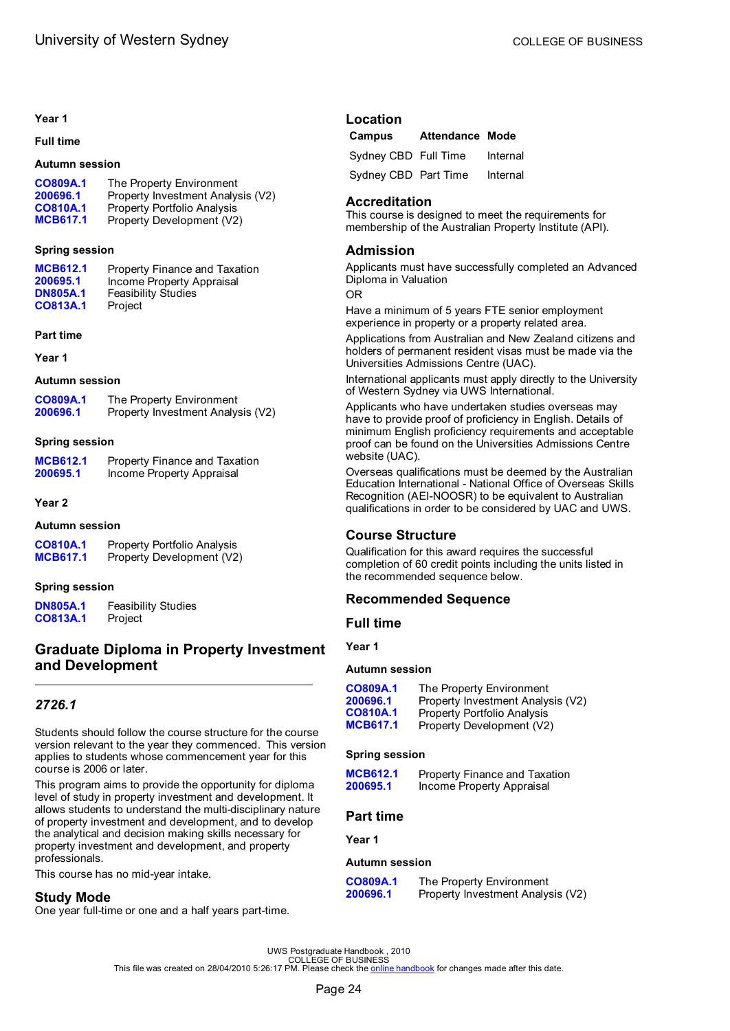#### <span id="page-27-0"></span>**Year 1**

#### **Full time**

#### **Autumn session**

| CO809A.1        | The Property Environment           |
|-----------------|------------------------------------|
| 200696.1        | Property Investment Analysis (V2)  |
| CO810A.1        | <b>Property Portfolio Analysis</b> |
| <b>MCB617.1</b> | Property Development (V2)          |

#### **Spring session**

| <b>MCB612.1</b> | Property Finance and Taxation |
|-----------------|-------------------------------|
| 200695.1        | Income Property Appraisal     |
| <b>DN805A.1</b> | <b>Feasibility Studies</b>    |
| CO813A.1        | Project                       |

#### **Part time**

```
Year 1
```
### **Autumn session**

| CO809A.1 | The Property Environment          |
|----------|-----------------------------------|
| 200696.1 | Property Investment Analysis (V2) |

#### **Spring session**

| <b>MCB612.1</b> | Property Finance and Taxation |
|-----------------|-------------------------------|
| 200695.1        | Income Property Appraisal     |

### **Year 2**

### **Autumn session**

| CO810A.1        | Property Portfolio Analysis |
|-----------------|-----------------------------|
| <b>MCB617.1</b> | Property Development (V2)   |

### **Spring session**

| <b>DN805A.1</b> | <b>Feasibility Studies</b> |
|-----------------|----------------------------|
| CO813A.1        | Project                    |

## **Graduate Diploma in Property Investment and Development**

## *2726.1*

Students should follow the course structure for the course version relevant to the year they commenced. This version applies to students whose commencement year for this course is 2006 or later.

This program aims to provide the opportunity for diploma level of study in property investment and development. It allows students to understand the multi-disciplinary nature of property investment and development, and to develop the analytical and decision making skills necessary for property investment and development, and property professionals.

This course has no mid-year intake.

## **Study Mode**

One year full-time or one and a half years part-time.

#### **Location Campus Attendance Mode**

| vanpus               | <b>ARCHAGING MONG</b> |          |
|----------------------|-----------------------|----------|
| Sydney CBD Full Time |                       | Internal |
| Sydney CBD Part Time |                       | Internal |

### **Accreditation**

This course is designed to meet the requirements for membership of the Australian Property Institute (API).

### **Admission**

OR

Applicants must have successfully completed an Advanced Diploma in Valuation

Have a minimum of 5 years FTE senior employment experience in property or a property related area.

Applications from Australian and New Zealand citizens and holders of permanent resident visas must be made via the Universities Admissions Centre (UAC).

International applicants must apply directly to the University of Western Sydney via UWS International.

Applicants who have undertaken studies overseas may have to provide proof of proficiency in English. Details of minimum English proficiency requirements and acceptable proof can be found on the Universities Admissions Centre website (UAC).

Overseas qualifications must be deemed by the Australian Education International - National Office of Overseas Skills Recognition (AEI-NOOSR) to be equivalent to Australian qualifications in order to be considered by UAC and UWS.

## **Course Structure**

Qualification for this award requires the successful completion of 60 credit points including the units listed in the recommended sequence below.

## **Recommended Sequence**

### **Full time**

#### **Year 1**

#### **Autumn session**

| CO809A.1 | The Property Environment           |
|----------|------------------------------------|
| 200696.1 | Property Investment Analysis (V2)  |
| CO810A.1 | <b>Property Portfolio Analysis</b> |
| MCB617.1 | Property Development (V2)          |

### **Spring session**

| <b>MCB612.1</b> | <b>Property Finance and Taxation</b> |
|-----------------|--------------------------------------|
| 200695.1        | Income Property Appraisal            |

## **Part time**

**Year 1**

### **Autumn session**

| CO809A.1 | The Property Environment          |
|----------|-----------------------------------|
| 200696.1 | Property Investment Analysis (V2) |

UWS Postgraduate Handbook , 2010 COLLEGE OF BUSINESS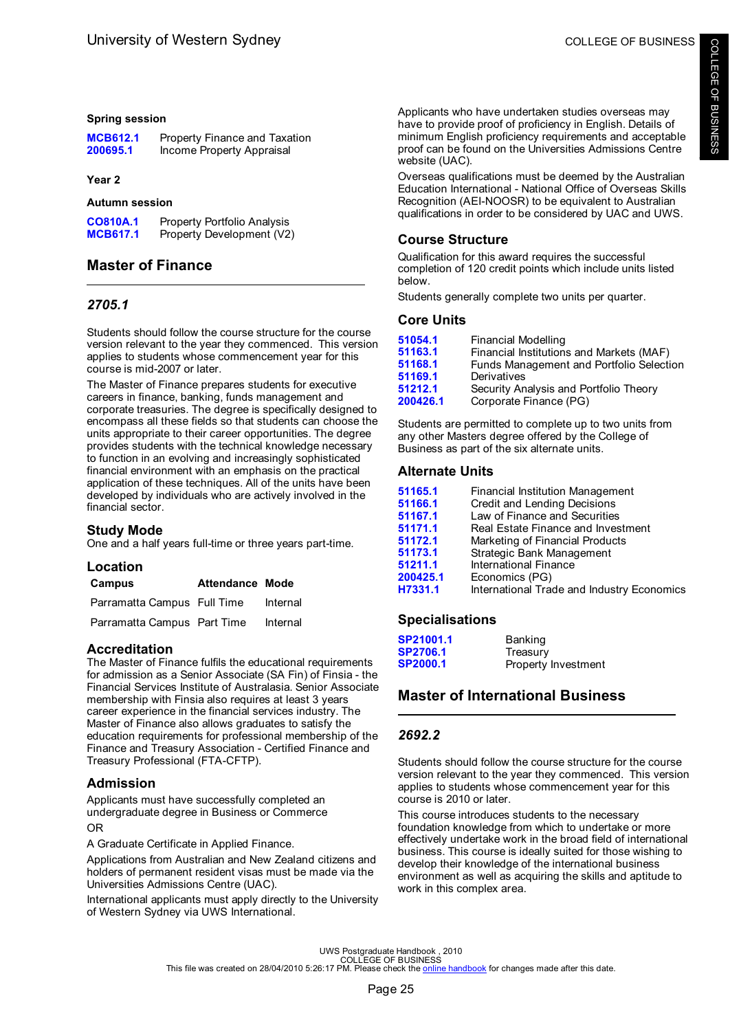## <span id="page-28-0"></span>**Spring session**

| <b>MCB612.1</b> | Property Finance and Taxation |
|-----------------|-------------------------------|
| 200695.1        | Income Property Appraisal     |

#### **Year 2**

### **Autumn session**

**[CO810A.1](#page-57-0)** Property Portfolio Analysis<br>**MCB617.1** Property Development (V2 Property Development (V2)

## **Master of Finance**

## *2705.1*

Students should follow the course structure for the course version relevant to the year they commenced. This version applies to students whose commencement year for this course is mid-2007 or later.

The Master of Finance prepares students for executive careers in finance, banking, funds management and corporate treasuries. The degree is specifically designed to encompass all these fields so that students can choose the units appropriate to their career opportunities. The degree provides students with the technical knowledge necessary to function in an evolving and increasingly sophisticated financial environment with an emphasis on the practical application of these techniques. All of the units have been developed by individuals who are actively involved in the financial sector.

## **Study Mode**

One and a half years full-time or three years part-time.

| Location                    |                        |          |  |
|-----------------------------|------------------------|----------|--|
| Campus                      | <b>Attendance Mode</b> |          |  |
| Parramatta Campus Full Time |                        | Internal |  |
| Parramatta Campus Part Time |                        | Internal |  |

## **Accreditation**

The Master of Finance fulfils the educational requirements for admission as a Senior Associate (SA Fin) of Finsia - the Financial Services Institute of Australasia. Senior Associate membership with Finsia also requires at least 3 years career experience in the financial services industry. The Master of Finance also allows graduates to satisfy the education requirements for professional membership of the Finance and Treasury Association - Certified Finance and Treasury Professional (FTA-CFTP).

## **Admission**

Applicants must have successfully completed an undergraduate degree in Business or Commerce

#### OR

A Graduate Certificate in Applied Finance.

Applications from Australian and New Zealand citizens and holders of permanent resident visas must be made via the Universities Admissions Centre (UAC).

International applicants must apply directly to the University of Western Sydney via UWS International.

Applicants who have undertaken studies overseas may have to provide proof of proficiency in English. Details of minimum English proficiency requirements and acceptable proof can be found on the Universities Admissions Centre website (UAC).

Overseas qualifications must be deemed by the Australian Education International - National Office of Overseas Skills Recognition (AEI-NOOSR) to be equivalent to Australian qualifications in order to be considered by UAC and UWS.

## **Course Structure**

Qualification for this award requires the successful completion of 120 credit points which include units listed below.

Students generally complete two units per quarter.

## **Core Units**

| 51054.1  | <b>Financial Modelling</b>               |
|----------|------------------------------------------|
| 51163.1  | Financial Institutions and Markets (MAF) |
| 51168.1  | Funds Management and Portfolio Selection |
| 51169.1  | Derivatives                              |
| 51212.1  | Security Analysis and Portfolio Theory   |
| 200426.1 | Corporate Finance (PG)                   |

Students are permitted to complete up to two units from any other Masters degree offered by the College of Business as part of the six alternate units.

### **Alternate Units**

| 51165.1  | Financial Institution Management           |
|----------|--------------------------------------------|
| 51166.1  | Credit and Lending Decisions               |
| 51167.1  | Law of Finance and Securities              |
| 51171.1  | Real Estate Finance and Investment         |
| 51172.1  | Marketing of Financial Products            |
| 51173.1  | Strategic Bank Management                  |
| 51211.1  | International Finance                      |
| 200425.1 | Economics (PG)                             |
| H7331.1  | International Trade and Industry Economics |
|          |                                            |

## **Specialisations**

| SP21001.1 | Banking             |
|-----------|---------------------|
| SP2706.1  | Treasury            |
| SP2000.1  | Property Investment |

## **Master of International Business**

## *2692.2*

Students should follow the course structure for the course version relevant to the year they commenced. This version applies to students whose commencement year for this course is 2010 or later.

This course introduces students to the necessary foundation knowledge from which to undertake or more effectively undertake work in the broad field of international business. This course is ideally suited for those wishing to develop their knowledge of the international business environment as well as acquiring the skills and aptitude to work in this complex area.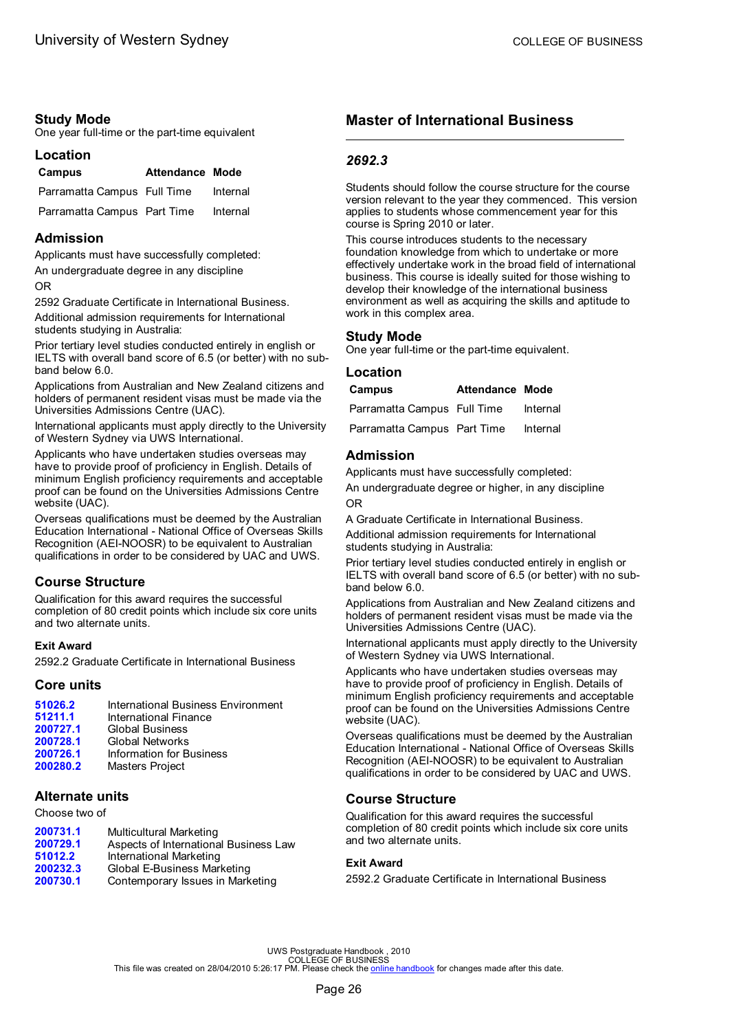## <span id="page-29-0"></span>**Study Mode**

One year full-time or the part-time equivalent

| Location                    |                 |          |  |
|-----------------------------|-----------------|----------|--|
| Campus                      | Attendance Mode |          |  |
| Parramatta Campus Full Time |                 | Internal |  |

Parramatta Campus Part Time Internal

## **Admission**

Applicants must have successfully completed: An undergraduate degree in any discipline

OR

2592 Graduate Certificate in International Business. Additional admission requirements for International students studying in Australia:

Prior tertiary level studies conducted entirely in english or IELTS with overall band score of 6.5 (or better) with no subband below 6.0.

Applications from Australian and New Zealand citizens and holders of permanent resident visas must be made via the Universities Admissions Centre (UAC).

International applicants must apply directly to the University of Western Sydney via UWS International.

Applicants who have undertaken studies overseas may have to provide proof of proficiency in English. Details of minimum English proficiency requirements and acceptable proof can be found on the Universities Admissions Centre website (UAC).

Overseas qualifications must be deemed by the Australian Education International - National Office of Overseas Skills Recognition (AEI-NOOSR) to be equivalent to Australian qualifications in order to be considered by UAC and UWS.

## **Course Structure**

Qualification for this award requires the successful completion of 80 credit points which include six core units and two alternate units.

## **Exit Award**

2592.2 Graduate Certificate in International Business

## **Core units**

| 51026.2  | International Business Environment |
|----------|------------------------------------|
| 51211.1  | International Finance              |
| 200727.1 | <b>Global Business</b>             |
| 200728.1 | <b>Global Networks</b>             |
| 200726.1 | Information for Business           |
| 200280.2 | <b>Masters Project</b>             |
|          |                                    |

## **Alternate units**

Choose two of

| 200731.1 | Multicultural Marketing               |
|----------|---------------------------------------|
| 200729.1 | Aspects of International Business Law |
| 51012.2  | International Marketing               |
| 200232.3 | Global E-Business Marketing           |
| 200730.1 | Contemporary Issues in Marketing      |
|          |                                       |

## **Master of International Business**

## *2692.3*

Students should follow the course structure for the course version relevant to the year they commenced. This version applies to students whose commencement year for this course is Spring 2010 or later.

This course introduces students to the necessary foundation knowledge from which to undertake or more effectively undertake work in the broad field of international business. This course is ideally suited for those wishing to develop their knowledge of the international business environment as well as acquiring the skills and aptitude to work in this complex area.

## **Study Mode**

One year full-time or the part-time equivalent.

## **Location**

| Campus                      | <b>Attendance Mode</b> |          |
|-----------------------------|------------------------|----------|
| Parramatta Campus Full Time |                        | Internal |
| Parramatta Campus Part Time |                        | Internal |

## **Admission**

Applicants must have successfully completed:

An undergraduate degree or higher, in any discipline OR

A Graduate Certificate in International Business.

Additional admission requirements for International students studying in Australia:

Prior tertiary level studies conducted entirely in english or IELTS with overall band score of 6.5 (or better) with no subband below 6.0.

Applications from Australian and New Zealand citizens and holders of permanent resident visas must be made via the Universities Admissions Centre (UAC).

International applicants must apply directly to the University of Western Sydney via UWS International.

Applicants who have undertaken studies overseas may have to provide proof of proficiency in English. Details of minimum English proficiency requirements and acceptable proof can be found on the Universities Admissions Centre website (UAC).

Overseas qualifications must be deemed by the Australian Education International - National Office of Overseas Skills Recognition (AEI-NOOSR) to be equivalent to Australian qualifications in order to be considered by UAC and UWS.

## **Course Structure**

Qualification for this award requires the successful completion of 80 credit points which include six core units and two alternate units.

### **Exit Award**

2592.2 Graduate Certificate in International Business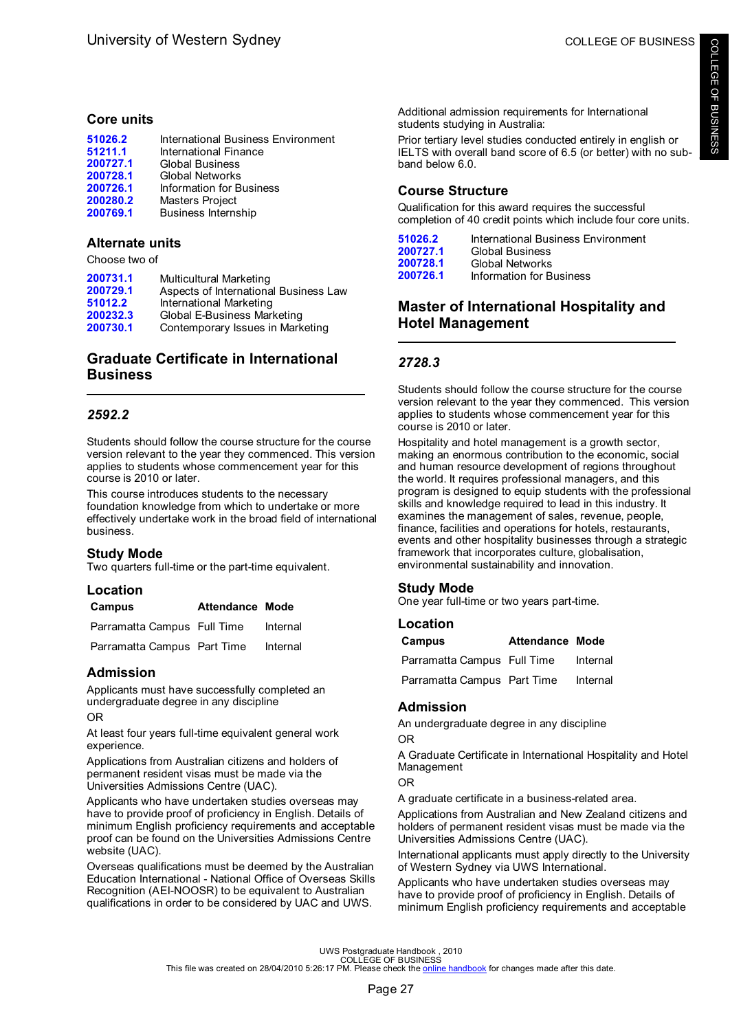## <span id="page-30-0"></span>**Core units**

| 51026.2  | International Business Environment |
|----------|------------------------------------|
| 51211.1  | International Finance              |
| 200727.1 | <b>Global Business</b>             |
| 200728.1 | <b>Global Networks</b>             |
| 200726.1 | Information for Business           |
| 200280.2 | Masters Project                    |
| 200769.1 | <b>Business Internship</b>         |

## **Alternate units**

Choose two of

| 200731.1 | Multicultural Marketing               |
|----------|---------------------------------------|
| 200729.1 | Aspects of International Business Law |
| 51012.2  | International Marketing               |
| 200232.3 | Global E-Business Marketing           |
| 200730.1 | Contemporary Issues in Marketing      |

## **Graduate Certificate in International Business**

## *2592.2*

Students should follow the course structure for the course version relevant to the year they commenced. This version applies to students whose commencement year for this course is 2010 or later.

This course introduces students to the necessary foundation knowledge from which to undertake or more effectively undertake work in the broad field of international business.

## **Study Mode**

Two quarters full-time or the part-time equivalent.

### **Location**

| Campus                      | <b>Attendance Mode</b> |          |
|-----------------------------|------------------------|----------|
| Parramatta Campus Full Time |                        | Internal |
| Parramatta Campus Part Time |                        | Internal |

## **Admission**

Applicants must have successfully completed an undergraduate degree in any discipline OR

At least four years full-time equivalent general work experience.

Applications from Australian citizens and holders of permanent resident visas must be made via the Universities Admissions Centre (UAC).

Applicants who have undertaken studies overseas may have to provide proof of proficiency in English. Details of minimum English proficiency requirements and acceptable proof can be found on the Universities Admissions Centre website (UAC).

Overseas qualifications must be deemed by the Australian Education International - National Office of Overseas Skills Recognition (AEI-NOOSR) to be equivalent to Australian qualifications in order to be considered by UAC and UWS.

Additional admission requirements for International students studying in Australia:

Prior tertiary level studies conducted entirely in english or IELTS with overall band score of 6.5 (or better) with no subband below 6.0.

## **Course Structure**

Qualification for this award requires the successful completion of 40 credit points which include four core units.

| 51026.2  | International Business Environment |
|----------|------------------------------------|
| 200727.1 | <b>Global Business</b>             |
| 200728.1 | <b>Global Networks</b>             |
| 200726.1 | Information for Business           |

## **Master of International Hospitality and Hotel Management**

## *2728.3*

Students should follow the course structure for the course version relevant to the year they commenced. This version applies to students whose commencement year for this course is 2010 or later.

Hospitality and hotel management is a growth sector, making an enormous contribution to the economic, social and human resource development of regions throughout the world. It requires professional managers, and this program is designed to equip students with the professional skills and knowledge required to lead in this industry. It examines the management of sales, revenue, people, finance, facilities and operations for hotels, restaurants, events and other hospitality businesses through a strategic framework that incorporates culture, globalisation, environmental sustainability and innovation.

## **Study Mode**

One year full-time or two years part-time.

## **Location**

| Campus                      | <b>Attendance Mode</b> |          |
|-----------------------------|------------------------|----------|
| Parramatta Campus Full Time |                        | Internal |
| Parramatta Campus Part Time |                        | Internal |

## **Admission**

An undergraduate degree in any discipline OR

A Graduate Certificate in International Hospitality and Hotel Management

OR

A graduate certificate in a business-related area.

Applications from Australian and New Zealand citizens and holders of permanent resident visas must be made via the Universities Admissions Centre (UAC).

International applicants must apply directly to the University of Western Sydney via UWS International.

Applicants who have undertaken studies overseas may have to provide proof of proficiency in English. Details of minimum English proficiency requirements and acceptable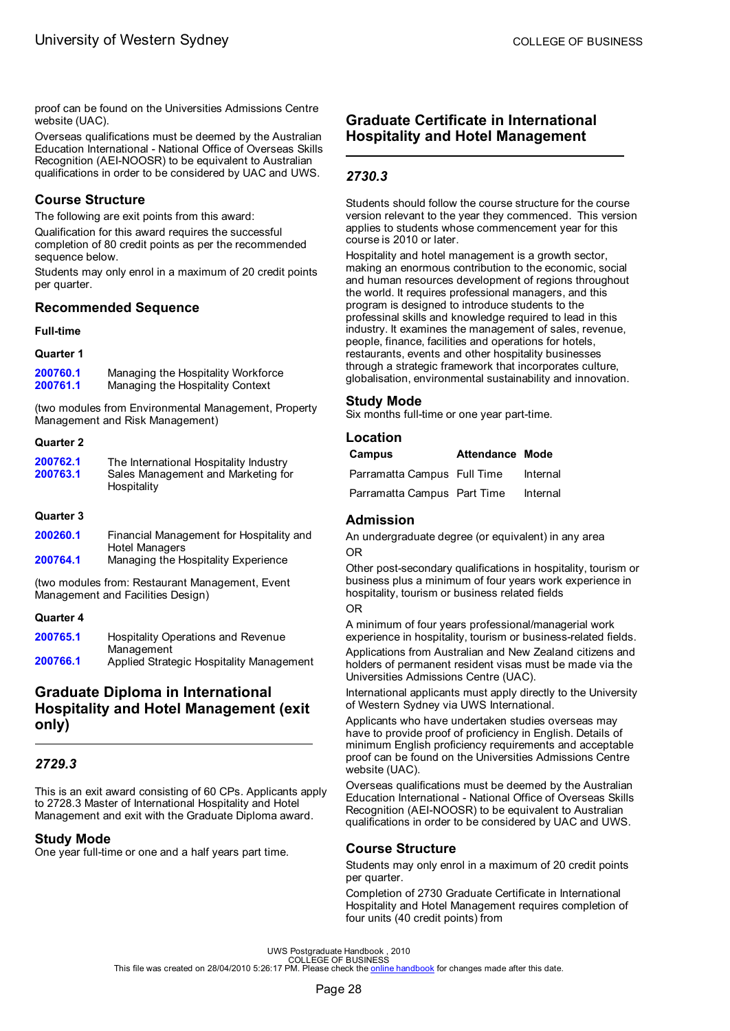<span id="page-31-0"></span>proof can be found on the Universities Admissions Centre website (UAC).

Overseas qualifications must be deemed by the Australian Education International - National Office of Overseas Skills Recognition (AEI-NOOSR) to be equivalent to Australian qualifications in order to be considered by UAC and UWS.

## **Course Structure**

The following are exit points from this award:

Qualification for this award requires the successful completion of 80 credit points as per the recommended sequence below.

Students may only enrol in a maximum of 20 credit points per quarter.

## **Recommended Sequence**

#### **Full-time**

#### **Quarter 1**

| 200760.1 | Managing the Hospitality Workforce |
|----------|------------------------------------|
| 200761.1 | Managing the Hospitality Context   |

(two modules from Environmental Management, Property Management and Risk Management)

#### **Quarter 2**

| 200762.1 | The International Hospitality Industry |
|----------|----------------------------------------|
| 200763.1 | Sales Management and Marketing for     |
|          | Hospitality                            |

#### **Quarter 3**

| 200260.1 | Financial Management for Hospitality and |
|----------|------------------------------------------|
|          | Hotel Managers                           |
| 200764.1 | Managing the Hospitality Experience      |

(two modules from: Restaurant Management, Event Management and Facilities Design)

### **Quarter 4**

| 200765.1 | Hospitality Operations and Revenue       |
|----------|------------------------------------------|
|          | Management                               |
| 200766.1 | Applied Strategic Hospitality Management |

## **Graduate Diploma in International Hospitality and Hotel Management (exit only)**

## *2729.3*

This is an exit award consisting of 60 CPs. Applicants apply to 2728.3 Master of International Hospitality and Hotel Management and exit with the Graduate Diploma award.

### **Study Mode**

One year full-time or one and a half years part time.

## **Graduate Certificate in International Hospitality and Hotel Management**

## *2730.3*

Students should follow the course structure for the course version relevant to the year they commenced. This version applies to students whose commencement year for this course is 2010 or later.

Hospitality and hotel management is a growth sector, making an enormous contribution to the economic, social and human resources development of regions throughout the world. It requires professional managers, and this program is designed to introduce students to the professinal skills and knowledge required to lead in this industry. It examines the management of sales, revenue, people, finance, facilities and operations for hotels, restaurants, events and other hospitality businesses through a strategic framework that incorporates culture, globalisation, environmental sustainability and innovation.

### **Study Mode**

Six months full-time or one year part-time.

### **Location**

| Campus                      | Attendance Mode |          |
|-----------------------------|-----------------|----------|
| Parramatta Campus Full Time |                 | Internal |
| Parramatta Campus Part Time |                 | Internal |

## **Admission**

An undergraduate degree (or equivalent) in any area OR

Other post-secondary qualifications in hospitality, tourism or business plus a minimum of four years work experience in hospitality, tourism or business related fields

#### OR

A minimum of four years professional/managerial work experience in hospitality, tourism or business-related fields. Applications from Australian and New Zealand citizens and holders of permanent resident visas must be made via the Universities Admissions Centre (UAC).

International applicants must apply directly to the University of Western Sydney via UWS International.

Applicants who have undertaken studies overseas may have to provide proof of proficiency in English. Details of minimum English proficiency requirements and acceptable proof can be found on the Universities Admissions Centre website (UAC).

Overseas qualifications must be deemed by the Australian Education International - National Office of Overseas Skills Recognition (AEI-NOOSR) to be equivalent to Australian qualifications in order to be considered by UAC and UWS.

## **Course Structure**

Students may only enrol in a maximum of 20 credit points per quarter.

Completion of 2730 Graduate Certificate in International Hospitality and Hotel Management requires completion of four units (40 credit points) from

UWS Postgraduate Handbook , 2010 COLLEGE OF BUSINESS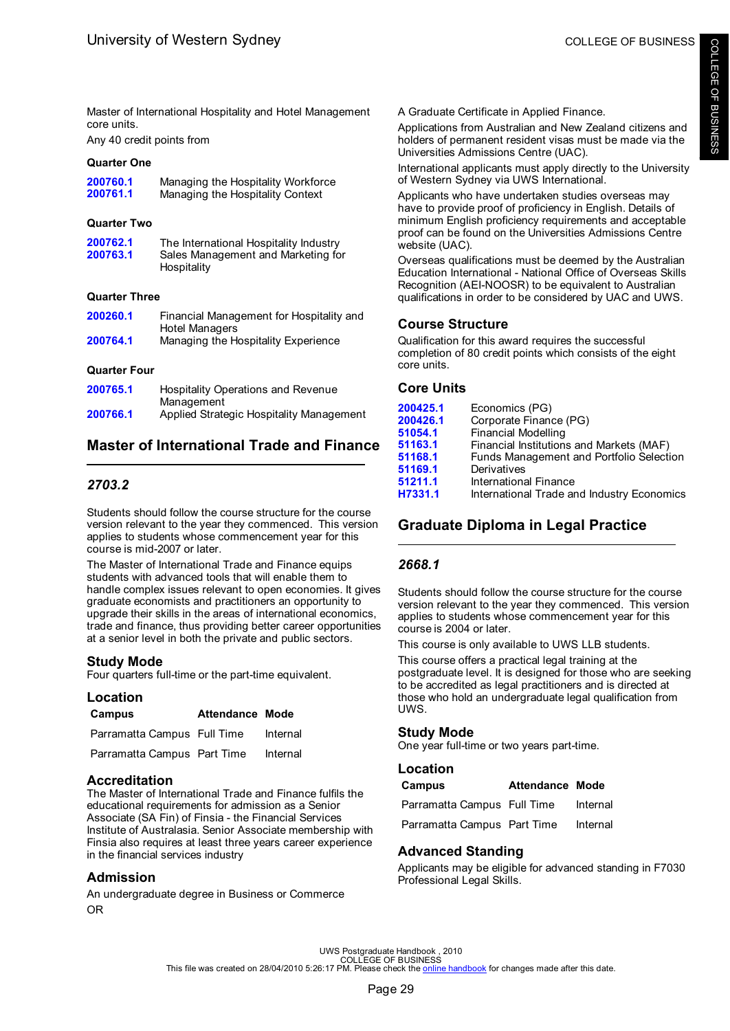<span id="page-32-0"></span>Master of International Hospitality and Hotel Management core units.

Any 40 credit points from

#### **Quarter One**

| 200760.1 | Managing the Hospitality Workforce |
|----------|------------------------------------|
| 200761.1 | Managing the Hospitality Context   |

### **Quarter Two**

| 200762.1 | The International Hospitality Industry |
|----------|----------------------------------------|
| 200763.1 | Sales Management and Marketing for     |
|          | Hospitality                            |

#### **Quarter Three**

| 200260.1 | Financial Management for Hospitality and |
|----------|------------------------------------------|
|          | Hotel Managers                           |
| 200764.1 | Managing the Hospitality Experience      |

#### **Quarter Four**

| 200765.1 | Hospitality Operations and Revenue       |
|----------|------------------------------------------|
|          | Management                               |
| 200766.1 | Applied Strategic Hospitality Management |

## **Master of International Trade and Finance**

## *2703.2*

Students should follow the course structure for the course version relevant to the year they commenced. This version applies to students whose commencement year for this course is mid-2007 or later.

The Master of International Trade and Finance equips students with advanced tools that will enable them to handle complex issues relevant to open economies. It gives graduate economists and practitioners an opportunity to upgrade their skills in the areas of international economics, trade and finance, thus providing better career opportunities at a senior level in both the private and public sectors.

## **Study Mode**

Four quarters full-time or the part-time equivalent.

### **Location**

| Campus                      | Attendance Mode |          |
|-----------------------------|-----------------|----------|
| Parramatta Campus Full Time |                 | Internal |
| Parramatta Campus Part Time |                 | Internal |

### **Accreditation**

The Master of International Trade and Finance fulfils the educational requirements for admission as a Senior Associate (SA Fin) of Finsia - the Financial Services Institute of Australasia. Senior Associate membership with Finsia also requires at least three years career experience in the financial services industry

## **Admission**

An undergraduate degree in Business or Commerce OR

A Graduate Certificate in Applied Finance.

Applications from Australian and New Zealand citizens and holders of permanent resident visas must be made via the Universities Admissions Centre (UAC).

International applicants must apply directly to the University of Western Sydney via UWS International.

Applicants who have undertaken studies overseas may have to provide proof of proficiency in English. Details of minimum English proficiency requirements and acceptable proof can be found on the Universities Admissions Centre website (UAC).

Overseas qualifications must be deemed by the Australian Education International - National Office of Overseas Skills Recognition (AEI-NOOSR) to be equivalent to Australian qualifications in order to be considered by UAC and UWS.

## **Course Structure**

Qualification for this award requires the successful completion of 80 credit points which consists of the eight core units.

### **Core Units**

| 200425.1 | Economics (PG)                             |
|----------|--------------------------------------------|
| 200426.1 | Corporate Finance (PG)                     |
| 51054.1  | <b>Financial Modelling</b>                 |
| 51163.1  | Financial Institutions and Markets (MAF)   |
| 51168.1  | Funds Management and Portfolio Selection   |
| 51169.1  | Derivatives                                |
| 51211.1  | International Finance                      |
| H7331.1  | International Trade and Industry Economics |
|          |                                            |

## **Graduate Diploma in Legal Practice**

## *2668.1*

Students should follow the course structure for the course version relevant to the year they commenced. This version applies to students whose commencement year for this course is 2004 or later.

This course is only available to UWS LLB students.

This course offers a practical legal training at the postgraduate level. It is designed for those who are seeking to be accredited as legal practitioners and is directed at those who hold an undergraduate legal qualification from UWS.

### **Study Mode**

One year full-time or two years part-time.

| Location                    |                        |          |  |
|-----------------------------|------------------------|----------|--|
| Campus                      | <b>Attendance Mode</b> |          |  |
| Parramatta Campus Full Time |                        | Internal |  |
| Parramatta Campus Part Time |                        | Internal |  |

## **Advanced Standing**

Applicants may be eligible for advanced standing in F7030 Professional Legal Skills.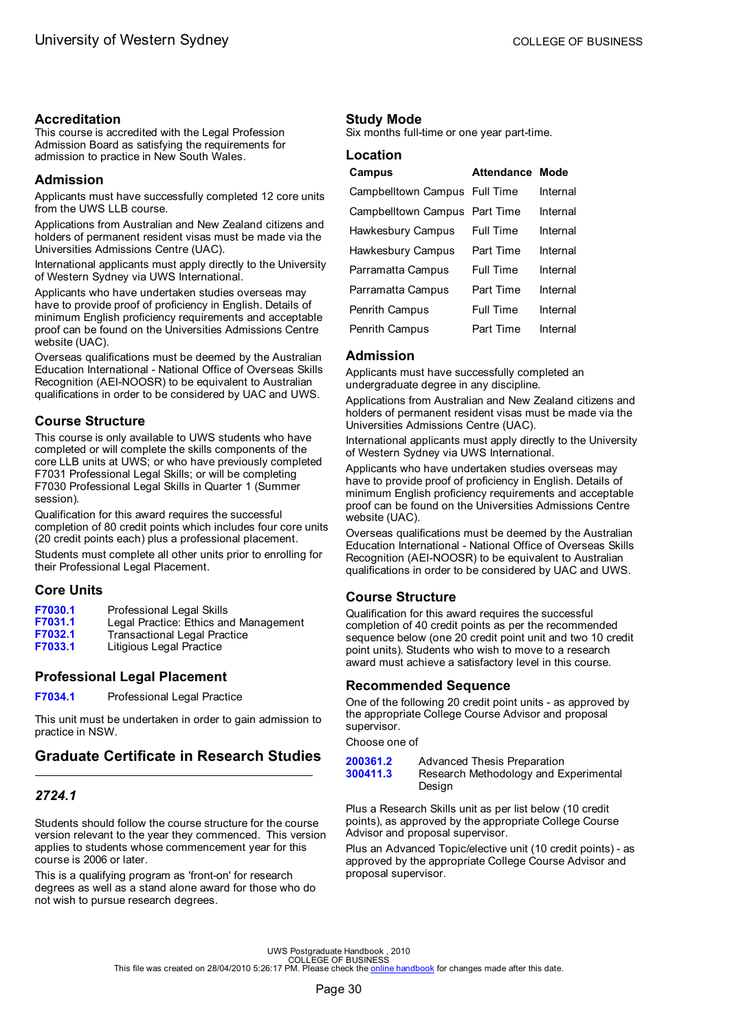## <span id="page-33-0"></span>**Accreditation**

This course is accredited with the Legal Profession Admission Board as satisfying the requirements for admission to practice in New South Wales.

## **Admission**

Applicants must have successfully completed 12 core units from the UWS LLB course.

Applications from Australian and New Zealand citizens and holders of permanent resident visas must be made via the Universities Admissions Centre (UAC).

International applicants must apply directly to the University of Western Sydney via UWS International.

Applicants who have undertaken studies overseas may have to provide proof of proficiency in English. Details of minimum English proficiency requirements and acceptable proof can be found on the Universities Admissions Centre website (UAC).

Overseas qualifications must be deemed by the Australian Education International - National Office of Overseas Skills Recognition (AEI-NOOSR) to be equivalent to Australian qualifications in order to be considered by UAC and UWS.

## **Course Structure**

This course is only available to UWS students who have completed or will complete the skills components of the core LLB units at UWS; or who have previously completed F7031 Professional Legal Skills; or will be completing F7030 Professional Legal Skills in Quarter 1 (Summer session).

Qualification for this award requires the successful completion of 80 credit points which includes four core units (20 credit points each) plus a professional placement.

Students must complete all other units prior to enrolling for their Professional Legal Placement.

## **Core Units**

| F7030.1 | Professional Legal Skills             |
|---------|---------------------------------------|
| F7031.1 | Legal Practice: Ethics and Management |
| F7032.1 | <b>Transactional Legal Practice</b>   |
| F7033.1 | Litigious Legal Practice              |

## **Professional Legal Placement**

**[F7034.1](#page-55-0)** Professional Legal Practice

This unit must be undertaken in order to gain admission to practice in NSW.

## **Graduate Certificate in Research Studies**

## *2724.1*

Students should follow the course structure for the course version relevant to the year they commenced. This version applies to students whose commencement year for this course is 2006 or later.

This is a qualifying program as 'front-on' for research degrees as well as a stand alone award for those who do not wish to pursue research degrees.

## **Study Mode**

Six months full-time or one year part-time.

## **Location**

| Campus                        | <b>Attendance Mode</b> |          |
|-------------------------------|------------------------|----------|
| Campbelltown Campus Full Time |                        | Internal |
| Campbelltown Campus Part Time |                        | Internal |
| Hawkesbury Campus             | <b>Full Time</b>       | Internal |
| Hawkesbury Campus             | Part Time              | Internal |
| Parramatta Campus             | <b>Full Time</b>       | Internal |
| Parramatta Campus             | Part Time              | Internal |
| <b>Penrith Campus</b>         | <b>Full Time</b>       | Internal |
| <b>Penrith Campus</b>         | Part Time              | Internal |

## **Admission**

Applicants must have successfully completed an undergraduate degree in any discipline.

Applications from Australian and New Zealand citizens and holders of permanent resident visas must be made via the Universities Admissions Centre (UAC).

International applicants must apply directly to the University of Western Sydney via UWS International.

Applicants who have undertaken studies overseas may have to provide proof of proficiency in English. Details of minimum English proficiency requirements and acceptable proof can be found on the Universities Admissions Centre website (UAC).

Overseas qualifications must be deemed by the Australian Education International - National Office of Overseas Skills Recognition (AEI-NOOSR) to be equivalent to Australian qualifications in order to be considered by UAC and UWS.

## **Course Structure**

Qualification for this award requires the successful completion of 40 credit points as per the recommended sequence below (one 20 credit point unit and two 10 credit point units). Students who wish to move to a research award must achieve a satisfactory level in this course.

## **Recommended Sequence**

One of the following 20 credit point units - as approved by the appropriate College Course Advisor and proposal supervisor.

Choose one of

**[200361.2](#page-38-0)** Advanced Thesis Preparation<br>**300411.3** Research Methodology and Example **[300411.3](#page-58-0)** Research Methodology and Experimental Design

Plus a Research Skills unit as per list below (10 credit points), as approved by the appropriate College Course Advisor and proposal supervisor.

Plus an Advanced Topic/elective unit (10 credit points) - as approved by the appropriate College Course Advisor and proposal supervisor.

UWS Postgraduate Handbook , 2010 COLLEGE OF BUSINESS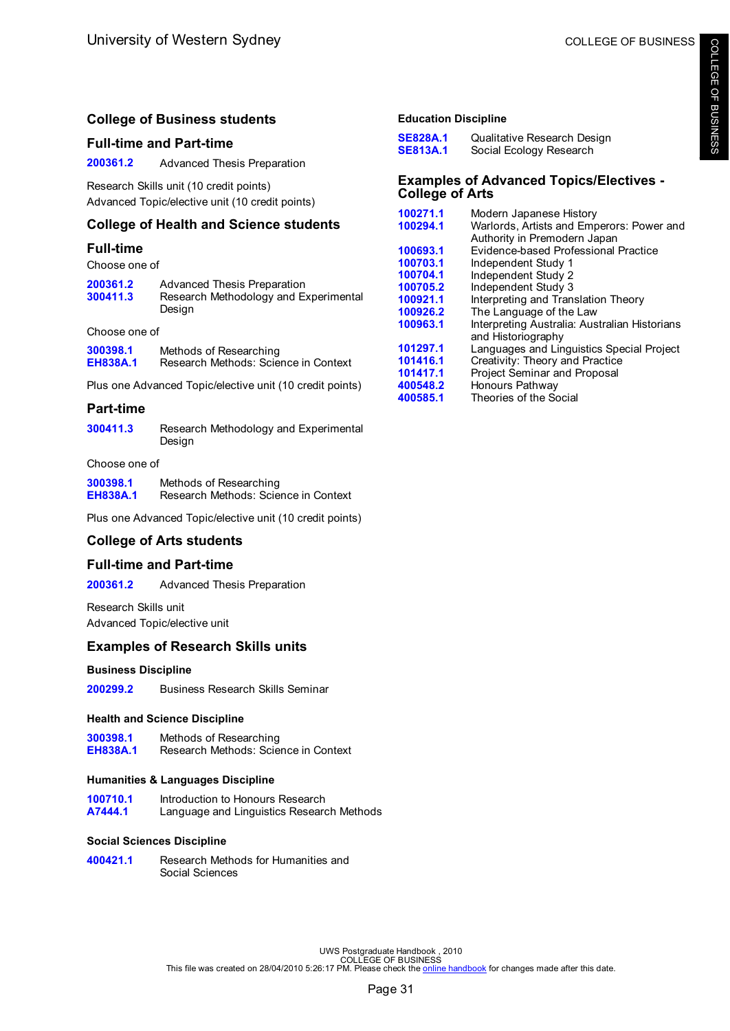## **College of Business students**

## **Full-time and Part-time**

**[200361.2](#page-38-0)** Advanced Thesis Preparation

Research Skills unit (10 credit points) Advanced Topic/elective unit (10 credit points)

## **College of Health and Science students**

## **Full-time**

Choose one of

| 200361.2 | Advanced Thesis Preparation           |
|----------|---------------------------------------|
| 300411.3 | Research Methodology and Experimental |
|          | Design                                |

## Choose one of

| 300398.1        | Methods of Researching               |
|-----------------|--------------------------------------|
| <b>EH838A.1</b> | Research Methods: Science in Context |

Plus one Advanced Topic/elective unit (10 credit points)

## **Part-time**

**[300411.3](#page-58-0)** Research Methodology and Experimental Design

#### Choose one of

| 300398.1        | Methods of Researching               |
|-----------------|--------------------------------------|
| <b>EH838A.1</b> | Research Methods: Science in Context |

Plus one Advanced Topic/elective unit (10 credit points)

## **College of Arts students**

## **Full-time and Part-time**

**[200361.2](#page-38-0)** Advanced Thesis Preparation

Research Skills unit Advanced Topic/elective unit

## **Examples of Research Skills units**

### **Business Discipline**

**[200299.2](#page-40-0)** Business Research Skills Seminar

### **Health and Science Discipline**

**[300398.1](#page-54-0)** Methods of Researching<br>**EH838A.1** Research Methods: Scie Research Methods: Science in Context

### **Humanities & Languages Discipline**

| 100710.1 | Introduction to Honours Research          |
|----------|-------------------------------------------|
| A7444.1  | Language and Linguistics Research Methods |

### **Social Sciences Discipline**

**[400421.1](#page-58-0)** Research Methods for Humanities and Social Sciences

### **Education Discipline**

| SE828A.1 | Qualitative Research Design |
|----------|-----------------------------|
| SE813A.1 | Social Ecology Research     |

## **Examples of Advanced Topics/Electives - College of Arts**

| 100271.1 | Modern Japanese History                       |
|----------|-----------------------------------------------|
|          |                                               |
| 100294.1 | Warlords, Artists and Emperors: Power and     |
|          | Authority in Premodern Japan                  |
| 100693.1 | Evidence-based Professional Practice          |
| 100703.1 | Independent Study 1                           |
| 100704.1 | Independent Study 2                           |
| 100705.2 | Independent Study 3                           |
| 100921.1 | Interpreting and Translation Theory           |
| 100926.2 | The Language of the Law                       |
| 100963.1 | Interpreting Australia: Australian Historians |
|          | and Historiography                            |
| 101297.1 | Languages and Linguistics Special Project     |
| 101416.1 | Creativity: Theory and Practice               |
| 101417.1 | Project Seminar and Proposal                  |
| 400548.2 | Honours Pathway                               |
|          |                                               |

**[400585.1](#page-63-0)** Theories of the Social

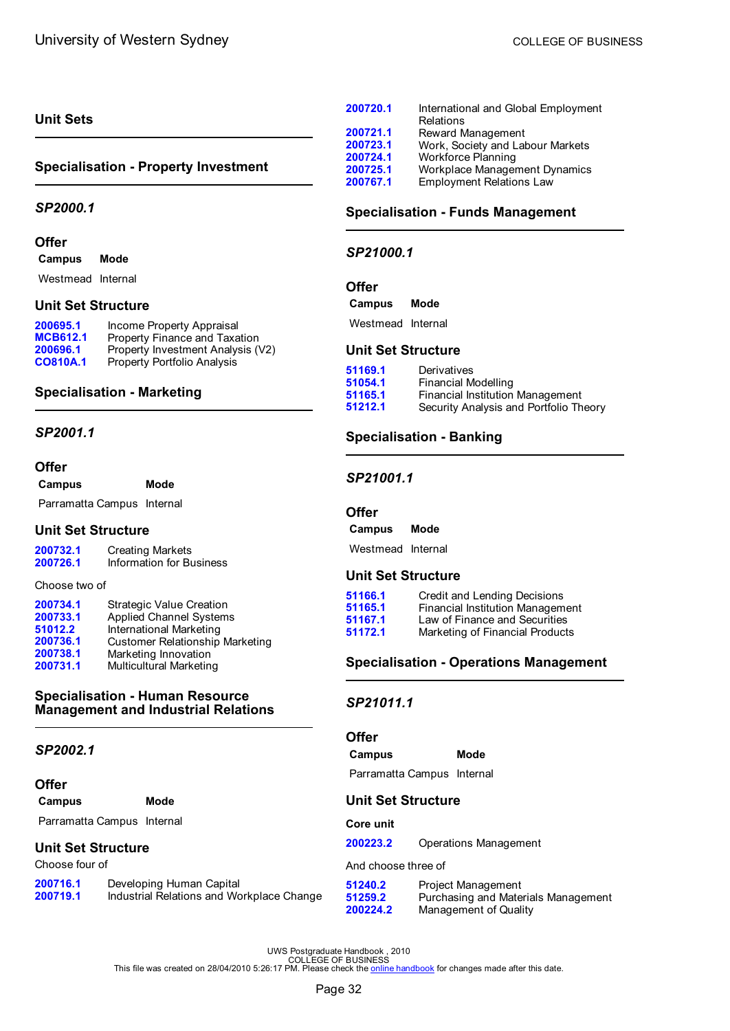## <span id="page-35-0"></span>**Unit Sets**

## **Specialisation - Property Investment**

### *SP2000.1*

## **Offer**

## **Campus Mode**

Westmead Internal

## **Unit Set Structure**

| 200695.1        | Income Property Appraisal         |
|-----------------|-----------------------------------|
| <b>MCB612.1</b> | Property Finance and Taxation     |
| 200696.1        | Property Investment Analysis (V2) |
| <b>CO810A.1</b> | Property Portfolio Analysis       |

## **Specialisation - Marketing**

## *SP2001.1*

### **Offer**

| Campus | Mode |
|--------|------|
|        |      |

Parramatta Campus Internal

### **Unit Set Structure**

| 200732.1 | <b>Creating Markets</b>  |
|----------|--------------------------|
| 200726.1 | Information for Business |

### Choose two of

| 200734.1 | Strategic Value Creation               |
|----------|----------------------------------------|
| 200733.1 | <b>Applied Channel Systems</b>         |
| 51012.2  | International Marketing                |
| 200736.1 | <b>Customer Relationship Marketing</b> |
| 200738.1 | Marketing Innovation                   |
| 200731.1 | Multicultural Marketing                |

### **Specialisation - Human Resource Management and Industrial Relations**

### *SP2002.1*

| Offer  |      |
|--------|------|
| Campus | Mode |

Parramatta Campus Internal

## **Unit Set Structure**

Choose four of

| 200716.1 | Developing Human Capital                  |
|----------|-------------------------------------------|
| 200719.1 | Industrial Relations and Workplace Change |
|          |                                           |

| 200720.1 | International and Global Employment |
|----------|-------------------------------------|
|          | Relations                           |
| 200721.1 | Reward Management                   |
| 200723.1 | Work, Society and Labour Markets    |
| 200724.1 | <b>Workforce Planning</b>           |
| 200725.1 | Workplace Management Dynamics       |
| 200767.1 | <b>Employment Relations Law</b>     |

## **Specialisation - Funds Management**

### *SP21000.1*

| Offer  |      |
|--------|------|
| Campus | Mode |

Westmead Internal

### **Unit Set Structure**

| 51169.1 | Derivatives                            |
|---------|----------------------------------------|
| 51054.1 | Financial Modelling                    |
| 51165.1 | Financial Institution Management       |
| 51212.1 | Security Analysis and Portfolio Theory |
|         |                                        |

## **Specialisation - Banking**

### *SP21001.1*

## **Offer**

**Campus Mode**

Westmead Internal

## **Unit Set Structure**

| 51166.1 | Credit and Lending Decisions     |
|---------|----------------------------------|
| 51165.1 | Financial Institution Management |
| 51167.1 | Law of Finance and Securities    |
| 51172.1 | Marketing of Financial Products  |

## **Specialisation - Operations Management**

## *SP21011.1*

|          | <b>Offer</b>                   |                                                                                    |
|----------|--------------------------------|------------------------------------------------------------------------------------|
|          | Campus                         | <b>Mode</b>                                                                        |
|          |                                | Parramatta Campus Internal                                                         |
|          | <b>Unit Set Structure</b>      |                                                                                    |
|          | Core unit                      |                                                                                    |
|          | 200223.2                       | Operations Management                                                              |
|          | And choose three of            |                                                                                    |
| : Change | 51240.2<br>51259.2<br>200224.2 | Project Management<br>Purchasing and Materials Management<br>Management of Quality |

UWS Postgraduate Handbook , 2010 COLLEGE OF BUSINESS

This file was created on 28/04/2010 5:26:17 PM. Please check the online [handbook](http://handbook.uws.edu.au/hbook/) for changes made after this date.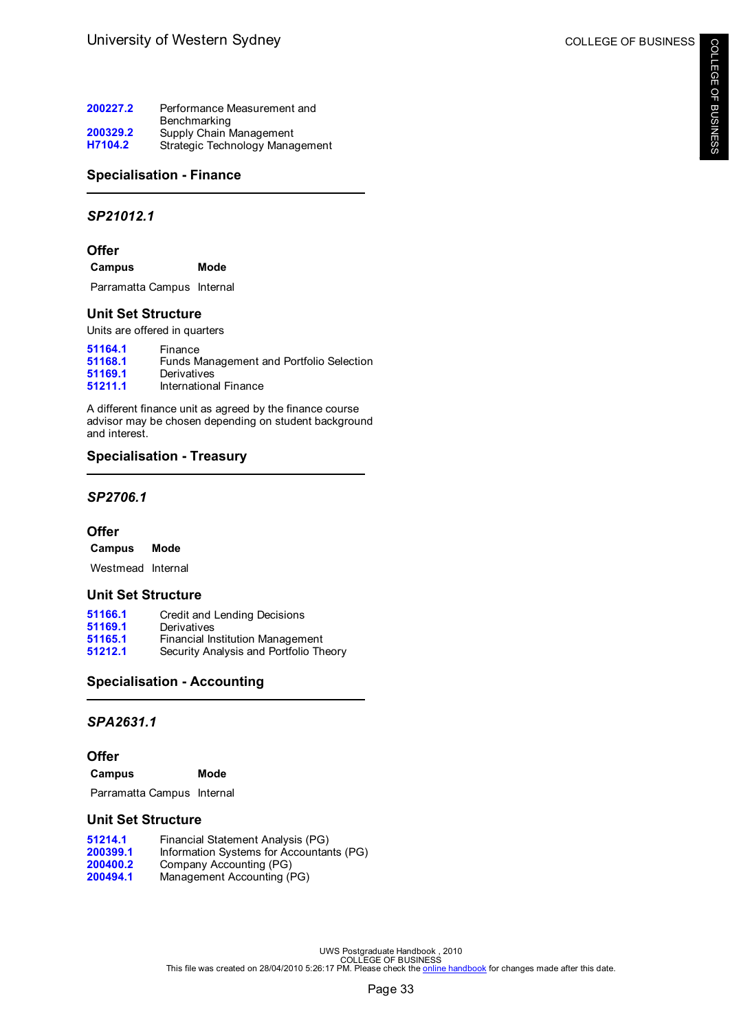| Š<br>)          |  |
|-----------------|--|
|                 |  |
| Ń               |  |
|                 |  |
| $\frac{1}{1}$   |  |
|                 |  |
| ì               |  |
|                 |  |
|                 |  |
|                 |  |
| ī               |  |
|                 |  |
|                 |  |
| $\frac{1}{2}$   |  |
| <b>Thursday</b> |  |
|                 |  |
| ļ               |  |

<span id="page-36-0"></span>

| 200227.2 | Performance Measurement and     |
|----------|---------------------------------|
|          | Benchmarking                    |
| 200329.2 | Supply Chain Management         |
| H7104.2  | Strategic Technology Management |

## **Specialisation - Finance**

## *SP21012.1*

### **Offer**

**Campus Mode**

Parramatta Campus Internal

### **Unit Set Structure**

Units are offered in quarters

| 51164.1 | Finance                                  |
|---------|------------------------------------------|
| 51168.1 | Funds Management and Portfolio Selection |
| 51169.1 | Derivatives                              |
| 51211.1 | International Finance                    |

A different finance unit as agreed by the finance course advisor may be chosen depending on student background and interest.

## **Specialisation - Treasury**

## *SP2706.1*

### **Offer**

**Campus Mode**

Westmead Internal

### **Unit Set Structure**

| 51166.1 | Credit and Lending Decisions           |
|---------|----------------------------------------|
| 51169.1 | Derivatives                            |
| 51165.1 | Financial Institution Management       |
| 51212.1 | Security Analysis and Portfolio Theory |

## **Specialisation - Accounting**

## *SPA2631.1*

### **Offer**

**Campus Mode**

Parramatta Campus Internal

## **Unit Set Structure**

| 51214.1  | Financial Statement Analysis (PG)        |
|----------|------------------------------------------|
| 200399.1 | Information Systems for Accountants (PG) |
| 200400.2 | Company Accounting (PG)                  |
| 200494.1 | Management Accounting (PG)               |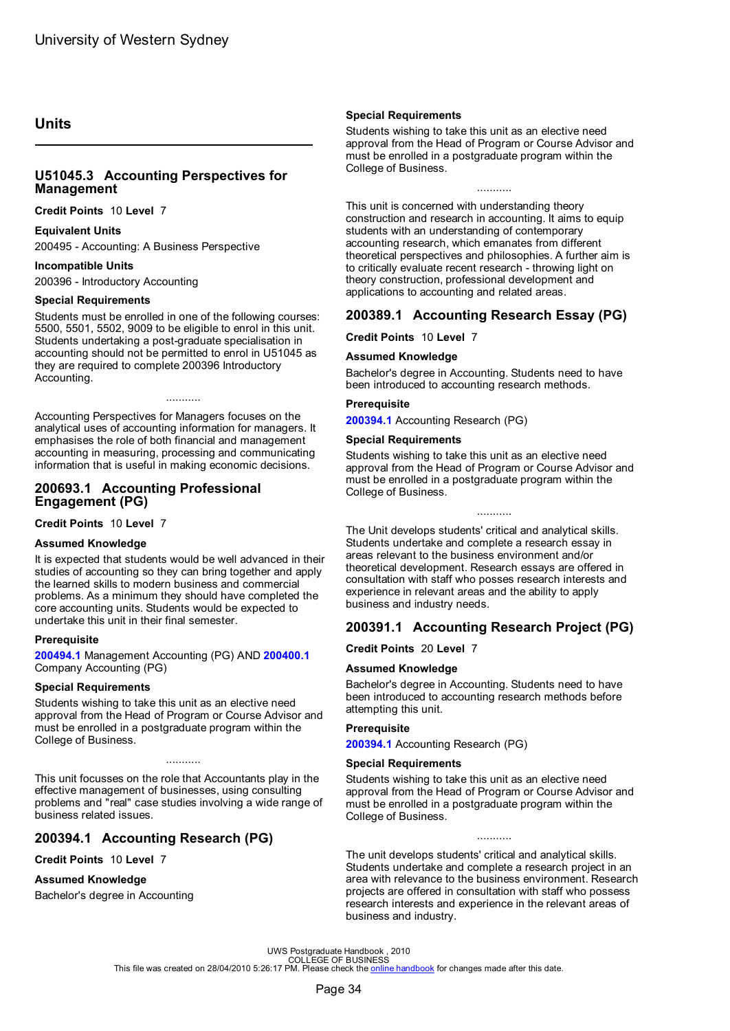## <span id="page-37-0"></span>**Units**

## **U51045.3 Accounting Perspectives for Management**

**Credit Points** 10 **Level** 7

### **Equivalent Units**

200495 - Accounting: A Business Perspective

### **Incompatible Units**

200396 - Introductory Accounting

### **Special Requirements**

Students must be enrolled in one of the following courses: 5500, 5501, 5502, 9009 to be eligible to enrol in this unit. Students undertaking a post-graduate specialisation in accounting should not be permitted to enrol in U51045 as they are required to complete 200396 Introductory Accounting.

...........

Accounting Perspectives for Managers focuses on the analytical uses of accounting information for managers. It emphasises the role of both financial and management accounting in measuring, processing and communicating information that is useful in making economic decisions.

## **200693.1 Accounting Professional Engagement (PG)**

**Credit Points** 10 **Level** 7

### **Assumed Knowledge**

It is expected that students would be well advanced in their studies of accounting so they can bring together and apply the learned skills to modern business and commercial problems. As a minimum they should have completed the core accounting units. Students would be expected to undertake this unit in their final semester.

### **Prerequisite**

**[200494.1](#page-51-0)** Management Accounting (PG) AND **200400.1** Company Accounting (PG)

## **Special Requirements**

Students wishing to take this unit as an elective need approval from the Head of Program or Course Advisor and must be enrolled in a postgraduate program within the College of Business.

This unit focusses on the role that Accountants play in the effective management of businesses, using consulting problems and "real" case studies involving a wide range of business related issues.

...........

## **200394.1 Accounting Research (PG)**

**Credit Points** 10 **Level** 7

### **Assumed Knowledge**

Bachelor's degree in Accounting

### **Special Requirements**

Students wishing to take this unit as an elective need approval from the Head of Program or Course Advisor and must be enrolled in a postgraduate program within the College of Business.

...........

This unit is concerned with understanding theory construction and research in accounting. It aims to equip students with an understanding of contemporary accounting research, which emanates from different theoretical perspectives and philosophies. A further aim is to critically evaluate recent research - throwing light on theory construction, professional development and applications to accounting and related areas.

## **200389.1 Accounting Research Essay (PG)**

**Credit Points** 10 **Level** 7

### **Assumed Knowledge**

Bachelor's degree in Accounting. Students need to have been introduced to accounting research methods.

### **Prerequisite**

**200394.1** Accounting Research (PG)

### **Special Requirements**

Students wishing to take this unit as an elective need approval from the Head of Program or Course Advisor and must be enrolled in a postgraduate program within the College of Business.

...........

The Unit develops students' critical and analytical skills. Students undertake and complete a research essay in areas relevant to the business environment and/or theoretical development. Research essays are offered in consultation with staff who posses research interests and experience in relevant areas and the ability to apply business and industry needs.

## **200391.1 Accounting Research Project (PG)**

**Credit Points** 20 **Level** 7

### **Assumed Knowledge**

Bachelor's degree in Accounting. Students need to have been introduced to accounting research methods before attempting this unit.

### **Prerequisite**

**200394.1** Accounting Research (PG)

### **Special Requirements**

Students wishing to take this unit as an elective need approval from the Head of Program or Course Advisor and must be enrolled in a postgraduate program within the College of Business.

...........

The unit develops students' critical and analytical skills. Students undertake and complete a research project in an area with relevance to the business environment. Research projects are offered in consultation with staff who possess research interests and experience in the relevant areas of business and industry.

UWS Postgraduate Handbook , 2010 COLLEGE OF BUSINESS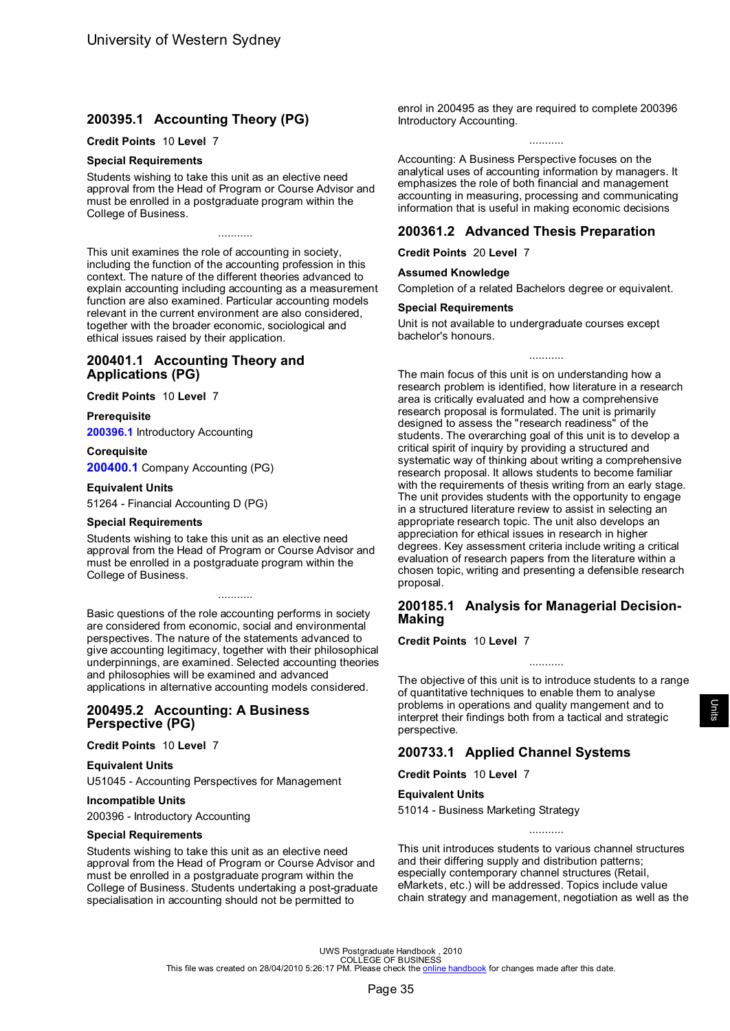## <span id="page-38-0"></span>**200395.1 Accounting Theory (PG)**

### **Credit Points** 10 **Level** 7

#### **Special Requirements**

Students wishing to take this unit as an elective need approval from the Head of Program or Course Advisor and must be enrolled in a postgraduate program within the College of Business.

...........

This unit examines the role of accounting in society, including the function of the accounting profession in this context. The nature of the different theories advanced to explain accounting including accounting as a measurement function are also examined. Particular accounting models relevant in the current environment are also considered, together with the broader economic, sociological and ethical issues raised by their application.

## **200401.1 Accounting Theory and Applications (PG)**

**Credit Points** 10 **Level** 7

#### **Prerequisite**

**200396.1** Introductory Accounting

### **Corequisite**

**200400.1** Company Accounting (PG)

#### **Equivalent Units**

51264 - Financial Accounting D (PG)

#### **Special Requirements**

Students wishing to take this unit as an elective need approval from the Head of Program or Course Advisor and must be enrolled in a postgraduate program within the College of Business.

...........

Basic questions of the role accounting performs in society are considered from economic, social and environmental perspectives. The nature of the statements advanced to give accounting legitimacy, together with their philosophical underpinnings, are examined. Selected accounting theories and philosophies will be examined and advanced applications in alternative accounting models considered.

### **200495.2 Accounting: A Business Perspective (PG)**

**Credit Points** 10 **Level** 7

### **Equivalent Units**

U51045 - Accounting Perspectives for Management

#### **Incompatible Units**

200396 - Introductory Accounting

#### **Special Requirements**

Students wishing to take this unit as an elective need approval from the Head of Program or Course Advisor and must be enrolled in a postgraduate program within the College of Business. Students undertaking a post-graduate specialisation in accounting should not be permitted to

enrol in 200495 as they are required to complete 200396 Introductory Accounting.

...........

Accounting: A Business Perspective focuses on the analytical uses of accounting information by managers. It emphasizes the role of both financial and management accounting in measuring, processing and communicating information that is useful in making economic decisions

## **200361.2 Advanced Thesis Preparation**

**Credit Points** 20 **Level** 7

#### **Assumed Knowledge**

Completion of a related Bachelors degree or equivalent.

#### **Special Requirements**

Unit is not available to undergraduate courses except bachelor's honours.

...........

The main focus of this unit is on understanding how a research problem is identified, how literature in a research area is critically evaluated and how a comprehensive research proposal is formulated. The unit is primarily designed to assess the "research readiness" of the students. The overarching goal of this unit is to develop a critical spirit of inquiry by providing a structured and systematic way of thinking about writing a comprehensive research proposal. It allows students to become familiar with the requirements of thesis writing from an early stage. The unit provides students with the opportunity to engage in a structured literature review to assist in selecting an appropriate research topic. The unit also develops an appreciation for ethical issues in research in higher degrees. Key assessment criteria include writing a critical evaluation of research papers from the literature within a chosen topic, writing and presenting a defensible research proposal.

## **200185.1 Analysis for Managerial Decision-Making**

**Credit Points** 10 **Level** 7

The objective of this unit is to introduce students to a range of quantitative techniques to enable them to analyse problems in operations and quality mangement and to interpret their findings both from a tactical and strategic perspective.

...........

## **200733.1 Applied Channel Systems**

**Credit Points** 10 **Level** 7

### **Equivalent Units**

51014 - Business Marketing Strategy

This unit introduces students to various channel structures and their differing supply and distribution patterns; especially contemporary channel structures (Retail, eMarkets, etc.) will be addressed. Topics include value chain strategy and management, negotiation as well as the

...........

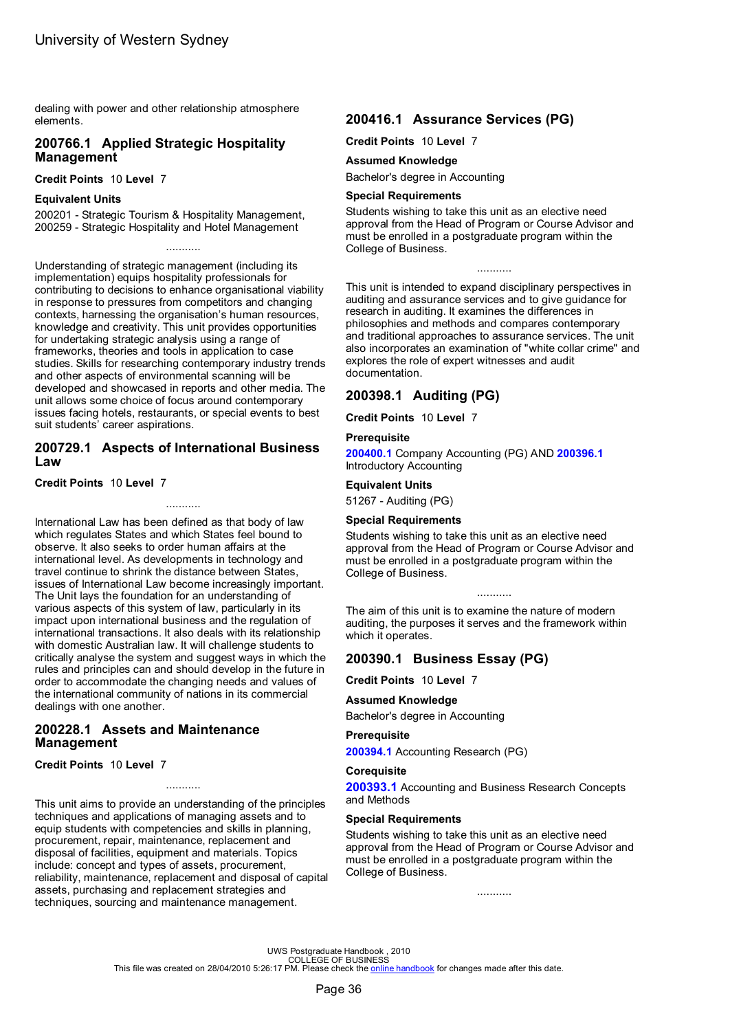<span id="page-39-0"></span>dealing with power and other relationship atmosphere elements.

## **200766.1 Applied Strategic Hospitality Management**

**Credit Points** 10 **Level** 7

### **Equivalent Units**

200201 - Strategic Tourism & Hospitality Management, 200259 - Strategic Hospitality and Hotel Management

...........

Understanding of strategic management (including its implementation) equips hospitality professionals for contributing to decisions to enhance organisational viability in response to pressures from competitors and changing contexts, harnessing the organisation's human resources, knowledge and creativity. This unit provides opportunities for undertaking strategic analysis using a range of frameworks, theories and tools in application to case studies. Skills for researching contemporary industry trends and other aspects of environmental scanning will be developed and showcased in reports and other media. The unit allows some choice of focus around contemporary issues facing hotels, restaurants, or special events to best suit students' career aspirations.

## **200729.1 Aspects of International Business Law**

...........

**Credit Points** 10 **Level** 7

International Law has been defined as that body of law which regulates States and which States feel bound to observe. It also seeks to order human affairs at the international level. As developments in technology and travel continue to shrink the distance between States, issues of International Law become increasingly important. The Unit lays the foundation for an understanding of various aspects of this system of law, particularly in its impact upon international business and the regulation of international transactions. It also deals with its relationship with domestic Australian law. It will challenge students to critically analyse the system and suggest ways in which the rules and principles can and should develop in the future in order to accommodate the changing needs and values of the international community of nations in its commercial dealings with one another.

### **200228.1 Assets and Maintenance Management**

### **Credit Points** 10 **Level** 7

This unit aims to provide an understanding of the principles techniques and applications of managing assets and to equip students with competencies and skills in planning, procurement, repair, maintenance, replacement and disposal of facilities, equipment and materials. Topics include: concept and types of assets, procurement, reliability, maintenance, replacement and disposal of capital assets, purchasing and replacement strategies and techniques, sourcing and maintenance management.

...........

## **200416.1 Assurance Services (PG)**

**Credit Points** 10 **Level** 7

### **Assumed Knowledge**

Bachelor's degree in Accounting

### **Special Requirements**

Students wishing to take this unit as an elective need approval from the Head of Program or Course Advisor and must be enrolled in a postgraduate program within the College of Business.

...........

This unit is intended to expand disciplinary perspectives in auditing and assurance services and to give guidance for research in auditing. It examines the differences in philosophies and methods and compares contemporary and traditional approaches to assurance services. The unit also incorporates an examination of "white collar crime" and explores the role of expert witnesses and audit documentation.

## **200398.1 Auditing (PG)**

**Credit Points** 10 **Level** 7

### **Prerequisite**

**200400.1** Company Accounting (PG) AND **200396.1** Introductory Accounting

### **Equivalent Units**

51267 - Auditing (PG)

### **Special Requirements**

Students wishing to take this unit as an elective need approval from the Head of Program or Course Advisor and must be enrolled in a postgraduate program within the College of Business.

...........

The aim of this unit is to examine the nature of modern auditing, the purposes it serves and the framework within which it operates.

## **200390.1 Business Essay (PG)**

**Credit Points** 10 **Level** 7

### **Assumed Knowledge**

Bachelor's degree in Accounting

### **Prerequisite**

**[200394.1](#page-37-0)** Accounting Research (PG)

### **Corequisite**

**200393.1** Accounting and Business Research Concepts and Methods

### **Special Requirements**

Students wishing to take this unit as an elective need approval from the Head of Program or Course Advisor and must be enrolled in a postgraduate program within the College of Business.

...........

UWS Postgraduate Handbook , 2010 COLLEGE OF BUSINESS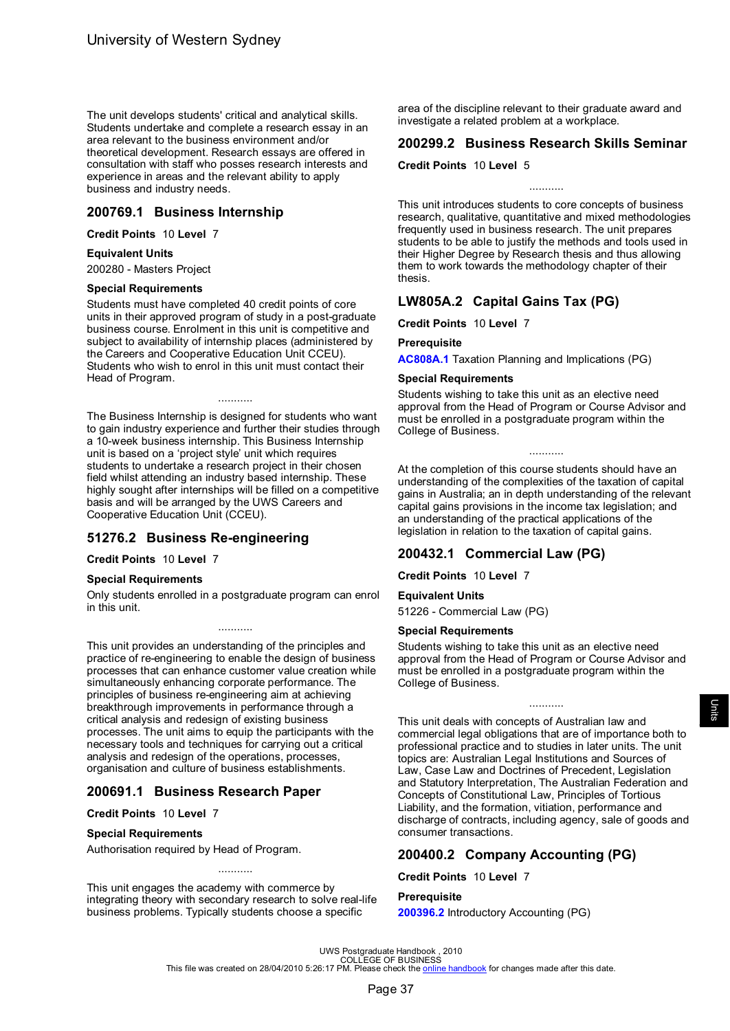<span id="page-40-0"></span>The unit develops students' critical and analytical skills. Students undertake and complete a research essay in an area relevant to the business environment and/or theoretical development. Research essays are offered in consultation with staff who posses research interests and experience in areas and the relevant ability to apply business and industry needs.

## **200769.1 Business Internship**

**Credit Points** 10 **Level** 7

### **Equivalent Units**

200280 - Masters Project

## **Special Requirements**

Students must have completed 40 credit points of core units in their approved program of study in a post-graduate business course. Enrolment in this unit is competitive and subject to availability of internship places (administered by the Careers and Cooperative Education Unit CCEU). Students who wish to enrol in this unit must contact their Head of Program.

The Business Internship is designed for students who want to gain industry experience and further their studies through a 10-week business internship. This Business Internship unit is based on a 'project style' unit which requires students to undertake a research project in their chosen field whilst attending an industry based internship. These highly sought after internships will be filled on a competitive basis and will be arranged by the UWS Careers and Cooperative Education Unit (CCEU).

...........

## **51276.2 Business Re-engineering**

**Credit Points** 10 **Level** 7

### **Special Requirements**

Only students enrolled in a postgraduate program can enrol in this unit.

...........

This unit provides an understanding of the principles and practice of re-engineering to enable the design of business processes that can enhance customer value creation while simultaneously enhancing corporate performance. The principles of business re-engineering aim at achieving breakthrough improvements in performance through a critical analysis and redesign of existing business processes. The unit aims to equip the participants with the necessary tools and techniques for carrying out a critical analysis and redesign of the operations, processes, organisation and culture of business establishments.

### **200691.1 Business Research Paper**

**Credit Points** 10 **Level** 7

### **Special Requirements**

Authorisation required by Head of Program.

This unit engages the academy with commerce by integrating theory with secondary research to solve real-life business problems. Typically students choose a specific

...........

area of the discipline relevant to their graduate award and investigate a related problem at a workplace.

## **200299.2 Business Research Skills Seminar**

...........

**Credit Points** 10 **Level** 5

This unit introduces students to core concepts of business research, qualitative, quantitative and mixed methodologies frequently used in business research. The unit prepares students to be able to justify the methods and tools used in their Higher Degree by Research thesis and thus allowing them to work towards the methodology chapter of their thesis.

## **LW805A.2 Capital Gains Tax (PG)**

**Credit Points** 10 **Level** 7

#### **Prerequisite**

**[AC808A.1](#page-62-0)** Taxation Planning and Implications (PG)

### **Special Requirements**

Students wishing to take this unit as an elective need approval from the Head of Program or Course Advisor and must be enrolled in a postgraduate program within the College of Business.

...........

At the completion of this course students should have an understanding of the complexities of the taxation of capital gains in Australia; an in depth understanding of the relevant capital gains provisions in the income tax legislation; and an understanding of the practical applications of the legislation in relation to the taxation of capital gains.

## **200432.1 Commercial Law (PG)**

**Credit Points** 10 **Level** 7

### **Equivalent Units**

51226 - Commercial Law (PG)

### **Special Requirements**

Students wishing to take this unit as an elective need approval from the Head of Program or Course Advisor and must be enrolled in a postgraduate program within the College of Business.

...........

This unit deals with concepts of Australian law and commercial legal obligations that are of importance both to professional practice and to studies in later units. The unit topics are: Australian Legal Institutions and Sources of Law, Case Law and Doctrines of Precedent, Legislation and Statutory Interpretation, The Australian Federation and Concepts of Constitutional Law, Principles of Tortious Liability, and the formation, vitiation, performance and discharge of contracts, including agency, sale of goods and consumer transactions.

## **200400.2 Company Accounting (PG)**

**Credit Points** 10 **Level** 7

### **Prerequisite**

**[200396.2](#page-50-0)** Introductory Accounting (PG)

Page 37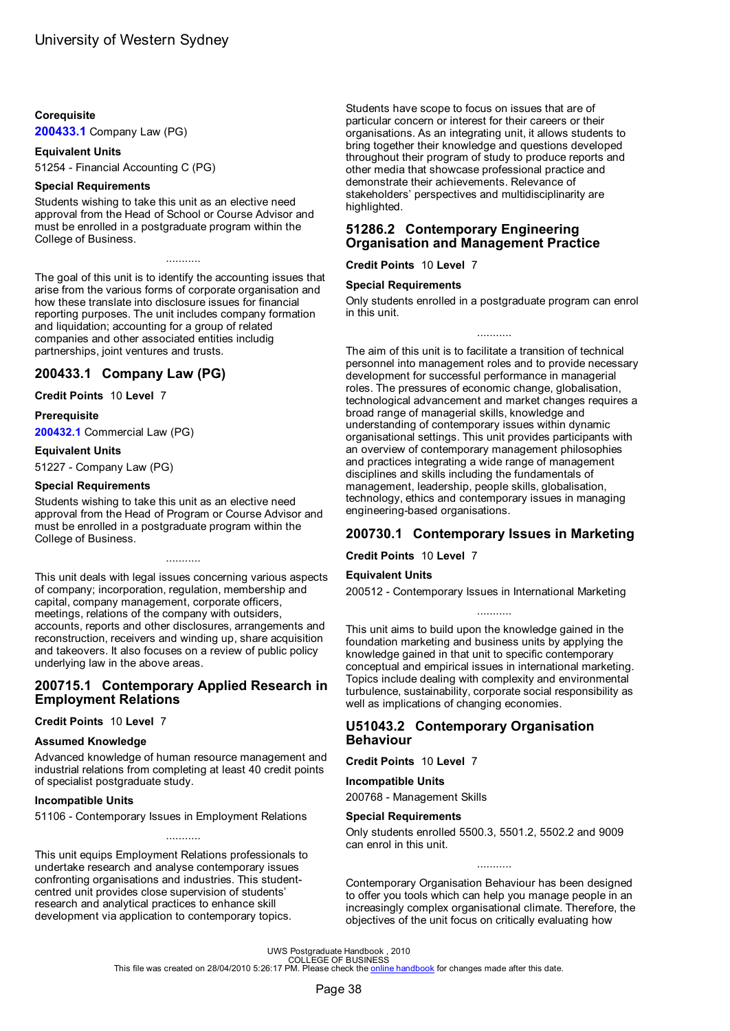### <span id="page-41-0"></span>**Corequisite**

**200433.1** Company Law (PG)

### **Equivalent Units**

51254 - Financial Accounting C (PG)

### **Special Requirements**

Students wishing to take this unit as an elective need approval from the Head of School or Course Advisor and must be enrolled in a postgraduate program within the College of Business.

The goal of this unit is to identify the accounting issues that arise from the various forms of corporate organisation and how these translate into disclosure issues for financial reporting purposes. The unit includes company formation and liquidation; accounting for a group of related companies and other associated entities includig partnerships, joint ventures and trusts.

...........

## **200433.1 Company Law (PG)**

**Credit Points** 10 **Level** 7

### **Prerequisite**

**[200432.1](#page-40-0)** Commercial Law (PG)

#### **Equivalent Units**

51227 - Company Law (PG)

### **Special Requirements**

Students wishing to take this unit as an elective need approval from the Head of Program or Course Advisor and must be enrolled in a postgraduate program within the College of Business.

...........

This unit deals with legal issues concerning various aspects of company; incorporation, regulation, membership and capital, company management, corporate officers, meetings, relations of the company with outsiders, accounts, reports and other disclosures, arrangements and reconstruction, receivers and winding up, share acquisition and takeovers. It also focuses on a review of public policy underlying law in the above areas.

## **200715.1 Contemporary Applied Research in Employment Relations**

### **Credit Points** 10 **Level** 7

#### **Assumed Knowledge**

Advanced knowledge of human resource management and industrial relations from completing at least 40 credit points of specialist postgraduate study.

...........

### **Incompatible Units**

51106 - Contemporary Issues in Employment Relations

This unit equips Employment Relations professionals to undertake research and analyse contemporary issues confronting organisations and industries. This studentcentred unit provides close supervision of students' research and analytical practices to enhance skill development via application to contemporary topics.

Students have scope to focus on issues that are of particular concern or interest for their careers or their organisations. As an integrating unit, it allows students to bring together their knowledge and questions developed throughout their program of study to produce reports and other media that showcase professional practice and demonstrate their achievements. Relevance of stakeholders' perspectives and multidisciplinarity are highlighted.

## **51286.2 Contemporary Engineering Organisation and Management Practice**

**Credit Points** 10 **Level** 7

### **Special Requirements**

Only students enrolled in a postgraduate program can enrol in this unit.

...........

The aim of this unit is to facilitate a transition of technical personnel into management roles and to provide necessary development for successful performance in managerial roles. The pressures of economic change, globalisation, technological advancement and market changes requires a broad range of managerial skills, knowledge and understanding of contemporary issues within dynamic organisational settings. This unit provides participants with an overview of contemporary management philosophies and practices integrating a wide range of management disciplines and skills including the fundamentals of management, leadership, people skills, globalisation, technology, ethics and contemporary issues in managing engineering-based organisations.

## **200730.1 Contemporary Issues in Marketing**

**Credit Points** 10 **Level** 7

### **Equivalent Units**

200512 - Contemporary Issues in International Marketing ...........

This unit aims to build upon the knowledge gained in the foundation marketing and business units by applying the knowledge gained in that unit to specific contemporary conceptual and empirical issues in international marketing. Topics include dealing with complexity and environmental turbulence, sustainability, corporate social responsibility as well as implications of changing economies.

## **U51043.2 Contemporary Organisation Behaviour**

**Credit Points** 10 **Level** 7

### **Incompatible Units**

200768 - Management Skills

### **Special Requirements**

Only students enrolled 5500.3, 5501.2, 5502.2 and 9009 can enrol in this unit.

Contemporary Organisation Behaviour has been designed to offer you tools which can help you manage people in an increasingly complex organisational climate. Therefore, the objectives of the unit focus on critically evaluating how

...........

UWS Postgraduate Handbook , 2010 COLLEGE OF BUSINESS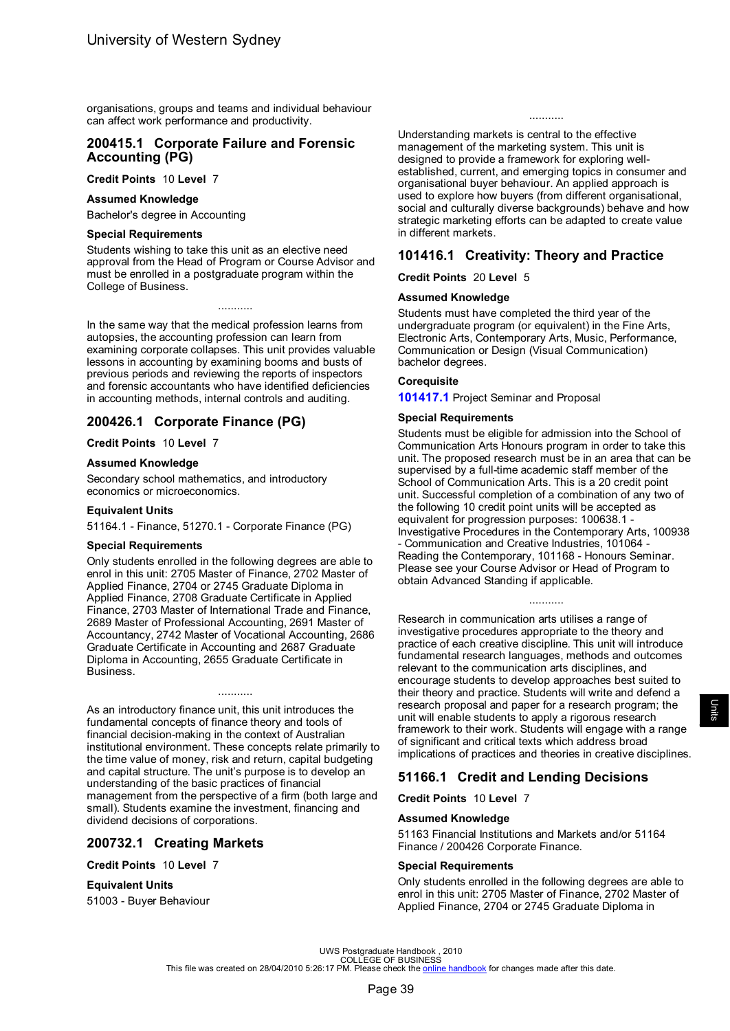<span id="page-42-0"></span>organisations, groups and teams and individual behaviour can affect work performance and productivity.

## **200415.1 Corporate Failure and Forensic Accounting (PG)**

**Credit Points** 10 **Level** 7

#### **Assumed Knowledge**

Bachelor's degree in Accounting

### **Special Requirements**

Students wishing to take this unit as an elective need approval from the Head of Program or Course Advisor and must be enrolled in a postgraduate program within the College of Business.

...........

In the same way that the medical profession learns from autopsies, the accounting profession can learn from examining corporate collapses. This unit provides valuable lessons in accounting by examining booms and busts of previous periods and reviewing the reports of inspectors and forensic accountants who have identified deficiencies in accounting methods, internal controls and auditing.

## **200426.1 Corporate Finance (PG)**

**Credit Points** 10 **Level** 7

### **Assumed Knowledge**

Secondary school mathematics, and introductory economics or microeconomics.

### **Equivalent Units**

51164.1 - Finance, 51270.1 - Corporate Finance (PG)

### **Special Requirements**

Only students enrolled in the following degrees are able to enrol in this unit: 2705 Master of Finance, 2702 Master of Applied Finance, 2704 or 2745 Graduate Diploma in Applied Finance, 2708 Graduate Certificate in Applied Finance, 2703 Master of International Trade and Finance, 2689 Master of Professional Accounting, 2691 Master of Accountancy, 2742 Master of Vocational Accounting, 2686 Graduate Certificate in Accounting and 2687 Graduate Diploma in Accounting, 2655 Graduate Certificate in Business.

As an introductory finance unit, this unit introduces the fundamental concepts of finance theory and tools of financial decision-making in the context of Australian institutional environment. These concepts relate primarily to the time value of money, risk and return, capital budgeting and capital structure. The unit's purpose is to develop an understanding of the basic practices of financial management from the perspective of a firm (both large and small). Students examine the investment, financing and dividend decisions of corporations.

...........

## **200732.1 Creating Markets**

**Credit Points** 10 **Level** 7

**Equivalent Units** 51003 - Buyer Behaviour

Understanding markets is central to the effective management of the marketing system. This unit is designed to provide a framework for exploring wellestablished, current, and emerging topics in consumer and organisational buyer behaviour. An applied approach is used to explore how buyers (from different organisational, social and culturally diverse backgrounds) behave and how strategic marketing efforts can be adapted to create value in different markets.

...........

## **101416.1 Creativity: Theory and Practice**

### **Credit Points** 20 **Level** 5

### **Assumed Knowledge**

Students must have completed the third year of the undergraduate program (or equivalent) in the Fine Arts, Electronic Arts, Contemporary Arts, Music, Performance, Communication or Design (Visual Communication) bachelor degrees.

### **Corequisite**

**[101417.1](#page-56-0)** Project Seminar and Proposal

### **Special Requirements**

Students must be eligible for admission into the School of Communication Arts Honours program in order to take this unit. The proposed research must be in an area that can be supervised by a full-time academic staff member of the School of Communication Arts. This is a 20 credit point unit. Successful completion of a combination of any two of the following 10 credit point units will be accepted as equivalent for progression purposes: 100638.1 - Investigative Procedures in the Contemporary Arts, 100938 - Communication and Creative Industries, 101064 - Reading the Contemporary, 101168 - Honours Seminar. Please see your Course Advisor or Head of Program to obtain Advanced Standing if applicable.

...........

Research in communication arts utilises a range of investigative procedures appropriate to the theory and practice of each creative discipline. This unit will introduce fundamental research languages, methods and outcomes relevant to the communication arts disciplines, and encourage students to develop approaches best suited to their theory and practice. Students will write and defend a research proposal and paper for a research program; the unit will enable students to apply a rigorous research framework to their work. Students will engage with a range of significant and critical texts which address broad implications of practices and theories in creative disciplines.

## **51166.1 Credit and Lending Decisions**

**Credit Points** 10 **Level** 7

### **Assumed Knowledge**

51163 Financial Institutions and Markets and/or 51164 Finance / 200426 Corporate Finance.

### **Special Requirements**

Only students enrolled in the following degrees are able to enrol in this unit: 2705 Master of Finance, 2702 Master of Applied Finance, 2704 or 2745 Graduate Diploma in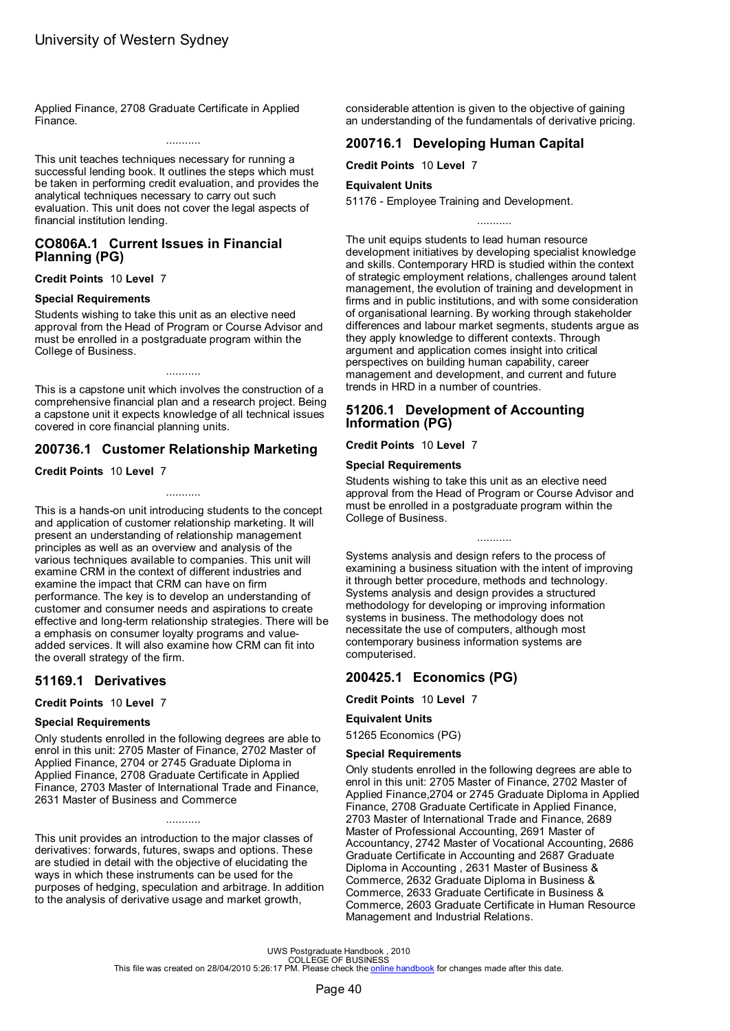<span id="page-43-0"></span>Applied Finance, 2708 Graduate Certificate in Applied Finance.

This unit teaches techniques necessary for running a successful lending book. It outlines the steps which must be taken in performing credit evaluation, and provides the analytical techniques necessary to carry out such evaluation. This unit does not cover the legal aspects of financial institution lending.

...........

## **CO806A.1 Current Issues in Financial Planning (PG)**

**Credit Points** 10 **Level** 7

### **Special Requirements**

Students wishing to take this unit as an elective need approval from the Head of Program or Course Advisor and must be enrolled in a postgraduate program within the College of Business.

This is a capstone unit which involves the construction of a comprehensive financial plan and a research project. Being a capstone unit it expects knowledge of all technical issues covered in core financial planning units.

...........

## **200736.1 Customer Relationship Marketing**

...........

### **Credit Points** 10 **Level** 7

This is a hands-on unit introducing students to the concept and application of customer relationship marketing. It will present an understanding of relationship management principles as well as an overview and analysis of the various techniques available to companies. This unit will examine CRM in the context of different industries and examine the impact that CRM can have on firm performance. The key is to develop an understanding of customer and consumer needs and aspirations to create effective and long-term relationship strategies. There will be a emphasis on consumer loyalty programs and valueadded services. It will also examine how CRM can fit into the overall strategy of the firm.

## **51169.1 Derivatives**

**Credit Points** 10 **Level** 7

### **Special Requirements**

Only students enrolled in the following degrees are able to enrol in this unit: 2705 Master of Finance, 2702 Master of Applied Finance, 2704 or 2745 Graduate Diploma in Applied Finance, 2708 Graduate Certificate in Applied Finance, 2703 Master of International Trade and Finance, 2631 Master of Business and Commerce

This unit provides an introduction to the major classes of derivatives: forwards, futures, swaps and options. These are studied in detail with the objective of elucidating the ways in which these instruments can be used for the purposes of hedging, speculation and arbitrage. In addition to the analysis of derivative usage and market growth,

...........

considerable attention is given to the objective of gaining an understanding of the fundamentals of derivative pricing.

## **200716.1 Developing Human Capital**

**Credit Points** 10 **Level** 7

### **Equivalent Units**

51176 - Employee Training and Development.

The unit equips students to lead human resource development initiatives by developing specialist knowledge and skills. Contemporary HRD is studied within the context of strategic employment relations, challenges around talent management, the evolution of training and development in firms and in public institutions, and with some consideration of organisational learning. By working through stakeholder differences and labour market segments, students argue as they apply knowledge to different contexts. Through argument and application comes insight into critical perspectives on building human capability, career management and development, and current and future trends in HRD in a number of countries.

...........

## **51206.1 Development of Accounting Information (PG)**

**Credit Points** 10 **Level** 7

### **Special Requirements**

Students wishing to take this unit as an elective need approval from the Head of Program or Course Advisor and must be enrolled in a postgraduate program within the College of Business.

...........

Systems analysis and design refers to the process of examining a business situation with the intent of improving it through better procedure, methods and technology. Systems analysis and design provides a structured methodology for developing or improving information systems in business. The methodology does not necessitate the use of computers, although most contemporary business information systems are computerised.

## **200425.1 Economics (PG)**

**Credit Points** 10 **Level** 7

### **Equivalent Units**

51265 Economics (PG)

### **Special Requirements**

Only students enrolled in the following degrees are able to enrol in this unit: 2705 Master of Finance, 2702 Master of Applied Finance,2704 or 2745 Graduate Diploma in Applied Finance, 2708 Graduate Certificate in Applied Finance, 2703 Master of International Trade and Finance, 2689 Master of Professional Accounting, 2691 Master of Accountancy, 2742 Master of Vocational Accounting, 2686 Graduate Certificate in Accounting and 2687 Graduate Diploma in Accounting , 2631 Master of Business & Commerce, 2632 Graduate Diploma in Business & Commerce, 2633 Graduate Certificate in Business & Commerce, 2603 Graduate Certificate in Human Resource Management and Industrial Relations.

UWS Postgraduate Handbook , 2010 COLLEGE OF BUSINESS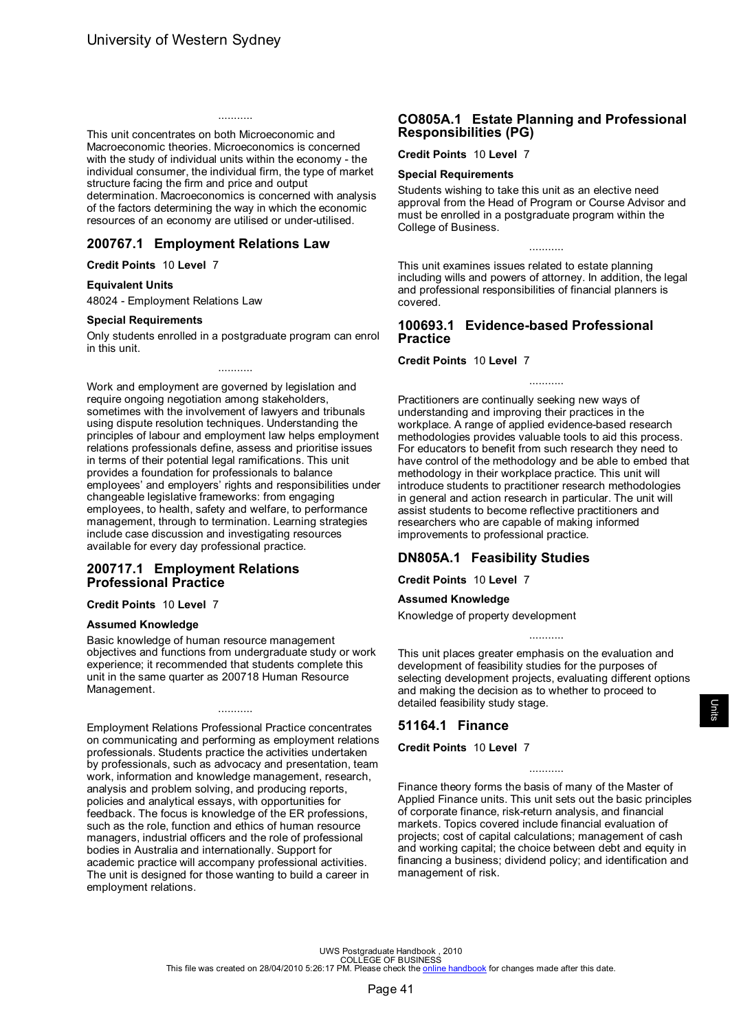<span id="page-44-0"></span>This unit concentrates on both Microeconomic and Macroeconomic theories. Microeconomics is concerned with the study of individual units within the economy - the individual consumer, the individual firm, the type of market structure facing the firm and price and output determination. Macroeconomics is concerned with analysis of the factors determining the way in which the economic

...........

## **200767.1 Employment Relations Law**

resources of an economy are utilised or under-utilised.

**Credit Points** 10 **Level** 7

### **Equivalent Units**

48024 - Employment Relations Law

#### **Special Requirements**

Only students enrolled in a postgraduate program can enrol in this unit.

Work and employment are governed by legislation and require ongoing negotiation among stakeholders, sometimes with the involvement of lawyers and tribunals using dispute resolution techniques. Understanding the principles of labour and employment law helps employment relations professionals define, assess and prioritise issues in terms of their potential legal ramifications. This unit provides a foundation for professionals to balance employees' and employers' rights and responsibilities under changeable legislative frameworks: from engaging employees, to health, safety and welfare, to performance management, through to termination. Learning strategies include case discussion and investigating resources available for every day professional practice.

## **200717.1 Employment Relations Professional Practice**

#### **Credit Points** 10 **Level** 7

#### **Assumed Knowledge**

Basic knowledge of human resource management objectives and functions from undergraduate study or work experience; it recommended that students complete this unit in the same quarter as 200718 Human Resource Management.

...........

Employment Relations Professional Practice concentrates on communicating and performing as employment relations professionals. Students practice the activities undertaken by professionals, such as advocacy and presentation, team work, information and knowledge management, research, analysis and problem solving, and producing reports, policies and analytical essays, with opportunities for feedback. The focus is knowledge of the ER professions, such as the role, function and ethics of human resource managers, industrial officers and the role of professional bodies in Australia and internationally. Support for academic practice will accompany professional activities. The unit is designed for those wanting to build a career in employment relations.

## **CO805A.1 Estate Planning and Professional Responsibilities (PG)**

**Credit Points** 10 **Level** 7

#### **Special Requirements**

Students wishing to take this unit as an elective need approval from the Head of Program or Course Advisor and must be enrolled in a postgraduate program within the College of Business.

This unit examines issues related to estate planning including wills and powers of attorney. In addition, the legal and professional responsibilities of financial planners is covered.

...........

### **100693.1 Evidence-based Professional Practice**

**Credit Points** 10 **Level** 7

Practitioners are continually seeking new ways of understanding and improving their practices in the workplace. A range of applied evidence-based research methodologies provides valuable tools to aid this process. For educators to benefit from such research they need to have control of the methodology and be able to embed that methodology in their workplace practice. This unit will introduce students to practitioner research methodologies in general and action research in particular. The unit will assist students to become reflective practitioners and researchers who are capable of making informed improvements to professional practice.

...........

## **DN805A.1 Feasibility Studies**

**Credit Points** 10 **Level** 7

#### **Assumed Knowledge**

Knowledge of property development

This unit places greater emphasis on the evaluation and development of feasibility studies for the purposes of selecting development projects, evaluating different options and making the decision as to whether to proceed to detailed feasibility study stage.

...........

### **51164.1 Finance**

**Credit Points** 10 **Level** 7

#### ...........

Finance theory forms the basis of many of the Master of Applied Finance units. This unit sets out the basic principles of corporate finance, risk-return analysis, and financial markets. Topics covered include financial evaluation of projects; cost of capital calculations; management of cash and working capital; the choice between debt and equity in financing a business; dividend policy; and identification and management of risk.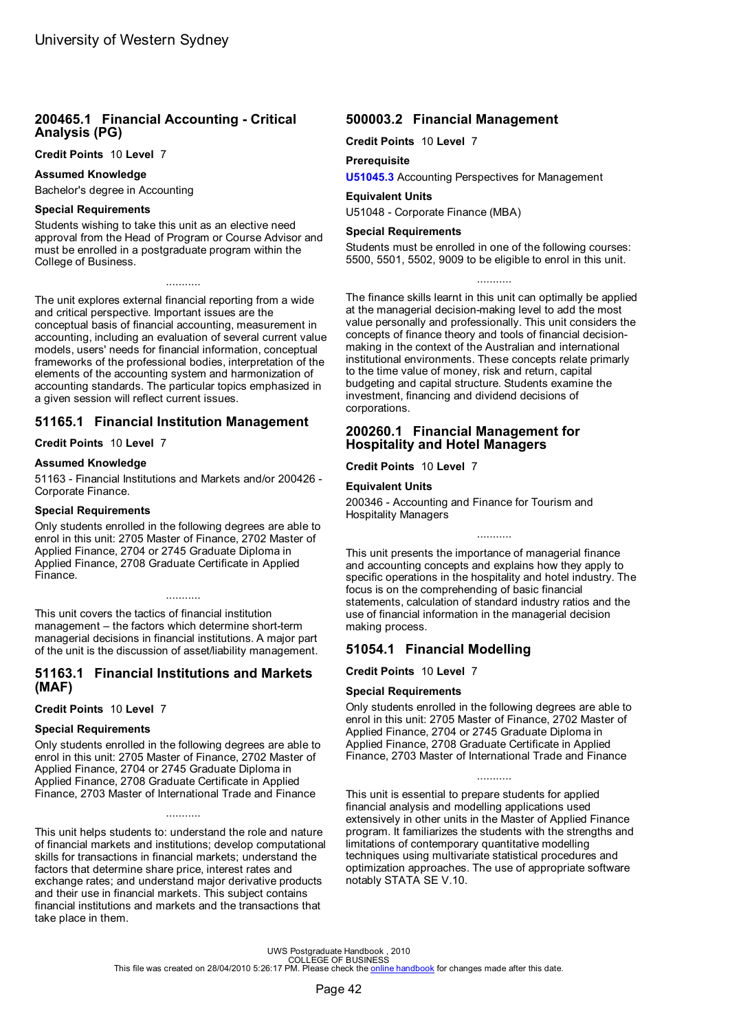## <span id="page-45-0"></span>**200465.1 Financial Accounting - Critical Analysis (PG)**

**Credit Points** 10 **Level** 7

### **Assumed Knowledge**

Bachelor's degree in Accounting

### **Special Requirements**

Students wishing to take this unit as an elective need approval from the Head of Program or Course Advisor and must be enrolled in a postgraduate program within the College of Business.

...........

The unit explores external financial reporting from a wide and critical perspective. Important issues are the conceptual basis of financial accounting, measurement in accounting, including an evaluation of several current value models, users' needs for financial information, conceptual frameworks of the professional bodies, interpretation of the elements of the accounting system and harmonization of accounting standards. The particular topics emphasized in a given session will reflect current issues.

## **51165.1 Financial Institution Management**

**Credit Points** 10 **Level** 7

### **Assumed Knowledge**

51163 - Financial Institutions and Markets and/or 200426 - Corporate Finance.

### **Special Requirements**

Only students enrolled in the following degrees are able to enrol in this unit: 2705 Master of Finance, 2702 Master of Applied Finance, 2704 or 2745 Graduate Diploma in Applied Finance, 2708 Graduate Certificate in Applied Finance.

This unit covers the tactics of financial institution management – the factors which determine short-term managerial decisions in financial institutions. A major part of the unit is the discussion of asset/liability management.

## **51163.1 Financial Institutions and Markets (MAF)**

### **Credit Points** 10 **Level** 7

### **Special Requirements**

Only students enrolled in the following degrees are able to enrol in this unit: 2705 Master of Finance, 2702 Master of Applied Finance, 2704 or 2745 Graduate Diploma in Applied Finance, 2708 Graduate Certificate in Applied Finance, 2703 Master of International Trade and Finance

...........

This unit helps students to: understand the role and nature of financial markets and institutions; develop computational skills for transactions in financial markets; understand the factors that determine share price, interest rates and exchange rates; and understand major derivative products and their use in financial markets. This subject contains financial institutions and markets and the transactions that take place in them.

## **500003.2 Financial Management**

**Credit Points** 10 **Level** 7

### **Prerequisite**

**[U51045.3](#page-37-0)** Accounting Perspectives for Management

### **Equivalent Units**

U51048 - Corporate Finance (MBA)

### **Special Requirements**

Students must be enrolled in one of the following courses: 5500, 5501, 5502, 9009 to be eligible to enrol in this unit.

The finance skills learnt in this unit can optimally be applied at the managerial decision-making level to add the most value personally and professionally. This unit considers the concepts of finance theory and tools of financial decisionmaking in the context of the Australian and international institutional environments. These concepts relate primarly to the time value of money, risk and return, capital budgeting and capital structure. Students examine the investment, financing and dividend decisions of corporations.

### **200260.1 Financial Management for Hospitality and Hotel Managers**

### **Credit Points** 10 **Level** 7

### **Equivalent Units**

200346 - Accounting and Finance for Tourism and Hospitality Managers

This unit presents the importance of managerial finance and accounting concepts and explains how they apply to specific operations in the hospitality and hotel industry. The focus is on the comprehending of basic financial statements, calculation of standard industry ratios and the use of financial information in the managerial decision making process.

...........

## **51054.1 Financial Modelling**

**Credit Points** 10 **Level** 7

### **Special Requirements**

Only students enrolled in the following degrees are able to enrol in this unit: 2705 Master of Finance, 2702 Master of Applied Finance, 2704 or 2745 Graduate Diploma in Applied Finance, 2708 Graduate Certificate in Applied Finance, 2703 Master of International Trade and Finance

...........

This unit is essential to prepare students for applied financial analysis and modelling applications used extensively in other units in the Master of Applied Finance program. It familiarizes the students with the strengths and limitations of contemporary quantitative modelling techniques using multivariate statistical procedures and optimization approaches. The use of appropriate software notably STATA SE V.10.

UWS Postgraduate Handbook , 2010 COLLEGE OF BUSINESS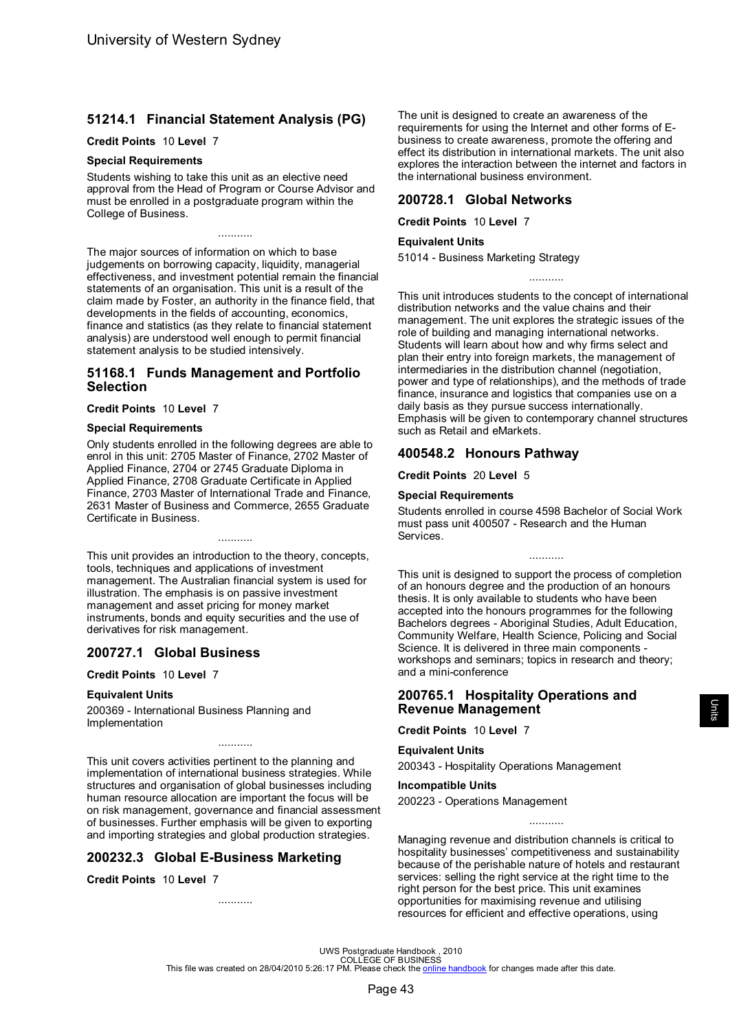## <span id="page-46-0"></span>**51214.1 Financial Statement Analysis (PG)**

### **Credit Points** 10 **Level** 7

### **Special Requirements**

Students wishing to take this unit as an elective need approval from the Head of Program or Course Advisor and must be enrolled in a postgraduate program within the College of Business.

...........

The major sources of information on which to base judgements on borrowing capacity, liquidity, managerial effectiveness, and investment potential remain the financial statements of an organisation. This unit is a result of the claim made by Foster, an authority in the finance field, that developments in the fields of accounting, economics, finance and statistics (as they relate to financial statement analysis) are understood well enough to permit financial statement analysis to be studied intensively.

## **51168.1 Funds Management and Portfolio Selection**

#### **Credit Points** 10 **Level** 7

### **Special Requirements**

Only students enrolled in the following degrees are able to enrol in this unit: 2705 Master of Finance, 2702 Master of Applied Finance, 2704 or 2745 Graduate Diploma in Applied Finance, 2708 Graduate Certificate in Applied Finance, 2703 Master of International Trade and Finance, 2631 Master of Business and Commerce, 2655 Graduate Certificate in Business.

...........

This unit provides an introduction to the theory, concepts, tools, techniques and applications of investment management. The Australian financial system is used for illustration. The emphasis is on passive investment management and asset pricing for money market instruments, bonds and equity securities and the use of derivatives for risk management.

## **200727.1 Global Business**

### **Credit Points** 10 **Level** 7

### **Equivalent Units**

200369 - International Business Planning and Implementation

This unit covers activities pertinent to the planning and implementation of international business strategies. While structures and organisation of global businesses including human resource allocation are important the focus will be on risk management, governance and financial assessment of businesses. Further emphasis will be given to exporting and importing strategies and global production strategies.

...........

...........

## **200232.3 Global E-Business Marketing**

**Credit Points** 10 **Level** 7

The unit is designed to create an awareness of the requirements for using the Internet and other forms of Ebusiness to create awareness, promote the offering and effect its distribution in international markets. The unit also explores the interaction between the internet and factors in the international business environment.

## **200728.1 Global Networks**

**Credit Points** 10 **Level** 7

### **Equivalent Units**

51014 - Business Marketing Strategy

This unit introduces students to the concept of international distribution networks and the value chains and their management. The unit explores the strategic issues of the role of building and managing international networks. Students will learn about how and why firms select and plan their entry into foreign markets, the management of intermediaries in the distribution channel (negotiation, power and type of relationships), and the methods of trade finance, insurance and logistics that companies use on a daily basis as they pursue success internationally. Emphasis will be given to contemporary channel structures such as Retail and eMarkets.

...........

## **400548.2 Honours Pathway**

**Credit Points** 20 **Level** 5

### **Special Requirements**

Students enrolled in course 4598 Bachelor of Social Work must pass unit 400507 - Research and the Human Services.

...........

This unit is designed to support the process of completion of an honours degree and the production of an honours thesis. It is only available to students who have been accepted into the honours programmes for the following Bachelors degrees - Aboriginal Studies, Adult Education, Community Welfare, Health Science, Policing and Social Science. It is delivered in three main components workshops and seminars; topics in research and theory; and a mini-conference

### **200765.1 Hospitality Operations and Revenue Management**

### **Credit Points** 10 **Level** 7

**Equivalent Units**

200343 - Hospitality Operations Management

### **Incompatible Units**

200223 - Operations Management

Managing revenue and distribution channels is critical to hospitality businesses' competitiveness and sustainability because of the perishable nature of hotels and restaurant services: selling the right service at the right time to the right person for the best price. This unit examines opportunities for maximising revenue and utilising resources for efficient and effective operations, using

...........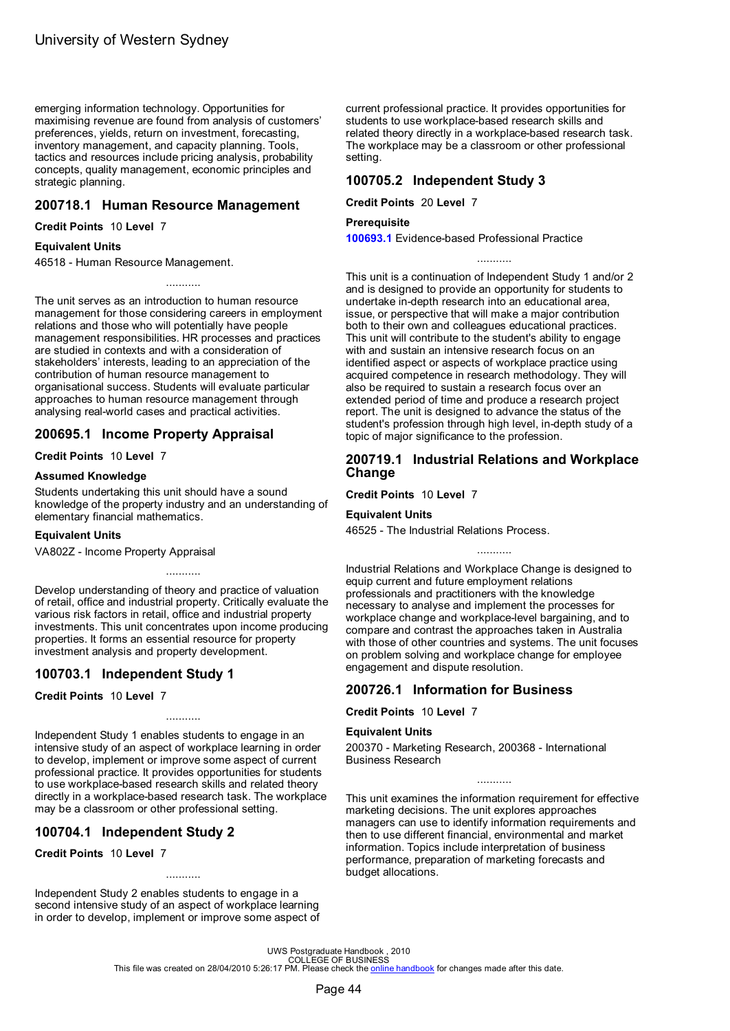<span id="page-47-0"></span>emerging information technology. Opportunities for maximising revenue are found from analysis of customers' preferences, yields, return on investment, forecasting, inventory management, and capacity planning. Tools, tactics and resources include pricing analysis, probability concepts, quality management, economic principles and strategic planning.

## **200718.1 Human Resource Management**

**Credit Points** 10 **Level** 7

### **Equivalent Units**

46518 - Human Resource Management.

The unit serves as an introduction to human resource management for those considering careers in employment relations and those who will potentially have people management responsibilities. HR processes and practices are studied in contexts and with a consideration of stakeholders' interests, leading to an appreciation of the contribution of human resource management to organisational success. Students will evaluate particular approaches to human resource management through analysing real-world cases and practical activities.

...........

## **200695.1 Income Property Appraisal**

**Credit Points** 10 **Level** 7

### **Assumed Knowledge**

Students undertaking this unit should have a sound knowledge of the property industry and an understanding of elementary financial mathematics.

### **Equivalent Units**

VA802Z - Income Property Appraisal

Develop understanding of theory and practice of valuation of retail, office and industrial property. Critically evaluate the various risk factors in retail, office and industrial property investments. This unit concentrates upon income producing properties. It forms an essential resource for property investment analysis and property development.

...........

## **100703.1 Independent Study 1**

**Credit Points** 10 **Level** 7

Independent Study 1 enables students to engage in an intensive study of an aspect of workplace learning in order to develop, implement or improve some aspect of current professional practice. It provides opportunities for students to use workplace-based research skills and related theory directly in a workplace-based research task. The workplace may be a classroom or other professional setting.

...........

## **100704.1 Independent Study 2**

**Credit Points** 10 **Level** 7

Independent Study 2 enables students to engage in a second intensive study of an aspect of workplace learning in order to develop, implement or improve some aspect of

...........

current professional practice. It provides opportunities for students to use workplace-based research skills and related theory directly in a workplace-based research task. The workplace may be a classroom or other professional setting.

## **100705.2 Independent Study 3**

**Credit Points** 20 **Level** 7

### **Prerequisite**

**[100693.1](#page-44-0)** Evidence-based Professional Practice

...........

This unit is a continuation of Independent Study 1 and/or 2 and is designed to provide an opportunity for students to undertake in-depth research into an educational area, issue, or perspective that will make a major contribution both to their own and colleagues educational practices. This unit will contribute to the student's ability to engage with and sustain an intensive research focus on an identified aspect or aspects of workplace practice using acquired competence in research methodology. They will also be required to sustain a research focus over an extended period of time and produce a research project report. The unit is designed to advance the status of the student's profession through high level, in-depth study of a topic of major significance to the profession.

## **200719.1 Industrial Relations and Workplace Change**

**Credit Points** 10 **Level** 7

### **Equivalent Units**

46525 - The Industrial Relations Process.

Industrial Relations and Workplace Change is designed to equip current and future employment relations professionals and practitioners with the knowledge necessary to analyse and implement the processes for workplace change and workplace-level bargaining, and to compare and contrast the approaches taken in Australia with those of other countries and systems. The unit focuses on problem solving and workplace change for employee engagement and dispute resolution.

...........

## **200726.1 Information for Business**

**Credit Points** 10 **Level** 7

### **Equivalent Units**

200370 - Marketing Research, 200368 - International Business Research

This unit examines the information requirement for effective marketing decisions. The unit explores approaches managers can use to identify information requirements and then to use different financial, environmental and market information. Topics include interpretation of business performance, preparation of marketing forecasts and budget allocations.

...........

UWS Postgraduate Handbook , 2010 COLLEGE OF BUSINESS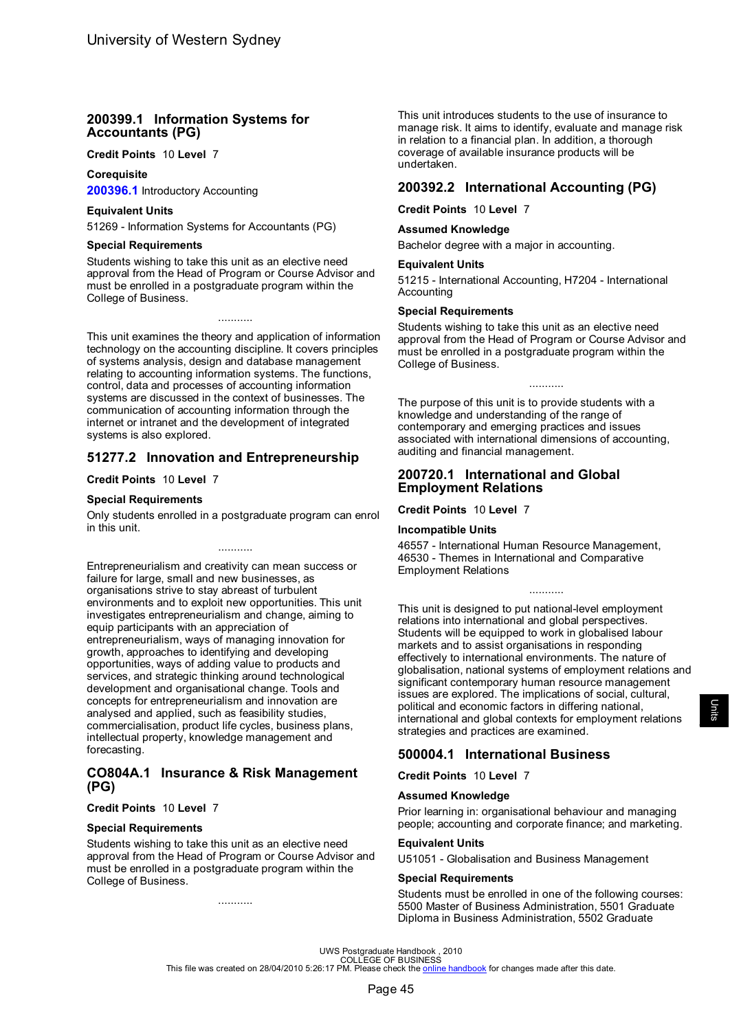## <span id="page-48-0"></span>**200399.1 Information Systems for Accountants (PG)**

### **Credit Points** 10 **Level** 7

### **Corequisite**

**200396.1** Introductory Accounting

### **Equivalent Units**

51269 - Information Systems for Accountants (PG)

### **Special Requirements**

Students wishing to take this unit as an elective need approval from the Head of Program or Course Advisor and must be enrolled in a postgraduate program within the College of Business.

...........

This unit examines the theory and application of information technology on the accounting discipline. It covers principles of systems analysis, design and database management relating to accounting information systems. The functions, control, data and processes of accounting information systems are discussed in the context of businesses. The communication of accounting information through the internet or intranet and the development of integrated systems is also explored.

## **51277.2 Innovation and Entrepreneurship**

### **Credit Points** 10 **Level** 7

### **Special Requirements**

Only students enrolled in a postgraduate program can enrol in this unit.

...........

Entrepreneurialism and creativity can mean success or failure for large, small and new businesses, as organisations strive to stay abreast of turbulent environments and to exploit new opportunities. This unit investigates entrepreneurialism and change, aiming to equip participants with an appreciation of entrepreneurialism, ways of managing innovation for growth, approaches to identifying and developing opportunities, ways of adding value to products and services, and strategic thinking around technological development and organisational change. Tools and concepts for entrepreneurialism and innovation are analysed and applied, such as feasibility studies, commercialisation, product life cycles, business plans, intellectual property, knowledge management and forecasting.

## **CO804A.1 Insurance & Risk Management (PG)**

### **Credit Points** 10 **Level** 7

### **Special Requirements**

Students wishing to take this unit as an elective need approval from the Head of Program or Course Advisor and must be enrolled in a postgraduate program within the College of Business.

...........

This unit introduces students to the use of insurance to manage risk. It aims to identify, evaluate and manage risk in relation to a financial plan. In addition, a thorough coverage of available insurance products will be undertaken.

## **200392.2 International Accounting (PG)**

### **Credit Points** 10 **Level** 7

### **Assumed Knowledge**

Bachelor degree with a major in accounting.

### **Equivalent Units**

51215 - International Accounting, H7204 - International Accounting

### **Special Requirements**

Students wishing to take this unit as an elective need approval from the Head of Program or Course Advisor and must be enrolled in a postgraduate program within the College of Business.

...........

The purpose of this unit is to provide students with a knowledge and understanding of the range of contemporary and emerging practices and issues associated with international dimensions of accounting, auditing and financial management.

## **200720.1 International and Global Employment Relations**

**Credit Points** 10 **Level** 7

### **Incompatible Units**

46557 - International Human Resource Management, 46530 - Themes in International and Comparative Employment Relations

This unit is designed to put national-level employment relations into international and global perspectives. Students will be equipped to work in globalised labour markets and to assist organisations in responding effectively to international environments. The nature of globalisation, national systems of employment relations and significant contemporary human resource management issues are explored. The implications of social, cultural, political and economic factors in differing national, international and global contexts for employment relations strategies and practices are examined.

...........

## **500004.1 International Business**

**Credit Points** 10 **Level** 7

### **Assumed Knowledge**

Prior learning in: organisational behaviour and managing people; accounting and corporate finance; and marketing.

### **Equivalent Units**

U51051 - Globalisation and Business Management

### **Special Requirements**

Students must be enrolled in one of the following courses: 5500 Master of Business Administration, 5501 Graduate Diploma in Business Administration, 5502 Graduate

UWS Postgraduate Handbook , 2010 COLLEGE OF BUSINESS This file was created on 28/04/2010 5:26:17 PM. Please check the online [handbook](http://handbook.uws.edu.au/hbook/) for changes made after this date.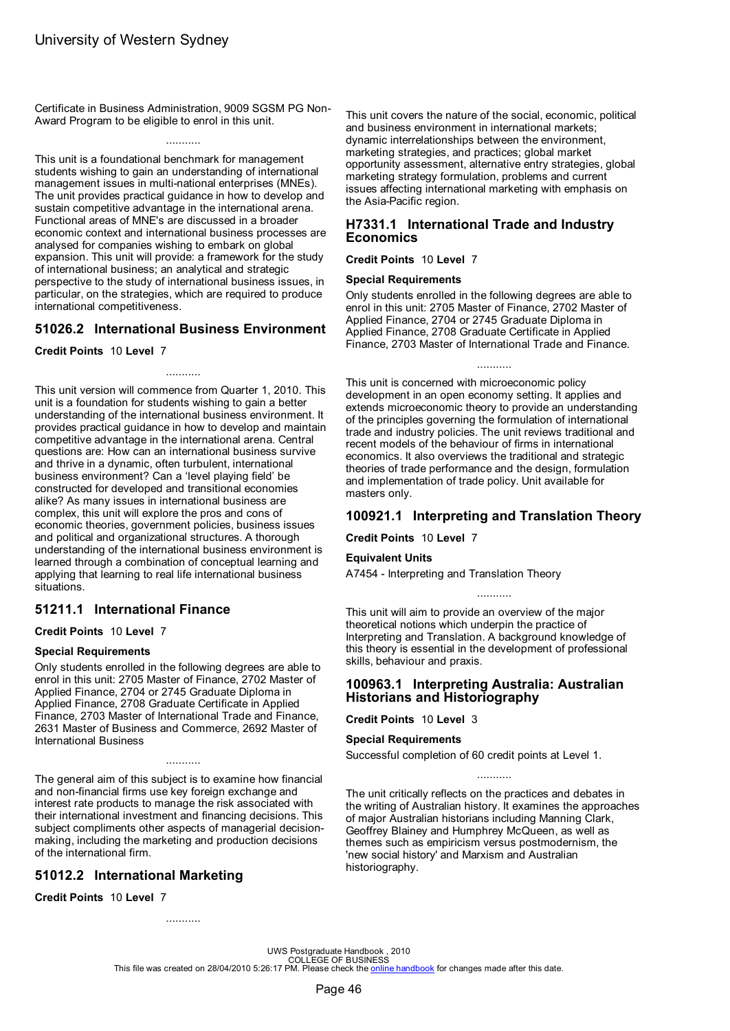<span id="page-49-0"></span>Certificate in Business Administration, 9009 SGSM PG Non-Award Program to be eligible to enrol in this unit.

## ...........

This unit is a foundational benchmark for management students wishing to gain an understanding of international management issues in multi-national enterprises (MNEs). The unit provides practical guidance in how to develop and sustain competitive advantage in the international arena. Functional areas of MNE's are discussed in a broader economic context and international business processes are analysed for companies wishing to embark on global expansion. This unit will provide: a framework for the study of international business; an analytical and strategic perspective to the study of international business issues, in particular, on the strategies, which are required to produce international competitiveness.

### **51026.2 International Business Environment**

...........

#### **Credit Points** 10 **Level** 7

This unit version will commence from Quarter 1, 2010. This unit is a foundation for students wishing to gain a better understanding of the international business environment. It provides practical guidance in how to develop and maintain competitive advantage in the international arena. Central questions are: How can an international business survive and thrive in a dynamic, often turbulent, international business environment? Can a 'level playing field' be constructed for developed and transitional economies alike? As many issues in international business are complex, this unit will explore the pros and cons of economic theories, government policies, business issues and political and organizational structures. A thorough understanding of the international business environment is learned through a combination of conceptual learning and applying that learning to real life international business situations.

## **51211.1 International Finance**

### **Credit Points** 10 **Level** 7

### **Special Requirements**

Only students enrolled in the following degrees are able to enrol in this unit: 2705 Master of Finance, 2702 Master of Applied Finance, 2704 or 2745 Graduate Diploma in Applied Finance, 2708 Graduate Certificate in Applied Finance, 2703 Master of International Trade and Finance, 2631 Master of Business and Commerce, 2692 Master of International Business

The general aim of this subject is to examine how financial and non-financial firms use key foreign exchange and interest rate products to manage the risk associated with their international investment and financing decisions. This subject compliments other aspects of managerial decisionmaking, including the marketing and production decisions of the international firm.

...........

...........

## **51012.2 International Marketing**

### **Credit Points** 10 **Level** 7

This unit covers the nature of the social, economic, political and business environment in international markets; dynamic interrelationships between the environment, marketing strategies, and practices; global market opportunity assessment, alternative entry strategies, global marketing strategy formulation, problems and current issues affecting international marketing with emphasis on the Asia-Pacific region.

## **H7331.1 International Trade and Industry Economics**

**Credit Points** 10 **Level** 7

### **Special Requirements**

Only students enrolled in the following degrees are able to enrol in this unit: 2705 Master of Finance, 2702 Master of Applied Finance, 2704 or 2745 Graduate Diploma in Applied Finance, 2708 Graduate Certificate in Applied Finance, 2703 Master of International Trade and Finance.

...........

This unit is concerned with microeconomic policy development in an open economy setting. It applies and extends microeconomic theory to provide an understanding of the principles governing the formulation of international trade and industry policies. The unit reviews traditional and recent models of the behaviour of firms in international economics. It also overviews the traditional and strategic theories of trade performance and the design, formulation and implementation of trade policy. Unit available for masters only.

## **100921.1 Interpreting and Translation Theory**

**Credit Points** 10 **Level** 7

### **Equivalent Units**

A7454 - Interpreting and Translation Theory

This unit will aim to provide an overview of the major theoretical notions which underpin the practice of Interpreting and Translation. A background knowledge of this theory is essential in the development of professional skills, behaviour and praxis.

...........

## **100963.1 Interpreting Australia: Australian Historians and Historiography**

**Credit Points** 10 **Level** 3

### **Special Requirements**

Successful completion of 60 credit points at Level 1.

The unit critically reflects on the practices and debates in the writing of Australian history. It examines the approaches of major Australian historians including Manning Clark, Geoffrey Blainey and Humphrey McQueen, as well as themes such as empiricism versus postmodernism, the 'new social history' and Marxism and Australian historiography.

...........

UWS Postgraduate Handbook , 2010 COLLEGE OF BUSINESS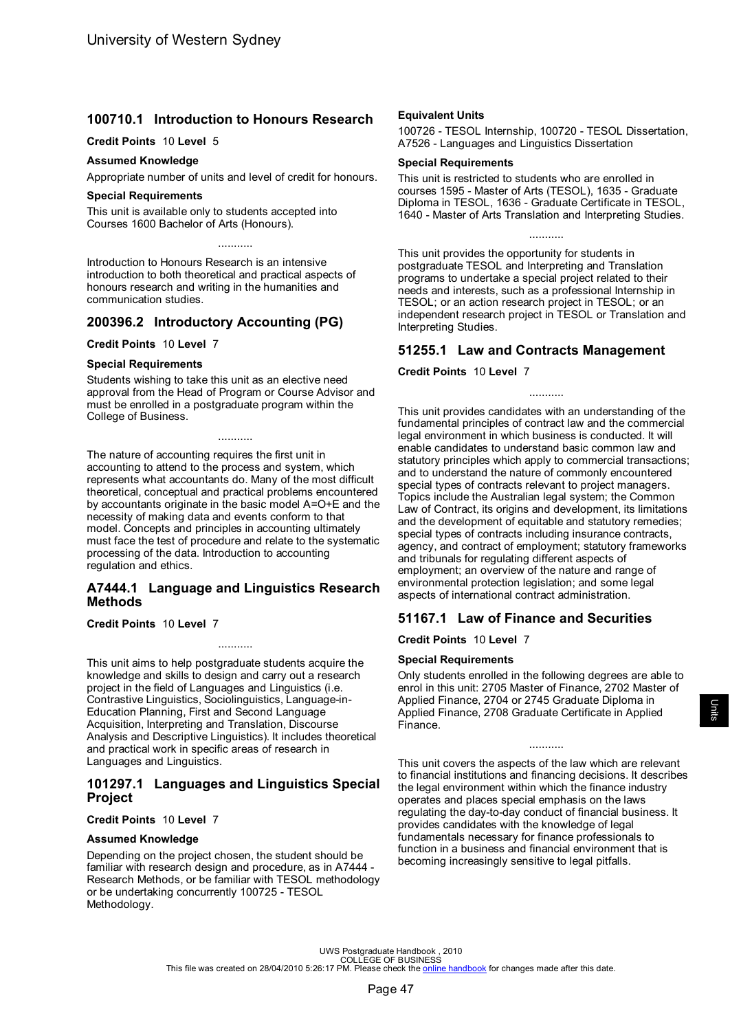## <span id="page-50-0"></span>**100710.1 Introduction to Honours Research**

### **Credit Points** 10 **Level** 5

#### **Assumed Knowledge**

Appropriate number of units and level of credit for honours.

...........

#### **Special Requirements**

This unit is available only to students accepted into Courses 1600 Bachelor of Arts (Honours).

Introduction to Honours Research is an intensive introduction to both theoretical and practical aspects of honours research and writing in the humanities and communication studies.

## **200396.2 Introductory Accounting (PG)**

**Credit Points** 10 **Level** 7

#### **Special Requirements**

Students wishing to take this unit as an elective need approval from the Head of Program or Course Advisor and must be enrolled in a postgraduate program within the College of Business.

...........

The nature of accounting requires the first unit in accounting to attend to the process and system, which represents what accountants do. Many of the most difficult theoretical, conceptual and practical problems encountered by accountants originate in the basic model A=O+E and the necessity of making data and events conform to that model. Concepts and principles in accounting ultimately must face the test of procedure and relate to the systematic processing of the data. Introduction to accounting regulation and ethics.

## **A7444.1 Language and Linguistics Research Methods**

...........

### **Credit Points** 10 **Level** 7

This unit aims to help postgraduate students acquire the knowledge and skills to design and carry out a research project in the field of Languages and Linguistics (i.e. Contrastive Linguistics, Sociolinguistics, Language-in-Education Planning, First and Second Language Acquisition, Interpreting and Translation, Discourse Analysis and Descriptive Linguistics). It includes theoretical and practical work in specific areas of research in Languages and Linguistics.

### **101297.1 Languages and Linguistics Special Project**

### **Credit Points** 10 **Level** 7

### **Assumed Knowledge**

Depending on the project chosen, the student should be familiar with research design and procedure, as in A7444 - Research Methods, or be familiar with TESOL methodology or be undertaking concurrently 100725 - TESOL Methodology.

#### **Equivalent Units**

100726 - TESOL Internship, 100720 - TESOL Dissertation, A7526 - Languages and Linguistics Dissertation

#### **Special Requirements**

This unit is restricted to students who are enrolled in courses 1595 - Master of Arts (TESOL), 1635 - Graduate Diploma in TESOL, 1636 - Graduate Certificate in TESOL, 1640 - Master of Arts Translation and Interpreting Studies.

...........

This unit provides the opportunity for students in postgraduate TESOL and Interpreting and Translation programs to undertake a special project related to their needs and interests, such as a professional Internship in TESOL; or an action research project in TESOL; or an independent research project in TESOL or Translation and Interpreting Studies.

## **51255.1 Law and Contracts Management**

...........

#### **Credit Points** 10 **Level** 7

This unit provides candidates with an understanding of the fundamental principles of contract law and the commercial legal environment in which business is conducted. It will enable candidates to understand basic common law and statutory principles which apply to commercial transactions; and to understand the nature of commonly encountered special types of contracts relevant to project managers. Topics include the Australian legal system; the Common Law of Contract, its origins and development, its limitations and the development of equitable and statutory remedies; special types of contracts including insurance contracts, agency, and contract of employment; statutory frameworks and tribunals for regulating different aspects of employment; an overview of the nature and range of environmental protection legislation; and some legal aspects of international contract administration.

### **51167.1 Law of Finance and Securities**

### **Credit Points** 10 **Level** 7

#### **Special Requirements**

Only students enrolled in the following degrees are able to enrol in this unit: 2705 Master of Finance, 2702 Master of Applied Finance, 2704 or 2745 Graduate Diploma in Applied Finance, 2708 Graduate Certificate in Applied Finance.

...........

This unit covers the aspects of the law which are relevant to financial institutions and financing decisions. It describes the legal environment within which the finance industry operates and places special emphasis on the laws regulating the day-to-day conduct of financial business. It provides candidates with the knowledge of legal fundamentals necessary for finance professionals to function in a business and financial environment that is becoming increasingly sensitive to legal pitfalls.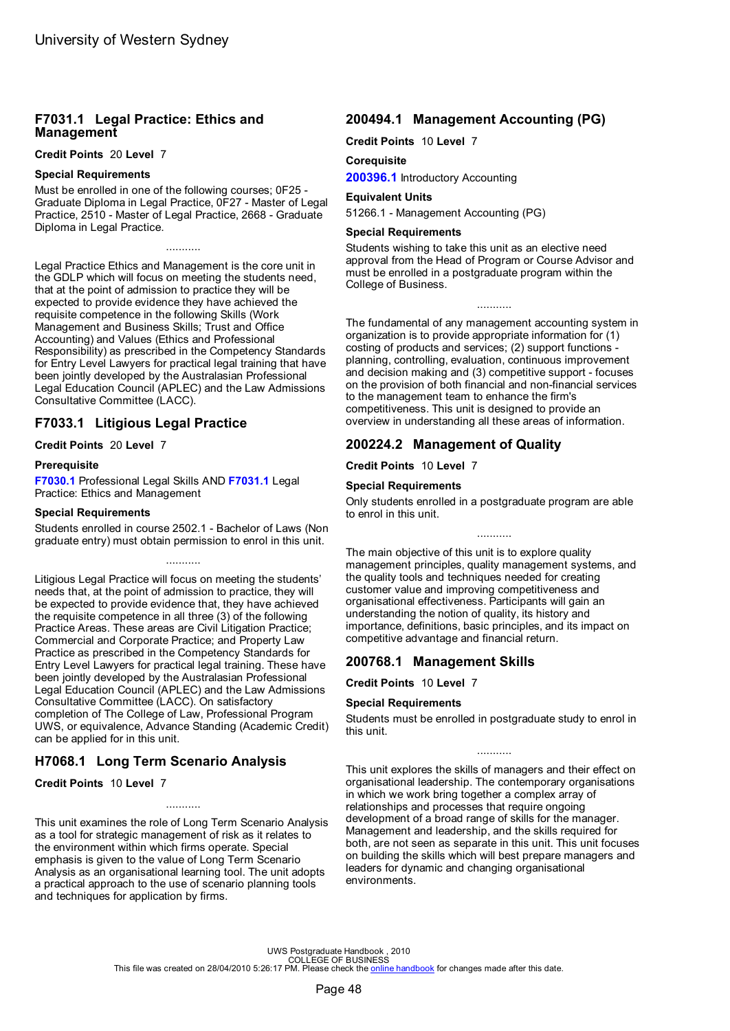## <span id="page-51-0"></span>**F7031.1 Legal Practice: Ethics and Management**

**Credit Points** 20 **Level** 7

### **Special Requirements**

Must be enrolled in one of the following courses; 0F25 - Graduate Diploma in Legal Practice, 0F27 - Master of Legal Practice, 2510 - Master of Legal Practice, 2668 - Graduate Diploma in Legal Practice.

...........

Legal Practice Ethics and Management is the core unit in the GDLP which will focus on meeting the students need, that at the point of admission to practice they will be expected to provide evidence they have achieved the requisite competence in the following Skills (Work Management and Business Skills; Trust and Office Accounting) and Values (Ethics and Professional Responsibility) as prescribed in the Competency Standards for Entry Level Lawyers for practical legal training that have been jointly developed by the Australasian Professional Legal Education Council (APLEC) and the Law Admissions Consultative Committee (LACC).

## **F7033.1 Litigious Legal Practice**

**Credit Points** 20 **Level** 7

### **Prerequisite**

**[F7030.1](#page-55-0)** Professional Legal Skills AND **F7031.1** Legal Practice: Ethics and Management

### **Special Requirements**

Students enrolled in course 2502.1 - Bachelor of Laws (Non graduate entry) must obtain permission to enrol in this unit.

...........

Litigious Legal Practice will focus on meeting the students' needs that, at the point of admission to practice, they will be expected to provide evidence that, they have achieved the requisite competence in all three (3) of the following Practice Areas. These areas are Civil Litigation Practice; Commercial and Corporate Practice; and Property Law Practice as prescribed in the Competency Standards for Entry Level Lawyers for practical legal training. These have been jointly developed by the Australasian Professional Legal Education Council (APLEC) and the Law Admissions Consultative Committee (LACC). On satisfactory completion of The College of Law, Professional Program UWS, or equivalence, Advance Standing (Academic Credit) can be applied for in this unit.

## **H7068.1 Long Term Scenario Analysis**

**Credit Points** 10 **Level** 7

This unit examines the role of Long Term Scenario Analysis as a tool for strategic management of risk as it relates to the environment within which firms operate. Special emphasis is given to the value of Long Term Scenario Analysis as an organisational learning tool. The unit adopts a practical approach to the use of scenario planning tools and techniques for application by firms.

## **200494.1 Management Accounting (PG)**

**Credit Points** 10 **Level** 7

### **Corequisite**

**200396.1** Introductory Accounting

### **Equivalent Units**

51266.1 - Management Accounting (PG)

### **Special Requirements**

Students wishing to take this unit as an elective need approval from the Head of Program or Course Advisor and must be enrolled in a postgraduate program within the College of Business.

...........

The fundamental of any management accounting system in organization is to provide appropriate information for (1) costing of products and services; (2) support functions planning, controlling, evaluation, continuous improvement and decision making and (3) competitive support - focuses on the provision of both financial and non-financial services to the management team to enhance the firm's competitiveness. This unit is designed to provide an overview in understanding all these areas of information.

## **200224.2 Management of Quality**

**Credit Points** 10 **Level** 7

### **Special Requirements**

Only students enrolled in a postgraduate program are able to enrol in this unit.

...........

The main objective of this unit is to explore quality management principles, quality management systems, and the quality tools and techniques needed for creating customer value and improving competitiveness and organisational effectiveness. Participants will gain an understanding the notion of quality, its history and importance, definitions, basic principles, and its impact on competitive advantage and financial return.

## **200768.1 Management Skills**

**Credit Points** 10 **Level** 7

### **Special Requirements**

Students must be enrolled in postgraduate study to enrol in this unit.

...........

This unit explores the skills of managers and their effect on organisational leadership. The contemporary organisations in which we work bring together a complex array of relationships and processes that require ongoing development of a broad range of skills for the manager. Management and leadership, and the skills required for both, are not seen as separate in this unit. This unit focuses on building the skills which will best prepare managers and leaders for dynamic and changing organisational environments.

UWS Postgraduate Handbook , 2010 COLLEGE OF BUSINESS This file was created on 28/04/2010 5:26:17 PM. Please check the online [handbook](http://handbook.uws.edu.au/hbook/) for changes made after this date.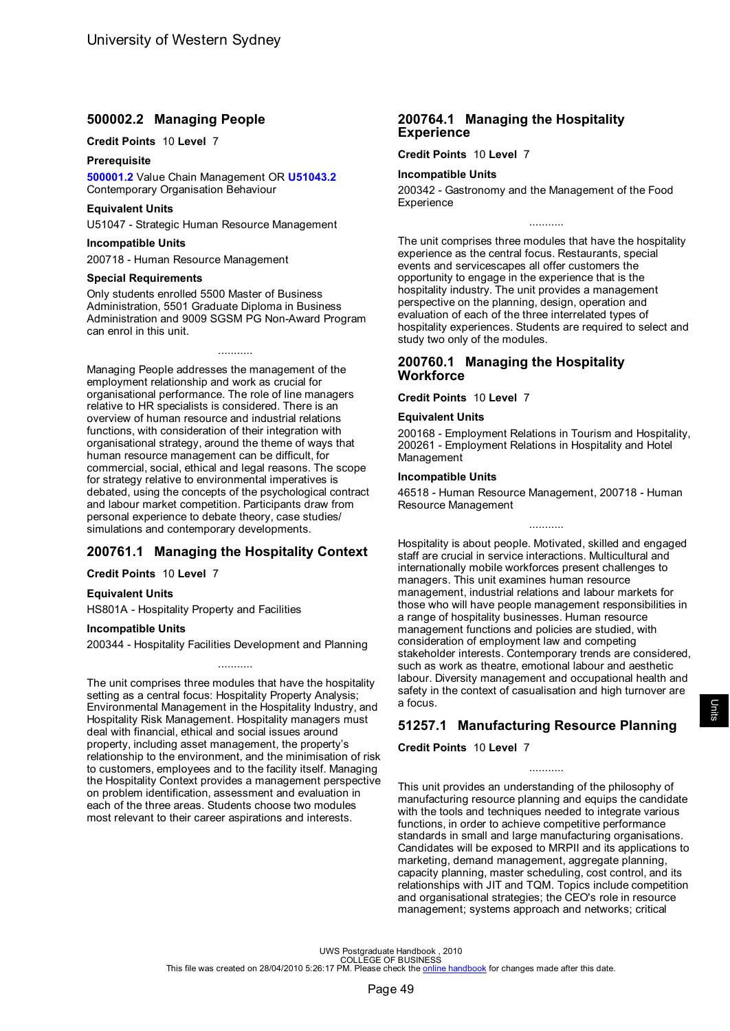## <span id="page-52-0"></span>**500002.2 Managing People**

### **Credit Points** 10 **Level** 7

### **Prerequisite**

**[500001.2](#page-63-0)** Value Chain Management OR **[U51043.2](#page-41-0)** Contemporary Organisation Behaviour

### **Equivalent Units**

U51047 - Strategic Human Resource Management

### **Incompatible Units**

200718 - Human Resource Management

### **Special Requirements**

Only students enrolled 5500 Master of Business Administration, 5501 Graduate Diploma in Business Administration and 9009 SGSM PG Non-Award Program can enrol in this unit.

...........

Managing People addresses the management of the employment relationship and work as crucial for organisational performance. The role of line managers relative to HR specialists is considered. There is an overview of human resource and industrial relations functions, with consideration of their integration with organisational strategy, around the theme of ways that human resource management can be difficult, for commercial, social, ethical and legal reasons. The scope for strategy relative to environmental imperatives is debated, using the concepts of the psychological contract and labour market competition. Participants draw from personal experience to debate theory, case studies/ simulations and contemporary developments.

## **200761.1 Managing the Hospitality Context**

**Credit Points** 10 **Level** 7

### **Equivalent Units**

HS801A - Hospitality Property and Facilities

### **Incompatible Units**

200344 - Hospitality Facilities Development and Planning

...........

The unit comprises three modules that have the hospitality setting as a central focus: Hospitality Property Analysis; Environmental Management in the Hospitality Industry, and Hospitality Risk Management. Hospitality managers must deal with financial, ethical and social issues around property, including asset management, the property's relationship to the environment, and the minimisation of risk to customers, employees and to the facility itself. Managing the Hospitality Context provides a management perspective on problem identification, assessment and evaluation in each of the three areas. Students choose two modules most relevant to their career aspirations and interests.

## **200764.1 Managing the Hospitality Experience**

**Credit Points** 10 **Level** 7

### **Incompatible Units**

200342 - Gastronomy and the Management of the Food Experience

The unit comprises three modules that have the hospitality experience as the central focus. Restaurants, special events and servicescapes all offer customers the opportunity to engage in the experience that is the hospitality industry. The unit provides a management perspective on the planning, design, operation and evaluation of each of the three interrelated types of hospitality experiences. Students are required to select and study two only of the modules.

...........

## **200760.1 Managing the Hospitality Workforce**

**Credit Points** 10 **Level** 7

### **Equivalent Units**

200168 - Employment Relations in Tourism and Hospitality, 200261 - Employment Relations in Hospitality and Hotel Management

### **Incompatible Units**

46518 - Human Resource Management, 200718 - Human Resource Management

...........

Hospitality is about people. Motivated, skilled and engaged staff are crucial in service interactions. Multicultural and internationally mobile workforces present challenges to managers. This unit examines human resource management, industrial relations and labour markets for those who will have people management responsibilities in a range of hospitality businesses. Human resource management functions and policies are studied, with consideration of employment law and competing stakeholder interests. Contemporary trends are considered, such as work as theatre, emotional labour and aesthetic labour. Diversity management and occupational health and safety in the context of casualisation and high turnover are a focus.

## **51257.1 Manufacturing Resource Planning**

...........

**Credit Points** 10 **Level** 7

This unit provides an understanding of the philosophy of manufacturing resource planning and equips the candidate with the tools and techniques needed to integrate various functions, in order to achieve competitive performance standards in small and large manufacturing organisations. Candidates will be exposed to MRPII and its applications to marketing, demand management, aggregate planning, capacity planning, master scheduling, cost control, and its relationships with JIT and TQM. Topics include competition and organisational strategies; the CEO's role in resource management; systems approach and networks; critical

Page 49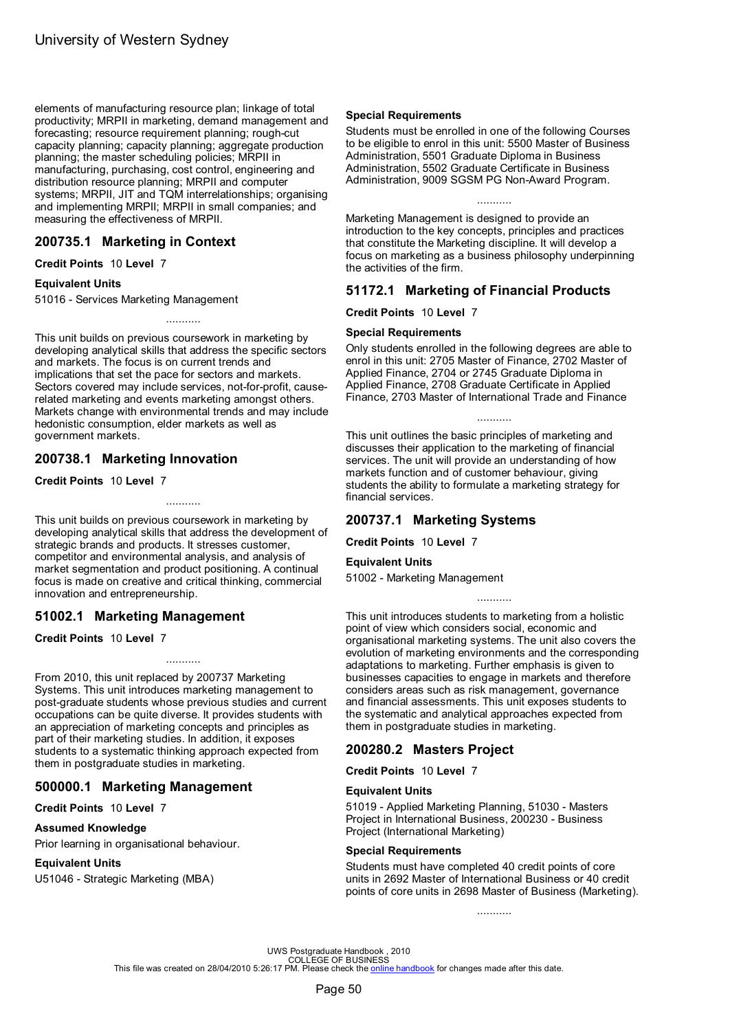<span id="page-53-0"></span>elements of manufacturing resource plan; linkage of total productivity; MRPII in marketing, demand management and forecasting; resource requirement planning; rough-cut capacity planning; capacity planning; aggregate production planning; the master scheduling policies; MRPII in manufacturing, purchasing, cost control, engineering and distribution resource planning; MRPII and computer systems; MRPII, JIT and TQM interrelationships; organising and implementing MRPII; MRPII in small companies; and measuring the effectiveness of MRPII.

## **200735.1 Marketing in Context**

**Credit Points** 10 **Level** 7

### **Equivalent Units**

51016 - Services Marketing Management

This unit builds on previous coursework in marketing by developing analytical skills that address the specific sectors and markets. The focus is on current trends and implications that set the pace for sectors and markets. Sectors covered may include services, not-for-profit, causerelated marketing and events marketing amongst others. Markets change with environmental trends and may include hedonistic consumption, elder markets as well as government markets.

...........

## **200738.1 Marketing Innovation**

**Credit Points** 10 **Level** 7

This unit builds on previous coursework in marketing by developing analytical skills that address the development of strategic brands and products. It stresses customer, competitor and environmental analysis, and analysis of market segmentation and product positioning. A continual focus is made on creative and critical thinking, commercial innovation and entrepreneurship.

## **51002.1 Marketing Management**

**Credit Points** 10 **Level** 7

From 2010, this unit replaced by 200737 Marketing Systems. This unit introduces marketing management to post-graduate students whose previous studies and current occupations can be quite diverse. It provides students with an appreciation of marketing concepts and principles as part of their marketing studies. In addition, it exposes students to a systematic thinking approach expected from them in postgraduate studies in marketing.

...........

## **500000.1 Marketing Management**

**Credit Points** 10 **Level** 7

### **Assumed Knowledge**

Prior learning in organisational behaviour.

### **Equivalent Units**

U51046 - Strategic Marketing (MBA)

### **Special Requirements**

Students must be enrolled in one of the following Courses to be eligible to enrol in this unit: 5500 Master of Business Administration, 5501 Graduate Diploma in Business Administration, 5502 Graduate Certificate in Business Administration, 9009 SGSM PG Non-Award Program.

Marketing Management is designed to provide an introduction to the key concepts, principles and practices that constitute the Marketing discipline. It will develop a focus on marketing as a business philosophy underpinning the activities of the firm.

...........

## **51172.1 Marketing of Financial Products**

**Credit Points** 10 **Level** 7

#### **Special Requirements**

Only students enrolled in the following degrees are able to enrol in this unit: 2705 Master of Finance, 2702 Master of Applied Finance, 2704 or 2745 Graduate Diploma in Applied Finance, 2708 Graduate Certificate in Applied Finance, 2703 Master of International Trade and Finance

...........

This unit outlines the basic principles of marketing and discusses their application to the marketing of financial services. The unit will provide an understanding of how markets function and of customer behaviour, giving students the ability to formulate a marketing strategy for financial services.

## **200737.1 Marketing Systems**

**Credit Points** 10 **Level** 7

### **Equivalent Units**

51002 - Marketing Management

This unit introduces students to marketing from a holistic point of view which considers social, economic and organisational marketing systems. The unit also covers the evolution of marketing environments and the corresponding adaptations to marketing. Further emphasis is given to businesses capacities to engage in markets and therefore considers areas such as risk management, governance and financial assessments. This unit exposes students to the systematic and analytical approaches expected from them in postgraduate studies in marketing.

...........

### **200280.2 Masters Project**

**Credit Points** 10 **Level** 7

### **Equivalent Units**

51019 - Applied Marketing Planning, 51030 - Masters Project in International Business, 200230 - Business Project (International Marketing)

### **Special Requirements**

Students must have completed 40 credit points of core units in 2692 Master of International Business or 40 credit points of core units in 2698 Master of Business (Marketing).

...........

UWS Postgraduate Handbook , 2010 COLLEGE OF BUSINESS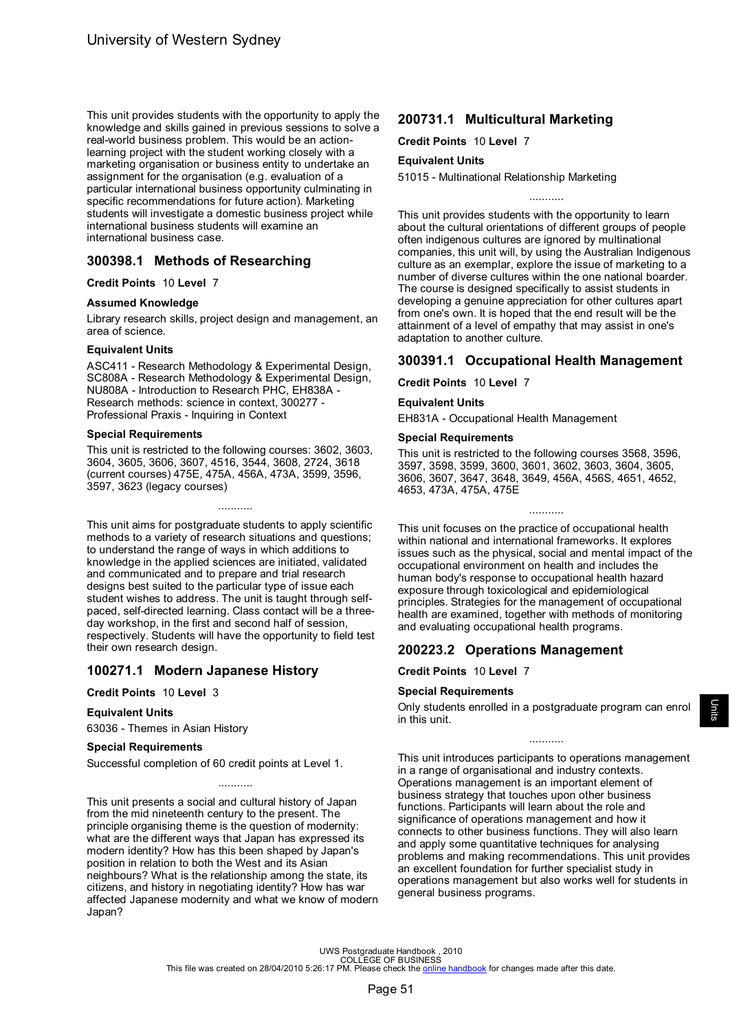<span id="page-54-0"></span>This unit provides students with the opportunity to apply the knowledge and skills gained in previous sessions to solve a real-world business problem. This would be an actionlearning project with the student working closely with a marketing organisation or business entity to undertake an assignment for the organisation (e.g. evaluation of a particular international business opportunity culminating in specific recommendations for future action). Marketing students will investigate a domestic business project while international business students will examine an international business case.

## **300398.1 Methods of Researching**

### **Credit Points** 10 **Level** 7

### **Assumed Knowledge**

Library research skills, project design and management, an area of science.

### **Equivalent Units**

ASC411 - Research Methodology & Experimental Design, SC808A - Research Methodology & Experimental Design, NU808A - Introduction to Research PHC, EH838A - Research methods: science in context, 300277 - Professional Praxis - Inquiring in Context

### **Special Requirements**

This unit is restricted to the following courses: 3602, 3603, 3604, 3605, 3606, 3607, 4516, 3544, 3608, 2724, 3618 (current courses) 475E, 475A, 456A, 473A, 3599, 3596, 3597, 3623 (legacy courses)

...........

This unit aims for postgraduate students to apply scientific methods to a variety of research situations and questions; to understand the range of ways in which additions to knowledge in the applied sciences are initiated, validated and communicated and to prepare and trial research designs best suited to the particular type of issue each student wishes to address. The unit is taught through selfpaced, self-directed learning. Class contact will be a threeday workshop, in the first and second half of session, respectively. Students will have the opportunity to field test their own research design.

## **100271.1 Modern Japanese History**

**Credit Points** 10 **Level** 3

### **Equivalent Units**

63036 - Themes in Asian History

### **Special Requirements**

Successful completion of 60 credit points at Level 1.

This unit presents a social and cultural history of Japan from the mid nineteenth century to the present. The principle organising theme is the question of modernity: what are the different ways that Japan has expressed its modern identity? How has this been shaped by Japan's position in relation to both the West and its Asian neighbours? What is the relationship among the state, its citizens, and history in negotiating identity? How has war affected Japanese modernity and what we know of modern Japan?

...........

## **200731.1 Multicultural Marketing**

**Credit Points** 10 **Level** 7

### **Equivalent Units**

51015 - Multinational Relationship Marketing

This unit provides students with the opportunity to learn about the cultural orientations of different groups of people often indigenous cultures are ignored by multinational companies, this unit will, by using the Australian Indigenous culture as an exemplar, explore the issue of marketing to a number of diverse cultures within the one national boarder. The course is designed specifically to assist students in developing a genuine appreciation for other cultures apart from one's own. It is hoped that the end result will be the attainment of a level of empathy that may assist in one's adaptation to another culture.

...........

## **300391.1 Occupational Health Management**

### **Credit Points** 10 **Level** 7

**Equivalent Units**

EH831A - Occupational Health Management

### **Special Requirements**

This unit is restricted to the following courses 3568, 3596, 3597, 3598, 3599, 3600, 3601, 3602, 3603, 3604, 3605, 3606, 3607, 3647, 3648, 3649, 456A, 456S, 4651, 4652, 4653, 473A, 475A, 475E

...........

This unit focuses on the practice of occupational health within national and international frameworks. It explores issues such as the physical, social and mental impact of the occupational environment on health and includes the human body's response to occupational health hazard exposure through toxicological and epidemiological principles. Strategies for the management of occupational health are examined, together with methods of monitoring and evaluating occupational health programs.

## **200223.2 Operations Management**

**Credit Points** 10 **Level** 7

### **Special Requirements**

Only students enrolled in a postgraduate program can enrol in this unit.

...........

This unit introduces participants to operations management in a range of organisational and industry contexts. Operations management is an important element of business strategy that touches upon other business functions. Participants will learn about the role and significance of operations management and how it connects to other business functions. They will also learn and apply some quantitative techniques for analysing problems and making recommendations. This unit provides an excellent foundation for further specialist study in operations management but also works well for students in general business programs.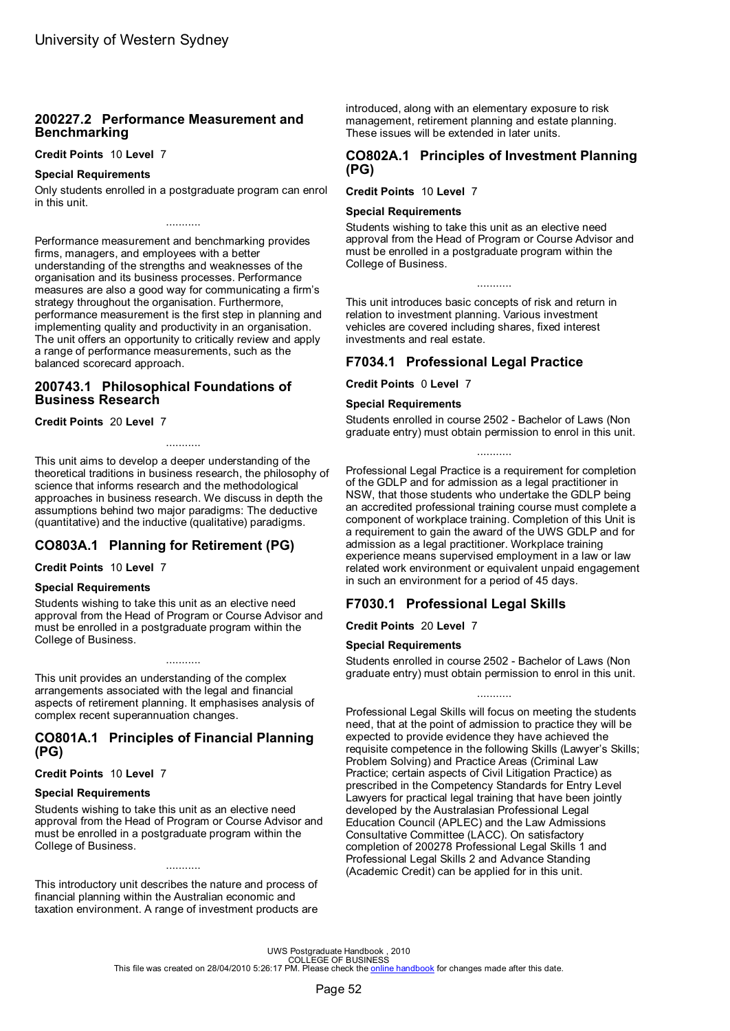## <span id="page-55-0"></span>**200227.2 Performance Measurement and Benchmarking**

### **Credit Points** 10 **Level** 7

### **Special Requirements**

Only students enrolled in a postgraduate program can enrol in this unit.

...........

Performance measurement and benchmarking provides firms, managers, and employees with a better understanding of the strengths and weaknesses of the organisation and its business processes. Performance measures are also a good way for communicating a firm's strategy throughout the organisation. Furthermore, performance measurement is the first step in planning and implementing quality and productivity in an organisation. The unit offers an opportunity to critically review and apply a range of performance measurements, such as the balanced scorecard approach.

## **200743.1 Philosophical Foundations of Business Research**

### **Credit Points** 20 **Level** 7

This unit aims to develop a deeper understanding of the theoretical traditions in business research, the philosophy of science that informs research and the methodological approaches in business research. We discuss in depth the assumptions behind two major paradigms: The deductive (quantitative) and the inductive (qualitative) paradigms.

...........

## **CO803A.1 Planning for Retirement (PG)**

### **Credit Points** 10 **Level** 7

### **Special Requirements**

Students wishing to take this unit as an elective need approval from the Head of Program or Course Advisor and must be enrolled in a postgraduate program within the College of Business.

...........

This unit provides an understanding of the complex arrangements associated with the legal and financial aspects of retirement planning. It emphasises analysis of complex recent superannuation changes.

## **CO801A.1 Principles of Financial Planning (PG)**

### **Credit Points** 10 **Level** 7

### **Special Requirements**

Students wishing to take this unit as an elective need approval from the Head of Program or Course Advisor and must be enrolled in a postgraduate program within the College of Business.

...........

This introductory unit describes the nature and process of financial planning within the Australian economic and taxation environment. A range of investment products are introduced, along with an elementary exposure to risk management, retirement planning and estate planning. These issues will be extended in later units.

## **CO802A.1 Principles of Investment Planning (PG)**

**Credit Points** 10 **Level** 7

### **Special Requirements**

Students wishing to take this unit as an elective need approval from the Head of Program or Course Advisor and must be enrolled in a postgraduate program within the College of Business.

...........

This unit introduces basic concepts of risk and return in relation to investment planning. Various investment vehicles are covered including shares, fixed interest investments and real estate.

## **F7034.1 Professional Legal Practice**

**Credit Points** 0 **Level** 7

### **Special Requirements**

Students enrolled in course 2502 - Bachelor of Laws (Non graduate entry) must obtain permission to enrol in this unit.

...........

Professional Legal Practice is a requirement for completion of the GDLP and for admission as a legal practitioner in NSW, that those students who undertake the GDLP being an accredited professional training course must complete a component of workplace training. Completion of this Unit is a requirement to gain the award of the UWS GDLP and for admission as a legal practitioner. Workplace training experience means supervised employment in a law or law related work environment or equivalent unpaid engagement in such an environment for a period of 45 days.

## **F7030.1 Professional Legal Skills**

### **Credit Points** 20 **Level** 7

### **Special Requirements**

Students enrolled in course 2502 - Bachelor of Laws (Non graduate entry) must obtain permission to enrol in this unit.

...........

Professional Legal Skills will focus on meeting the students need, that at the point of admission to practice they will be expected to provide evidence they have achieved the requisite competence in the following Skills (Lawyer's Skills; Problem Solving) and Practice Areas (Criminal Law Practice; certain aspects of Civil Litigation Practice) as prescribed in the Competency Standards for Entry Level Lawyers for practical legal training that have been jointly developed by the Australasian Professional Legal Education Council (APLEC) and the Law Admissions Consultative Committee (LACC). On satisfactory completion of 200278 Professional Legal Skills 1 and Professional Legal Skills 2 and Advance Standing (Academic Credit) can be applied for in this unit.

UWS Postgraduate Handbook , 2010 COLLEGE OF BUSINESS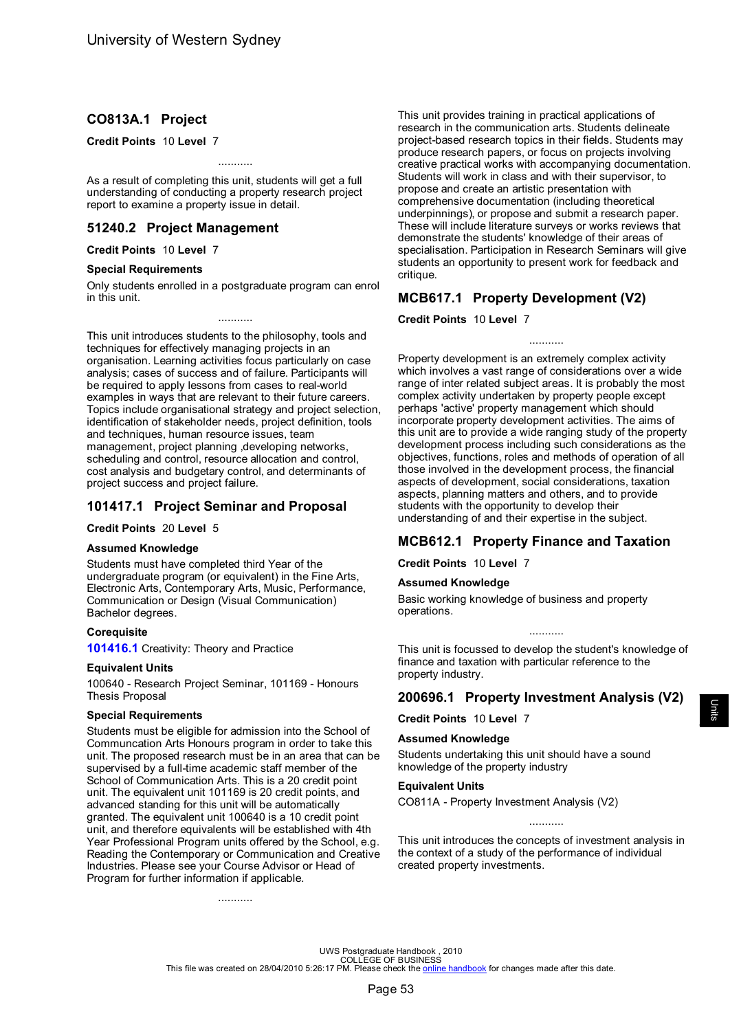## <span id="page-56-0"></span>**CO813A.1 Project**

### **Credit Points** 10 **Level** 7

As a result of completing this unit, students will get a full understanding of conducting a property research project report to examine a property issue in detail.

...........

### **51240.2 Project Management**

**Credit Points** 10 **Level** 7

### **Special Requirements**

Only students enrolled in a postgraduate program can enrol in this unit.

...........

This unit introduces students to the philosophy, tools and techniques for effectively managing projects in an organisation. Learning activities focus particularly on case analysis; cases of success and of failure. Participants will be required to apply lessons from cases to real-world examples in ways that are relevant to their future careers. Topics include organisational strategy and project selection, identification of stakeholder needs, project definition, tools and techniques, human resource issues, team management, project planning ,developing networks, scheduling and control, resource allocation and control, cost analysis and budgetary control, and determinants of project success and project failure.

## **101417.1 Project Seminar and Proposal**

**Credit Points** 20 **Level** 5

### **Assumed Knowledge**

Students must have completed third Year of the undergraduate program (or equivalent) in the Fine Arts, Electronic Arts, Contemporary Arts, Music, Performance, Communication or Design (Visual Communication) Bachelor degrees.

### **Corequisite**

**[101416.1](#page-42-0)** Creativity: Theory and Practice

#### **Equivalent Units**

100640 - Research Project Seminar, 101169 - Honours Thesis Proposal

### **Special Requirements**

Students must be eligible for admission into the School of Communcation Arts Honours program in order to take this unit. The proposed research must be in an area that can be supervised by a full-time academic staff member of the School of Communication Arts. This is a 20 credit point unit. The equivalent unit 101169 is 20 credit points, and advanced standing for this unit will be automatically granted. The equivalent unit 100640 is a 10 credit point unit, and therefore equivalents will be established with 4th Year Professional Program units offered by the School, e.g. Reading the Contemporary or Communication and Creative Industries. Please see your Course Advisor or Head of Program for further information if applicable.

This unit provides training in practical applications of research in the communication arts. Students delineate project-based research topics in their fields. Students may produce research papers, or focus on projects involving creative practical works with accompanying documentation. Students will work in class and with their supervisor, to propose and create an artistic presentation with comprehensive documentation (including theoretical underpinnings), or propose and submit a research paper. These will include literature surveys or works reviews that demonstrate the students' knowledge of their areas of specialisation. Participation in Research Seminars will give students an opportunity to present work for feedback and critique.

## **MCB617.1 Property Development (V2)**

**Credit Points** 10 **Level** 7

Property development is an extremely complex activity which involves a vast range of considerations over a wide range of inter related subject areas. It is probably the most complex activity undertaken by property people except perhaps 'active' property management which should incorporate property development activities. The aims of this unit are to provide a wide ranging study of the property development process including such considerations as the objectives, functions, roles and methods of operation of all those involved in the development process, the financial aspects of development, social considerations, taxation aspects, planning matters and others, and to provide students with the opportunity to develop their understanding of and their expertise in the subject.

...........

## **MCB612.1 Property Finance and Taxation**

**Credit Points** 10 **Level** 7

### **Assumed Knowledge**

Basic working knowledge of business and property operations.

This unit is focussed to develop the student's knowledge of finance and taxation with particular reference to the property industry.

...........

## **200696.1 Property Investment Analysis (V2)**

**Credit Points** 10 **Level** 7

### **Assumed Knowledge**

Students undertaking this unit should have a sound knowledge of the property industry

### **Equivalent Units**

CO811A - Property Investment Analysis (V2)

This unit introduces the concepts of investment analysis in the context of a study of the performance of individual created property investments.

...........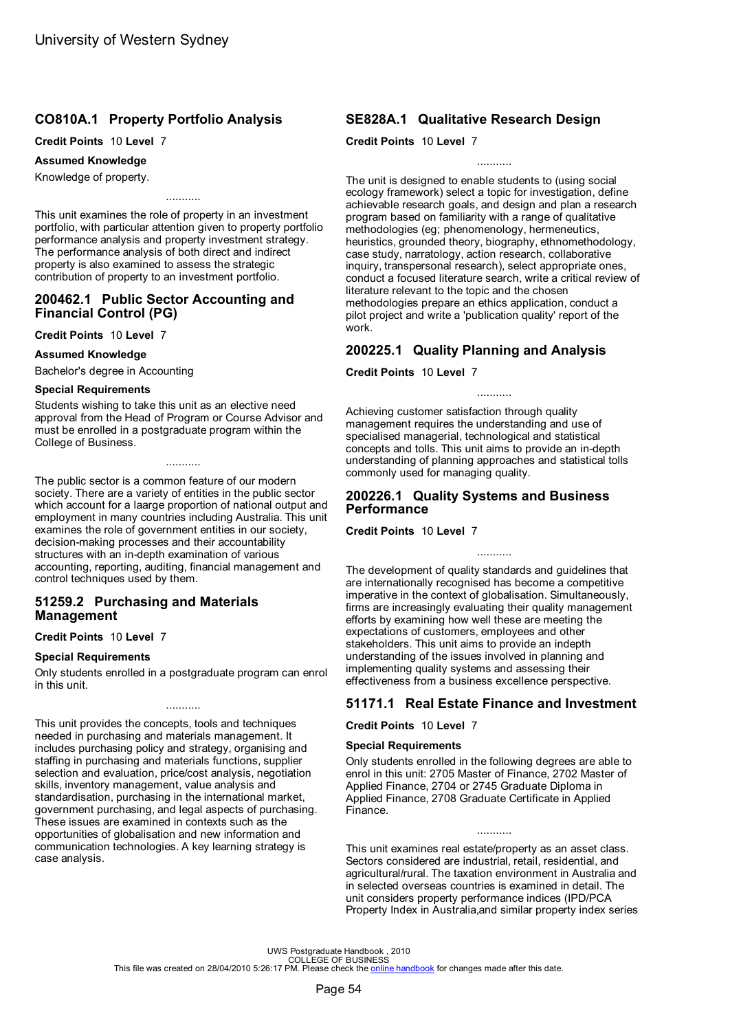## <span id="page-57-0"></span>**CO810A.1 Property Portfolio Analysis**

**Credit Points** 10 **Level** 7

### **Assumed Knowledge**

Knowledge of property.

This unit examines the role of property in an investment portfolio, with particular attention given to property portfolio performance analysis and property investment strategy. The performance analysis of both direct and indirect property is also examined to assess the strategic contribution of property to an investment portfolio.

## **200462.1 Public Sector Accounting and Financial Control (PG)**

**Credit Points** 10 **Level** 7

### **Assumed Knowledge**

Bachelor's degree in Accounting

### **Special Requirements**

Students wishing to take this unit as an elective need approval from the Head of Program or Course Advisor and must be enrolled in a postgraduate program within the College of Business.

...........

The public sector is a common feature of our modern society. There are a variety of entities in the public sector which account for a laarge proportion of national output and employment in many countries including Australia. This unit examines the role of government entities in our society, decision-making processes and their accountability structures with an in-depth examination of various accounting, reporting, auditing, financial management and control techniques used by them.

## **51259.2 Purchasing and Materials Management**

### **Credit Points** 10 **Level** 7

### **Special Requirements**

Only students enrolled in a postgraduate program can enrol in this unit.

...........

This unit provides the concepts, tools and techniques needed in purchasing and materials management. It includes purchasing policy and strategy, organising and staffing in purchasing and materials functions, supplier selection and evaluation, price/cost analysis, negotiation skills, inventory management, value analysis and standardisation, purchasing in the international market, government purchasing, and legal aspects of purchasing. These issues are examined in contexts such as the opportunities of globalisation and new information and communication technologies. A key learning strategy is case analysis.

## **SE828A.1 Qualitative Research Design**

**Credit Points** 10 **Level** 7

...........

The unit is designed to enable students to (using social ecology framework) select a topic for investigation, define achievable research goals, and design and plan a research program based on familiarity with a range of qualitative methodologies (eg; phenomenology, hermeneutics, heuristics, grounded theory, biography, ethnomethodology, case study, narratology, action research, collaborative inquiry, transpersonal research), select appropriate ones, conduct a focused literature search, write a critical review of literature relevant to the topic and the chosen methodologies prepare an ethics application, conduct a pilot project and write a 'publication quality' report of the work.

## **200225.1 Quality Planning and Analysis**

**Credit Points** 10 **Level** 7

Achieving customer satisfaction through quality management requires the understanding and use of specialised managerial, technological and statistical concepts and tolls. This unit aims to provide an in-depth understanding of planning approaches and statistical tolls commonly used for managing quality.

...........

### **200226.1 Quality Systems and Business Performance**

### **Credit Points** 10 **Level** 7

### ...........

The development of quality standards and guidelines that are internationally recognised has become a competitive imperative in the context of globalisation. Simultaneously, firms are increasingly evaluating their quality management efforts by examining how well these are meeting the expectations of customers, employees and other stakeholders. This unit aims to provide an indepth understanding of the issues involved in planning and implementing quality systems and assessing their effectiveness from a business excellence perspective.

## **51171.1 Real Estate Finance and Investment**

### **Credit Points** 10 **Level** 7

### **Special Requirements**

Only students enrolled in the following degrees are able to enrol in this unit: 2705 Master of Finance, 2702 Master of Applied Finance, 2704 or 2745 Graduate Diploma in Applied Finance, 2708 Graduate Certificate in Applied Finance.

This unit examines real estate/property as an asset class. Sectors considered are industrial, retail, residential, and agricultural/rural. The taxation environment in Australia and in selected overseas countries is examined in detail. The unit considers property performance indices (IPD/PCA Property Index in Australia,and similar property index series

...........

UWS Postgraduate Handbook , 2010 COLLEGE OF BUSINESS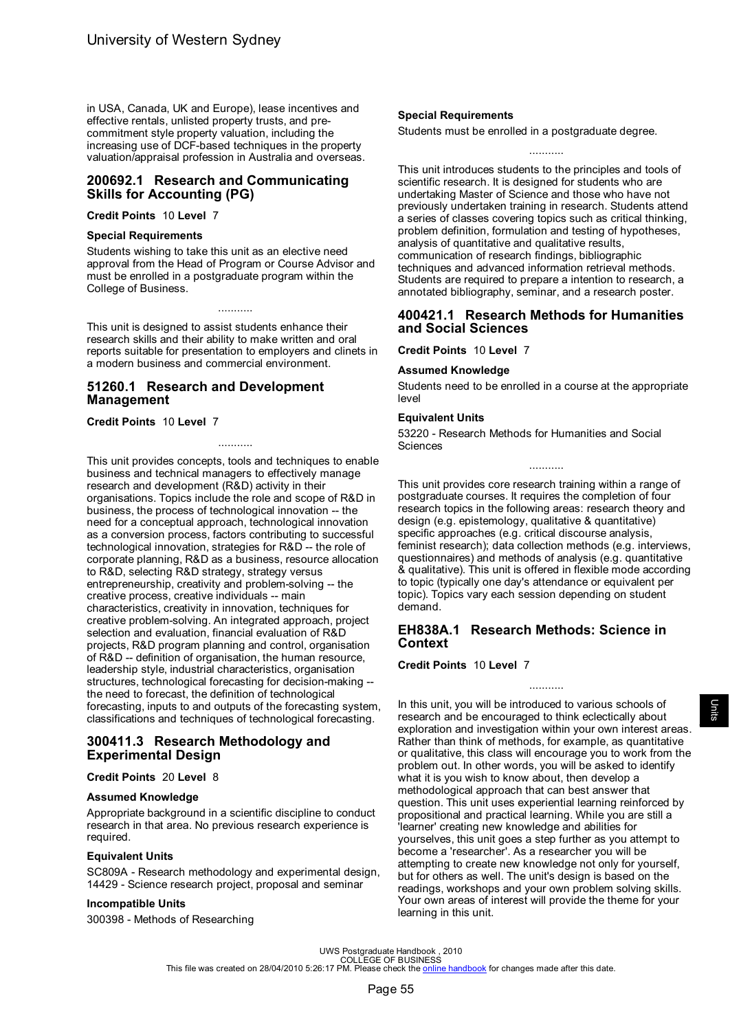<span id="page-58-0"></span>in USA, Canada, UK and Europe), lease incentives and effective rentals, unlisted property trusts, and precommitment style property valuation, including the increasing use of DCF-based techniques in the property valuation/appraisal profession in Australia and overseas.

### **200692.1 Research and Communicating Skills for Accounting (PG)**

**Credit Points** 10 **Level** 7

#### **Special Requirements**

Students wishing to take this unit as an elective need approval from the Head of Program or Course Advisor and must be enrolled in a postgraduate program within the College of Business.

This unit is designed to assist students enhance their research skills and their ability to make written and oral reports suitable for presentation to employers and clinets in a modern business and commercial environment.

...........

...........

### **51260.1 Research and Development Management**

**Credit Points** 10 **Level** 7

This unit provides concepts, tools and techniques to enable business and technical managers to effectively manage research and development (R&D) activity in their organisations. Topics include the role and scope of R&D in business, the process of technological innovation -- the need for a conceptual approach, technological innovation as a conversion process, factors contributing to successful technological innovation, strategies for R&D -- the role of corporate planning, R&D as a business, resource allocation to R&D, selecting R&D strategy, strategy versus entrepreneurship, creativity and problem-solving -- the creative process, creative individuals -- main characteristics, creativity in innovation, techniques for creative problem-solving. An integrated approach, project selection and evaluation, financial evaluation of R&D projects, R&D program planning and control, organisation of R&D -- definition of organisation, the human resource, leadership style, industrial characteristics, organisation structures, technological forecasting for decision-making - the need to forecast, the definition of technological forecasting, inputs to and outputs of the forecasting system, classifications and techniques of technological forecasting.

## **300411.3 Research Methodology and Experimental Design**

### **Credit Points** 20 **Level** 8

### **Assumed Knowledge**

Appropriate background in a scientific discipline to conduct research in that area. No previous research experience is required.

#### **Equivalent Units**

SC809A - Research methodology and experimental design, 14429 - Science research project, proposal and seminar

#### **Incompatible Units**

300398 - Methods of Researching

### **Special Requirements**

Students must be enrolled in a postgraduate degree.

This unit introduces students to the principles and tools of scientific research. It is designed for students who are undertaking Master of Science and those who have not previously undertaken training in research. Students attend a series of classes covering topics such as critical thinking, problem definition, formulation and testing of hypotheses, analysis of quantitative and qualitative results, communication of research findings, bibliographic techniques and advanced information retrieval methods. Students are required to prepare a intention to research, a annotated bibliography, seminar, and a research poster.

...........

### **400421.1 Research Methods for Humanities and Social Sciences**

### **Credit Points** 10 **Level** 7

#### **Assumed Knowledge**

Students need to be enrolled in a course at the appropriate level

### **Equivalent Units**

53220 - Research Methods for Humanities and Social Sciences

This unit provides core research training within a range of postgraduate courses. It requires the completion of four research topics in the following areas: research theory and design (e.g. epistemology, qualitative & quantitative) specific approaches (e.g. critical discourse analysis, feminist research); data collection methods (e.g. interviews, questionnaires) and methods of analysis (e.g. quantitative & qualitative). This unit is offered in flexible mode according to topic (typically one day's attendance or equivalent per topic). Topics vary each session depending on student demand.

...........

### **EH838A.1 Research Methods: Science in Context**

...........

### **Credit Points** 10 **Level** 7

In this unit, you will be introduced to various schools of research and be encouraged to think eclectically about exploration and investigation within your own interest areas. Rather than think of methods, for example, as quantitative or qualitative, this class will encourage you to work from the problem out. In other words, you will be asked to identify what it is you wish to know about, then develop a methodological approach that can best answer that question. This unit uses experiential learning reinforced by propositional and practical learning. While you are still a 'learner' creating new knowledge and abilities for yourselves, this unit goes a step further as you attempt to become a 'researcher'. As a researcher you will be attempting to create new knowledge not only for yourself, but for others as well. The unit's design is based on the readings, workshops and your own problem solving skills. Your own areas of interest will provide the theme for your learning in this unit.

UWS Postgraduate Handbook , 2010 COLLEGE OF BUSINESS This file was created on 28/04/2010 5:26:17 PM. Please check the online [handbook](http://handbook.uws.edu.au/hbook/) for changes made after this date. Units

Page 55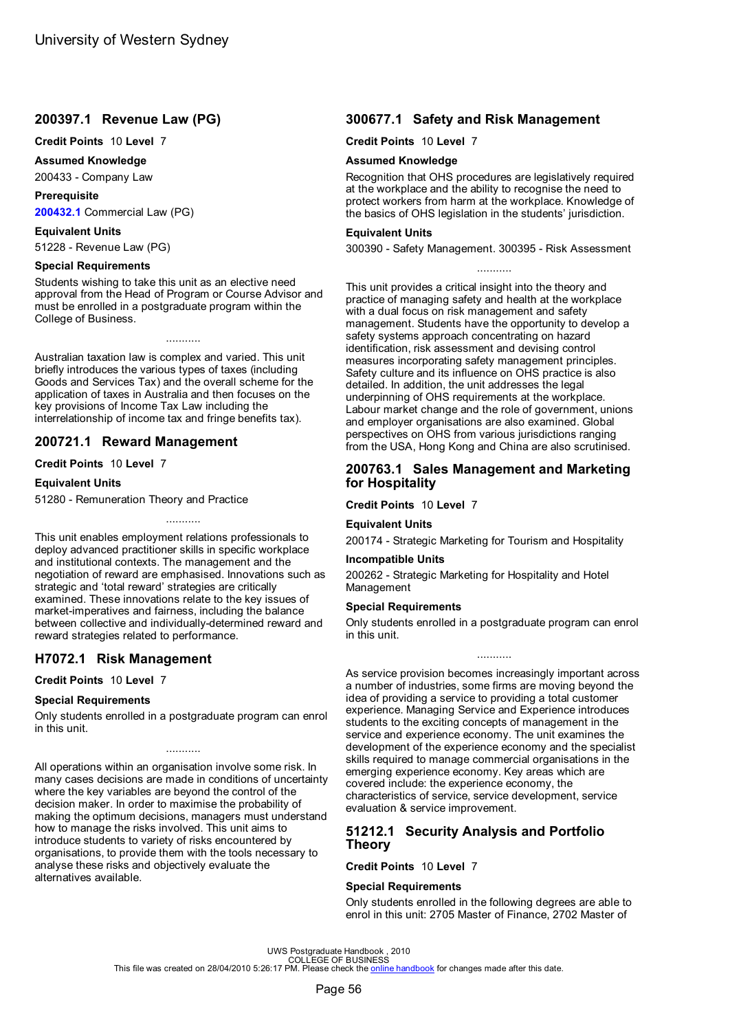## <span id="page-59-0"></span>**200397.1 Revenue Law (PG)**

**Credit Points** 10 **Level** 7

**Assumed Knowledge**

200433 - Company Law

**Prerequisite**

**[200432.1](#page-40-0)** Commercial Law (PG)

**Equivalent Units**

51228 - Revenue Law (PG)

### **Special Requirements**

Students wishing to take this unit as an elective need approval from the Head of Program or Course Advisor and must be enrolled in a postgraduate program within the College of Business.

...........

Australian taxation law is complex and varied. This unit briefly introduces the various types of taxes (including Goods and Services Tax) and the overall scheme for the application of taxes in Australia and then focuses on the key provisions of Income Tax Law including the interrelationship of income tax and fringe benefits tax).

## **200721.1 Reward Management**

**Credit Points** 10 **Level** 7

### **Equivalent Units**

51280 - Remuneration Theory and Practice

This unit enables employment relations professionals to deploy advanced practitioner skills in specific workplace and institutional contexts. The management and the negotiation of reward are emphasised. Innovations such as strategic and 'total reward' strategies are critically examined. These innovations relate to the key issues of market-imperatives and fairness, including the balance between collective and individually-determined reward and reward strategies related to performance.

...........

## **H7072.1 Risk Management**

**Credit Points** 10 **Level** 7

### **Special Requirements**

Only students enrolled in a postgraduate program can enrol in this unit.

...........

All operations within an organisation involve some risk. In many cases decisions are made in conditions of uncertainty where the key variables are beyond the control of the decision maker. In order to maximise the probability of making the optimum decisions, managers must understand how to manage the risks involved. This unit aims to introduce students to variety of risks encountered by organisations, to provide them with the tools necessary to analyse these risks and objectively evaluate the alternatives available.

## **300677.1 Safety and Risk Management**

**Credit Points** 10 **Level** 7

#### **Assumed Knowledge**

Recognition that OHS procedures are legislatively required at the workplace and the ability to recognise the need to protect workers from harm at the workplace. Knowledge of the basics of OHS legislation in the students' jurisdiction.

### **Equivalent Units**

300390 - Safety Management. 300395 - Risk Assessment

...........

This unit provides a critical insight into the theory and practice of managing safety and health at the workplace with a dual focus on risk management and safety management. Students have the opportunity to develop a safety systems approach concentrating on hazard identification, risk assessment and devising control measures incorporating safety management principles. Safety culture and its influence on OHS practice is also detailed. In addition, the unit addresses the legal underpinning of OHS requirements at the workplace. Labour market change and the role of government, unions and employer organisations are also examined. Global perspectives on OHS from various jurisdictions ranging from the USA, Hong Kong and China are also scrutinised.

## **200763.1 Sales Management and Marketing for Hospitality**

**Credit Points** 10 **Level** 7

### **Equivalent Units**

200174 - Strategic Marketing for Tourism and Hospitality

### **Incompatible Units**

200262 - Strategic Marketing for Hospitality and Hotel Management

### **Special Requirements**

Only students enrolled in a postgraduate program can enrol in this unit.

...........

As service provision becomes increasingly important across a number of industries, some firms are moving beyond the idea of providing a service to providing a total customer experience. Managing Service and Experience introduces students to the exciting concepts of management in the service and experience economy. The unit examines the development of the experience economy and the specialist skills required to manage commercial organisations in the emerging experience economy. Key areas which are covered include: the experience economy, the characteristics of service, service development, service evaluation & service improvement.

## **51212.1 Security Analysis and Portfolio Theory**

**Credit Points** 10 **Level** 7

### **Special Requirements**

Only students enrolled in the following degrees are able to enrol in this unit: 2705 Master of Finance, 2702 Master of

UWS Postgraduate Handbook , 2010 COLLEGE OF BUSINESS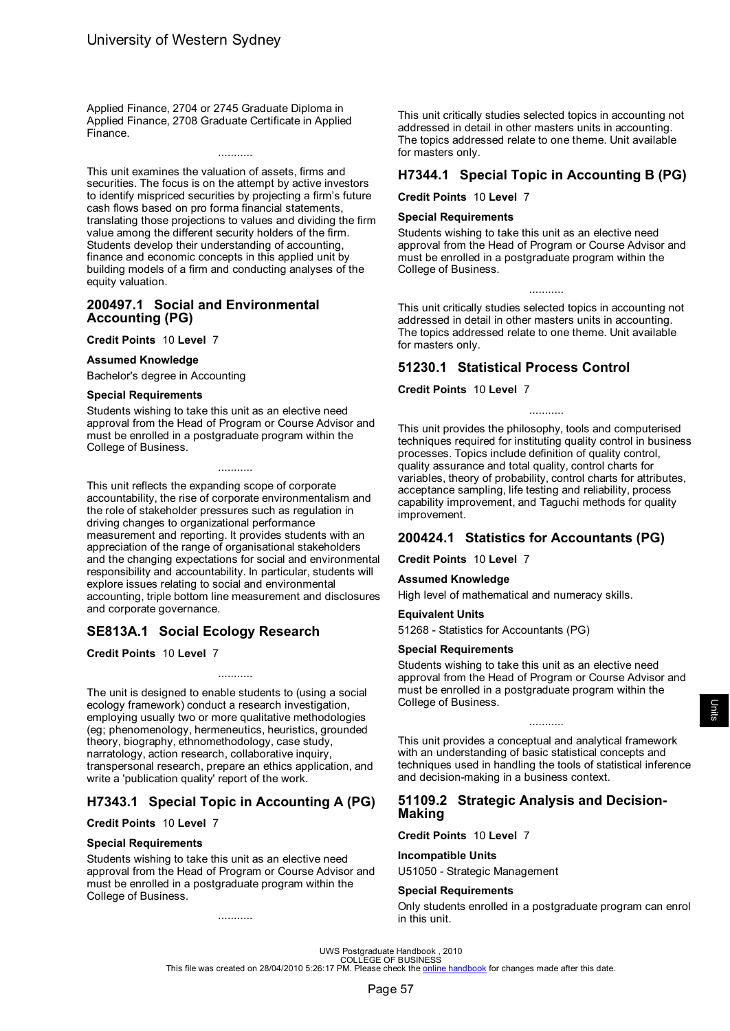<span id="page-60-0"></span>Applied Finance, 2704 or 2745 Graduate Diploma in Applied Finance, 2708 Graduate Certificate in Applied Finance.

This unit examines the valuation of assets, firms and securities. The focus is on the attempt by active investors to identify mispriced securities by projecting a firm's future cash flows based on pro forma financial statements, translating those projections to values and dividing the firm value among the different security holders of the firm. Students develop their understanding of accounting, finance and economic concepts in this applied unit by building models of a firm and conducting analyses of the equity valuation.

...........

## **200497.1 Social and Environmental Accounting (PG)**

**Credit Points** 10 **Level** 7

### **Assumed Knowledge**

Bachelor's degree in Accounting

#### **Special Requirements**

Students wishing to take this unit as an elective need approval from the Head of Program or Course Advisor and must be enrolled in a postgraduate program within the College of Business.

...........

This unit reflects the expanding scope of corporate accountability, the rise of corporate environmentalism and the role of stakeholder pressures such as regulation in driving changes to organizational performance measurement and reporting. It provides students with an appreciation of the range of organisational stakeholders and the changing expectations for social and environmental responsibility and accountability. In particular, students will explore issues relating to social and environmental accounting, triple bottom line measurement and disclosures and corporate governance.

## **SE813A.1 Social Ecology Research**

**Credit Points** 10 **Level** 7

The unit is designed to enable students to (using a social ecology framework) conduct a research investigation, employing usually two or more qualitative methodologies (eg; phenomenology, hermeneutics, heuristics, grounded theory, biography, ethnomethodology, case study, narratology, action research, collaborative inquiry, transpersonal research, prepare an ethics application, and write a 'publication quality' report of the work.

...........

## **H7343.1 Special Topic in Accounting A (PG)**

**Credit Points** 10 **Level** 7

### **Special Requirements**

Students wishing to take this unit as an elective need approval from the Head of Program or Course Advisor and must be enrolled in a postgraduate program within the College of Business.

...........

This unit critically studies selected topics in accounting not addressed in detail in other masters units in accounting. The topics addressed relate to one theme. Unit available for masters only.

## **H7344.1 Special Topic in Accounting B (PG)**

**Credit Points** 10 **Level** 7

#### **Special Requirements**

Students wishing to take this unit as an elective need approval from the Head of Program or Course Advisor and must be enrolled in a postgraduate program within the College of Business.

...........

This unit critically studies selected topics in accounting not addressed in detail in other masters units in accounting. The topics addressed relate to one theme. Unit available for masters only.

## **51230.1 Statistical Process Control**

### **Credit Points** 10 **Level** 7

This unit provides the philosophy, tools and computerised techniques required for instituting quality control in business processes. Topics include definition of quality control, quality assurance and total quality, control charts for variables, theory of probability, control charts for attributes, acceptance sampling, life testing and reliability, process capability improvement, and Taguchi methods for quality improvement.

...........

## **200424.1 Statistics for Accountants (PG)**

**Credit Points** 10 **Level** 7

### **Assumed Knowledge**

High level of mathematical and numeracy skills.

### **Equivalent Units**

51268 - Statistics for Accountants (PG)

### **Special Requirements**

Students wishing to take this unit as an elective need approval from the Head of Program or Course Advisor and must be enrolled in a postgraduate program within the College of Business.

This unit provides a conceptual and analytical framework with an understanding of basic statistical concepts and techniques used in handling the tools of statistical inference and decision-making in a business context.

...........

## **51109.2 Strategic Analysis and Decision-Making**

**Credit Points** 10 **Level** 7

### **Incompatible Units**

U51050 - Strategic Management

### **Special Requirements**

Only students enrolled in a postgraduate program can enrol in this unit.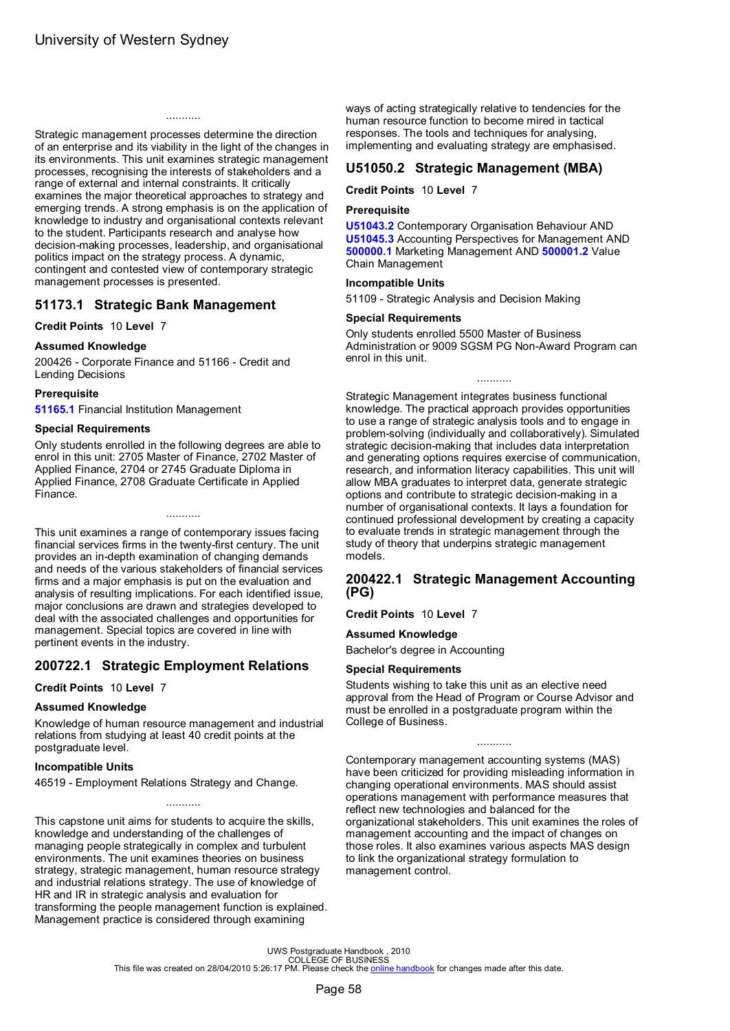<span id="page-61-0"></span>Strategic management processes determine the direction of an enterprise and its viability in the light of the changes in its environments. This unit examines strategic management processes, recognising the interests of stakeholders and a range of external and internal constraints. It critically examines the major theoretical approaches to strategy and emerging trends. A strong emphasis is on the application of knowledge to industry and organisational contexts relevant to the student. Participants research and analyse how decision-making processes, leadership, and organisational politics impact on the strategy process. A dynamic, contingent and contested view of contemporary strategic management processes is presented.

...........

## **51173.1 Strategic Bank Management**

**Credit Points** 10 **Level** 7

### **Assumed Knowledge**

200426 - Corporate Finance and 51166 - Credit and Lending Decisions

### **Prerequisite**

**[51165.1](#page-45-0)** Financial Institution Management

### **Special Requirements**

Only students enrolled in the following degrees are able to enrol in this unit: 2705 Master of Finance, 2702 Master of Applied Finance, 2704 or 2745 Graduate Diploma in Applied Finance, 2708 Graduate Certificate in Applied Finance.

...........

This unit examines a range of contemporary issues facing financial services firms in the twenty-first century. The unit provides an in-depth examination of changing demands and needs of the various stakeholders of financial services firms and a major emphasis is put on the evaluation and analysis of resulting implications. For each identified issue, major conclusions are drawn and strategies developed to deal with the associated challenges and opportunities for management. Special topics are covered in line with pertinent events in the industry.

## **200722.1 Strategic Employment Relations**

**Credit Points** 10 **Level** 7

### **Assumed Knowledge**

Knowledge of human resource management and industrial relations from studying at least 40 credit points at the postgraduate level.

...........

### **Incompatible Units**

46519 - Employment Relations Strategy and Change.

This capstone unit aims for students to acquire the skills, knowledge and understanding of the challenges of managing people strategically in complex and turbulent environments. The unit examines theories on business strategy, strategic management, human resource strategy and industrial relations strategy. The use of knowledge of HR and IR in strategic analysis and evaluation for transforming the people management function is explained. Management practice is considered through examining

ways of acting strategically relative to tendencies for the human resource function to become mired in tactical responses. The tools and techniques for analysing, implementing and evaluating strategy are emphasised.

## **U51050.2 Strategic Management (MBA)**

**Credit Points** 10 **Level** 7

### **Prerequisite**

**[U51043.2](#page-41-0)** Contemporary Organisation Behaviour AND **[U51045.3](#page-37-0)** Accounting Perspectives for Management AND **[500000.1](#page-53-0)** Marketing Management AND **[500001.2](#page-63-0)** Value Chain Management

### **Incompatible Units**

51109 - Strategic Analysis and Decision Making

### **Special Requirements**

Only students enrolled 5500 Master of Business Administration or 9009 SGSM PG Non-Award Program can enrol in this unit.

...........

Strategic Management integrates business functional knowledge. The practical approach provides opportunities to use a range of strategic analysis tools and to engage in problem-solving (individually and collaboratively). Simulated strategic decision-making that includes data interpretation and generating options requires exercise of communication, research, and information literacy capabilities. This unit will allow MBA graduates to interpret data, generate strategic options and contribute to strategic decision-making in a number of organisational contexts. It lays a foundation for continued professional development by creating a capacity to evaluate trends in strategic management through the study of theory that underpins strategic management models.

## **200422.1 Strategic Management Accounting (PG)**

**Credit Points** 10 **Level** 7

### **Assumed Knowledge**

Bachelor's degree in Accounting

### **Special Requirements**

Students wishing to take this unit as an elective need approval from the Head of Program or Course Advisor and must be enrolled in a postgraduate program within the College of Business.

...........

Contemporary management accounting systems (MAS) have been criticized for providing misleading information in changing operational environments. MAS should assist operations management with performance measures that reflect new technologies and balanced for the organizational stakeholders. This unit examines the roles of management accounting and the impact of changes on those roles. It also examines various aspects MAS design to link the organizational strategy formulation to management control.

UWS Postgraduate Handbook , 2010 COLLEGE OF BUSINESS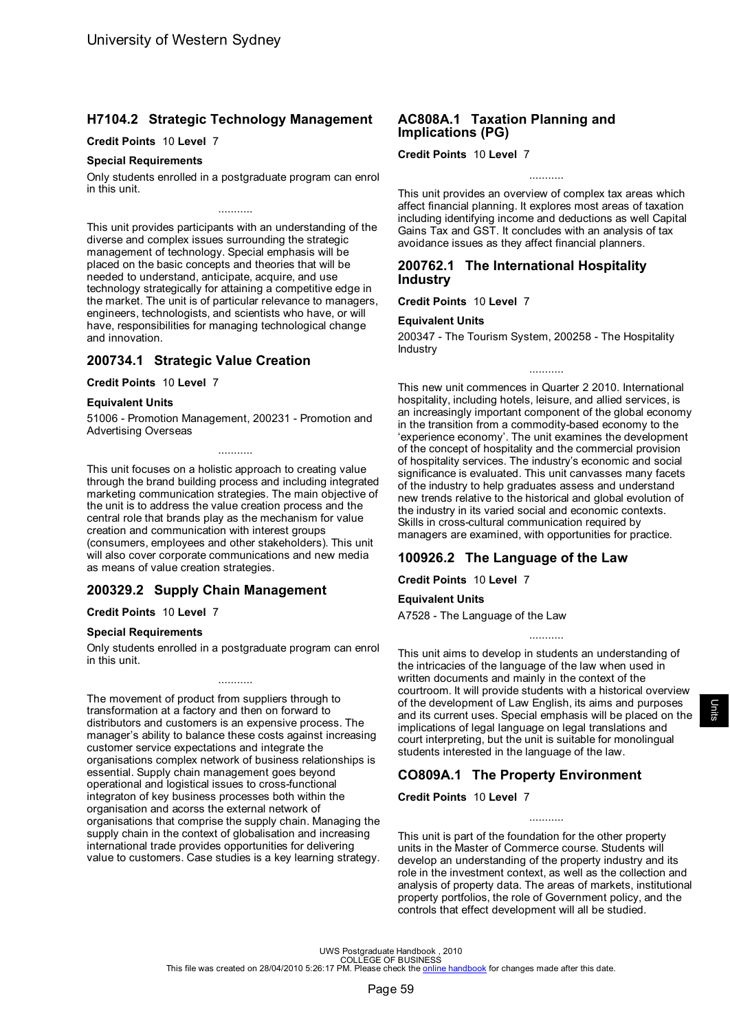## <span id="page-62-0"></span>**H7104.2 Strategic Technology Management**

### **Credit Points** 10 **Level** 7

### **Special Requirements**

Only students enrolled in a postgraduate program can enrol in this unit.

...........

This unit provides participants with an understanding of the diverse and complex issues surrounding the strategic management of technology. Special emphasis will be placed on the basic concepts and theories that will be needed to understand, anticipate, acquire, and use technology strategically for attaining a competitive edge in the market. The unit is of particular relevance to managers, engineers, technologists, and scientists who have, or will have, responsibilities for managing technological change and innovation.

## **200734.1 Strategic Value Creation**

**Credit Points** 10 **Level** 7

### **Equivalent Units**

51006 - Promotion Management, 200231 - Promotion and Advertising Overseas

This unit focuses on a holistic approach to creating value through the brand building process and including integrated marketing communication strategies. The main objective of the unit is to address the value creation process and the central role that brands play as the mechanism for value creation and communication with interest groups (consumers, employees and other stakeholders). This unit will also cover corporate communications and new media as means of value creation strategies.

## **200329.2 Supply Chain Management**

### **Credit Points** 10 **Level** 7

### **Special Requirements**

Only students enrolled in a postgraduate program can enrol in this unit.

...........

The movement of product from suppliers through to transformation at a factory and then on forward to distributors and customers is an expensive process. The manager's ability to balance these costs against increasing customer service expectations and integrate the organisations complex network of business relationships is essential. Supply chain management goes beyond operational and logistical issues to cross-functional integraton of key business processes both within the organisation and acorss the external network of organisations that comprise the supply chain. Managing the supply chain in the context of globalisation and increasing international trade provides opportunities for delivering value to customers. Case studies is a key learning strategy.

## **AC808A.1 Taxation Planning and Implications (PG)**

**Credit Points** 10 **Level** 7

This unit provides an overview of complex tax areas which affect financial planning. It explores most areas of taxation including identifying income and deductions as well Capital Gains Tax and GST. It concludes with an analysis of tax avoidance issues as they affect financial planners.

...........

## **200762.1 The International Hospitality Industry**

**Credit Points** 10 **Level** 7

### **Equivalent Units**

200347 - The Tourism System, 200258 - The Hospitality Industry

...........

This new unit commences in Quarter 2 2010. International hospitality, including hotels, leisure, and allied services, is an increasingly important component of the global economy in the transition from a commodity-based economy to the 'experience economy'. The unit examines the development of the concept of hospitality and the commercial provision of hospitality services. The industry's economic and social significance is evaluated. This unit canvasses many facets of the industry to help graduates assess and understand new trends relative to the historical and global evolution of the industry in its varied social and economic contexts. Skills in cross-cultural communication required by managers are examined, with opportunities for practice.

## **100926.2 The Language of the Law**

**Credit Points** 10 **Level** 7

### **Equivalent Units**

A7528 - The Language of the Law

This unit aims to develop in students an understanding of the intricacies of the language of the law when used in written documents and mainly in the context of the courtroom. It will provide students with a historical overview of the development of Law English, its aims and purposes and its current uses. Special emphasis will be placed on the implications of legal language on legal translations and court interpreting, but the unit is suitable for monolingual students interested in the language of the law.

...........

## **CO809A.1 The Property Environment**

**Credit Points** 10 **Level** 7

This unit is part of the foundation for the other property units in the Master of Commerce course. Students will develop an understanding of the property industry and its role in the investment context, as well as the collection and analysis of property data. The areas of markets, institutional property portfolios, the role of Government policy, and the controls that effect development will all be studied.

...........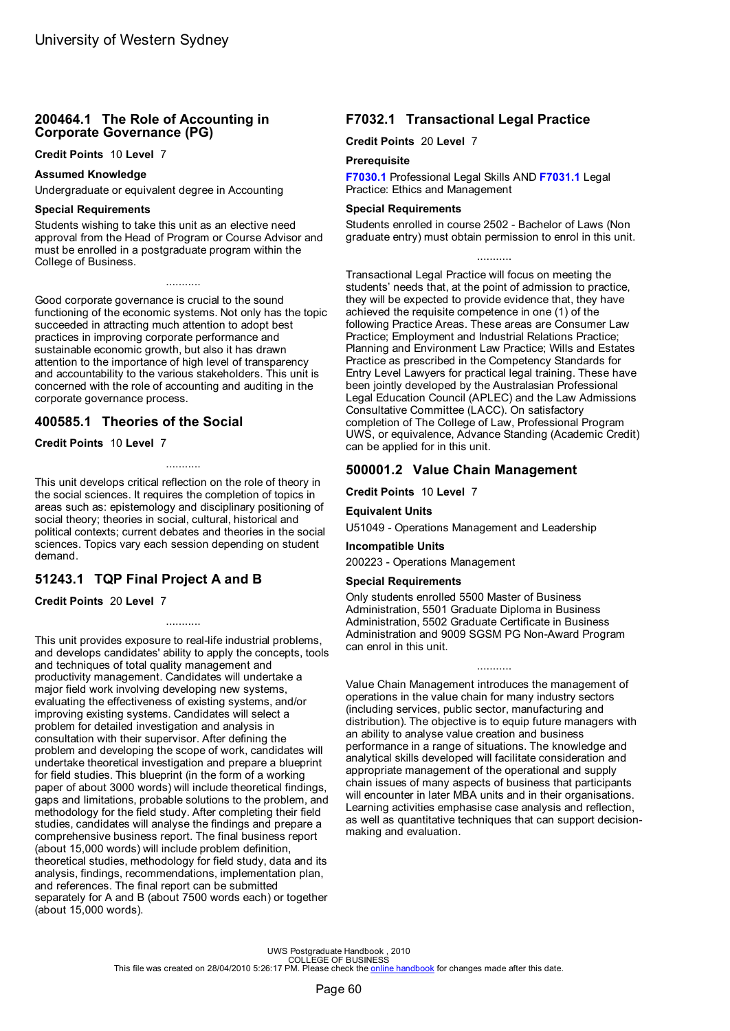## <span id="page-63-0"></span>**200464.1 The Role of Accounting in Corporate Governance (PG)**

**Credit Points** 10 **Level** 7

### **Assumed Knowledge**

Undergraduate or equivalent degree in Accounting

### **Special Requirements**

Students wishing to take this unit as an elective need approval from the Head of Program or Course Advisor and must be enrolled in a postgraduate program within the College of Business.

...........

Good corporate governance is crucial to the sound functioning of the economic systems. Not only has the topic succeeded in attracting much attention to adopt best practices in improving corporate performance and sustainable economic growth, but also it has drawn attention to the importance of high level of transparency and accountability to the various stakeholders. This unit is concerned with the role of accounting and auditing in the corporate governance process.

## **400585.1 Theories of the Social**

**Credit Points** 10 **Level** 7

...........

This unit develops critical reflection on the role of theory in the social sciences. It requires the completion of topics in areas such as: epistemology and disciplinary positioning of social theory; theories in social, cultural, historical and political contexts; current debates and theories in the social sciences. Topics vary each session depending on student demand.

...........

## **51243.1 TQP Final Project A and B**

### **Credit Points** 20 **Level** 7

This unit provides exposure to real-life industrial problems, and develops candidates' ability to apply the concepts, tools and techniques of total quality management and productivity management. Candidates will undertake a major field work involving developing new systems, evaluating the effectiveness of existing systems, and/or improving existing systems. Candidates will select a problem for detailed investigation and analysis in consultation with their supervisor. After defining the problem and developing the scope of work, candidates will undertake theoretical investigation and prepare a blueprint for field studies. This blueprint (in the form of a working paper of about 3000 words) will include theoretical findings, gaps and limitations, probable solutions to the problem, and methodology for the field study. After completing their field studies, candidates will analyse the findings and prepare a comprehensive business report. The final business report (about 15,000 words) will include problem definition, theoretical studies, methodology for field study, data and its analysis, findings, recommendations, implementation plan, and references. The final report can be submitted separately for A and B (about 7500 words each) or together (about 15,000 words).

## **F7032.1 Transactional Legal Practice**

**Credit Points** 20 **Level** 7

### **Prerequisite**

**[F7030.1](#page-55-0)** Professional Legal Skills AND **[F7031.1](#page-51-0)** Legal Practice: Ethics and Management

### **Special Requirements**

Students enrolled in course 2502 - Bachelor of Laws (Non graduate entry) must obtain permission to enrol in this unit.

...........

Transactional Legal Practice will focus on meeting the students' needs that, at the point of admission to practice, they will be expected to provide evidence that, they have achieved the requisite competence in one (1) of the following Practice Areas. These areas are Consumer Law Practice; Employment and Industrial Relations Practice; Planning and Environment Law Practice; Wills and Estates Practice as prescribed in the Competency Standards for Entry Level Lawyers for practical legal training. These have been jointly developed by the Australasian Professional Legal Education Council (APLEC) and the Law Admissions Consultative Committee (LACC). On satisfactory completion of The College of Law, Professional Program UWS, or equivalence, Advance Standing (Academic Credit) can be applied for in this unit.

## **500001.2 Value Chain Management**

**Credit Points** 10 **Level** 7

### **Equivalent Units**

U51049 - Operations Management and Leadership

### **Incompatible Units**

200223 - Operations Management

### **Special Requirements**

Only students enrolled 5500 Master of Business Administration, 5501 Graduate Diploma in Business Administration, 5502 Graduate Certificate in Business Administration and 9009 SGSM PG Non-Award Program can enrol in this unit.

...........

Value Chain Management introduces the management of operations in the value chain for many industry sectors (including services, public sector, manufacturing and distribution). The objective is to equip future managers with an ability to analyse value creation and business performance in a range of situations. The knowledge and analytical skills developed will facilitate consideration and appropriate management of the operational and supply chain issues of many aspects of business that participants will encounter in later MBA units and in their organisations. Learning activities emphasise case analysis and reflection, as well as quantitative techniques that can support decisionmaking and evaluation.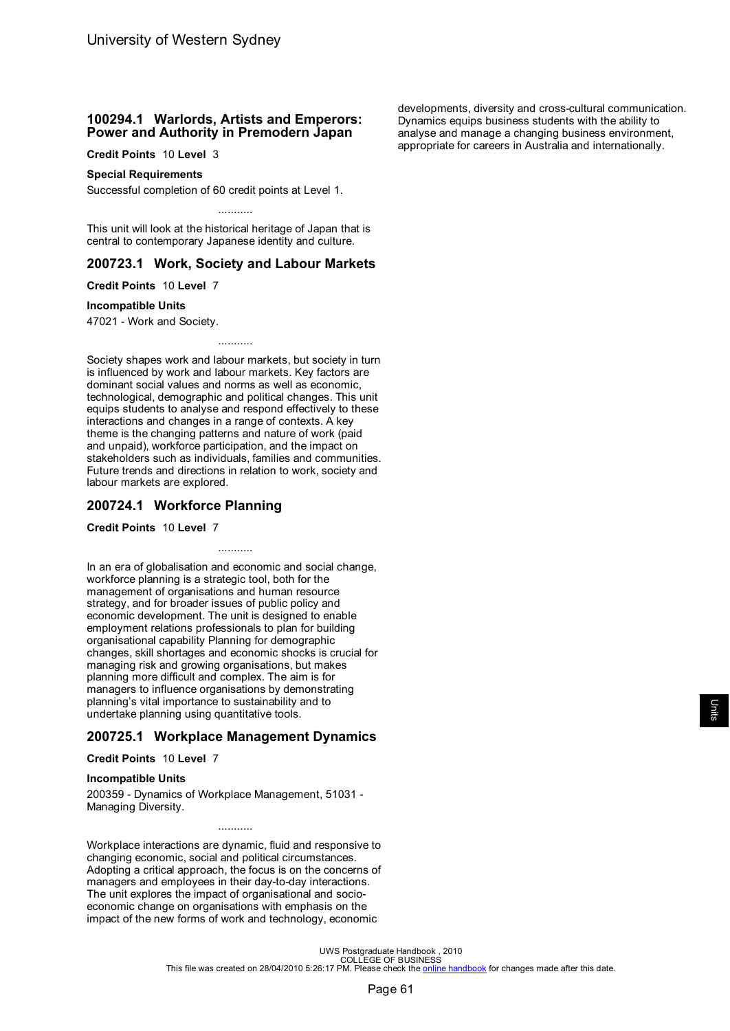## <span id="page-64-0"></span>**100294.1 Warlords, Artists and Emperors: Power and Authority in Premodern Japan**

#### **Credit Points** 10 **Level** 3

#### **Special Requirements**

Successful completion of 60 credit points at Level 1.

This unit will look at the historical heritage of Japan that is central to contemporary Japanese identity and culture.

...........

### **200723.1 Work, Society and Labour Markets**

#### **Credit Points** 10 **Level** 7

#### **Incompatible Units**

47021 - Work and Society.

Society shapes work and labour markets, but society in turn is influenced by work and labour markets. Key factors are dominant social values and norms as well as economic, technological, demographic and political changes. This unit equips students to analyse and respond effectively to these interactions and changes in a range of contexts. A key theme is the changing patterns and nature of work (paid and unpaid), workforce participation, and the impact on stakeholders such as individuals, families and communities. Future trends and directions in relation to work, society and labour markets are explored.

...........

### **200724.1 Workforce Planning**

**Credit Points** 10 **Level** 7

In an era of globalisation and economic and social change, workforce planning is a strategic tool, both for the management of organisations and human resource strategy, and for broader issues of public policy and economic development. The unit is designed to enable employment relations professionals to plan for building organisational capability Planning for demographic changes, skill shortages and economic shocks is crucial for managing risk and growing organisations, but makes planning more difficult and complex. The aim is for managers to influence organisations by demonstrating planning's vital importance to sustainability and to undertake planning using quantitative tools.

...........

### **200725.1 Workplace Management Dynamics**

#### **Credit Points** 10 **Level** 7

#### **Incompatible Units**

200359 - Dynamics of Workplace Management, 51031 - Managing Diversity.

Workplace interactions are dynamic, fluid and responsive to changing economic, social and political circumstances. Adopting a critical approach, the focus is on the concerns of managers and employees in their day-to-day interactions. The unit explores the impact of organisational and socioeconomic change on organisations with emphasis on the impact of the new forms of work and technology, economic

...........

developments, diversity and cross-cultural communication. Dynamics equips business students with the ability to analyse and manage a changing business environment, appropriate for careers in Australia and internationally.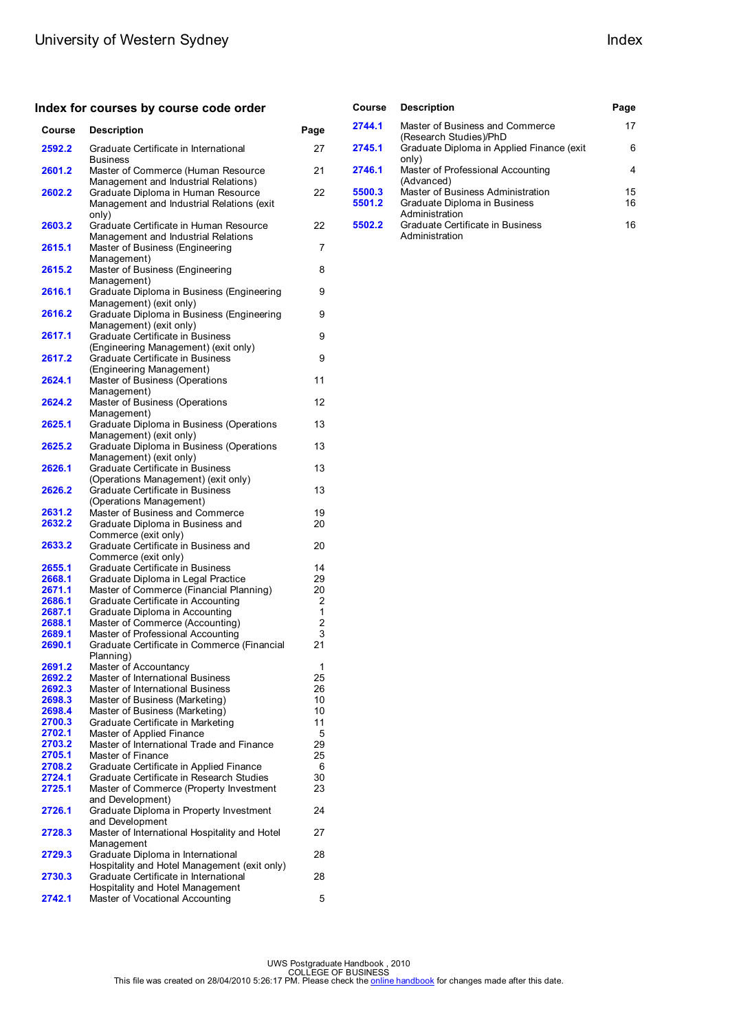## **Index for courses by course code order**

| Course           | <b>Description</b>                                                                       | Page     |
|------------------|------------------------------------------------------------------------------------------|----------|
| 2592.2           | Graduate Certificate in International<br><b>Business</b>                                 | 27       |
| 2601.2           | Master of Commerce (Human Resource<br>Management and Industrial Relations)               | 21       |
| 2602.2           | Graduate Diploma in Human Resource<br>Management and Industrial Relations (exit<br>only) | 22       |
| 2603.2           | Graduate Certificate in Human Resource<br>Management and Industrial Relations            | 22       |
| 2615.1           | Master of Business (Engineering<br>Management)                                           | 7        |
| 2615.2           | Master of Business (Engineering<br>Management)                                           | 8        |
| 2616.1           | Graduate Diploma in Business (Engineering<br>Management) (exit only)                     | 9        |
| 2616.2           | Graduate Diploma in Business (Engineering<br>Management) (exit only)                     | 9        |
| 2617.1           | Graduate Certificate in Business<br>(Engineering Management) (exit only)                 | 9        |
| 2617.2           | Graduate Certificate in Business<br>(Engineering Management)                             | 9        |
| 2624.1           | Master of Business (Operations<br>Management)                                            | 11       |
| 2624.2           | Master of Business (Operations<br>Management)                                            | 12       |
| 2625.1           | Graduate Diploma in Business (Operations<br>Management) (exit only)                      | 13       |
| 2625.2           | Graduate Diploma in Business (Operations                                                 | 13       |
| 2626.1           | Management) (exit only)<br>Graduate Certificate in Business                              | 13       |
| 2626.2           | (Operations Management) (exit only)<br>Graduate Certificate in Business                  | 13       |
| 2631.2           | (Operations Management)<br>Master of Business and Commerce                               | 19       |
| 2632.2           | Graduate Diploma in Business and<br>Commerce (exit only)                                 | 20       |
| 2633.2           | Graduate Certificate in Business and<br>Commerce (exit only)                             | 20       |
| 2655.1           | Graduate Certificate in Business                                                         | 14       |
| 2668.1           | Graduate Diploma in Legal Practice                                                       | 29       |
| 2671.1           | Master of Commerce (Financial Planning)                                                  | 20       |
| 2686.1           | Graduate Certificate in Accounting                                                       | 2        |
| 2687.1           | Graduate Diploma in Accounting                                                           | 1<br>2   |
| 2688.1<br>2689.1 | Master of Commerce (Accounting)<br>Master of Professional Accounting                     | 3        |
| 2690.1           | Graduate Certificate in Commerce (Financial                                              | 21       |
|                  | Planning)                                                                                |          |
| 2691.2           | Master of Accountancy                                                                    | 1        |
| 2692.2           | Master of International Business                                                         | 25       |
| 2692.3           | Master of International Business                                                         | 26       |
| 2698.3           | Master of Business (Marketing)                                                           | 10       |
| 2698.4           | Master of Business (Marketing)                                                           | 10       |
| 2700.3           | Graduate Certificate in Marketing                                                        | 11       |
| 2702.1           | Master of Applied Finance                                                                | 5        |
| 2703.2<br>2705.1 | Master of International Trade and Finance<br>Master of Finance                           | 29<br>25 |
| 2708.2           | Graduate Certificate in Applied Finance                                                  | 6        |
| 2724.1           | Graduate Certificate in Research Studies                                                 | 30       |
| 2725.1           | Master of Commerce (Property Investment                                                  | 23       |
|                  | and Development)                                                                         |          |
| 2726.1           | Graduate Diploma in Property Investment<br>and Development                               | 24       |
| 2728.3           | Master of International Hospitality and Hotel<br>Management                              | 27       |
| 2729.3           | Graduate Diploma in International<br>Hospitality and Hotel Management (exit only)        | 28       |
| 2730.3           | Graduate Certificate in International                                                    | 28       |
| 2742.1           | Hospitality and Hotel Management<br>Master of Vocational Accounting                      | 5        |

| Course | <b>Description</b>                                        | Page |
|--------|-----------------------------------------------------------|------|
| 2744.1 | Master of Business and Commerce<br>(Research Studies)/PhD | 17   |
| 2745.1 | Graduate Diploma in Applied Finance (exit<br>only)        | 6    |
| 2746.1 | Master of Professional Accounting<br>(Advanced)           | 4    |
| 5500.3 | Master of Business Administration                         | 15   |
| 5501.2 | Graduate Diploma in Business<br>Administration            | 16   |
| 5502.2 | Graduate Certificate in Business<br>Administration        | 16   |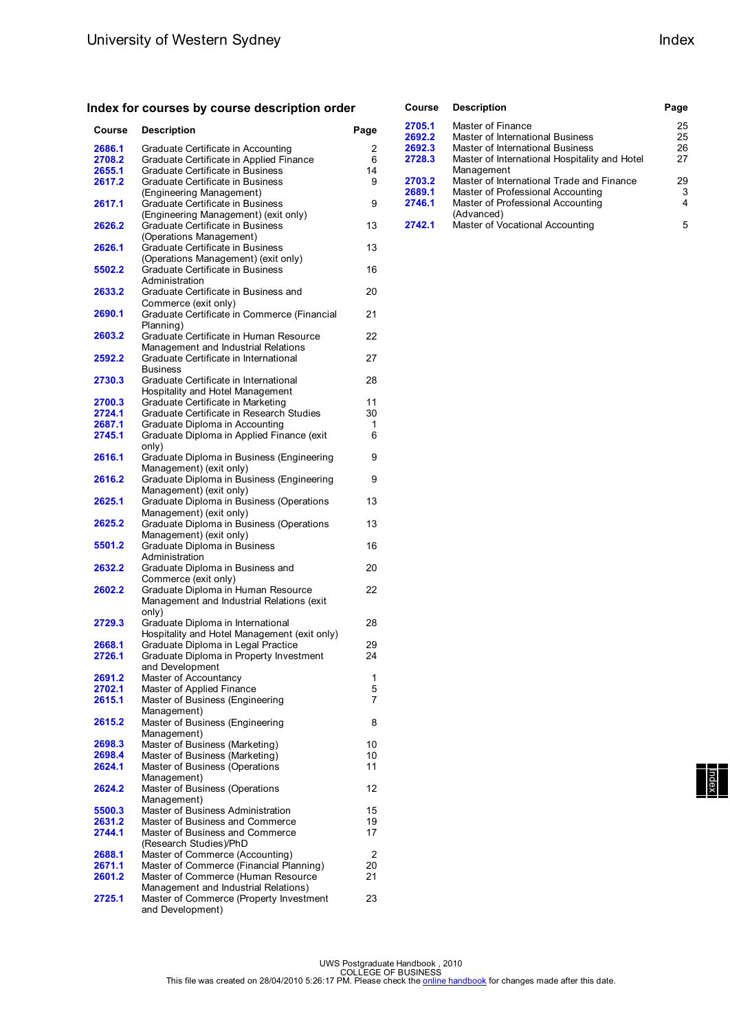## **Index for courses by course description order**

| Course | <b>Description</b>                                                              | Page |
|--------|---------------------------------------------------------------------------------|------|
| 2686.1 | Graduate Certificate in Accounting                                              | 2    |
| 2708.2 | Graduate Certificate in Applied Finance                                         | 6    |
| 2655.1 | Graduate Certificate in Business                                                | 14   |
| 2617.2 | Graduate Certificate in Business                                                | 9    |
| 2617.1 | (Engineering Management)<br>Graduate Certificate in Business                    | 9    |
|        | (Engineering Management) (exit only)                                            |      |
| 2626.2 | Graduate Certificate in Business                                                | 13   |
| 2626.1 | (Operations Management)                                                         | 13   |
|        | Graduate Certificate in Business<br>(Operations Management) (exit only)         |      |
| 5502.2 | Graduate Certificate in Business                                                | 16   |
|        | Administration                                                                  |      |
| 2633.2 | Graduate Certificate in Business and<br>Commerce (exit only)                    | 20   |
| 2690.1 | Graduate Certificate in Commerce (Financial                                     | 21   |
|        | Planning)                                                                       |      |
| 2603.2 | Graduate Certificate in Human Resource                                          | 22   |
|        | Management and Industrial Relations                                             |      |
| 2592.2 | Graduate Certificate in International                                           | 27   |
|        | <b>Business</b>                                                                 |      |
| 2730.3 | Graduate Certificate in International<br>Hospitality and Hotel Management       | 28   |
| 2700.3 | Graduate Certificate in Marketing                                               | 11   |
| 2724.1 | Graduate Certificate in Research Studies                                        | 30   |
| 2687.1 | Graduate Diploma in Accounting                                                  | 1    |
| 2745.1 | Graduate Diploma in Applied Finance (exit                                       | 6    |
|        | only)                                                                           |      |
| 2616.1 | Graduate Diploma in Business (Engineering<br>Management) (exit only)            | 9    |
| 2616.2 | Graduate Diploma in Business (Engineering                                       | 9    |
|        | Management) (exit only)                                                         |      |
| 2625.1 | Graduate Diploma in Business (Operations                                        | 13   |
|        | Management) (exit only)                                                         |      |
| 2625.2 | Graduate Diploma in Business (Operations                                        | 13   |
| 5501.2 | Management) (exit only)<br>Graduate Diploma in Business                         | 16   |
|        | Administration                                                                  |      |
| 2632.2 | Graduate Diploma in Business and                                                | 20   |
|        | Commerce (exit only)                                                            |      |
| 2602.2 | Graduate Diploma in Human Resource                                              | 22   |
|        | Management and Industrial Relations (exit                                       |      |
| 2729.3 | only)<br>Graduate Diploma in International                                      | 28   |
|        | Hospitality and Hotel Management (exit only)                                    |      |
| 2668.1 | Graduate Diploma in Legal Practice                                              | 29   |
| 2726.1 | Graduate Diploma in Property Investment                                         | 24   |
|        | and Development                                                                 |      |
| 2691.2 | Master of Accountancy                                                           | 1    |
| 2702.1 | Master of Applied Finance                                                       | 5    |
| 2615.1 | Master of Business (Engineering                                                 | 7    |
| 2615.2 | Management)<br>Master of Business (Engineering                                  | 8    |
|        | Management)                                                                     |      |
| 2698.3 | Master of Business (Marketing)                                                  | 10   |
| 2698.4 | Master of Business (Marketing)                                                  | 10   |
| 2624.1 | Master of Business (Operations                                                  | 11   |
|        | Management)                                                                     |      |
| 2624.2 | Master of Business (Operations                                                  | 12   |
| 5500.3 | Management)<br>Master of Business Administration                                | 15   |
| 2631.2 | Master of Business and Commerce                                                 | 19   |
| 2744.1 | Master of Business and Commerce                                                 | 17   |
|        | (Research Studies)/PhD                                                          |      |
| 2688.1 | Master of Commerce (Accounting)                                                 | 2    |
| 2671.1 | Master of Commerce (Financial Planning)                                         | 20   |
| 2601.2 | Master of Commerce (Human Resource                                              | 21   |
|        | Management and Industrial Relations)<br>Master of Commerce (Property Investment | 23   |
| 2725.1 | and Development)                                                                |      |
|        |                                                                                 |      |

| Course | <b>Description</b>                            | Page |
|--------|-----------------------------------------------|------|
| 2705.1 | Master of Finance                             | 25   |
| 2692.2 | Master of International Business              | 25   |
| 2692.3 | Master of International Business              | 26   |
| 2728.3 | Master of International Hospitality and Hotel | 27   |
|        | Management                                    |      |
| 2703.2 | Master of International Trade and Finance     | 29   |
| 2689.1 | Master of Professional Accounting             | 3    |
| 2746.1 | Master of Professional Accounting             | 4    |
|        | (Advanced)                                    |      |
| 2742.1 | Master of Vocational Accounting               | 5    |

| Index | Index | Index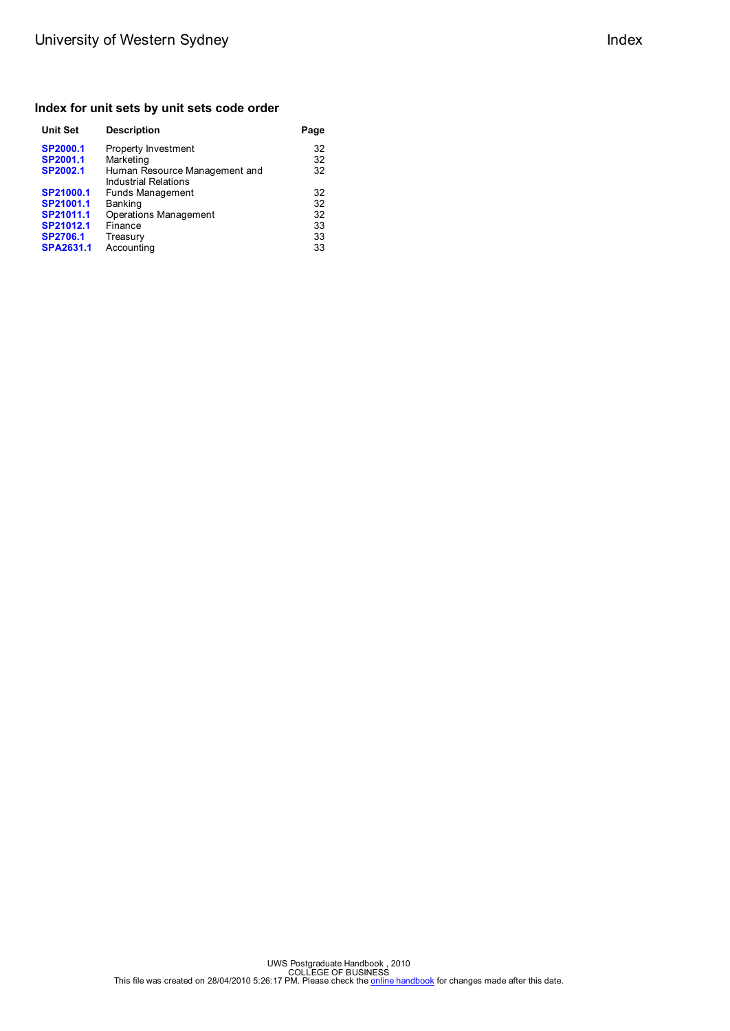## **Index for unit sets by unit sets code order**

| <b>Unit Set</b>  | <b>Description</b>            | Page |
|------------------|-------------------------------|------|
| <b>SP2000.1</b>  | Property Investment           | 32   |
| SP2001.1         | Marketing                     | 32   |
| SP2002.1         | Human Resource Management and | 32   |
|                  | Industrial Relations          |      |
| SP21000.1        | <b>Funds Management</b>       | 32   |
| SP21001.1        | Banking                       | 32   |
| SP21011.1        | <b>Operations Management</b>  | 32   |
| SP21012.1        | Finance                       | 33   |
| <b>SP2706.1</b>  | Treasury                      | 33   |
| <b>SPA2631.1</b> | Accounting                    | 33   |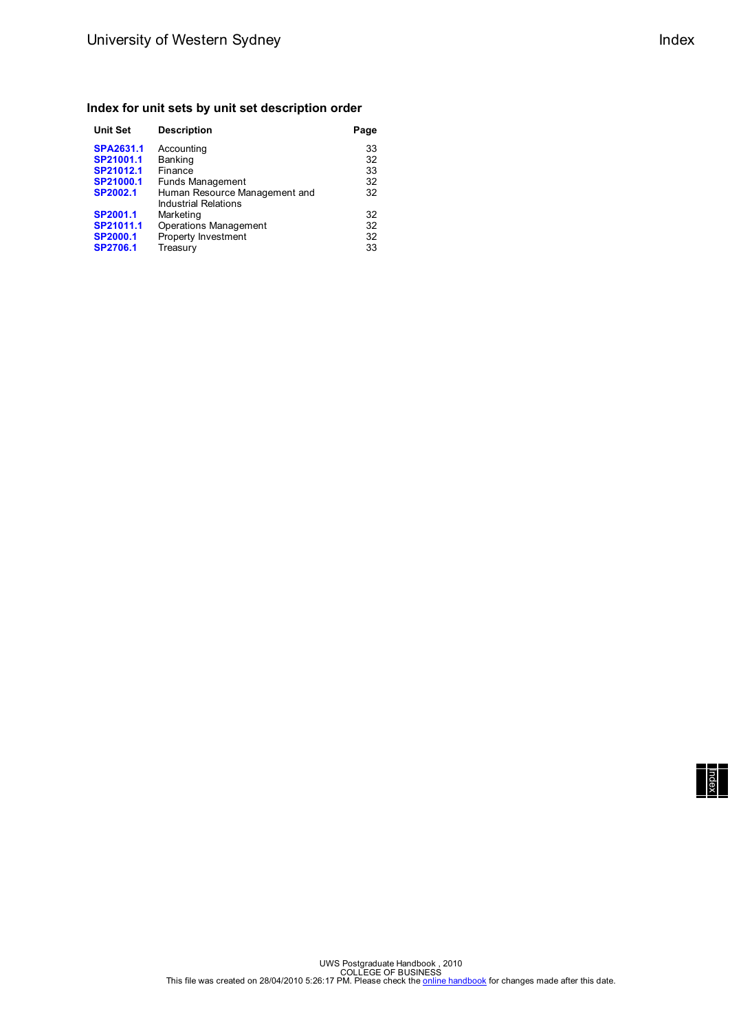## **Index for unit sets by unit set description order**

| <b>Unit Set</b>  | <b>Description</b>                                           | Page |
|------------------|--------------------------------------------------------------|------|
| <b>SPA2631.1</b> | Accounting                                                   | 33   |
| SP21001.1        | Banking                                                      | 32   |
| SP21012.1        | Finance                                                      | 33   |
| SP21000.1        | <b>Funds Management</b>                                      | 32   |
| SP2002.1         | Human Resource Management and<br><b>Industrial Relations</b> | 32   |
| SP2001.1         | Marketing                                                    | 32   |
| SP21011.1        | <b>Operations Management</b>                                 | 32   |
| <b>SP2000.1</b>  | Property Investment                                          | 32   |
| <b>SP2706.1</b>  | Treasurv                                                     | 33   |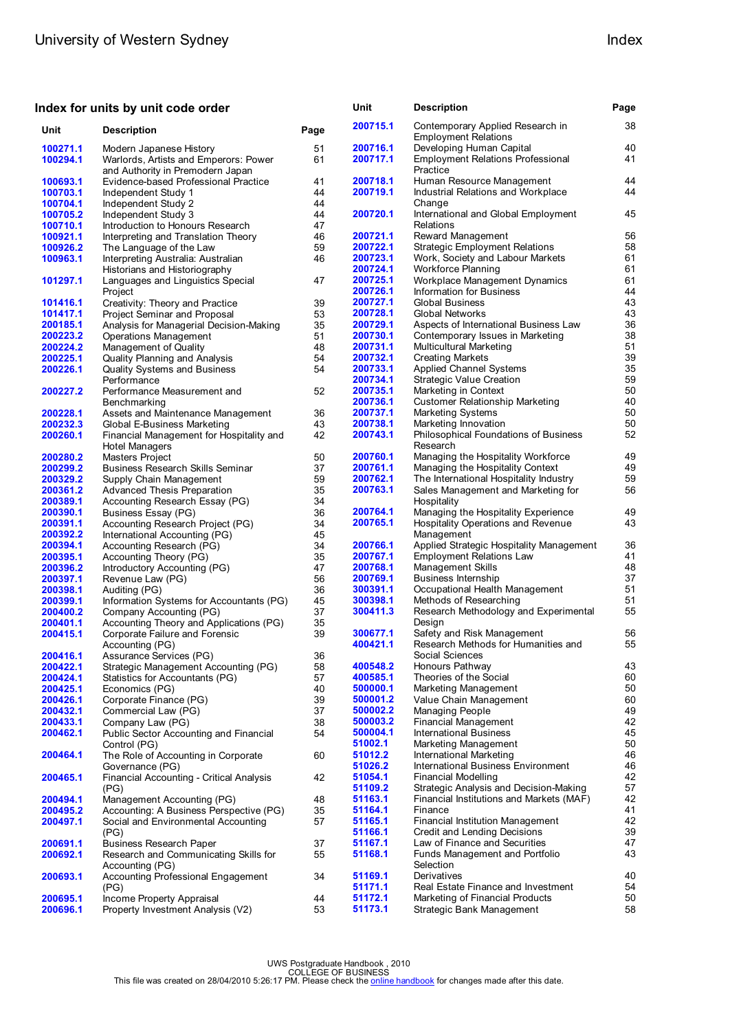# **Index for units by unit code order**

|          | ndex for units by unit code order                                         |      | Unit     | <b>Description</b>                                              | Page |
|----------|---------------------------------------------------------------------------|------|----------|-----------------------------------------------------------------|------|
| Unit     | <b>Description</b>                                                        | Page | 200715.1 | Contemporary Applied Research in<br><b>Employment Relations</b> | 38   |
| 100271.1 | Modern Japanese History                                                   | 51   | 200716.1 | Developing Human Capital                                        | 40   |
| 100294.1 | Warlords, Artists and Emperors: Power<br>and Authority in Premodern Japan | 61   | 200717.1 | <b>Employment Relations Professional</b><br>Practice            | 41   |
| 100693.1 | Evidence-based Professional Practice                                      | 41   | 200718.1 | Human Resource Management                                       | 44   |
| 100703.1 | Independent Study 1                                                       | 44   | 200719.1 | Industrial Relations and Workplace                              | 44   |
| 100704.1 | Independent Study 2                                                       | 44   |          | Change                                                          |      |
| 100705.2 | Independent Study 3                                                       | 44   | 200720.1 | International and Global Employment                             | 45   |
| 100710.1 | Introduction to Honours Research                                          | 47   |          | Relations                                                       |      |
| 100921.1 | Interpreting and Translation Theory                                       | 46   | 200721.1 | Reward Management                                               | 56   |
| 100926.2 | The Language of the Law                                                   | 59   | 200722.1 | <b>Strategic Employment Relations</b>                           | 58   |
| 100963.1 | Interpreting Australia: Australian                                        | 46   | 200723.1 | Work, Society and Labour Markets                                | 61   |
|          | Historians and Historiography                                             |      | 200724.1 | Workforce Planning                                              | 61   |
|          |                                                                           | 47   | 200725.1 | Workplace Management Dynamics                                   | 61   |
| 101297.1 | Languages and Linguistics Special                                         |      | 200726.1 | Information for Business                                        | 44   |
|          | Project                                                                   |      | 200727.1 | <b>Global Business</b>                                          | 43   |
| 101416.1 | Creativity: Theory and Practice                                           | 39   | 200728.1 |                                                                 | 43   |
| 101417.1 | Project Seminar and Proposal                                              | 53   |          | <b>Global Networks</b>                                          |      |
| 200185.1 | Analysis for Managerial Decision-Making                                   | 35   | 200729.1 | Aspects of International Business Law                           | 36   |
| 200223.2 | <b>Operations Management</b>                                              | 51   | 200730.1 | Contemporary Issues in Marketing                                | 38   |
| 200224.2 | Management of Quality                                                     | 48   | 200731.1 | Multicultural Marketing                                         | 51   |
| 200225.1 | Quality Planning and Analysis                                             | 54   | 200732.1 | <b>Creating Markets</b>                                         | 39   |
| 200226.1 | <b>Quality Systems and Business</b>                                       | 54   | 200733.1 | <b>Applied Channel Systems</b>                                  | 35   |
|          | Performance                                                               |      | 200734.1 | Strategic Value Creation                                        | 59   |
| 200227.2 | Performance Measurement and                                               | 52   | 200735.1 | Marketing in Context                                            | 50   |
|          | Benchmarking                                                              |      | 200736.1 | <b>Customer Relationship Marketing</b>                          | 40   |
| 200228.1 | Assets and Maintenance Management                                         | 36   | 200737.1 | Marketing Systems                                               | 50   |
| 200232.3 | Global E-Business Marketing                                               | 43   | 200738.1 | Marketing Innovation                                            | 50   |
| 200260.1 | Financial Management for Hospitality and                                  | 42   | 200743.1 | Philosophical Foundations of Business                           | 52   |
|          | <b>Hotel Managers</b>                                                     |      |          | Research                                                        |      |
| 200280.2 | Masters Project                                                           | 50   | 200760.1 | Managing the Hospitality Workforce                              | 49   |
| 200299.2 | <b>Business Research Skills Seminar</b>                                   | 37   | 200761.1 | Managing the Hospitality Context                                | 49   |
| 200329.2 | Supply Chain Management                                                   | 59   | 200762.1 | The International Hospitality Industry                          | 59   |
| 200361.2 | Advanced Thesis Preparation                                               | 35   | 200763.1 | Sales Management and Marketing for                              | 56   |
| 200389.1 | Accounting Research Essay (PG)                                            | 34   |          | Hospitality                                                     |      |
| 200390.1 | Business Essay (PG)                                                       | 36   | 200764.1 | Managing the Hospitality Experience                             | 49   |
| 200391.1 | Accounting Research Project (PG)                                          | 34   | 200765.1 | Hospitality Operations and Revenue                              | 43   |
| 200392.2 | International Accounting (PG)                                             | 45   |          | Management                                                      |      |
| 200394.1 | Accounting Research (PG)                                                  | 34   | 200766.1 | Applied Strategic Hospitality Management                        | 36   |
|          |                                                                           |      | 200767.1 |                                                                 | 41   |
| 200395.1 | Accounting Theory (PG)                                                    | 35   | 200768.1 | <b>Employment Relations Law</b>                                 | 48   |
| 200396.2 | Introductory Accounting (PG)                                              | 47   |          | Management Skills                                               | 37   |
| 200397.1 | Revenue Law (PG)                                                          | 56   | 200769.1 | <b>Business Internship</b>                                      |      |
| 200398.1 | Auditing (PG)                                                             | 36   | 300391.1 | Occupational Health Management                                  | 51   |
| 200399.1 | Information Systems for Accountants (PG)                                  | 45   | 300398.1 | Methods of Researching                                          | 51   |
| 200400.2 | Company Accounting (PG)                                                   | 37   | 300411.3 | Research Methodology and Experimental                           | 55   |
| 200401.1 | Accounting Theory and Applications (PG)                                   | 35   |          | Design                                                          |      |
| 200415.1 | Corporate Failure and Forensic                                            | 39   | 300677.1 | Safety and Risk Management                                      | 56   |
|          | Accounting (PG)                                                           |      | 400421.1 | Research Methods for Humanities and                             | 55   |
| 200416.1 | Assurance Services (PG)                                                   | 36   |          | Social Sciences                                                 |      |
| 200422.1 | Strategic Management Accounting (PG)                                      | 58   | 400548.2 | Honours Pathway                                                 | 43   |
| 200424.1 | Statistics for Accountants (PG)                                           | 57   | 400585.1 | Theories of the Social                                          | 60   |
| 200425.1 | Economics (PG)                                                            | 40   | 500000.1 | Marketing Management                                            | 50   |
| 200426.1 | Corporate Finance (PG)                                                    | 39   | 500001.2 | Value Chain Management                                          | 60   |
| 200432.1 | Commercial Law (PG)                                                       | 37   | 500002.2 | Managing People                                                 | 49   |
| 200433.1 | Company Law (PG)                                                          | 38   | 500003.2 | Financial Management                                            | 42   |
| 200462.1 | Public Sector Accounting and Financial                                    | 54   | 500004.1 | <b>International Business</b>                                   | 45   |
|          | Control (PG)                                                              |      | 51002.1  | Marketing Management                                            | 50   |
| 200464.1 | The Role of Accounting in Corporate                                       | 60   | 51012.2  | International Marketing                                         | 46   |
|          | Governance (PG)                                                           |      | 51026.2  | International Business Environment                              | 46   |
| 200465.1 | Financial Accounting - Critical Analysis                                  | 42   | 51054.1  | Financial Modelling                                             | 42   |
|          | (PG)                                                                      |      | 51109.2  | Strategic Analysis and Decision-Making                          | 57   |
|          | Management Accounting (PG)                                                |      | 51163.1  | Financial Institutions and Markets (MAF)                        | 42   |
| 200494.1 |                                                                           | 48   |          |                                                                 |      |
| 200495.2 | Accounting: A Business Perspective (PG)                                   | 35   | 51164.1  | Finance                                                         | 41   |
| 200497.1 | Social and Environmental Accounting                                       | 57   | 51165.1  | Financial Institution Management                                | 42   |
|          | (PG)                                                                      |      | 51166.1  | Credit and Lending Decisions                                    | 39   |
| 200691.1 | <b>Business Research Paper</b>                                            | 37   | 51167.1  | Law of Finance and Securities                                   | 47   |
| 200692.1 | Research and Communicating Skills for                                     | 55   | 51168.1  | Funds Management and Portfolio                                  | 43   |
|          | Accounting (PG)                                                           |      |          | Selection                                                       |      |
| 200693.1 | Accounting Professional Engagement                                        | 34   | 51169.1  | Derivatives                                                     | 40   |
|          | (PG)                                                                      |      | 51171.1  | Real Estate Finance and Investment                              | 54   |
| 200695.1 | Income Property Appraisal                                                 | 44   | 51172.1  | Marketing of Financial Products                                 | 50   |
| 200696.1 | Property Investment Analysis (V2)                                         | 53   | 51173.1  | Strategic Bank Management                                       | 58   |
|          |                                                                           |      |          |                                                                 |      |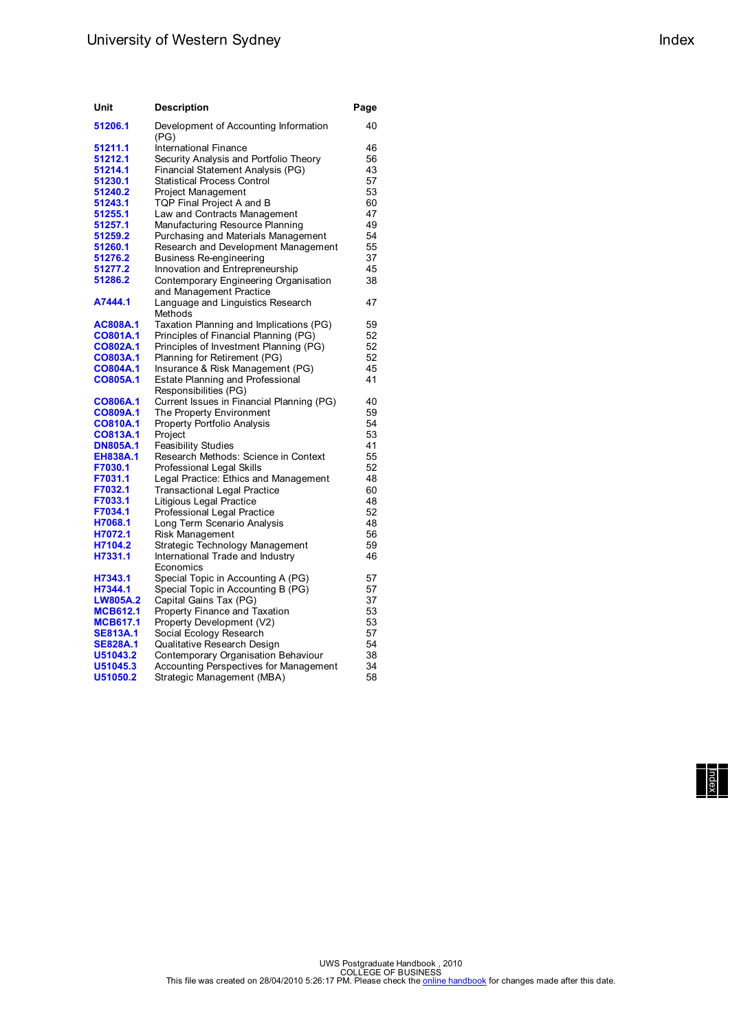# University of Western Sydney **Index** Index

| Index |

| Unit            | Description                                                                 | Page |
|-----------------|-----------------------------------------------------------------------------|------|
| 51206.1         | Development of Accounting Information                                       | 40   |
| 51211.1         | (PG)<br>International Finance                                               | 46   |
| 51212.1         |                                                                             | 56   |
| 51214.1         | Security Analysis and Portfolio Theory<br>Financial Statement Analysis (PG) | 43   |
| 51230.1         | <b>Statistical Process Control</b>                                          | 57   |
| 51240.2         | Project Management                                                          | 53   |
| 51243.1         | TQP Final Project A and B                                                   | 60   |
| 51255.1         | Law and Contracts Management                                                | 47   |
| 51257.1         | Manufacturing Resource Planning                                             | 49   |
| 51259.2         | Purchasing and Materials Management                                         | 54   |
| 51260.1         | Research and Development Management                                         | 55   |
| 51276.2         | Business Re-engineering                                                     | 37   |
| 51277.2         | Innovation and Entrepreneurship                                             | 45   |
| 51286.2         | Contemporary Engineering Organisation                                       | 38   |
|                 | and Management Practice                                                     |      |
| A7444.1         | Language and Linguistics Research<br>Methods                                | 47   |
| AC808A.1        | Taxation Planning and Implications (PG)                                     | 59   |
| CO801A.1        | Principles of Financial Planning (PG)                                       | 52   |
| CO802A.1        | Principles of Investment Planning (PG)                                      | 52   |
| CO803A.1        | Planning for Retirement (PG)                                                | 52   |
| CO804A.1        | Insurance & Risk Management (PG)                                            | 45   |
| CO805A.1        | Estate Planning and Professional                                            | 41   |
|                 | Responsibilities (PG)                                                       |      |
| CO806A.1        | Current Issues in Financial Planning (PG)                                   | 40   |
| CO809A.1        | The Property Environment                                                    | 59   |
| CO810A.1        | Property Portfolio Analysis                                                 | 54   |
| CO813A.1        | Project                                                                     | 53   |
| <b>DN805A.1</b> | <b>Feasibility Studies</b>                                                  | 41   |
| EH838A.1        | Research Methods: Science in Context                                        | 55   |
| F7030.1         | Professional Legal Skills                                                   | 52   |
| F7031.1         | Legal Practice: Ethics and Management                                       | 48   |
| F7032.1         | Transactional Legal Practice                                                | 60   |
| F7033.1         | Litigious Legal Practice                                                    | 48   |
| F7034.1         | Professional Legal Practice                                                 | 52   |
| H7068.1         | Long Term Scenario Analysis                                                 | 48   |
| H7072.1         | Risk Management                                                             | 56   |
| H7104.2         | Strategic Technology Management                                             | 59   |
| H7331.1         | International Trade and Industry<br>Economics                               | 46   |
| H7343.1         | Special Topic in Accounting A (PG)                                          | 57   |
| H7344.1         | Special Topic in Accounting B (PG)                                          | 57   |
| <b>LW805A.2</b> | Capital Gains Tax (PG)                                                      | 37   |
| <b>MCB612.1</b> | Property Finance and Taxation                                               | 53   |
| <b>MCB617.1</b> | Property Development (V2)                                                   | 53   |
| <b>SE813A.1</b> | Social Ecology Research                                                     | 57   |
| SE828A.1        | Qualitative Research Design                                                 | 54   |
| U51043.2        | Contemporary Organisation Behaviour                                         | 38   |
| U51045.3        | Accounting Perspectives for Management                                      | 34   |
| U51050.2        | Strategic Management (MBA)                                                  | 58   |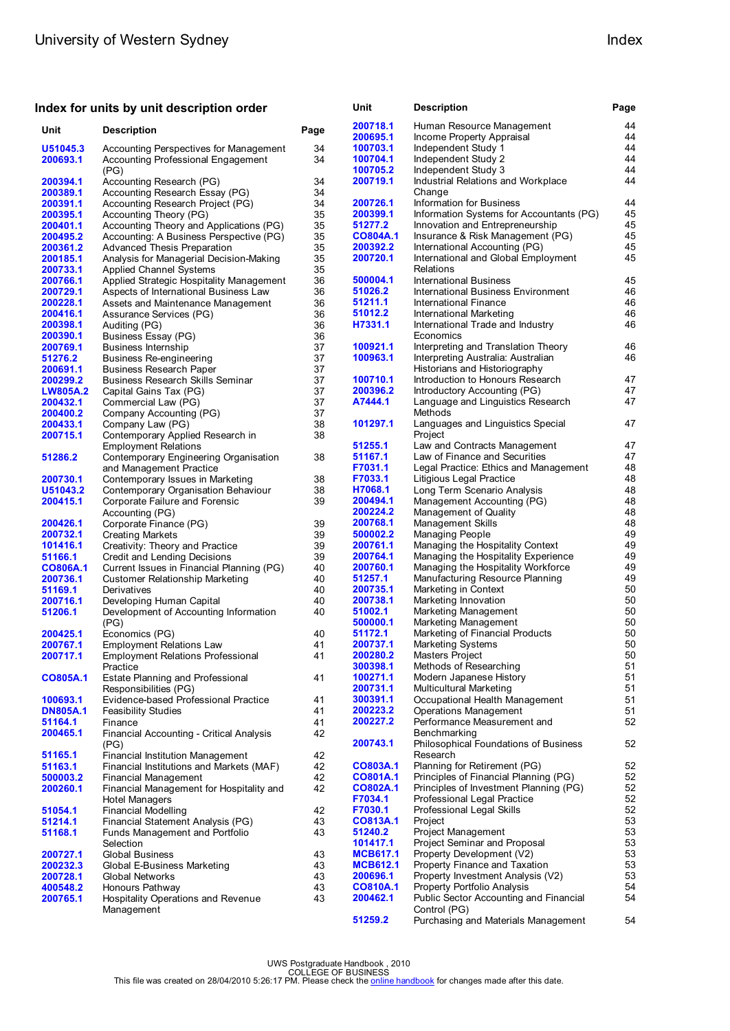## **Index for units by unit description order**

|                      | ndex for units by unit description order                                          | Unit     | <b>Description</b>   | Page                                                      |          |
|----------------------|-----------------------------------------------------------------------------------|----------|----------------------|-----------------------------------------------------------|----------|
| Unit                 | <b>Description</b>                                                                | Page     | 200718.1<br>200695.1 | Human Resource Management<br>Income Property Appraisal    | 44<br>44 |
| U51045.3             | Accounting Perspectives for Management                                            | 34       | 100703.1             | Independent Study 1                                       | 44       |
| 200693.1             | Accounting Professional Engagement                                                | 34       | 100704.1             | Independent Study 2                                       | 44       |
|                      | (PG)                                                                              |          | 100705.2             | Independent Study 3                                       | 44       |
| 200394.1             | Accounting Research (PG)                                                          | 34       | 200719.1             | Industrial Relations and Workplace                        | 44       |
| 200389.1             | Accounting Research Essay (PG)                                                    | 34       |                      | Change                                                    |          |
| 200391.1             | Accounting Research Project (PG)                                                  | 34       | 200726.1             | Information for Business                                  | 44       |
| 200395.1             | Accounting Theory (PG)                                                            | 35       | 200399.1             | Information Systems for Accountants (PG)                  | 45       |
| 200401.1             | Accounting Theory and Applications (PG)                                           | 35       | 51277.2              | Innovation and Entrepreneurship                           | 45       |
| 200495.2             | Accounting: A Business Perspective (PG)                                           | 35       | CO804A.1             | Insurance & Risk Management (PG)                          | 45       |
| 200361.2             | Advanced Thesis Preparation                                                       | 35       | 200392.2             | International Accounting (PG)                             | 45       |
| 200185.1             | Analysis for Managerial Decision-Making                                           | 35       | 200720.1             | International and Global Employment                       | 45       |
| 200733.1             | Applied Channel Systems                                                           | 35<br>36 | 500004.1             | Relations<br><b>International Business</b>                | 45       |
| 200766.1<br>200729.1 | Applied Strategic Hospitality Management<br>Aspects of International Business Law | 36       | 51026.2              | International Business Environment                        | 46       |
| 200228.1             | Assets and Maintenance Management                                                 | 36       | 51211.1              | International Finance                                     | 46       |
| 200416.1             | Assurance Services (PG)                                                           | 36       | 51012.2              | International Marketing                                   | 46       |
| 200398.1             | Auditing (PG)                                                                     | 36       | H7331.1              | International Trade and Industry                          | 46       |
| 200390.1             | Business Essay (PG)                                                               | 36       |                      | Economics                                                 |          |
| 200769.1             | Business Internship                                                               | 37       | 100921.1             | Interpreting and Translation Theory                       | 46       |
| 51276.2              | Business Re-engineering                                                           | 37       | 100963.1             | Interpreting Australia: Australian                        | 46       |
| 200691.1             | <b>Business Research Paper</b>                                                    | 37       |                      | Historians and Historiography                             |          |
| 200299.2             | <b>Business Research Skills Seminar</b>                                           | 37       | 100710.1             | Introduction to Honours Research                          | 47       |
| <b>LW805A.2</b>      | Capital Gains Tax (PG)                                                            | 37       | 200396.2             | Introductory Accounting (PG)                              | 47       |
| 200432.1             | Commercial Law (PG)                                                               | 37       | A7444.1              | Language and Linguistics Research                         | 47       |
| 200400.2             | Company Accounting (PG)                                                           | 37       |                      | Methods                                                   |          |
| 200433.1             | Company Law (PG)                                                                  | 38       | 101297.1             | Languages and Linguistics Special                         | 47       |
| 200715.1             | Contemporary Applied Research in                                                  | 38       |                      | Project                                                   |          |
|                      | <b>Employment Relations</b>                                                       |          | 51255.1              | Law and Contracts Management                              | 47       |
| 51286.2              | Contemporary Engineering Organisation                                             | 38       | 51167.1              | Law of Finance and Securities                             | 47       |
|                      | and Management Practice                                                           |          | F7031.1              | Legal Practice: Ethics and Management                     | 48       |
| 200730.1             | Contemporary Issues in Marketing                                                  | 38       | F7033.1<br>H7068.1   | Litigious Legal Practice                                  | 48<br>48 |
| U51043.2             | Contemporary Organisation Behaviour                                               | 38<br>39 | 200494.1             | Long Term Scenario Analysis<br>Management Accounting (PG) | 48       |
| 200415.1             | Corporate Failure and Forensic<br>Accounting (PG)                                 |          | 200224.2             | Management of Quality                                     | 48       |
| 200426.1             | Corporate Finance (PG)                                                            | 39       | 200768.1             | Management Skills                                         | 48       |
| 200732.1             | <b>Creating Markets</b>                                                           | 39       | 500002.2             | Managing People                                           | 49       |
| 101416.1             | Creativity: Theory and Practice                                                   | 39       | 200761.1             | Managing the Hospitality Context                          | 49       |
| 51166.1              | Credit and Lending Decisions                                                      | 39       | 200764.1             | Managing the Hospitality Experience                       | 49       |
| CO806A.1             | Current Issues in Financial Planning (PG)                                         | 40       | 200760.1             | Managing the Hospitality Workforce                        | 49       |
| 200736.1             | Customer Relationship Marketing                                                   | 40       | 51257.1              | Manufacturing Resource Planning                           | 49       |
| 51169.1              | Derivatives                                                                       | 40       | 200735.1             | Marketing in Context                                      | 50       |
| 200716.1             | Developing Human Capital                                                          | 40       | 200738.1             | Marketing Innovation                                      | 50       |
| 51206.1              | Development of Accounting Information                                             | 40       | 51002.1              | Marketing Management                                      | 50       |
|                      | (PG)                                                                              |          | 500000.1             | Marketing Management                                      | 50       |
| 200425.1             | Economics (PG)                                                                    | 40       | 51172.1              | Marketing of Financial Products                           | 50       |
| 200767.1             | <b>Employment Relations Law</b>                                                   | 41       | 200737.1             | <b>Marketing Systems</b>                                  | 50       |
| 200717.1             | <b>Employment Relations Professional</b>                                          | 41       | 200280.2             | Masters Project                                           | 50       |
|                      | Practice                                                                          |          | 300398.1             | Methods of Researching                                    | 51       |
| CO805A.1             | Estate Planning and Professional                                                  | 41       | 100271.1<br>200731.1 | Modern Japanese History                                   | 51<br>51 |
| 100693.1             | Responsibilities (PG)                                                             |          | 300391.1             | Multicultural Marketing<br>Occupational Health Management | 51       |
| <b>DN805A.1</b>      | Evidence-based Professional Practice                                              | 41<br>41 | 200223.2             | Operations Management                                     | 51       |
| 51164.1              | <b>Feasibility Studies</b><br>Finance                                             | 41       | 200227.2             | Performance Measurement and                               | 52       |
| 200465.1             | Financial Accounting - Critical Analysis                                          | 42       |                      | Benchmarking                                              |          |
|                      | (PG)                                                                              |          | 200743.1             | Philosophical Foundations of Business                     | 52       |
| 51165.1              | Financial Institution Management                                                  | 42       |                      | Research                                                  |          |
| 51163.1              | Financial Institutions and Markets (MAF)                                          | 42       | CO803A.1             | Planning for Retirement (PG)                              | 52       |
| 500003.2             | Financial Management                                                              | 42       | CO801A.1             | Principles of Financial Planning (PG)                     | 52       |
| 200260.1             | Financial Management for Hospitality and                                          | 42       | CO802A.1             | Principles of Investment Planning (PG)                    | 52       |
|                      | Hotel Managers                                                                    |          | F7034.1              | Professional Legal Practice                               | 52       |
| 51054.1              | Financial Modelling                                                               | 42       | F7030.1              | Professional Legal Skills                                 | 52       |
| 51214.1              | Financial Statement Analysis (PG)                                                 | 43       | CO813A.1             | Project                                                   | 53       |
| 51168.1              | Funds Management and Portfolio                                                    | 43       | 51240.2              | <b>Project Management</b>                                 | 53       |
|                      | Selection                                                                         |          | 101417.1             | Project Seminar and Proposal                              | 53       |
| 200727.1             | Global Business                                                                   | 43       | <b>MCB617.1</b>      | Property Development (V2)                                 | 53       |
| 200232.3             | Global E-Business Marketing                                                       | 43       | <b>MCB612.1</b>      | Property Finance and Taxation                             | 53       |
| 200728.1             | <b>Global Networks</b>                                                            | 43       | 200696.1             | Property Investment Analysis (V2)                         | 53       |
| 400548.2             | Honours Pathway                                                                   | 43       | CO810A.1             | Property Portfolio Analysis                               | 54       |
| 200765.1             | Hospitality Operations and Revenue                                                | 43       | 200462.1             | Public Sector Accounting and Financial                    | 54       |
|                      | Management                                                                        |          | 51259.2              | Control (PG)<br>Purchasing and Materials Management       | 54       |
|                      |                                                                                   |          |                      |                                                           |          |